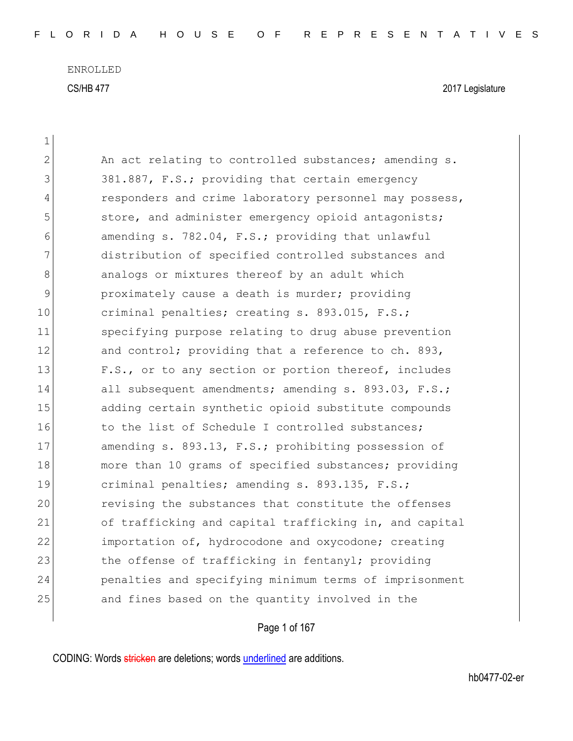| $\mathbf 1$   |                                                        |
|---------------|--------------------------------------------------------|
| 2             | An act relating to controlled substances; amending s.  |
| 3             | 381.887, F.S.; providing that certain emergency        |
| 4             | responders and crime laboratory personnel may possess, |
| 5             | store, and administer emergency opioid antagonists;    |
| 6             | amending s. 782.04, F.S.; providing that unlawful      |
| 7             | distribution of specified controlled substances and    |
| 8             | analogs or mixtures thereof by an adult which          |
| $\mathcal{G}$ | proximately cause a death is murder; providing         |
| 10            | criminal penalties; creating s. 893.015, F.S.;         |
| 11            | specifying purpose relating to drug abuse prevention   |
| 12            | and control; providing that a reference to ch. 893,    |
| 13            | F.S., or to any section or portion thereof, includes   |
| 14            | all subsequent amendments; amending s. 893.03, F.S.;   |
| 15            | adding certain synthetic opioid substitute compounds   |
| 16            | to the list of Schedule I controlled substances;       |
| 17            | amending s. 893.13, F.S.; prohibiting possession of    |
| 18            | more than 10 grams of specified substances; providing  |
| 19            | criminal penalties; amending s. 893.135, F.S.;         |
| 20            | revising the substances that constitute the offenses   |
| 21            | of trafficking and capital trafficking in, and capital |
| 22            | importation of, hydrocodone and oxycodone; creating    |
| 23            | the offense of trafficking in fentanyl; providing      |
| 24            | penalties and specifying minimum terms of imprisonment |
| 25            | and fines based on the quantity involved in the        |
|               |                                                        |

Page 1 of 167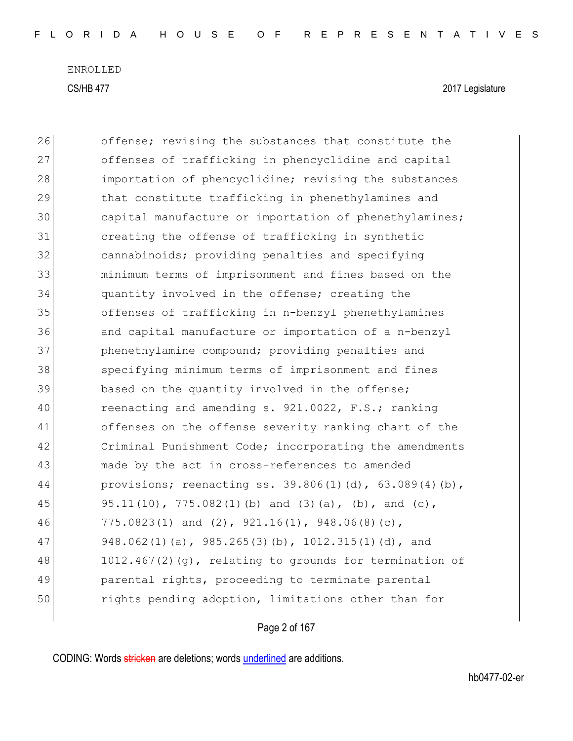| 26 | offense; revising the substances that constitute the      |
|----|-----------------------------------------------------------|
| 27 | offenses of trafficking in phencyclidine and capital      |
| 28 | importation of phencyclidine; revising the substances     |
| 29 | that constitute trafficking in phenethylamines and        |
| 30 | capital manufacture or importation of phenethylamines;    |
| 31 | creating the offense of trafficking in synthetic          |
| 32 | cannabinoids; providing penalties and specifying          |
| 33 | minimum terms of imprisonment and fines based on the      |
| 34 | quantity involved in the offense; creating the            |
| 35 | offenses of trafficking in n-benzyl phenethylamines       |
| 36 | and capital manufacture or importation of a n-benzyl      |
| 37 | phenethylamine compound; providing penalties and          |
| 38 | specifying minimum terms of imprisonment and fines        |
| 39 | based on the quantity involved in the offense;            |
| 40 | reenacting and amending s. 921.0022, F.S.; ranking        |
| 41 | offenses on the offense severity ranking chart of the     |
| 42 | Criminal Punishment Code; incorporating the amendments    |
| 43 | made by the act in cross-references to amended            |
| 44 | provisions; reenacting ss. 39.806(1)(d), 63.089(4)(b),    |
| 45 | 95.11(10), 775.082(1)(b) and (3)(a), (b), and (c),        |
| 46 | 775.0823(1) and (2), 921.16(1), 948.06(8)(c),             |
| 47 | 948.062(1)(a), 985.265(3)(b), 1012.315(1)(d), and         |
| 48 | $1012.467(2)(q)$ , relating to grounds for termination of |
| 49 | parental rights, proceeding to terminate parental         |
| 50 | rights pending adoption, limitations other than for       |
|    |                                                           |

## Page 2 of 167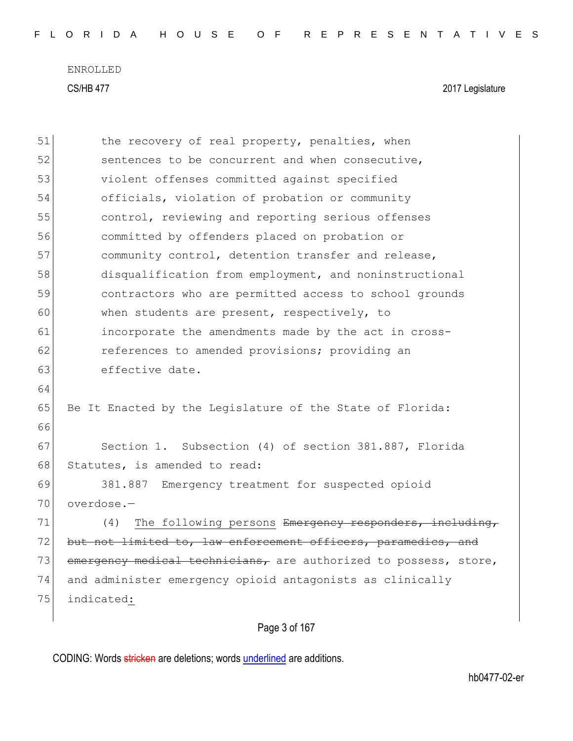| 51 | the recovery of real property, penalties, when                   |
|----|------------------------------------------------------------------|
| 52 | sentences to be concurrent and when consecutive,                 |
| 53 | violent offenses committed against specified                     |
| 54 | officials, violation of probation or community                   |
| 55 | control, reviewing and reporting serious offenses                |
| 56 | committed by offenders placed on probation or                    |
| 57 | community control, detention transfer and release,               |
| 58 | disqualification from employment, and noninstructional           |
| 59 | contractors who are permitted access to school grounds           |
| 60 | when students are present, respectively, to                      |
| 61 | incorporate the amendments made by the act in cross-             |
| 62 | references to amended provisions; providing an                   |
| 63 | effective date.                                                  |
| 64 |                                                                  |
| 65 | Be It Enacted by the Legislature of the State of Florida:        |
| 66 |                                                                  |
| 67 | Section 1. Subsection (4) of section 381.887, Florida            |
| 68 | Statutes, is amended to read:                                    |
| 69 | Emergency treatment for suspected opioid<br>381.887              |
| 70 | overdose.-                                                       |
| 71 | The following persons Emergency responders, including,<br>(4)    |
| 72 | but not limited to, law enforcement officers, paramedics, and    |
| 73 | emergency medical technicians, are authorized to possess, store, |
| 74 | and administer emergency opioid antagonists as clinically        |
| 75 | indicated:                                                       |
|    |                                                                  |

## Page 3 of 167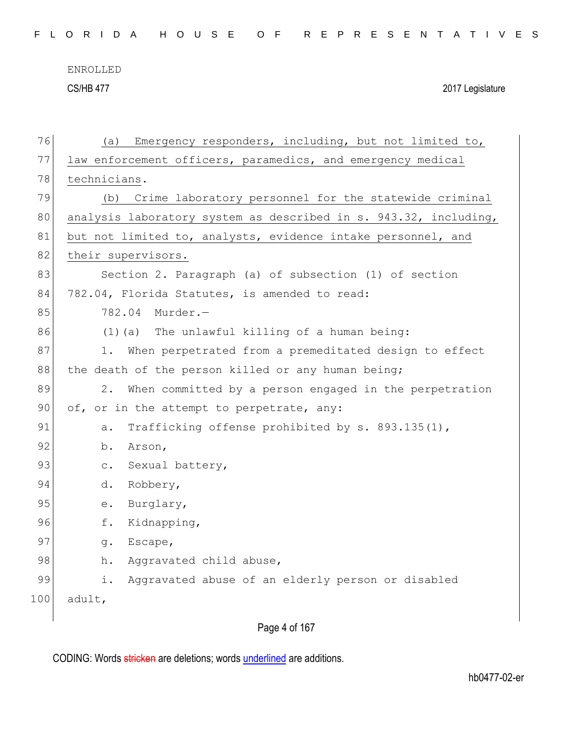CS/HB 477 2017 Legislature

| 76  | Emergency responders, including, but not limited to,<br>(a)      |
|-----|------------------------------------------------------------------|
| 77  | law enforcement officers, paramedics, and emergency medical      |
| 78  | technicians.                                                     |
| 79  | Crime laboratory personnel for the statewide criminal<br>(b)     |
| 80  | analysis laboratory system as described in s. 943.32, including, |
| 81  | but not limited to, analysts, evidence intake personnel, and     |
| 82  | their supervisors.                                               |
| 83  | Section 2. Paragraph (a) of subsection (1) of section            |
| 84  | 782.04, Florida Statutes, is amended to read:                    |
| 85  | 782.04<br>Murder.-                                               |
| 86  | (1) (a) The unlawful killing of a human being:                   |
| 87  | When perpetrated from a premeditated design to effect<br>1.      |
| 88  | the death of the person killed or any human being;               |
| 89  | $2$ .<br>When committed by a person engaged in the perpetration  |
| 90  | of, or in the attempt to perpetrate, any:                        |
| 91  | Trafficking offense prohibited by s. 893.135(1),<br>a.           |
| 92  | b.<br>Arson,                                                     |
| 93  | Sexual battery,<br>$\mathtt{C}$ .                                |
| 94  | d.<br>Robbery,                                                   |
| 95  | Burglary,<br>$\rm e$ .                                           |
| 96  | f.<br>Kidnapping,                                                |
| 97  | Escape,<br>g.                                                    |
| 98  | Aggravated child abuse,<br>h.                                    |
| 99  | i.<br>Aggravated abuse of an elderly person or disabled          |
| 100 | adult,                                                           |
|     |                                                                  |

Page 4 of 167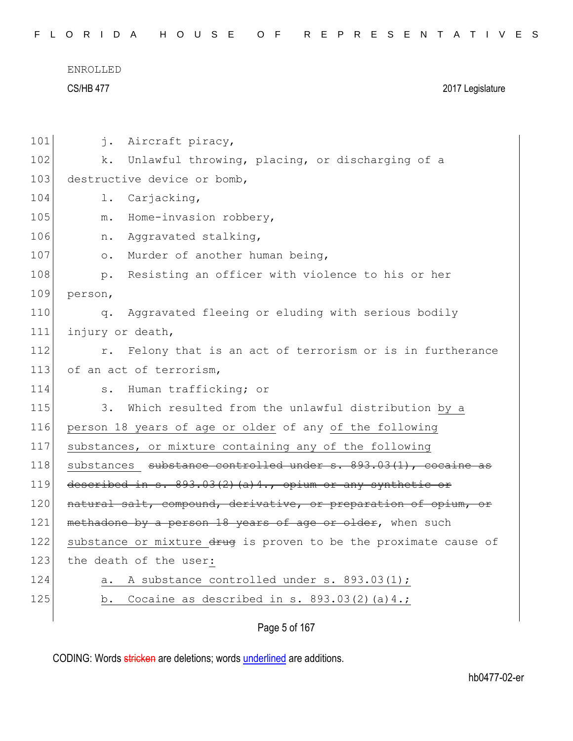| FLORIDA HOUSE OF REPRESENTATIVES |  |  |
|----------------------------------|--|--|
|----------------------------------|--|--|

| 101 | j.<br>Aircraft piracy,                                           |
|-----|------------------------------------------------------------------|
| 102 | Unlawful throwing, placing, or discharging of a<br>k.            |
| 103 | destructive device or bomb,                                      |
| 104 | Carjacking,<br>$\mathbf 1$ .                                     |
| 105 | Home-invasion robbery,<br>$m$ .                                  |
| 106 | Aggravated stalking,<br>n.                                       |
| 107 | Murder of another human being,<br>$\circ$ .                      |
| 108 | Resisting an officer with violence to his or her<br>$p$ .        |
| 109 | person,                                                          |
| 110 | Aggravated fleeing or eluding with serious bodily<br>q.          |
| 111 | injury or death,                                                 |
| 112 | Felony that is an act of terrorism or is in furtherance<br>r.    |
| 113 | of an act of terrorism,                                          |
| 114 | Human trafficking; or<br>$s$ .                                   |
| 115 | Which resulted from the unlawful distribution by a<br>3.         |
| 116 | person 18 years of age or older of any of the following          |
| 117 | substances, or mixture containing any of the following           |
| 118 | substances substance controlled under s. 893.03(1), cocaine as   |
| 119 | described in s. 893.03(2)(a)4., opium or any synthetic or        |
| 120 | natural salt, compound, derivative, or preparation of opium, or  |
| 121 | methadone by a person 18 years of age or older, when such        |
| 122 | substance or mixture drug is proven to be the proximate cause of |
| 123 | the death of the user:                                           |
| 124 | A substance controlled under s. 893.03(1);<br>а.                 |
| 125 | Cocaine as described in s. $893.03(2)(a)4.$ ;<br>b.              |
|     |                                                                  |

Page 5 of 167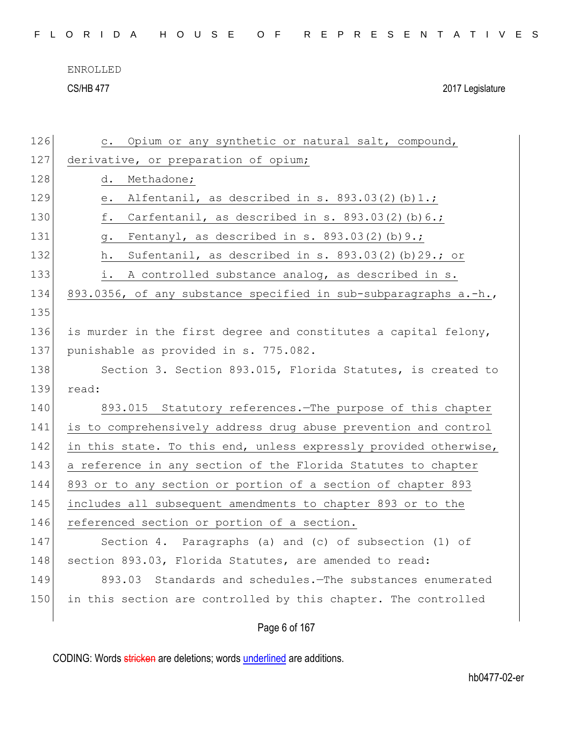| FLORIDA HOUSE OF REPRESENTATIVES |  |
|----------------------------------|--|
|----------------------------------|--|

CS/HB 477 2017 Legislature

| 126 | Opium or any synthetic or natural salt, compound,<br>$\circ$ .    |
|-----|-------------------------------------------------------------------|
| 127 | derivative, or preparation of opium;                              |
| 128 | Methadone;<br>d.                                                  |
| 129 | Alfentanil, as described in s. $893.03(2)(b)1.$ ;<br>е.           |
| 130 | f.<br>Carfentanil, as described in s. $893.03(2)$ (b) $6.$ ;      |
| 131 | Fentanyl, as described in s. $893.03(2)$ (b) $9.$ ;<br><b>g</b> . |
| 132 | Sufentanil, as described in s. $893.03(2)$ (b) 29.; or<br>h.      |
| 133 | i.<br>A controlled substance analog, as described in s.           |
| 134 | 893.0356, of any substance specified in sub-subparagraphs a.-h.,  |
| 135 |                                                                   |
| 136 | is murder in the first degree and constitutes a capital felony,   |
| 137 | punishable as provided in s. 775.082.                             |
| 138 | Section 3. Section 893.015, Florida Statutes, is created to       |
| 139 | read:                                                             |
| 140 | 893.015 Statutory references. The purpose of this chapter         |
| 141 | is to comprehensively address drug abuse prevention and control   |
| 142 | in this state. To this end, unless expressly provided otherwise,  |
| 143 | a reference in any section of the Florida Statutes to chapter     |
| 144 | 893 or to any section or portion of a section of chapter 893      |
| 145 | includes all subsequent amendments to chapter 893 or to the       |
| 146 | referenced section or portion of a section.                       |
| 147 | Section 4. Paragraphs (a) and (c) of subsection (1) of            |
| 148 | section 893.03, Florida Statutes, are amended to read:            |
| 149 | Standards and schedules. The substances enumerated<br>893.03      |
| 150 | in this section are controlled by this chapter. The controlled    |
|     |                                                                   |
|     | Page 6 of 167                                                     |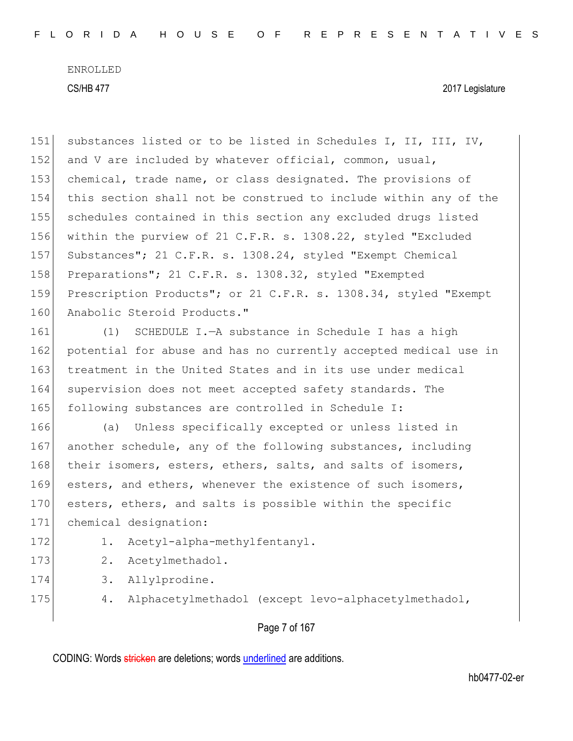CS/HB 477 2017 Legislature

151 substances listed or to be listed in Schedules I, II, III, IV, 152 and V are included by whatever official, common, usual, 153 chemical, trade name, or class designated. The provisions of 154 this section shall not be construed to include within any of the 155 schedules contained in this section any excluded drugs listed 156 within the purview of 21 C.F.R. s. 1308.22, styled "Excluded 157 Substances"; 21 C.F.R. s. 1308.24, styled "Exempt Chemical 158 Preparations"; 21 C.F.R. s. 1308.32, styled "Exempted" 159 Prescription Products"; or 21 C.F.R. s. 1308.34, styled "Exempt 160 Anabolic Steroid Products."

161 (1) SCHEDULE I.—A substance in Schedule I has a high 162 potential for abuse and has no currently accepted medical use in 163 treatment in the United States and in its use under medical 164 supervision does not meet accepted safety standards. The 165 following substances are controlled in Schedule I:

166 (a) Unless specifically excepted or unless listed in 167 another schedule, any of the following substances, including 168 their isomers, esters, ethers, salts, and salts of isomers, 169 esters, and ethers, whenever the existence of such isomers, 170 esters, ethers, and salts is possible within the specific 171 chemical designation:

- 
- 172 1. Acetyl-alpha-methylfentanyl.
- 173 2. Acetylmethadol.
- 174 3. Allylprodine.
- 
- 175 4. Alphacetylmethadol (except levo-alphacetylmethadol,

#### Page 7 of 167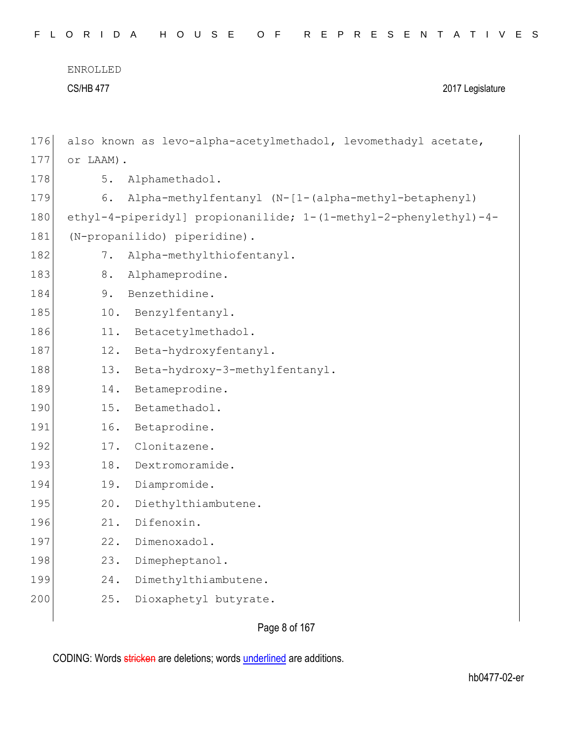$\overline{\phantom{a}}$ 

| 176 |           | also known as levo-alpha-acetylmethadol, levomethadyl acetate,   |
|-----|-----------|------------------------------------------------------------------|
| 177 | or LAAM). |                                                                  |
| 178 | 5.        | Alphamethadol.                                                   |
| 179 | 6.        | Alpha-methylfentanyl (N-[1-(alpha-methyl-betaphenyl)             |
| 180 |           | ethyl-4-piperidyl] propionanilide; 1-(1-methyl-2-phenylethyl)-4- |
| 181 |           | (N-propanilido) piperidine).                                     |
| 182 | 7.        | Alpha-methylthiofentanyl.                                        |
| 183 | 8.        | Alphameprodine.                                                  |
| 184 | 9.        | Benzethidine.                                                    |
| 185 | 10.       | Benzylfentanyl.                                                  |
| 186 | 11.       | Betacetylmethadol.                                               |
| 187 | 12.       | Beta-hydroxyfentanyl.                                            |
| 188 | 13.       | Beta-hydroxy-3-methylfentanyl.                                   |
| 189 | 14.       | Betameprodine.                                                   |
| 190 | 15.       | Betamethadol.                                                    |
| 191 | 16.       | Betaprodine.                                                     |
| 192 | 17.       | Clonitazene.                                                     |
| 193 | 18.       | Dextromoramide.                                                  |
| 194 | 19.       | Diampromide.                                                     |
| 195 | 20.       | Diethylthiambutene.                                              |
| 196 | 21.       | Difenoxin.                                                       |
| 197 | 22.       | Dimenoxadol.                                                     |
| 198 | 23.       | Dimepheptanol.                                                   |
| 199 | 24.       | Dimethylthiambutene.                                             |
| 200 | 25.       | Dioxaphetyl butyrate.                                            |

Page 8 of 167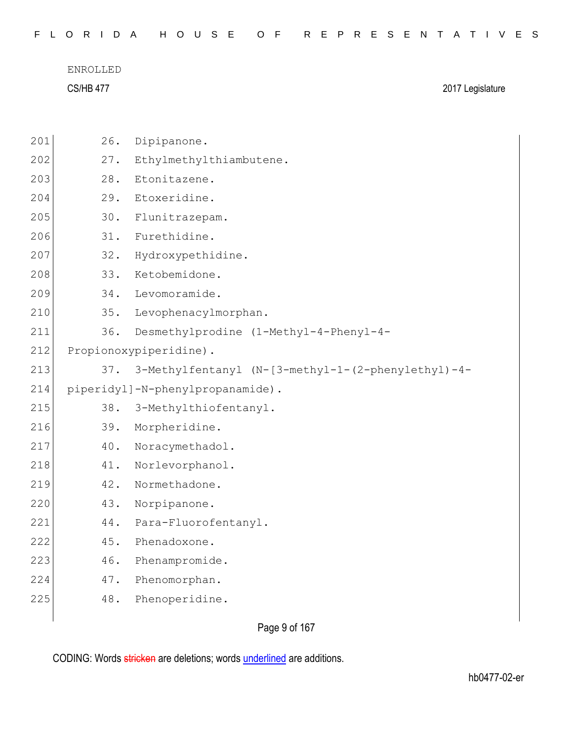|  |  |  |  |  |  |  |  | FLORIDA HOUSE OF REPRESENTATIVES |  |  |  |  |  |  |  |  |  |  |  |  |  |  |  |  |  |  |  |  |  |  |  |  |  |
|--|--|--|--|--|--|--|--|----------------------------------|--|--|--|--|--|--|--|--|--|--|--|--|--|--|--|--|--|--|--|--|--|--|--|--|--|
|--|--|--|--|--|--|--|--|----------------------------------|--|--|--|--|--|--|--|--|--|--|--|--|--|--|--|--|--|--|--|--|--|--|--|--|--|

| 201 | 26. | Dipipanone.                                        |
|-----|-----|----------------------------------------------------|
| 202 | 27. | Ethylmethylthiambutene.                            |
| 203 | 28. | Etonitazene.                                       |
| 204 | 29. | Etoxeridine.                                       |
| 205 | 30. | Flunitrazepam.                                     |
| 206 | 31. | Furethidine.                                       |
| 207 | 32. | Hydroxypethidine.                                  |
| 208 | 33. | Ketobemidone.                                      |
| 209 | 34. | Levomoramide.                                      |
| 210 | 35. | Levophenacylmorphan.                               |
| 211 | 36. | Desmethylprodine (1-Methyl-4-Phenyl-4-             |
| 212 |     | Propionoxypiperidine).                             |
| 213 | 37. | 3-Methylfentanyl (N-[3-methyl-1-(2-phenylethyl)-4- |
| 214 |     | piperidyl]-N-phenylpropanamide).                   |
|     |     |                                                    |
| 215 | 38. | 3-Methylthiofentanyl.                              |
| 216 | 39. | Morpheridine.                                      |
| 217 | 40. | Noracymethadol.                                    |
| 218 | 41. | Norlevorphanol.                                    |
| 219 | 42. | Normethadone.                                      |
| 220 | 43. | Norpipanone.                                       |
| 221 | 44. | Para-Fluorofentanyl.                               |
| 222 | 45. | Phenadoxone.                                       |
| 223 | 46. | Phenampromide.                                     |
| 224 | 47. | Phenomorphan.                                      |
| 225 | 48. | Phenoperidine.                                     |

Page 9 of 167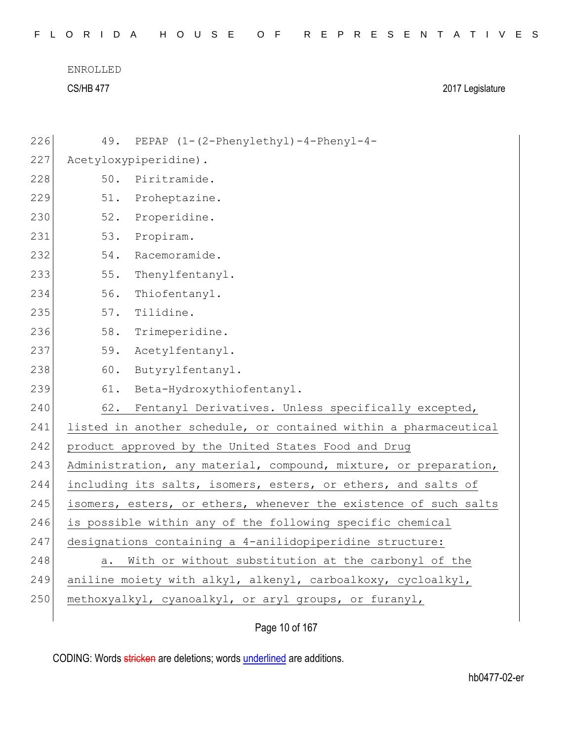| 226 |                                                                  | 49. PEPAP (1-(2-Phenylethyl)-4-Phenyl-4-                         |  |
|-----|------------------------------------------------------------------|------------------------------------------------------------------|--|
| 227 |                                                                  | Acetyloxypiperidine).                                            |  |
| 228 | 50.                                                              | Piritramide.                                                     |  |
| 229 | 51.                                                              | Proheptazine.                                                    |  |
| 230 | 52.                                                              | Properidine.                                                     |  |
| 231 | 53.                                                              | Propiram.                                                        |  |
| 232 | 54.                                                              | Racemoramide.                                                    |  |
| 233 | 55.                                                              | Thenylfentanyl.                                                  |  |
| 234 | 56.                                                              | Thiofentanyl.                                                    |  |
| 235 | 57.                                                              | Tilidine.                                                        |  |
| 236 | 58.                                                              | Trimeperidine.                                                   |  |
| 237 | 59.                                                              | Acetylfentanyl.                                                  |  |
| 238 | 60.                                                              | Butyrylfentanyl.                                                 |  |
| 239 | 61.                                                              | Beta-Hydroxythiofentanyl.                                        |  |
| 240 | 62.                                                              | Fentanyl Derivatives. Unless specifically excepted,              |  |
| 241 |                                                                  | listed in another schedule, or contained within a pharmaceutical |  |
| 242 |                                                                  | product approved by the United States Food and Drug              |  |
| 243 | Administration, any material, compound, mixture, or preparation, |                                                                  |  |
| 244 |                                                                  | including its salts, isomers, esters, or ethers, and salts of    |  |
| 245 |                                                                  | isomers, esters, or ethers, whenever the existence of such salts |  |
| 246 | is possible within any of the following specific chemical        |                                                                  |  |
| 247 |                                                                  | designations containing a 4-anilidopiperidine structure:         |  |
| 248 | а.                                                               | With or without substitution at the carbonyl of the              |  |
| 249 | aniline moiety with alkyl, alkenyl, carboalkoxy, cycloalkyl,     |                                                                  |  |
| 250 |                                                                  | methoxyalkyl, cyanoalkyl, or aryl groups, or furanyl,            |  |
|     |                                                                  |                                                                  |  |

Page 10 of 167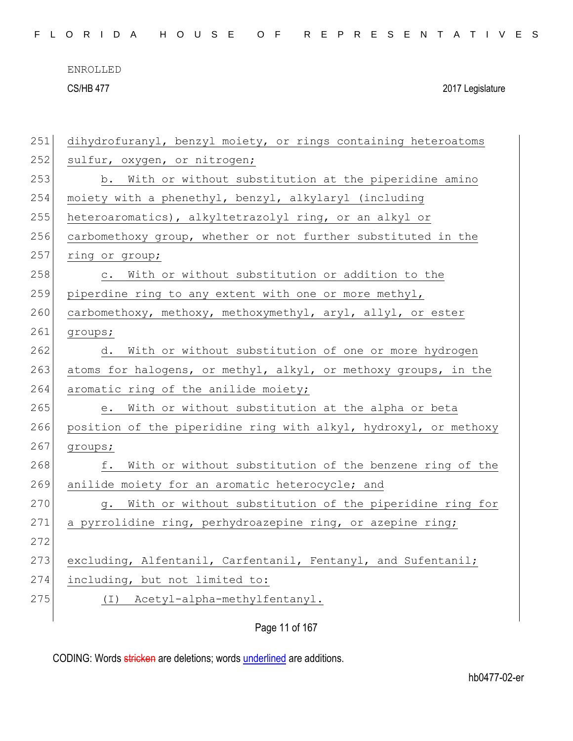CS/HB 477 2017 Legislature

| 251 | dihydrofuranyl, benzyl moiety, or rings containing heteroatoms   |  |  |
|-----|------------------------------------------------------------------|--|--|
| 252 | sulfur, oxygen, or nitrogen;                                     |  |  |
| 253 | b. With or without substitution at the piperidine amino          |  |  |
| 254 | moiety with a phenethyl, benzyl, alkylaryl (including            |  |  |
| 255 | heteroaromatics), alkyltetrazolyl ring, or an alkyl or           |  |  |
| 256 | carbomethoxy group, whether or not further substituted in the    |  |  |
| 257 | ring or group;                                                   |  |  |
| 258 | With or without substitution or addition to the<br>$\circ$ .     |  |  |
| 259 | piperdine ring to any extent with one or more methyl,            |  |  |
| 260 | carbomethoxy, methoxy, methoxymethyl, aryl, allyl, or ester      |  |  |
| 261 | groups;                                                          |  |  |
| 262 | With or without substitution of one or more hydrogen<br>d.       |  |  |
| 263 | atoms for halogens, or methyl, alkyl, or methoxy groups, in the  |  |  |
| 264 | aromatic ring of the anilide moiety;                             |  |  |
| 265 | With or without substitution at the alpha or beta<br>е.          |  |  |
| 266 | position of the piperidine ring with alkyl, hydroxyl, or methoxy |  |  |
| 267 | groups;                                                          |  |  |
| 268 | With or without substitution of the benzene ring of the<br>f.    |  |  |
| 269 | anilide moiety for an aromatic heterocycle; and                  |  |  |
| 270 | With or without substitution of the piperidine ring for<br>g.    |  |  |
| 271 | a pyrrolidine ring, perhydroazepine ring, or azepine ring;       |  |  |
| 272 |                                                                  |  |  |
| 273 | excluding, Alfentanil, Carfentanil, Fentanyl, and Sufentanil;    |  |  |
| 274 | including, but not limited to:                                   |  |  |
| 275 | Acetyl-alpha-methylfentanyl.<br>( I )                            |  |  |
|     | Page 11 of 167                                                   |  |  |
|     |                                                                  |  |  |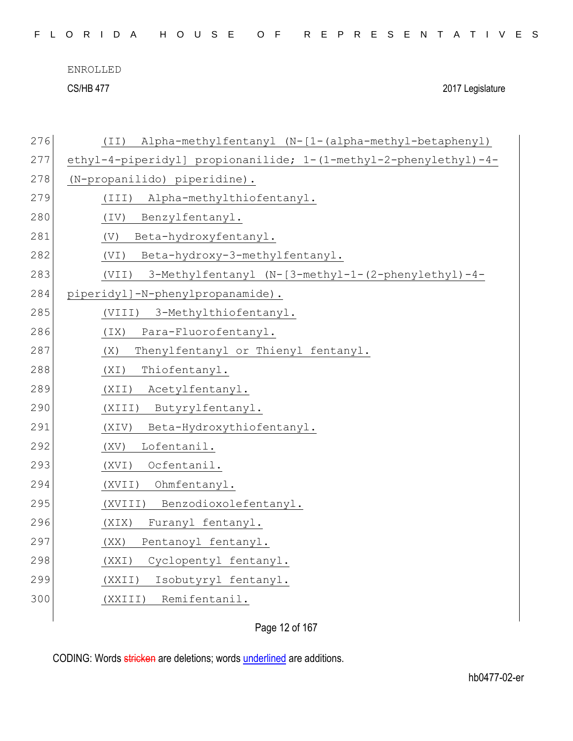CS/HB 477 2017 Legislature

| 276 | Alpha-methylfentanyl (N-[1-(alpha-methyl-betaphenyl)<br>(TI)     |
|-----|------------------------------------------------------------------|
| 277 | ethyl-4-piperidyl] propionanilide; 1-(1-methyl-2-phenylethyl)-4- |
| 278 | (N-propanilido) piperidine).                                     |
| 279 | Alpha-methylthiofentanyl.<br>(III)                               |
| 280 | Benzylfentanyl.<br>(TV)                                          |
| 281 | Beta-hydroxyfentanyl.<br>(V)                                     |
| 282 | Beta-hydroxy-3-methylfentanyl.<br>(VI)                           |
| 283 | 3-Methylfentanyl (N-[3-methyl-1-(2-phenylethyl)-4-<br>(VII)      |
| 284 | piperidyl]-N-phenylpropanamide).                                 |
| 285 | 3-Methylthiofentanyl.<br>(VIII)                                  |
| 286 | Para-Fluorofentanyl.<br>(TX)                                     |
| 287 | (X)<br>Thenylfentanyl or Thienyl fentanyl.                       |
| 288 | (XI)<br>Thiofentanyl.                                            |
| 289 | Acetylfentanyl.<br>(XII)                                         |
| 290 | Butyrylfentanyl.<br>(XIII)                                       |
| 291 | Beta-Hydroxythiofentanyl.<br>(XIV)                               |
| 292 | Lofentanil.<br>(XV)                                              |
| 293 | Ocfentanil.<br>(XVI)                                             |
| 294 | Ohmfentanyl.<br>(XVII)                                           |
| 295 | Benzodioxolefentanyl.<br>(XVIII)                                 |
| 296 | Furanyl fentanyl.<br>(XIX)                                       |
| 297 | Pentanoyl fentanyl.<br>(XX)                                      |
| 298 | Cyclopentyl fentanyl.<br>(XXI)                                   |
| 299 | Isobutyryl fentanyl.<br>(XXII)                                   |
| 300 | Remifentanil.<br>(XXIII)                                         |
|     |                                                                  |

Page 12 of 167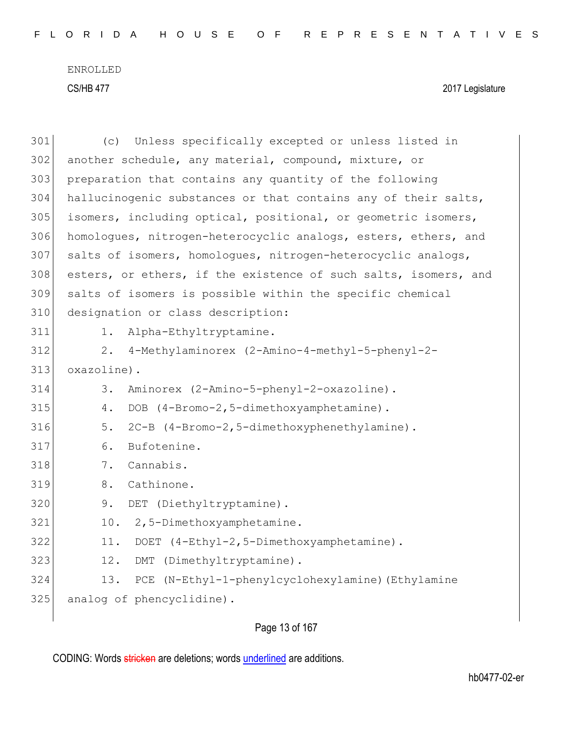| 301 | Unless specifically excepted or unless listed in<br>(C)         |  |  |
|-----|-----------------------------------------------------------------|--|--|
| 302 | another schedule, any material, compound, mixture, or           |  |  |
| 303 | preparation that contains any quantity of the following         |  |  |
| 304 | hallucinogenic substances or that contains any of their salts,  |  |  |
| 305 | isomers, including optical, positional, or geometric isomers,   |  |  |
| 306 | homologues, nitrogen-heterocyclic analogs, esters, ethers, and  |  |  |
| 307 | salts of isomers, homologues, nitrogen-heterocyclic analogs,    |  |  |
| 308 | esters, or ethers, if the existence of such salts, isomers, and |  |  |
| 309 | salts of isomers is possible within the specific chemical       |  |  |
| 310 | designation or class description:                               |  |  |
| 311 | Alpha-Ethyltryptamine.<br>1.                                    |  |  |
| 312 | 4-Methylaminorex (2-Amino-4-methyl-5-phenyl-2-<br>2.            |  |  |
| 313 | oxazoline).                                                     |  |  |
| 314 | Aminorex (2-Amino-5-phenyl-2-oxazoline).<br>3.                  |  |  |
| 315 | DOB (4-Bromo-2,5-dimethoxyamphetamine).<br>4.                   |  |  |
| 316 | 5.<br>2C-B (4-Bromo-2,5-dimethoxyphenethylamine).               |  |  |
| 317 | 6.<br>Bufotenine.                                               |  |  |
| 318 | Cannabis.<br>7.                                                 |  |  |
| 319 | Cathinone.<br>8.                                                |  |  |
| 320 | DET (Diethyltryptamine).<br>9.                                  |  |  |
| 321 | 2,5-Dimethoxyamphetamine.<br>10.                                |  |  |
| 322 | 11.<br>DOET (4-Ethyl-2,5-Dimethoxyamphetamine).                 |  |  |
| 323 | DMT (Dimethyltryptamine).<br>12.                                |  |  |
| 324 | PCE (N-Ethyl-1-phenylcyclohexylamine) (Ethylamine<br>13.        |  |  |
| 325 | analog of phencyclidine).                                       |  |  |
|     |                                                                 |  |  |

Page 13 of 167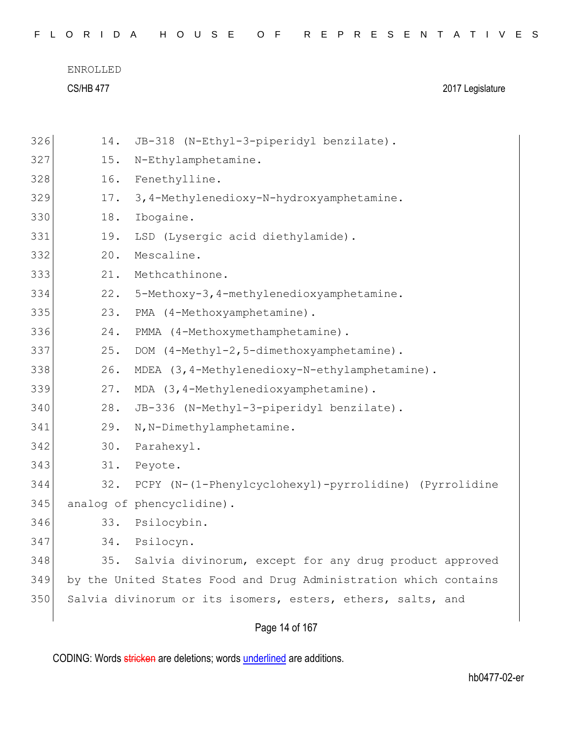| 326 | 14. | JB-318 (N-Ethyl-3-piperidyl benzilate).                          |
|-----|-----|------------------------------------------------------------------|
| 327 | 15. | N-Ethylamphetamine.                                              |
| 328 | 16. | Fenethylline.                                                    |
| 329 | 17. | 3, 4-Methylenedioxy-N-hydroxyamphetamine.                        |
| 330 | 18. | Ibogaine.                                                        |
| 331 | 19. | LSD (Lysergic acid diethylamide).                                |
| 332 | 20. | Mescaline.                                                       |
| 333 | 21. | Methcathinone.                                                   |
| 334 | 22. | 5-Methoxy-3, 4-methylenedioxyamphetamine.                        |
| 335 | 23. | PMA (4-Methoxyamphetamine).                                      |
| 336 | 24. | PMMA (4-Methoxymethamphetamine).                                 |
| 337 | 25. | DOM (4-Methyl-2,5-dimethoxyamphetamine).                         |
| 338 | 26. | MDEA (3, 4-Methylenedioxy-N-ethylamphetamine).                   |
| 339 | 27. | MDA (3, 4-Methylenedioxyamphetamine).                            |
| 340 | 28. | JB-336 (N-Methyl-3-piperidyl benzilate).                         |
| 341 | 29. | N, N-Dimethylamphetamine.                                        |
| 342 | 30. | Parahexyl.                                                       |
| 343 | 31. | Peyote.                                                          |
| 344 | 32. | PCPY (N-(1-Phenylcyclohexyl)-pyrrolidine) (Pyrrolidine           |
| 345 |     | analog of phencyclidine).                                        |
| 346 | 33. | Psilocybin.                                                      |
| 347 | 34. | Psilocyn.                                                        |
| 348 | 35. | Salvia divinorum, except for any drug product approved           |
| 349 |     | by the United States Food and Drug Administration which contains |
| 350 |     | Salvia divinorum or its isomers, esters, ethers, salts, and      |
|     |     |                                                                  |

Page 14 of 167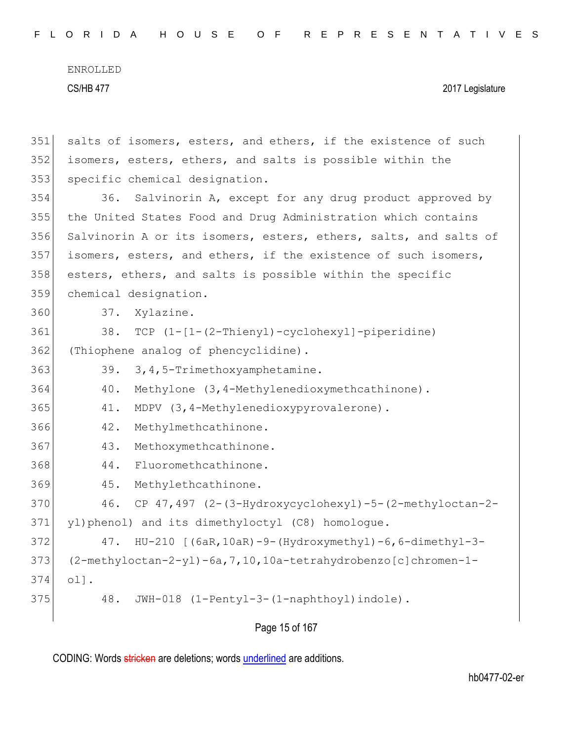|     | Page 15 of 167                                                    |  |  |
|-----|-------------------------------------------------------------------|--|--|
| 375 | 48.<br>JWH-018 (1-Pentyl-3-(1-naphthoyl)indole).                  |  |  |
| 374 | $ol$ .                                                            |  |  |
| 373 | (2-methyloctan-2-yl)-6a, 7, 10, 10a-tetrahydrobenzo[c]chromen-1-  |  |  |
| 372 | $HU-210$ [(6aR, 10aR) -9-(Hydroxymethyl) -6, 6-dimethyl-3-<br>47. |  |  |
| 371 | yl)phenol) and its dimethyloctyl (C8) homologue.                  |  |  |
| 370 | CP $47,497$ $(2-(3-Hydroxycyclohexyl)-5-(2-methyloctan-2-$<br>46. |  |  |
| 369 | 45.<br>Methylethcathinone.                                        |  |  |
| 368 | Fluoromethcathinone.<br>44.                                       |  |  |
| 367 | Methoxymethcathinone.<br>43.                                      |  |  |
| 366 | 42.<br>Methylmethcathinone.                                       |  |  |
| 365 | 41.<br>MDPV (3,4-Methylenedioxypyrovalerone).                     |  |  |
| 364 | Methylone (3, 4-Methylenedioxymethcathinone).<br>40.              |  |  |
| 363 | 39.<br>3, 4, 5-Trimethoxyamphetamine.                             |  |  |
| 362 | (Thiophene analog of phencyclidine).                              |  |  |
| 361 | TCP $(1 - [1 - (2 - Thienyl) - cyclohexyl] - piperidine)$<br>38.  |  |  |
| 360 | 37.<br>Xylazine.                                                  |  |  |
| 359 | chemical designation.                                             |  |  |
| 358 | esters, ethers, and salts is possible within the specific         |  |  |
| 357 | isomers, esters, and ethers, if the existence of such isomers,    |  |  |
| 356 | Salvinorin A or its isomers, esters, ethers, salts, and salts of  |  |  |
| 355 | the United States Food and Drug Administration which contains     |  |  |
| 354 | 36. Salvinorin A, except for any drug product approved by         |  |  |
| 353 | specific chemical designation.                                    |  |  |
| 352 | isomers, esters, ethers, and salts is possible within the         |  |  |
| 351 | salts of isomers, esters, and ethers, if the existence of such    |  |  |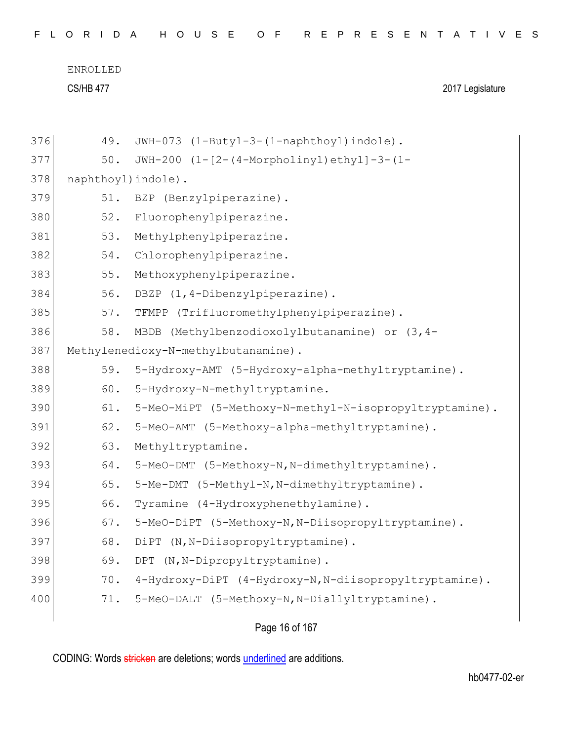CS/HB 477 2017 Legislature

| 376 | 49.                 | JWH-073 (1-Butyl-3-(1-naphthoyl)indole).               |
|-----|---------------------|--------------------------------------------------------|
| 377 | 50.                 | JWH-200 (1-[2-(4-Morpholinyl)ethyl]-3-(1-              |
| 378 | naphthoyl) indole). |                                                        |
| 379 | 51.                 | BZP (Benzylpiperazine).                                |
| 380 | 52.                 | Fluorophenylpiperazine.                                |
| 381 | 53.                 | Methylphenylpiperazine.                                |
| 382 | 54.                 | Chlorophenylpiperazine.                                |
| 383 | 55.                 | Methoxyphenylpiperazine.                               |
| 384 | 56.                 | DBZP (1,4-Dibenzylpiperazine).                         |
| 385 | 57.                 | TFMPP (Trifluoromethylphenylpiperazine).               |
| 386 | 58.                 | MBDB (Methylbenzodioxolylbutanamine) or (3,4-          |
| 387 |                     | Methylenedioxy-N-methylbutanamine).                    |
| 388 | 59.                 | 5-Hydroxy-AMT (5-Hydroxy-alpha-methyltryptamine).      |
| 389 | 60.                 | 5-Hydroxy-N-methyltryptamine.                          |
| 390 | 61.                 | 5-MeO-MiPT (5-Methoxy-N-methyl-N-isopropyltryptamine). |
| 391 | 62.                 | 5-MeO-AMT (5-Methoxy-alpha-methyltryptamine).          |
| 392 | 63.                 | Methyltryptamine.                                      |
| 393 | 64.                 | 5-MeO-DMT (5-Methoxy-N, N-dimethyltryptamine).         |
| 394 | 65.                 | 5-Me-DMT (5-Methyl-N, N-dimethyltryptamine).           |
| 395 | 66.                 | Tyramine (4-Hydroxyphenethylamine).                    |
| 396 | 67.                 | 5-MeO-DiPT (5-Methoxy-N, N-Diisopropyltryptamine).     |
| 397 | 68.                 | (N, N-Diisopropyltryptamine).<br>DiPT                  |
| 398 | 69.                 | DPT (N, N-Dipropyltryptamine).                         |
| 399 | 70.                 | 4-Hydroxy-DiPT (4-Hydroxy-N, N-diisopropyltryptamine). |
| 400 | 71.                 | 5-MeO-DALT (5-Methoxy-N, N-Diallyltryptamine).         |
|     |                     |                                                        |

Page 16 of 167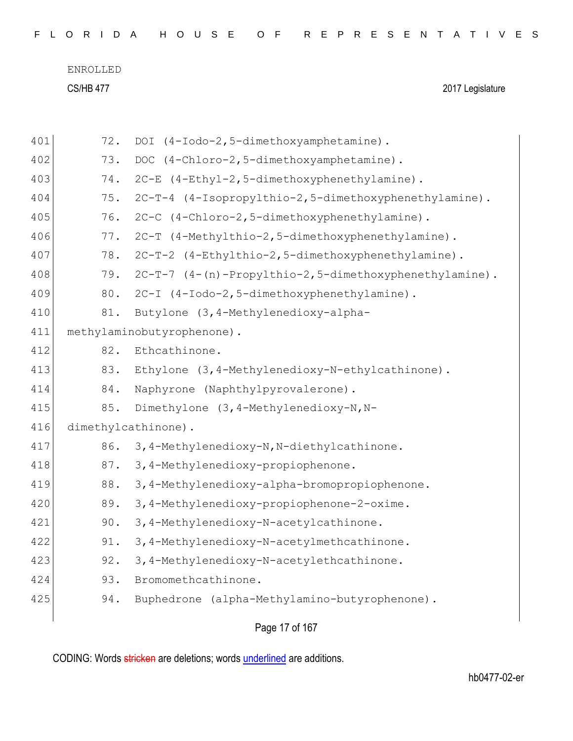| 401 | 72. | DOI (4-Iodo-2,5-dimethoxyamphetamine).                 |
|-----|-----|--------------------------------------------------------|
| 402 | 73. | DOC (4-Chloro-2,5-dimethoxyamphetamine).               |
| 403 | 74. | 2C-E (4-Ethyl-2,5-dimethoxyphenethylamine).            |
| 404 | 75. | 2C-T-4 (4-Isopropylthio-2,5-dimethoxyphenethylamine).  |
| 405 | 76. | 2C-C (4-Chloro-2,5-dimethoxyphenethylamine).           |
| 406 | 77. | 2C-T (4-Methylthio-2,5-dimethoxyphenethylamine).       |
| 407 | 78. | 2C-T-2 (4-Ethylthio-2,5-dimethoxyphenethylamine).      |
| 408 | 79. | 2C-T-7 (4-(n)-Propylthio-2,5-dimethoxyphenethylamine). |
| 409 | 80. | 2C-I (4-Iodo-2,5-dimethoxyphenethylamine).             |
| 410 | 81. | Butylone (3, 4-Methylenedioxy-alpha-                   |
| 411 |     | methylaminobutyrophenone).                             |
| 412 | 82. | Ethcathinone.                                          |
| 413 | 83. | Ethylone (3, 4-Methylenedioxy-N-ethylcathinone).       |
| 414 | 84. | Naphyrone (Naphthylpyrovalerone).                      |
| 415 | 85. | Dimethylone (3, 4-Methylenedioxy-N, N-                 |
| 416 |     | dimethylcathinone).                                    |
| 417 | 86. | 3,4-Methylenedioxy-N, N-diethylcathinone.              |
| 418 | 87. | 3, 4-Methylenedioxy-propiophenone.                     |
| 419 | 88. | 3,4-Methylenedioxy-alpha-bromopropiophenone.           |
| 420 | 89. | 3, 4-Methylenedioxy-propiophenone-2-oxime.             |
| 421 | 90. | 3, 4-Methylenedioxy-N-acetylcathinone.                 |
| 422 | 91. | 3,4-Methylenedioxy-N-acetylmethcathinone.              |
| 423 | 92. | 3,4-Methylenedioxy-N-acetylethcathinone.               |
| 424 | 93. | Bromomethcathinone.                                    |
| 425 | 94. | Buphedrone (alpha-Methylamino-butyrophenone).          |
|     |     |                                                        |

Page 17 of 167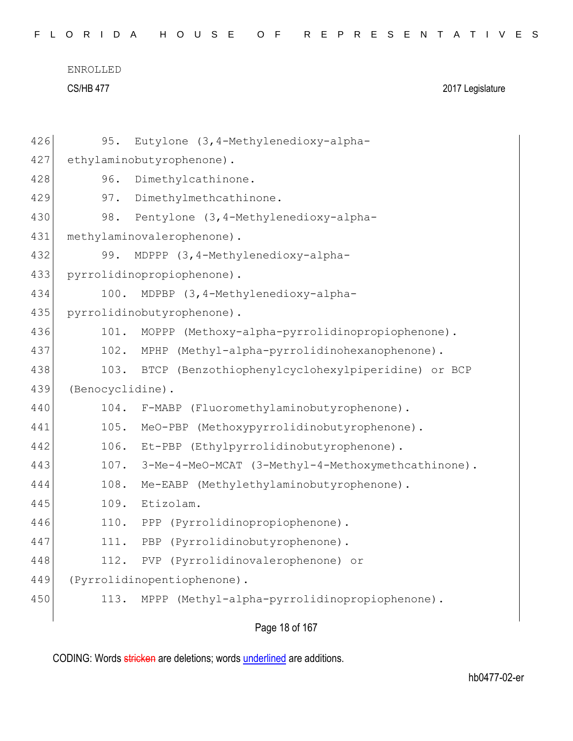|  |  |  |  |  |  |  |  |  |  |  |  |  | FLORIDA HOUSE OF REPRESENTATIVES |  |  |  |  |  |  |  |  |  |  |  |  |  |  |  |  |  |
|--|--|--|--|--|--|--|--|--|--|--|--|--|----------------------------------|--|--|--|--|--|--|--|--|--|--|--|--|--|--|--|--|--|
|--|--|--|--|--|--|--|--|--|--|--|--|--|----------------------------------|--|--|--|--|--|--|--|--|--|--|--|--|--|--|--|--|--|

| 426 | Eutylone (3, 4-Methylenedioxy-alpha-<br>95.               |
|-----|-----------------------------------------------------------|
| 427 | ethylaminobutyrophenone).                                 |
| 428 | Dimethylcathinone.<br>96.                                 |
| 429 | Dimethylmethcathinone.<br>97.                             |
| 430 | Pentylone (3, 4-Methylenedioxy-alpha-<br>98.              |
| 431 | methylaminovalerophenone).                                |
| 432 | MDPPP (3,4-Methylenedioxy-alpha-<br>99.                   |
| 433 | pyrrolidinopropiophenone).                                |
| 434 | MDPBP (3, 4-Methylenedioxy-alpha-<br>100.                 |
| 435 | pyrrolidinobutyrophenone).                                |
| 436 | MOPPP (Methoxy-alpha-pyrrolidinopropiophenone).<br>101.   |
| 437 | 102. MPHP (Methyl-alpha-pyrrolidinohexanophenone).        |
| 438 | BTCP (Benzothiophenylcyclohexylpiperidine) or BCP<br>103. |
| 439 | (Benocyclidine).                                          |
| 440 | 104.<br>F-MABP (Fluoromethylaminobutyrophenone).          |
| 441 | 105.<br>MeO-PBP (Methoxypyrrolidinobutyrophenone).        |
| 442 | 106.<br>Et-PBP (Ethylpyrrolidinobutyrophenone).           |
| 443 | 107. 3-Me-4-MeO-MCAT (3-Methyl-4-Methoxymethcathinone).   |
| 444 | Me-EABP (Methylethylaminobutyrophenone).<br>108.          |
| 445 | 109.<br>Etizolam.                                         |
| 446 | (Pyrrolidinopropiophenone).<br>110.<br>PPP                |
| 447 | PBP (Pyrrolidinobutyrophenone).<br>111.                   |
| 448 | PVP (Pyrrolidinovalerophenone) or<br>112.                 |
| 449 | (Pyrrolidinopentiophenone).                               |
| 450 | MPPP (Methyl-alpha-pyrrolidinopropiophenone).<br>113.     |
|     |                                                           |

Page 18 of 167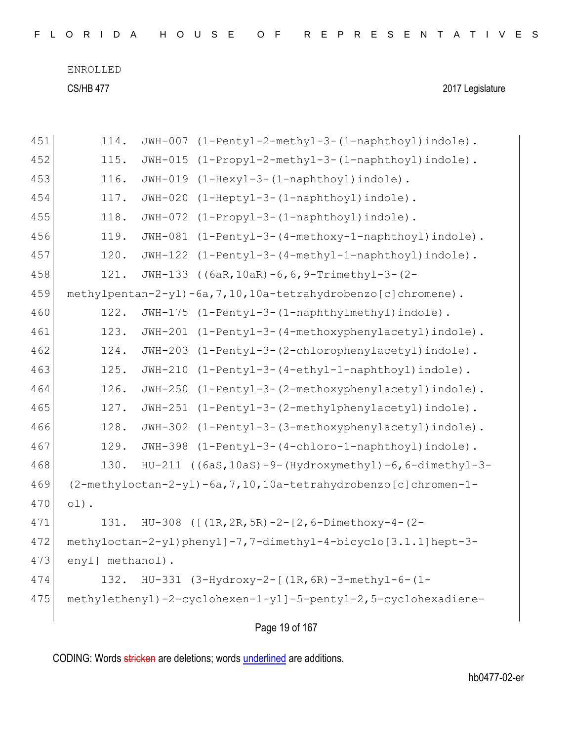| FLORIDA HOUSE OF REPRESENTATIVES |  |
|----------------------------------|--|
|----------------------------------|--|

| 451 | 114.             | JWH-007   | (1-Pentyl-2-methyl-3-(1-naphthoyl)indole).                           |
|-----|------------------|-----------|----------------------------------------------------------------------|
| 452 | 115.             | $JWH-015$ | (1-Propyl-2-methyl-3-(1-naphthoyl)indole).                           |
| 453 | 116.             | JWH-019   | (1-Hexyl-3-(1-naphthoyl)indole).                                     |
| 454 | 117.             | $JWH-020$ | (1-Heptyl-3-(1-naphthoyl)indole).                                    |
| 455 | 118.             | JWH-072   | (1-Propyl-3-(1-naphthoyl)indole).                                    |
| 456 | 119.             | $JWH-081$ | $(1-Pentyl-3-(4-methoxy-1-naphthoyl)indole)$ .                       |
| 457 | 120.             | JWH-122   | (1-Pentyl-3-(4-methyl-1-naphthoyl)indole).                           |
| 458 | 121.             |           | JWH-133 ((6aR, 10aR) -6, 6, 9-Trimethyl-3-(2-                        |
| 459 |                  |           | $methylpentan-2-yl)-6a, 7, 10, 10a-tetrahydrobenzo[c] chromene).$    |
| 460 | 122.             |           | JWH-175 (1-Pentyl-3-(1-naphthylmethyl)indole).                       |
| 461 | 123.             | $JWH-201$ | $(1-Pentyl-3-(4-methoxyphenylacetyl)indole)$ .                       |
| 462 | 124.             | JWH-203   | (1-Pentyl-3-(2-chlorophenylacetyl)indole).                           |
| 463 | 125.             |           | JWH-210 (1-Pentyl-3-(4-ethyl-1-naphthoyl)indole).                    |
| 464 | 126.             |           | JWH-250 (1-Pentyl-3-(2-methoxyphenylacetyl)indole).                  |
| 465 | 127.             | JWH-251   | (1-Pentyl-3-(2-methylphenylacetyl)indole).                           |
| 466 | 128.             | JWH-302   | (1-Pentyl-3-(3-methoxyphenylacetyl)indole).                          |
| 467 | 129.             | JWH-398   | (1-Pentyl-3-(4-chloro-1-naphthoyl)indole).                           |
| 468 | 130.             |           | HU-211 ((6aS, 10aS)-9-(Hydroxymethyl)-6, 6-dimethyl-3-               |
| 469 |                  |           | $(2-methyloctan-2-yl) - 6a, 7, 10, 10a-tetrahydrobenzo[c]chromen-1-$ |
| 470 | $01)$ .          |           |                                                                      |
| 471 | 131.             |           | HU-308 ( $[ (1R, 2R, 5R) - 2 - [2, 6 - Dimethoxy-4 - (2 -$           |
| 472 |                  |           | methyloctan-2-yl)phenyl]-7,7-dimethyl-4-bicyclo[3.1.1]hept-3-        |
| 473 | enyl] methanol). |           |                                                                      |
| 474 | 132.             |           | $HU-331$ (3-Hydroxy-2-[(1R, 6R)-3-methyl-6-(1-                       |
| 475 |                  |           | methylethenyl)-2-cyclohexen-1-yl]-5-pentyl-2,5-cyclohexadiene-       |
|     |                  |           |                                                                      |

Page 19 of 167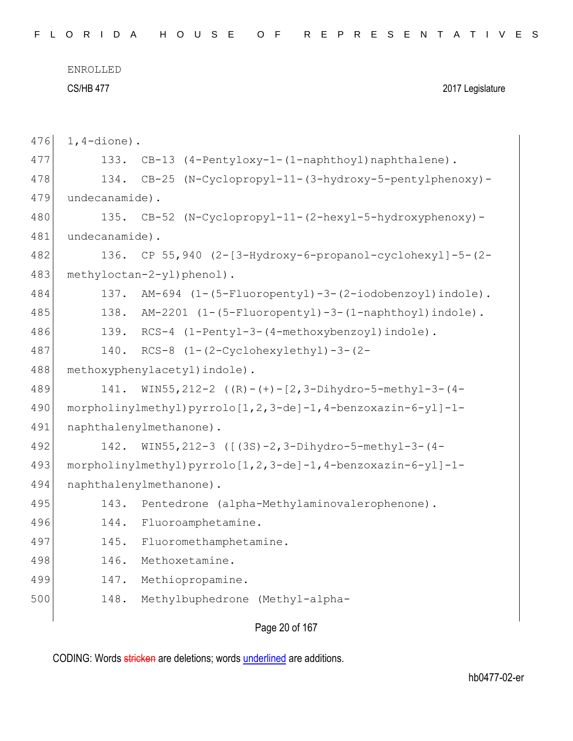| 476 | $1, 4$ -dione). |                                                               |
|-----|-----------------|---------------------------------------------------------------|
| 477 | 133.            | CB-13 (4-Pentyloxy-1-(1-naphthoyl) naphthalene).              |
| 478 | 134.            | CB-25 (N-Cyclopropyl-11-(3-hydroxy-5-pentylphenoxy)-          |
| 479 | undecanamide).  |                                                               |
| 480 | 135.            | CB-52 (N-Cyclopropyl-11-(2-hexyl-5-hydroxyphenoxy)-           |
| 481 | undecanamide).  |                                                               |
| 482 | 136.            | CP 55, 940 (2-[3-Hydroxy-6-propanol-cyclohexyl]-5-(2-         |
| 483 |                 | methyloctan-2-yl)phenol).                                     |
| 484 | 137.            | AM-694 (1-(5-Fluoropentyl)-3-(2-iodobenzoyl)indole).          |
| 485 | 138.            | AM-2201 (1-(5-Fluoropentyl)-3-(1-naphthoyl)indole).           |
| 486 |                 | 139. RCS-4 (1-Pentyl-3-(4-methoxybenzoyl) indole).            |
| 487 |                 | 140. RCS-8 (1-(2-Cyclohexylethyl)-3-(2-                       |
| 488 |                 | methoxyphenylacetyl) indole).                                 |
| 489 | 141.            | WIN55, 212-2 $((R) - (+) - [2, 3 - Dihydro-5 - methy1-3- (4-$ |
| 490 |                 | morpholinylmethyl) pyrrolo[1,2,3-de]-1,4-benzoxazin-6-yl]-1-  |
| 491 |                 | naphthalenylmethanone).                                       |
| 492 | 142.            | WIN55, 212-3 ([(3S)-2, 3-Dihydro-5-methyl-3-(4-               |
| 493 |                 | morpholinylmethyl) pyrrolo[1,2,3-de]-1,4-benzoxazin-6-yl]-1-  |
| 494 |                 | naphthalenylmethanone).                                       |
| 495 | 143.            | Pentedrone (alpha-Methylaminovalerophenone).                  |
| 496 | 144.            | Fluoroamphetamine.                                            |
| 497 | 145.            | Fluoromethamphetamine.                                        |
| 498 | 146.            | Methoxetamine.                                                |
| 499 | 147.            | Methiopropamine.                                              |
| 500 | 148.            | Methylbuphedrone (Methyl-alpha-                               |
|     |                 |                                                               |

Page 20 of 167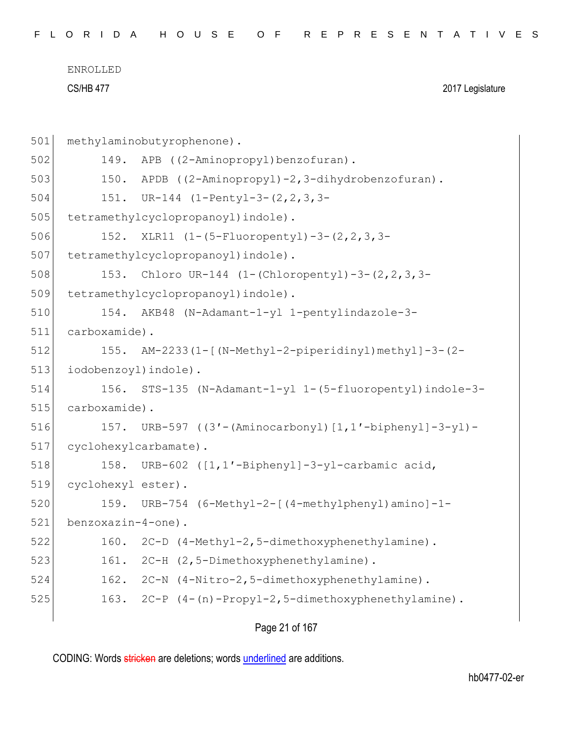| FLORIDA HOUSE OF REPRESENTATIVES |  |
|----------------------------------|--|
|----------------------------------|--|

| 501 | methylaminobutyrophenone).                                |
|-----|-----------------------------------------------------------|
| 502 | APB ((2-Aminopropyl)benzofuran).<br>149.                  |
| 503 | APDB ((2-Aminopropyl)-2,3-dihydrobenzofuran).<br>150.     |
| 504 | 151. UR-144 (1-Pentyl-3-(2, 2, 3, 3-                      |
| 505 | tetramethylcyclopropanoyl) indole).                       |
| 506 | 152. XLR11 (1-(5-Fluoropentyl)-3-(2,2,3,3-                |
| 507 | tetramethylcyclopropanoyl) indole).                       |
| 508 | 153. Chloro UR-144 (1-(Chloropentyl)-3-(2, 2, 3, 3-       |
| 509 | tetramethylcyclopropanoyl) indole).                       |
| 510 | 154. AKB48 (N-Adamant-1-yl 1-pentylindazole-3-            |
| 511 | carboxamide).                                             |
| 512 | AM-2233(1-[(N-Methyl-2-piperidinyl)methyl]-3-(2-<br>155.  |
| 513 | iodobenzoyl) indole).                                     |
| 514 | 156. STS-135 (N-Adamant-1-yl 1-(5-fluoropentyl) indole-3- |
| 515 | carboxamide).                                             |
| 516 | 157. URB-597 ((3'-(Aminocarbonyl)[1,1'-biphenyl]-3-yl)-   |
| 517 | cyclohexylcarbamate).                                     |
| 518 | 158. URB-602 ([1,1'-Biphenyl]-3-yl-carbamic acid,         |
| 519 | cyclohexyl ester).                                        |
| 520 | 159. URB-754 (6-Methyl-2-[(4-methylphenyl)amino]-1-       |
| 521 | benzoxazin-4-one).                                        |
| 522 | 160. 2C-D (4-Methyl-2,5-dimethoxyphenethylamine).         |
| 523 | 2C-H (2,5-Dimethoxyphenethylamine).<br>161.               |
| 524 | 2C-N (4-Nitro-2,5-dimethoxyphenethylamine).<br>162.       |
| 525 | 2C-P (4-(n)-Propyl-2,5-dimethoxyphenethylamine).<br>163.  |
|     |                                                           |

Page 21 of 167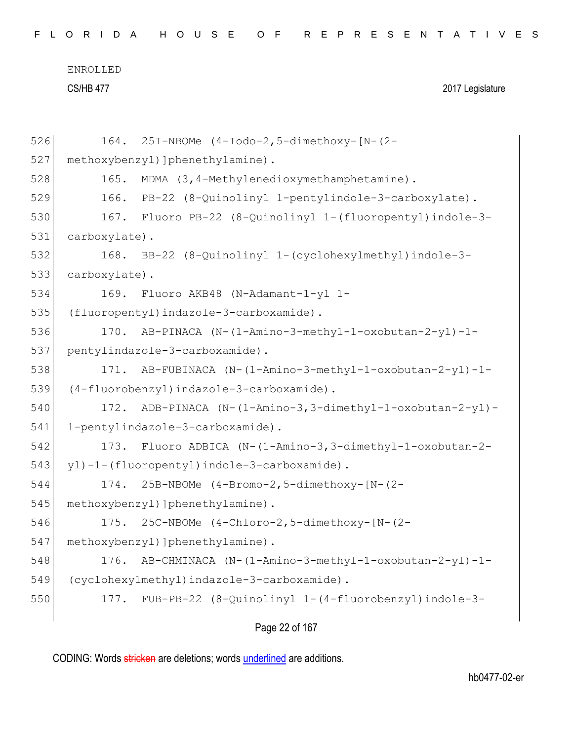|  |  |  |  |  |  | FLORIDA HOUSE OF REPRESENTATIVES |  |  |  |  |  |  |  |  |  |  |  |
|--|--|--|--|--|--|----------------------------------|--|--|--|--|--|--|--|--|--|--|--|
|  |  |  |  |  |  |                                  |  |  |  |  |  |  |  |  |  |  |  |

| 526 | 164.          | 25I-NBOMe (4-Iodo-2,5-dimethoxy-[N-(2-                   |
|-----|---------------|----------------------------------------------------------|
| 527 |               | methoxybenzyl) ] phenethylamine) .                       |
| 528 | 165.          | MDMA (3,4-Methylenedioxymethamphetamine).                |
| 529 | 166.          | PB-22 (8-Quinolinyl 1-pentylindole-3-carboxylate).       |
| 530 | 167.          | Fluoro PB-22 (8-Quinolinyl 1-(fluoropentyl)indole-3-     |
| 531 | carboxylate). |                                                          |
| 532 | 168.          | BB-22 (8-Quinolinyl 1-(cyclohexylmethyl)indole-3-        |
| 533 | carboxylate). |                                                          |
| 534 | 169.          | Fluoro AKB48 (N-Adamant-1-yl 1-                          |
| 535 |               | (fluoropentyl)indazole-3-carboxamide).                   |
| 536 | 170.          | AB-PINACA (N-(1-Amino-3-methyl-1-oxobutan-2-yl)-1-       |
| 537 |               | pentylindazole-3-carboxamide).                           |
| 538 | 171.          | AB-FUBINACA (N-(1-Amino-3-methyl-1-oxobutan-2-yl)-1-     |
| 539 |               | (4-fluorobenzyl)indazole-3-carboxamide).                 |
| 540 | 172.          | ADB-PINACA (N-(1-Amino-3,3-dimethyl-1-oxobutan-2-yl)-    |
| 541 |               | 1-pentylindazole-3-carboxamide).                         |
| 542 | 173.          | Fluoro ADBICA (N-(1-Amino-3,3-dimethyl-1-oxobutan-2-     |
| 543 |               | yl)-1-(fluoropentyl)indole-3-carboxamide).               |
| 544 | 174.          | 25B-NBOMe (4-Bromo-2,5-dimethoxy-[N-(2-                  |
| 545 |               | methoxybenzyl) ] phenethylamine) .                       |
| 546 | 175.          | 25C-NBOMe (4-Chloro-2,5-dimethoxy-[N-(2-                 |
| 547 |               | methoxybenzyl) ] phenethylamine) .                       |
| 548 | 176.          | AB-CHMINACA (N-(1-Amino-3-methyl-1-oxobutan-2-yl)-1-     |
| 549 |               | (cyclohexylmethyl)indazole-3-carboxamide).               |
| 550 |               | 177. FUB-PB-22 (8-Quinolinyl 1-(4-fluorobenzyl)indole-3- |
|     |               |                                                          |

Page 22 of 167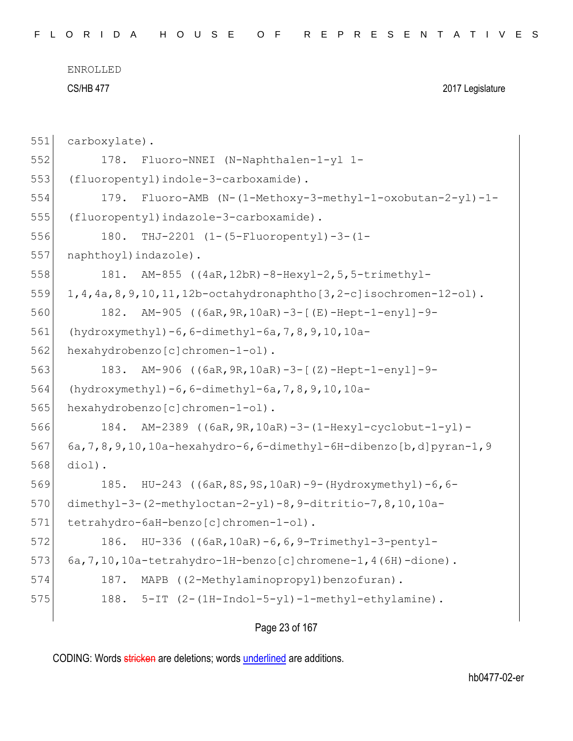CS/HB 477 2017 Legislature

```
551 carboxylate).
552 178. Fluoro-NNEI (N-Naphthalen-1-yl 1-
553 (fluoropentyl)indole-3-carboxamide).
554 179. Fluoro-AMB (N-(1-Methoxy-3-methyl-1-oxobutan-2-yl)-1-
555 (fluoropentyl)indazole-3-carboxamide).
556 180. THJ-2201 (1-(5-Fluoropentyl)-3-(1-
557 naphthoyl) indazole).
558 181. AM-855 ((4aR,12bR)-8-Hexyl-2,5,5-trimethyl-
559 1,4,4a,8,9,10,11,12b-octahydronaphtho[3,2-c]isochromen-12-o1).
560 182. AM-905 ((6aR,9R,10aR)-3-[(E)-Hept-1-enyl]-9-
561 (hydroxymethyl)-6,6-dimethyl-6a,7,8,9,10,10a-
562 hexahydrobenzo[c]chromen-1-ol).
563 183. AM-906 ((6aR,9R,10aR)-3-[(Z)-Hept-1-enyl]-9-
564 (hydroxymethyl)-6,6-dimethyl-6a,7,8,9,10,10a-
565 hexahydrobenzo[c]chromen-1-ol).
566 184. AM-2389 ((6aR,9R,10aR)-3-(1-Hexyl-cyclobut-1-yl)-
567 6a,7,8,9,10,10a-hexahydro-6,6-dimethyl-6H-dibenzo[b,d]pyran-1,9
568 diol).
569 185. HU-243 ((6aR,8S,9S,10aR)-9-(Hydroxymethyl)-6,6-
570 dimethyl-3-(2-methyloctan-2-yl)-8,9-ditritio-7,8,10,10a-
571 tetrahydro-6aH-benzo[c]chromen-1-ol).
572 186. HU-336 ((6aR,10aR)-6,6,9-Trimethyl-3-pentyl-
573 6a,7,10,10a-tetrahydro-1H-benzo[c]chromene-1,4(6H)-dione).
574 187. MAPB ((2-Methylaminopropyl)benzofuran).
575 \vert 188. 5-IT (2-(1H-Indol-5-yl)-1-methyl-ethylamine).
```

```
Page 23 of 167
```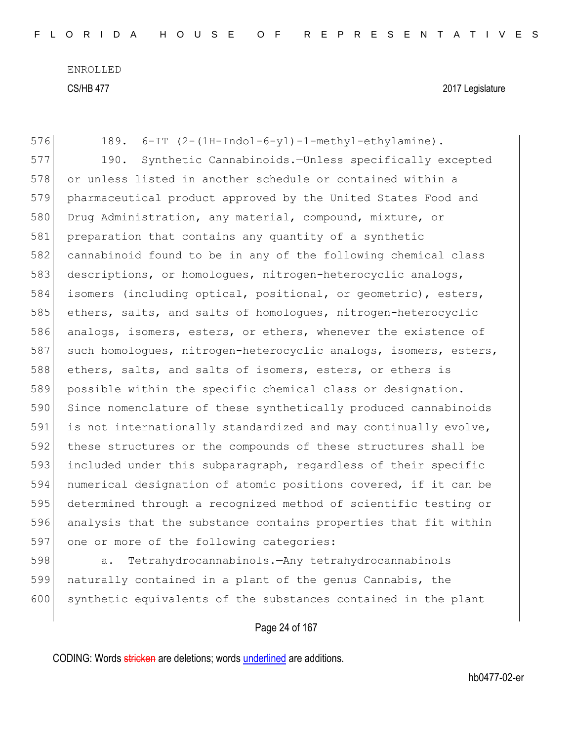576 189. 6-IT (2-(1H-Indol-6-yl)-1-methyl-ethylamine). 577 190. Synthetic Cannabinoids.—Unless specifically excepted 578 or unless listed in another schedule or contained within a 579 pharmaceutical product approved by the United States Food and 580 Drug Administration, any material, compound, mixture, or 581 preparation that contains any quantity of a synthetic 582 cannabinoid found to be in any of the following chemical class 583 descriptions, or homologues, nitrogen-heterocyclic analogs, 584 isomers (including optical, positional, or geometric), esters, 585 ethers, salts, and salts of homologues, nitrogen-heterocyclic 586 analogs, isomers, esters, or ethers, whenever the existence of 587 such homologues, nitrogen-heterocyclic analogs, isomers, esters, 588 ethers, salts, and salts of isomers, esters, or ethers is 589 possible within the specific chemical class or designation. 590 Since nomenclature of these synthetically produced cannabinoids 591 is not internationally standardized and may continually evolve, 592 these structures or the compounds of these structures shall be 593 included under this subparagraph, regardless of their specific 594 numerical designation of atomic positions covered, if it can be 595 determined through a recognized method of scientific testing or 596 analysis that the substance contains properties that fit within 597 one or more of the following categories:

598 a. Tetrahydrocannabinols.—Any tetrahydrocannabinols 599 naturally contained in a plant of the genus Cannabis, the 600 synthetic equivalents of the substances contained in the plant

## Page 24 of 167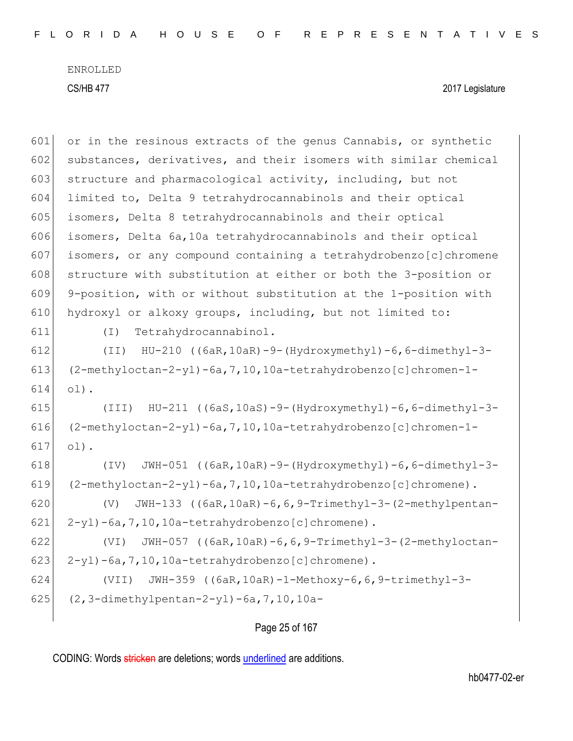CS/HB 477 2017 Legislature

 or in the resinous extracts of the genus Cannabis, or synthetic 602 substances, derivatives, and their isomers with similar chemical 603 structure and pharmacological activity, including, but not limited to, Delta 9 tetrahydrocannabinols and their optical isomers, Delta 8 tetrahydrocannabinols and their optical isomers, Delta 6a,10a tetrahydrocannabinols and their optical isomers, or any compound containing a tetrahydrobenzo[c]chromene 608 structure with substitution at either or both the 3-position or 9-position, with or without substitution at the 1-position with hydroxyl or alkoxy groups, including, but not limited to: (I) Tetrahydrocannabinol. (II) HU-210 ((6aR,10aR)-9-(Hydroxymethyl)-6,6-dimethyl-3-  $(2-methyloctan-2-yl)-6a, 7, 10, 10a-tetrahydrobenzo[c]chromen-1-$ 614 ol). (III) HU-211 ((6aS,10aS)-9-(Hydroxymethyl)-6,6-dimethyl-3-  $(2-methyloctan-2-yl)-6a, 7, 10, 10a-tetrahydrobenzo[c]chromen-1-$ 617 ol). (IV) JWH-051 ((6aR,10aR)-9-(Hydroxymethyl)-6,6-dimethyl-3-  $(2-methyloctan-2-yl)-6a, 7, 10, 10a-tetrahydrobenzo[c]chromene)$ . (V) JWH-133 ((6aR,10aR)-6,6,9-Trimethyl-3-(2-methylpentan- $2-y1$ )-6a, 7, 10, 10a-tetrahydrobenzo $[c]$ chromene). (VI) JWH-057 ((6aR,10aR)-6,6,9-Trimethyl-3-(2-methyloctan-623 | 2-yl)-6a, 7, 10, 10a-tetrahydrobenzo[c]chromene). (VII) JWH-359 ((6aR,10aR)-1-Methoxy-6,6,9-trimethyl-3-  $(2,3-dimethylpentan-2-yl)-6a,7,10,10a-$ 

## Page 25 of 167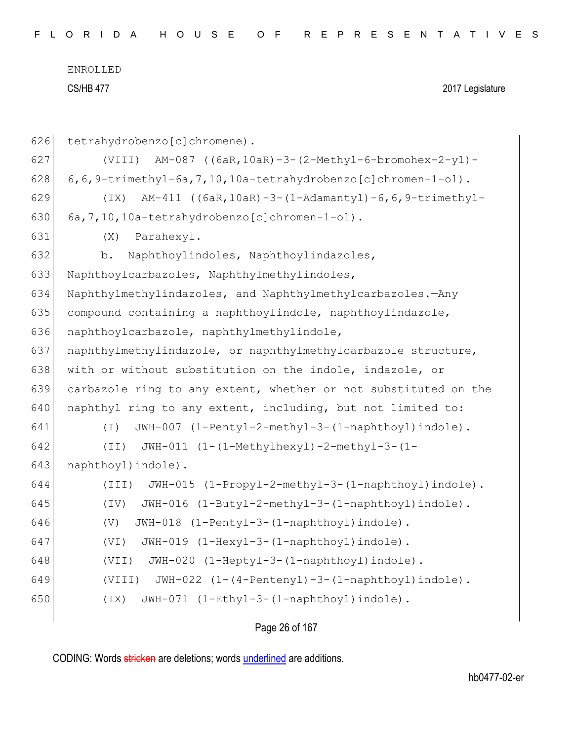```
ENROLLED
```
CS/HB 477 2017 Legislature

```
626 tetrahydrobenzo[c]chromene).
627 (VIII) AM-087 ((6aR,10aR)-3-(2-Methyl-6-bromohex-2-yl)-
628 6,6,9-trimethyl-6a, 7, 10, 10a-tetrahydrobenzo[c]chromen-1-ol).
629 (IX) AM-411 ((6aR,10aR)-3-(1-Adamantyl)-6,6,9-trimethyl-
630 6a,7,10,10a-tetrahydrobenzo[c]chromen-1-ol).
631 (X) Parahexyl.
632 b. Naphthoylindoles, Naphthoylindazoles, 
633 Naphthoylcarbazoles, Naphthylmethylindoles, 
634 Naphthylmethylindazoles, and Naphthylmethylcarbazoles.—Any 
635 compound containing a naphthoylindole, naphthoylindazole,
636 naphthoylcarbazole, naphthylmethylindole, 
637 | naphthylmethylindazole, or naphthylmethylcarbazole structure,
638 with or without substitution on the indole, indazole, or
639 carbazole ring to any extent, whether or not substituted on the 
640 naphthyl ring to any extent, including, but not limited to:
641 (I) JWH-007 (1-Pentyl-2-methyl-3-(1-naphthoyl)indole).
642 (II) JWH-011 (1-(1-Methylhexyl)-2-methyl-3-(1-
643 naphthoyl) indole).
644 (III) JWH-015 (1-Propyl-2-methyl-3-(1-naphthoyl)indole).
645 (IV) JWH-016 (1-Butyl-2-methyl-3-(1-naphthoyl)indole).
646 (V) JWH-018 (1-Pentyl-3-(1-naphthoyl)indole).
647 (VI) JWH-019 (1-Hexyl-3-(1-naphthoyl)indole).
648 (VII) JWH-020 (1-Heptyl-3-(1-naphthoyl)indole).
649 (VIII) JWH-022 (1-(4-Pentenyl)-3-(1-naphthoyl)indole).
650 (IX) JWH-071 (1-Ethyl-3-(1-naphthoyl)indole).
```
Page 26 of 167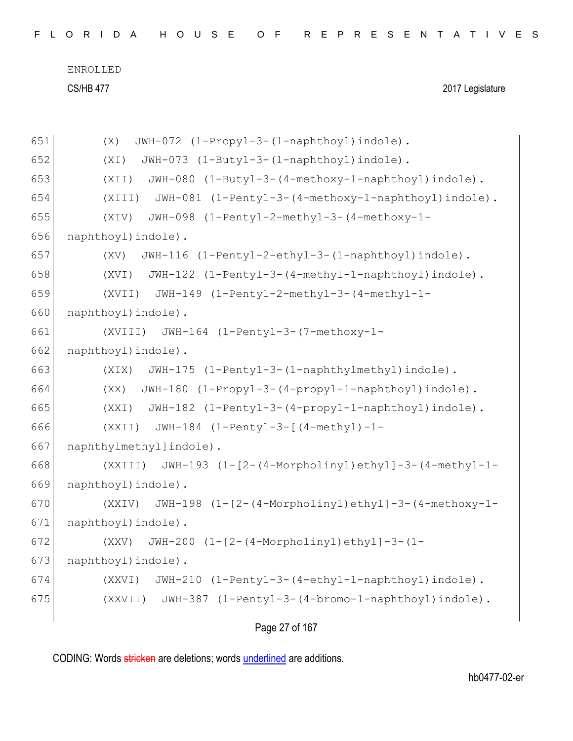| FLORIDA HOUSE OF REPRESENTATIVES |  |
|----------------------------------|--|
|----------------------------------|--|

CS/HB 477 2017 Legislature

```
651 (X) JWH-072 (1-Propyl-3-(1-naphthoyl)indole).
652 (XI) JWH-073 (1-Butyl-3-(1-naphthovl)indole).
653 (XII) JWH-080 (1-Butyl-3-(4-methoxy-1-naphthoyl)indole).
654 (XIII) JWH-081 (1-Pentyl-3-(4-methoxy-1-naphthoyl)indole).
655 (XIV) JWH-098 (1-Pentyl-2-methyl-3-(4-methoxy-1-
656 naphthoyl)indole).
657 (XV) JWH-116 (1-Pentyl-2-ethyl-3-(1-naphthoyl)indole).
658 (XVI) JWH-122 (1-Pentyl-3-(4-methyl-1-naphthoyl)indole).
659 (XVII) JWH-149 (1-Pentyl-2-methyl-3-(4-methyl-1-
660 naphthoyl) indole).
661 (XVIII) JWH-164 (1-Pentyl-3-(7-methoxy-1-
662 naphthoyl) indole).
663 (XIX) JWH-175 (1-Pentyl-3-(1-naphthylmethyl)indole).
664 (XX) JWH-180 (1-Propyl-3-(4-propyl-1-naphthoyl)indole).
665 (XXI) JWH-182 (1-Pentyl-3-(4-propyl-1-naphthoyl)indole).
666 (XXII) JWH-184 (1-Pentyl-3-[(4-methyl)-1-
667 | naphthylmethyl]indole).
668 (XXIII) JWH-193 (1-[2-(4-Morpholinyl)ethyl]-3-(4-methyl-1-
669 naphthoyl) indole).
670 (XXIV) JWH-198 (1-[2-(4-Morpholinyl)ethyl]-3-(4-methoxy-1-
671 naphthoyl) indole).
672 (XXV) JWH-200 (1-[2-(4-Morpholinyl)ethyl]-3-(1-
673 naphthoyl) indole).
674 (XXVI) JWH-210 (1-Pentyl-3-(4-ethyl-1-naphthoyl)indole).
675 (XXVII) JWH-387 (1-Pentyl-3-(4-bromo-1-naphthoyl)indole).
```
Page 27 of 167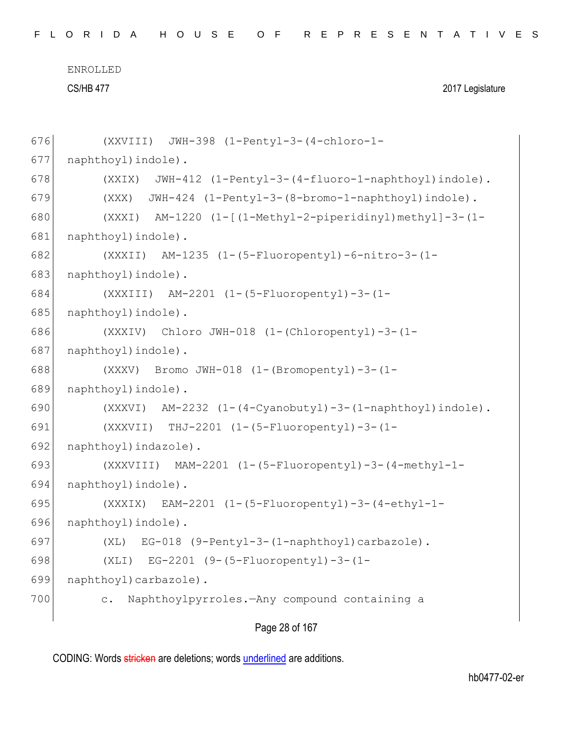CS/HB 477 2017 Legislature

```
676 (XXVIII) JWH-398 (1-Pentyl-3-(4-chloro-1-
677 naphthoyl)indole).
678 (XXIX) JWH-412 (1-Pentyl-3-(4-fluoro-1-naphthoyl)indole).
679 (XXX) JWH-424 (1-Pentyl-3-(8-bromo-1-naphthoyl)indole).
680 (XXXI) AM-1220 (1-[(1-Methyl-2-piperidinyl)methyl]-3-(1-
681 naphthoyl) indole).
682 (XXXII) AM-1235 (1-(5-Fluoropentyl)-6-nitro-3-(1-
683 naphthoyl) indole).
684 (XXXIII) AM-2201 (1-(5-Fluoropentyl)-3-(1-
685 naphthoyl) indole).
686 (XXXIV) Chloro JWH-018 (1-(Chloropentyl)-3-(1-
687 | naphthoyl) indole).
688 (XXXV) Bromo JWH-018 (1-(Bromopentyl)-3-(1-
689 naphthoyl)indole).
690 (XXXVI) AM-2232 (1-(4-Cvanobutvl)-3-(1-naphthovl)indole).
691 (XXXVII) THJ-2201 (1-(5-Fluoropentyl)-3-(1-
692 naphthoyl) indazole).
693 (XXXVIII) MAM-2201 (1-(5-Fluoropentyl)-3-(4-methyl-1-
694 naphthoyl)indole).
695 (XXXIX) EAM-2201 (1-(5-Fluoropentyl)-3-(4-ethyl-1-
696 naphthoyl)indole).
697 (XL) EG-018 (9-Pentyl-3-(1-naphthoyl)carbazole).
698 (XLI) EG-2201 (9-(5-Fluoropentyl)-3-(1-
699 naphthoyl)carbazole).
700 c. Naphthoylpyrroles.—Any compound containing a
```
Page 28 of 167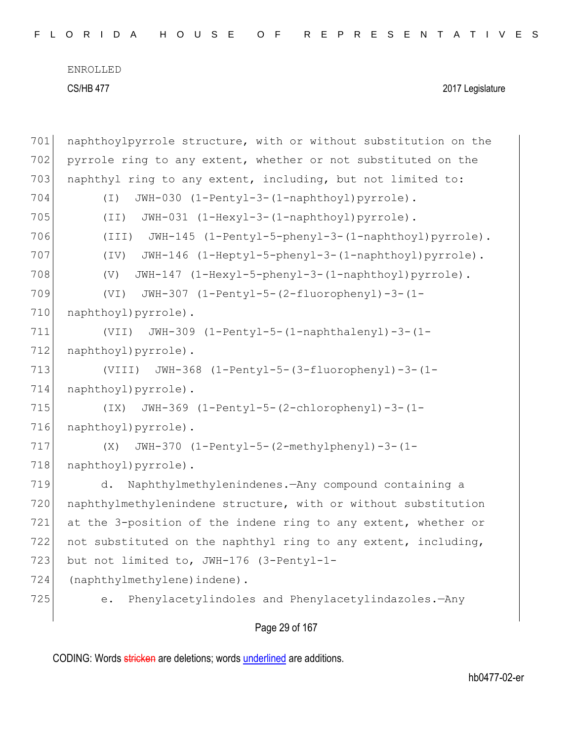| FLORIDA HOUSE OF REPRESENTATIVES |  |  |
|----------------------------------|--|--|
|----------------------------------|--|--|

```
701 | naphthoylpyrrole structure, with or without substitution on the
702 pyrrole ring to any extent, whether or not substituted on the 
703 naphthyl ring to any extent, including, but not limited to:
704 (I) JWH-030 (1-Pentyl-3-(1-naphthoyl)pyrrole).
705 (II) JWH-031 (1-Hexyl-3-(1-naphthoyl)pyrrole).
706 (III) JWH-145 (1-Pentyl-5-phenyl-3-(1-naphthoyl)pyrrole).
707 (IV) JWH-146 (1-Heptyl-5-phenyl-3-(1-naphthoyl)pyrrole).
708 (V) JWH-147 (1-Hexyl-5-phenyl-3-(1-naphthoyl)pyrrole).
709 (VI) JWH-307 (1-Pentyl-5-(2-fluorophenyl)-3-(1-
710 naphthoyl) pyrrole).
711 (VII) JWH-309 (1-Pentyl-5-(1-naphthalenyl)-3-(1-
712 naphthoyl)pyrrole).
713 (VIII) JWH-368 (1-Pentyl-5-(3-fluorophenyl)-3-(1-
714 naphthoyl)pyrrole).
715 (IX) JWH-369 (1-Pentyl-5-(2-chlorophenyl)-3-(1-
716 naphthoyl) pyrrole).
717 (X) JWH-370 (1-Pentyl-5-(2-methylphenyl)-3-(1-
718 | naphthoyl)pyrrole).
719 d. Naphthylmethylenindenes.—Any compound containing a 
720 naphthylmethylenindene structure, with or without substitution 
721 at the 3-position of the indene ring to any extent, whether or 
722 not substituted on the naphthyl ring to any extent, including,
723 but not limited to, JWH-176 (3-Pentyl-1-
724 (naphthylmethylene) indene).
725 e. Phenylacetylindoles and Phenylacetylindazoles.—Any
```
Page 29 of 167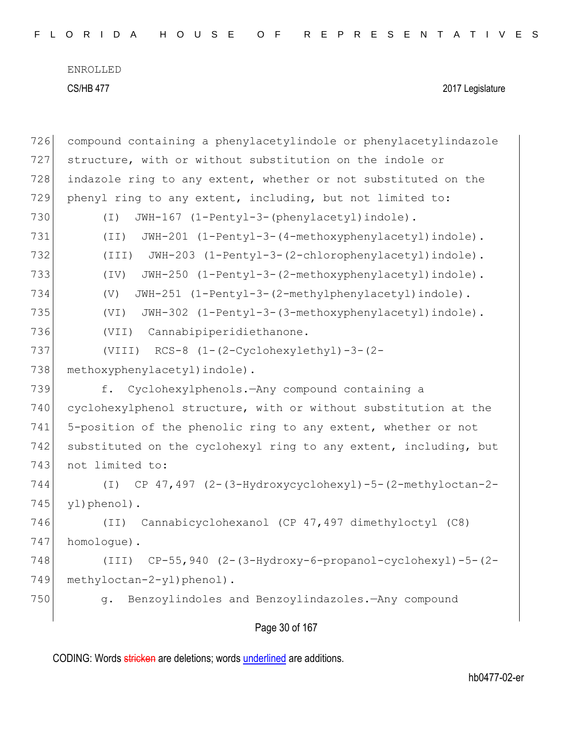| 726 | compound containing a phenylacetylindole or phenylacetylindazole     |
|-----|----------------------------------------------------------------------|
| 727 | structure, with or without substitution on the indole or             |
| 728 | indazole ring to any extent, whether or not substituted on the       |
| 729 | phenyl ring to any extent, including, but not limited to:            |
| 730 | JWH-167 (1-Pentyl-3-(phenylacetyl)indole).<br>$(\top)$               |
| 731 | JWH-201 (1-Pentyl-3-(4-methoxyphenylacetyl)indole).<br>(TI)          |
| 732 | JWH-203 (1-Pentyl-3-(2-chlorophenylacetyl)indole).<br>(III)          |
| 733 | JWH-250 (1-Pentyl-3-(2-methoxyphenylacetyl)indole).<br>$(\text{IV})$ |
| 734 | JWH-251 (1-Pentyl-3-(2-methylphenylacetyl)indole).<br>(V)            |
| 735 | (VI)<br>JWH-302 (1-Pentyl-3-(3-methoxyphenylacetyl)indole).          |
| 736 | Cannabipiperidiethanone.<br>(VII)                                    |
| 737 | $RCS-8$ $(1-(2-Cyclohexylethyl)-3-(2-$<br>(VIII)                     |
| 738 | methoxyphenylacetyl) indole).                                        |
| 739 | Cyclohexylphenols. - Any compound containing a<br>f.                 |
| 740 | cyclohexylphenol structure, with or without substitution at the      |
| 741 | 5-position of the phenolic ring to any extent, whether or not        |
| 742 | substituted on the cyclohexyl ring to any extent, including, but     |
| 743 | not limited to:                                                      |
| 744 | $(I)$ CP 47,497 (2-(3-Hydroxycyclohexyl)-5-(2-methyloctan-2-         |
| 745 | yl)phenol).                                                          |
| 746 | Cannabicyclohexanol (CP 47,497 dimethyloctyl (C8)<br>(TI)            |
| 747 | homologue).                                                          |
| 748 | $CP-55,940$ $(2-(3-Hydroxy-6-propanol-cyclohexyl)-5-(2-$<br>(TII)    |
| 749 | methyloctan-2-yl)phenol).                                            |
| 750 | Benzoylindoles and Benzoylindazoles. - Any compound<br>q.            |
|     |                                                                      |

Page 30 of 167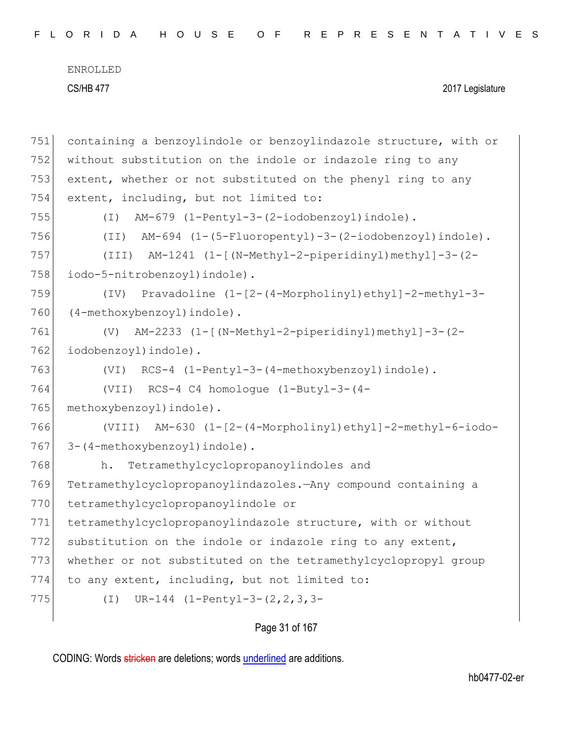| FLORIDA HOUSE OF REPRESENTATIVES |  |  |  |  |  |  |  |  |  |  |  |  |  |  |
|----------------------------------|--|--|--|--|--|--|--|--|--|--|--|--|--|--|
|----------------------------------|--|--|--|--|--|--|--|--|--|--|--|--|--|--|

| 751 | containing a benzoylindole or benzoylindazole structure, with or |
|-----|------------------------------------------------------------------|
| 752 | without substitution on the indole or indazole ring to any       |
| 753 | extent, whether or not substituted on the phenyl ring to any     |
| 754 | extent, including, but not limited to:                           |
| 755 | AM-679 (1-Pentyl-3-(2-iodobenzoyl)indole).<br>( I )              |
| 756 | AM-694 (1-(5-Fluoropentyl)-3-(2-iodobenzoyl)indole).<br>(TI)     |
| 757 | (III) AM-1241 (1-[(N-Methyl-2-piperidinyl)methyl]-3-(2-          |
| 758 | iodo-5-nitrobenzoyl) indole).                                    |
| 759 | Pravadoline (1-[2-(4-Morpholinyl)ethyl]-2-methyl-3-<br>(TV)      |
| 760 | (4-methoxybenzoyl)indole).                                       |
| 761 | AM-2233 (1-[(N-Methyl-2-piperidinyl)methyl]-3-(2-<br>(V)         |
| 762 | iodobenzoyl) indole).                                            |
| 763 | (VI) RCS-4 (1-Pentyl-3-(4-methoxybenzoyl)indole).                |
|     |                                                                  |
| 764 | (VII) $RCS-4 C4$ homologue $(1-Butyl-3-(4-$                      |
| 765 | methoxybenzoyl) indole).                                         |
| 766 | (VIII) AM-630 (1-[2-(4-Morpholinyl)ethyl]-2-methyl-6-iodo-       |
| 767 | 3-(4-methoxybenzoyl)indole).                                     |
| 768 | Tetramethylcyclopropanoylindoles and<br>h.                       |
| 769 | Tetramethylcyclopropanoylindazoles. Any compound containing a    |
| 770 | tetramethylcyclopropanoylindole or                               |
| 771 | tetramethylcyclopropanoylindazole structure, with or without     |
| 772 | substitution on the indole or indazole ring to any extent,       |
| 773 | whether or not substituted on the tetramethylcyclopropyl group   |
| 774 | to any extent, including, but not limited to:                    |
| 775 | UR-144 $(1-Pentyl-3-(2, 2, 3, 3-$<br>$(\bot)$                    |

# Page 31 of 167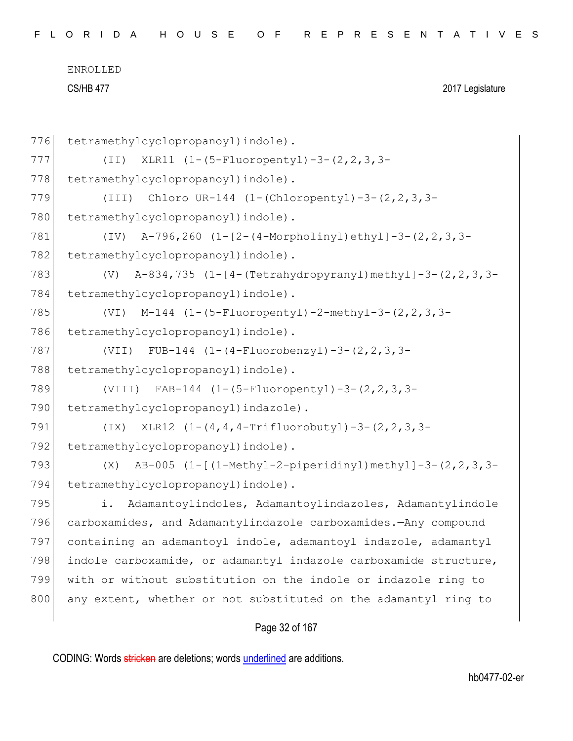| 776 | tetramethylcyclopropanoyl) indole).                                 |
|-----|---------------------------------------------------------------------|
| 777 | XLR11 (1-(5-Fluoropentyl)-3-(2, 2, 3, 3-<br>(TI)                    |
| 778 | tetramethylcyclopropanoyl) indole).                                 |
| 779 | Chloro UR-144 $(1-(Chloropenty1)-3-(2,2,3,3-$<br>(III)              |
| 780 | tetramethylcyclopropanoyl) indole).                                 |
| 781 | A-796, 260 (1-[2-(4-Morpholinyl) ethyl]-3-(2, 2, 3, 3-<br>(TV)      |
| 782 | tetramethylcyclopropanoyl) indole).                                 |
| 783 | A-834,735 (1-[4-(Tetrahydropyranyl)methyl]-3-(2,2,3,3-<br>(V)       |
| 784 | tetramethylcyclopropanoyl) indole).                                 |
| 785 | $M-144$ (1-(5-Fluoropentyl)-2-methyl-3-(2, 2, 3, 3-<br>(VI)         |
| 786 | tetramethylcyclopropanoyl) indole).                                 |
| 787 | (VII) FUB-144 $(1-(4-Fluorobenzyl)-3-(2,2,3,3-$                     |
| 788 | tetramethylcyclopropanoyl) indole).                                 |
| 789 | $FAB-144$ $(1-(5-Fluoropenty1)-3-(2, 2, 3, 3-$<br>(VIII)            |
| 790 | tetramethylcyclopropanoyl) indazole).                               |
| 791 | XLR12 $(1 - (4, 4, 4 - Trifluorobutyl) - 3 - (2, 2, 3, 3 -$<br>(TX) |
| 792 | tetramethylcyclopropanoyl) indole).                                 |
| 793 | AB-005 (1-[(1-Methyl-2-piperidinyl)methyl]-3-(2, 2, 3, 3-<br>(X)    |
| 794 | tetramethylcyclopropanoyl) indole).                                 |
| 795 | Adamantoylindoles, Adamantoylindazoles, Adamantylindole<br>i.       |
| 796 | carboxamides, and Adamantylindazole carboxamides.-Any compound      |
| 797 | containing an adamantoyl indole, adamantoyl indazole, adamantyl     |
| 798 | indole carboxamide, or adamantyl indazole carboxamide structure,    |
| 799 | with or without substitution on the indole or indazole ring to      |
| 800 | any extent, whether or not substituted on the adamantyl ring to     |
|     |                                                                     |

## Page 32 of 167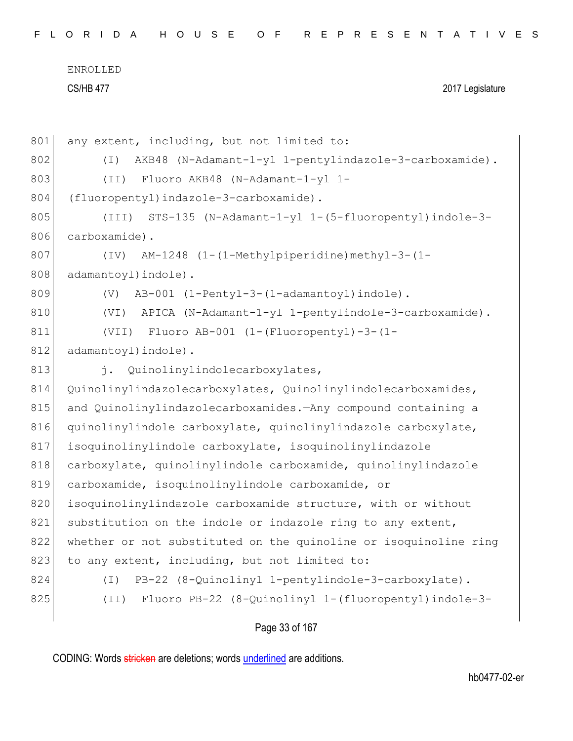F L O R I D A H O U S E O F R E P R E S E N T A T I V E S

ENROLLED CS/HB 477 2017 Legislature

| 801 | any extent, including, but not limited to:                         |
|-----|--------------------------------------------------------------------|
| 802 | AKB48 (N-Adamant-1-yl 1-pentylindazole-3-carboxamide).<br>$(\top)$ |
| 803 | Fluoro AKB48 (N-Adamant-1-yl 1-<br>(TI)                            |
| 804 | (fluoropentyl)indazole-3-carboxamide).                             |
| 805 | (III) STS-135 (N-Adamant-1-yl 1-(5-fluoropentyl)indole-3-          |
| 806 | carboxamide).                                                      |
| 807 | AM-1248 (1-(1-Methylpiperidine)methyl-3-(1-<br>(TV)                |
| 808 | adamantoyl) indole).                                               |
| 809 | AB-001 (1-Pentyl-3-(1-adamantoyl)indole).<br>(V)                   |
| 810 | APICA (N-Adamant-1-yl 1-pentylindole-3-carboxamide).<br>(VI)       |
| 811 | Fluoro AB-001 $(1-(Fluoropenty1)-3-(1-$<br>(VII)                   |
| 812 | adamantoyl) indole).                                               |
| 813 | $\vdots$<br>Quinolinylindolecarboxylates,                          |
| 814 | Quinolinylindazolecarboxylates, Quinolinylindolecarboxamides,      |
| 815 | and Quinolinylindazolecarboxamides. - Any compound containing a    |
| 816 | quinolinylindole carboxylate, quinolinylindazole carboxylate,      |
| 817 | isoquinolinylindole carboxylate, isoquinolinylindazole             |
| 818 | carboxylate, quinolinylindole carboxamide, quinolinylindazole      |
| 819 | carboxamide, isoquinolinylindole carboxamide, or                   |
| 820 | isoquinolinylindazole carboxamide structure, with or without       |
| 821 | substitution on the indole or indazole ring to any extent,         |
| 822 | whether or not substituted on the quinoline or isoquinoline ring   |
| 823 | to any extent, including, but not limited to:                      |
| 824 | PB-22 (8-Quinolinyl 1-pentylindole-3-carboxylate).<br>( I )        |
| 825 | Fluoro PB-22 (8-Quinolinyl 1-(fluoropentyl)indole-3-<br>(TI)       |
|     |                                                                    |

## Page 33 of 167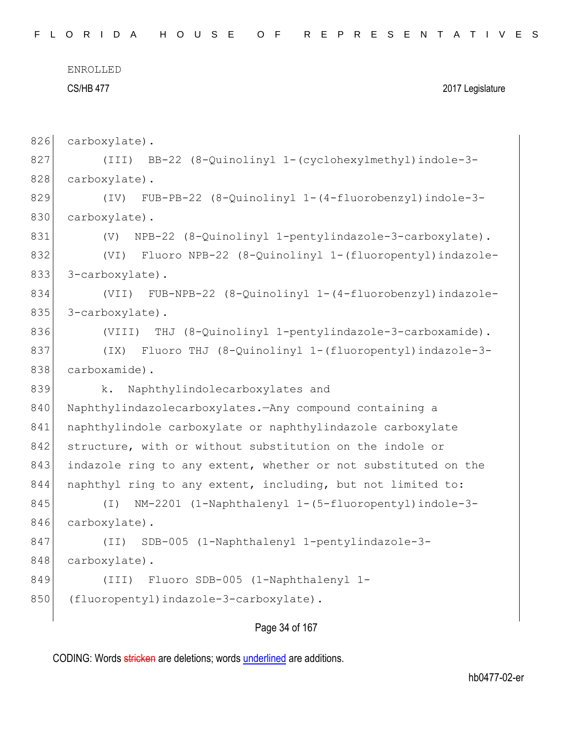```
ENROLLED
```
826 carboxylate).

#### CS/HB 477 2017 Legislature

```
827 (III) BB-22 (8-Quinolinyl 1-(cyclohexylmethyl)indole-3-
828 carboxylate).
829 (IV) FUB-PB-22 (8-Quinolinyl 1-(4-fluorobenzyl)indole-3-
830 carboxylate).
831 (V) NPB-22 (8-Quinolinyl 1-pentylindazole-3-carboxylate).
832 (VI) Fluoro NPB-22 (8-Quinolinyl 1-(fluoropentyl)indazole-
833 3-carboxylate).
834 (VII) FUB-NPB-22 (8-Quinolinyl 1-(4-fluorobenzyl)indazole-
835 3-carboxylate).
836 (VIII) THJ (8-Quinolinyl 1-pentylindazole-3-carboxamide).
837 (IX) Fluoro THJ (8-Quinolinyl 1-(fluoropentyl)indazole-3-
838 carboxamide).
839 k. Naphthylindolecarboxylates and
840 Naphthylindazolecarboxylates.—Any compound containing a
841 | naphthylindole carboxylate or naphthylindazole carboxylate
842 structure, with or without substitution on the indole or
843 indazole ring to any extent, whether or not substituted on the
844 naphthyl ring to any extent, including, but not limited to:
845 (I) NM-2201 (1-Naphthalenyl 1-(5-fluoropentyl)indole-3-
846 carboxylate).
847 (II) SDB-005 (1-Naphthalenyl 1-pentylindazole-3-
848 carboxylate).
849 (III) Fluoro SDB-005 (1-Naphthalenyl 1-
850 (fluoropentyl) indazole-3-carboxylate).
```
Page 34 of 167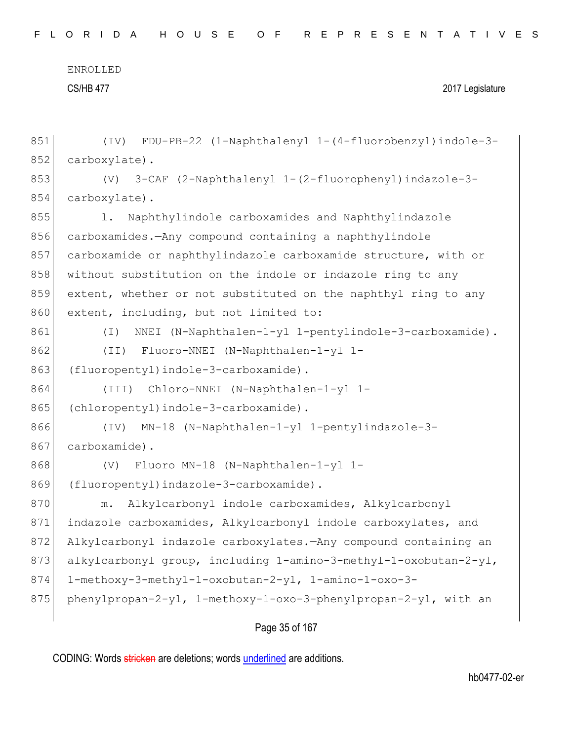CS/HB 477 2017 Legislature

```
851 (IV) FDU-PB-22 (1-Naphthalenyl 1-(4-fluorobenzyl)indole-3-
852 carboxylate).
853 (V) 3-CAF (2-Naphthalenyl 1-(2-fluorophenyl)indazole-3-
854 carboxylate).
855 1. Naphthylindole carboxamides and Naphthylindazole
856 carboxamides.—Any compound containing a naphthylindole
857 carboxamide or naphthylindazole carboxamide structure, with or
858 without substitution on the indole or indazole ring to any
859 extent, whether or not substituted on the naphthyl ring to any 
860 extent, including, but not limited to:
861 (I) NNEI (N-Naphthalen-1-yl 1-pentylindole-3-carboxamide).
862 (II) Fluoro-NNEI (N-Naphthalen-1-yl 1-
863 (fluoropentyl)indole-3-carboxamide).
864 (III) Chloro-NNEI (N-Naphthalen-1-yl 1-
865 (chloropentyl)indole-3-carboxamide).
866 (IV) MN-18 (N-Naphthalen-1-yl 1-pentylindazole-3-
867 carboxamide).
868 (V) Fluoro MN-18 (N-Naphthalen-1-yl 1-
869 (fluoropentyl)indazole-3-carboxamide).
870 m. Alkylcarbonyl indole carboxamides, Alkylcarbonyl
871 indazole carboxamides, Alkylcarbonyl indole carboxylates, and
872 Alkylcarbonyl indazole carboxylates.—Any compound containing an
873 alkylcarbonyl group, including 1-amino-3-methyl-1-oxobutan-2-yl,
874 1-methoxy-3-methyl-1-oxobutan-2-yl, 1-amino-1-oxo-3-
875 phenylpropan-2-yl, 1-methoxy-1-oxo-3-phenylpropan-2-yl, with an
```
Page 35 of 167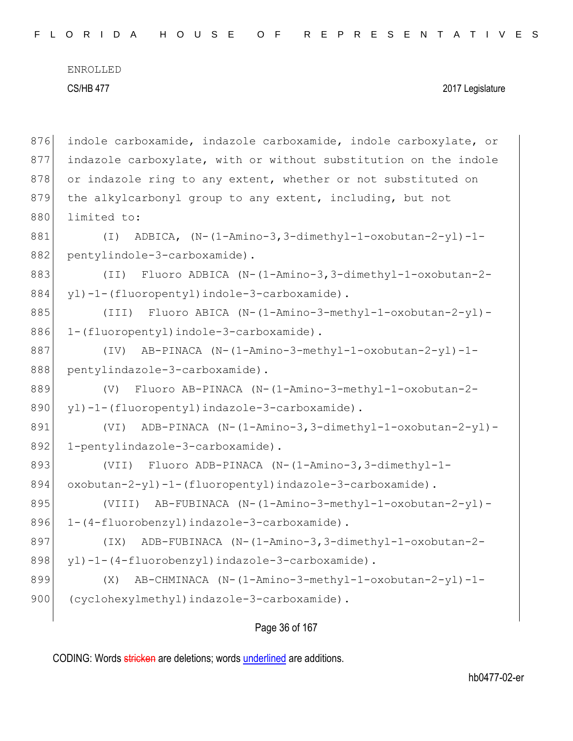876 indole carboxamide, indazole carboxamide, indole carboxylate, or 877 indazole carboxylate, with or without substitution on the indole 878 or indazole ring to any extent, whether or not substituted on 879 the alkylcarbonyl group to any extent, including, but not 880 limited to: 881 (I) ADBICA, (N-(1-Amino-3,3-dimethyl-1-oxobutan-2-yl)-1- 882 pentylindole-3-carboxamide). 883 (II) Fluoro ADBICA (N-(1-Amino-3,3-dimethyl-1-oxobutan-2- 884 yl)-1-(fluoropentyl)indole-3-carboxamide). 885 (III) Fluoro ABICA (N-(1-Amino-3-methyl-1-oxobutan-2-yl)-886 1-(fluoropentyl)indole-3-carboxamide). 887 (IV) AB-PINACA (N-(1-Amino-3-methyl-1-oxobutan-2-yl)-1- 888 pentylindazole-3-carboxamide). 889 (V) Fluoro AB-PINACA (N-(1-Amino-3-methyl-1-oxobutan-2- 890 yl)-1-(fluoropentyl)indazole-3-carboxamide). 891 (VI) ADB-PINACA (N-(1-Amino-3,3-dimethyl-1-oxobutan-2-yl)-892 | 1-pentylindazole-3-carboxamide). 893 (VII) Fluoro ADB-PINACA (N-(1-Amino-3,3-dimethyl-1-894 oxobutan-2-yl)-1-(fluoropentyl)indazole-3-carboxamide). 895 (VIII) AB-FUBINACA (N-(1-Amino-3-methyl-1-oxobutan-2-yl)- 896 1-(4-fluorobenzyl)indazole-3-carboxamide). 897 (IX) ADB-FUBINACA (N-(1-Amino-3,3-dimethyl-1-oxobutan-2- 898 yl)-1-(4-fluorobenzyl)indazole-3-carboxamide). 899 (X) AB-CHMINACA (N-(1-Amino-3-methyl-1-oxobutan-2-yl)-1- 900 (cyclohexylmethyl)indazole-3-carboxamide).

#### Page 36 of 167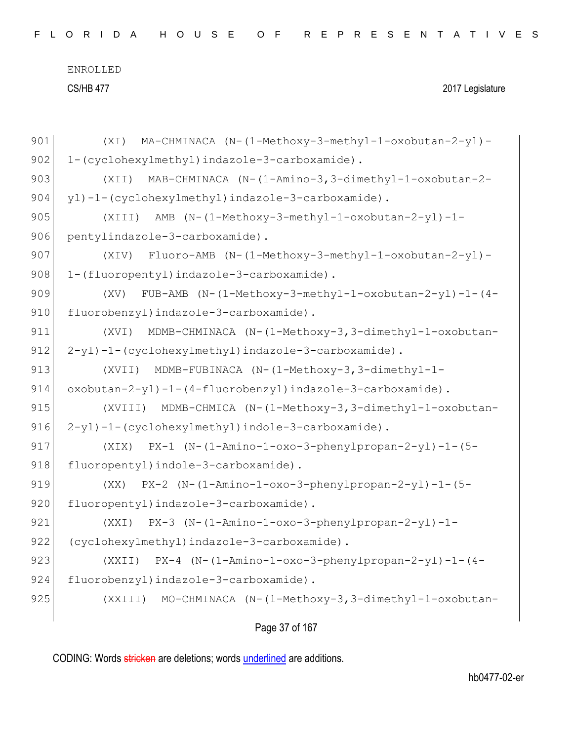| 901 | MA-CHMINACA (N-(1-Methoxy-3-methyl-1-oxobutan-2-yl)-<br>(XI)      |
|-----|-------------------------------------------------------------------|
| 902 | 1-(cyclohexylmethyl)indazole-3-carboxamide).                      |
| 903 | MAB-CHMINACA (N-(1-Amino-3,3-dimethyl-1-oxobutan-2-<br>(XII)      |
| 904 | yl)-1-(cyclohexylmethyl)indazole-3-carboxamide).                  |
| 905 | AMB (N-(1-Methoxy-3-methyl-1-oxobutan-2-yl)-1-<br>(XIII)          |
| 906 | pentylindazole-3-carboxamide).                                    |
| 907 | Fluoro-AMB (N-(1-Methoxy-3-methyl-1-oxobutan-2-yl)-<br>(XIV)      |
| 908 | 1-(fluoropentyl)indazole-3-carboxamide).                          |
| 909 | FUB-AMB $(N-(1-Methoxy-3-methyl-1-oxobutan-2-yl)-1-(4-$<br>(XV)   |
| 910 | fluorobenzyl) indazole-3-carboxamide).                            |
| 911 | MDMB-CHMINACA (N-(1-Methoxy-3,3-dimethyl-1-oxobutan-<br>(XVI)     |
| 912 | 2-yl)-1-(cyclohexylmethyl)indazole-3-carboxamide).                |
| 913 | MDMB-FUBINACA (N-(1-Methoxy-3,3-dimethyl-1-<br>(XVII)             |
| 914 | oxobutan-2-yl)-1-(4-fluorobenzyl)indazole-3-carboxamide).         |
| 915 | MDMB-CHMICA (N-(1-Methoxy-3,3-dimethyl-1-oxobutan-<br>(XVIII)     |
| 916 | 2-yl)-1-(cyclohexylmethyl)indole-3-carboxamide).                  |
| 917 | $PX-1$ (N-(1-Amino-1-oxo-3-phenylpropan-2-yl)-1-(5-<br>(XIX)      |
| 918 | fluoropentyl)indole-3-carboxamide).                               |
| 919 | PX-2 (N-(1-Amino-1-oxo-3-phenylpropan-2-yl)-1-(5-<br>(XX)         |
| 920 | fluoropentyl)indazole-3-carboxamide).                             |
| 921 | $PX-3$ (N-(1-Amino-1-oxo-3-phenylpropan-2-yl)-1-<br>(XXI)         |
| 922 | (cyclohexylmethyl)indazole-3-carboxamide).                        |
| 923 | $PX-4$ (N- $(1-Amino-1-oxo-3-phenylpropan-2-yl) -1-(4-$<br>(XXII) |
| 924 | fluorobenzyl)indazole-3-carboxamide).                             |
| 925 | MO-CHMINACA (N-(1-Methoxy-3,3-dimethyl-1-oxobutan-<br>(XXIII)     |
|     |                                                                   |

Page 37 of 167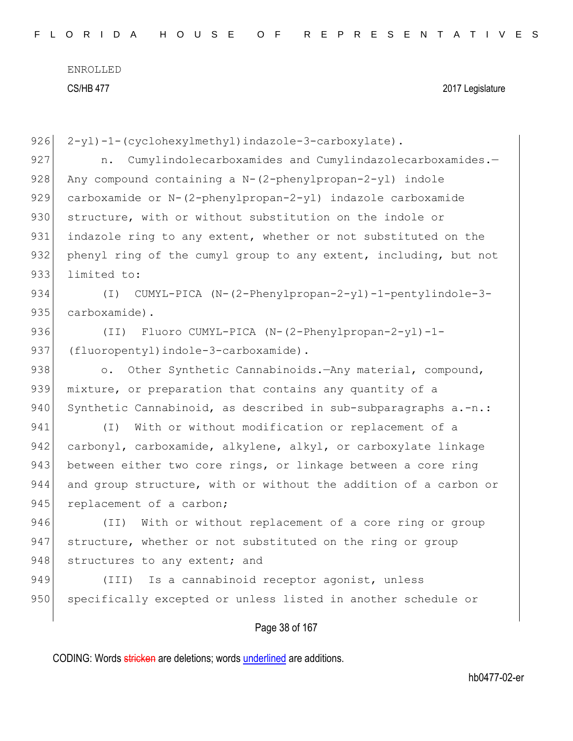| 926 | 2-yl)-1-(cyclohexylmethyl)indazole-3-carboxylate).                         |
|-----|----------------------------------------------------------------------------|
| 927 | Cumylindolecarboxamides and Cumylindazolecarboxamides.-<br>n.              |
| 928 | Any compound containing a $N - (2-\text{phenylpropan}-2-\text{yl})$ indole |
| 929 | carboxamide or N-(2-phenylpropan-2-yl) indazole carboxamide                |
| 930 | structure, with or without substitution on the indole or                   |
| 931 | indazole ring to any extent, whether or not substituted on the             |
| 932 | phenyl ring of the cumyl group to any extent, including, but not           |
| 933 | limited to:                                                                |
| 934 | CUMYL-PICA (N-(2-Phenylpropan-2-yl)-1-pentylindole-3-<br>$(\top)$          |
| 935 | carboxamide).                                                              |
| 936 | Fluoro CUMYL-PICA (N-(2-Phenylpropan-2-yl)-1-<br>(TI)                      |
| 937 | (fluoropentyl)indole-3-carboxamide).                                       |
| 938 | Other Synthetic Cannabinoids. Any material, compound,<br>$\circ$ .         |
| 939 | mixture, or preparation that contains any quantity of a                    |
| 940 | Synthetic Cannabinoid, as described in sub-subparagraphs a.-n.:            |
| 941 | With or without modification or replacement of a<br>$(\top)$               |
| 942 | carbonyl, carboxamide, alkylene, alkyl, or carboxylate linkage             |
| 943 | between either two core rings, or linkage between a core ring              |
| 944 | and group structure, with or without the addition of a carbon or           |
| 945 | replacement of a carbon;                                                   |
| 946 | With or without replacement of a core ring or group<br>(TI)                |
| 947 | structure, whether or not substituted on the ring or group                 |
| 948 | structures to any extent; and                                              |
| 949 | Is a cannabinoid receptor agonist, unless<br>$(\text{III})$                |
| 950 | specifically excepted or unless listed in another schedule or              |
|     |                                                                            |
|     | Page 38 of 167                                                             |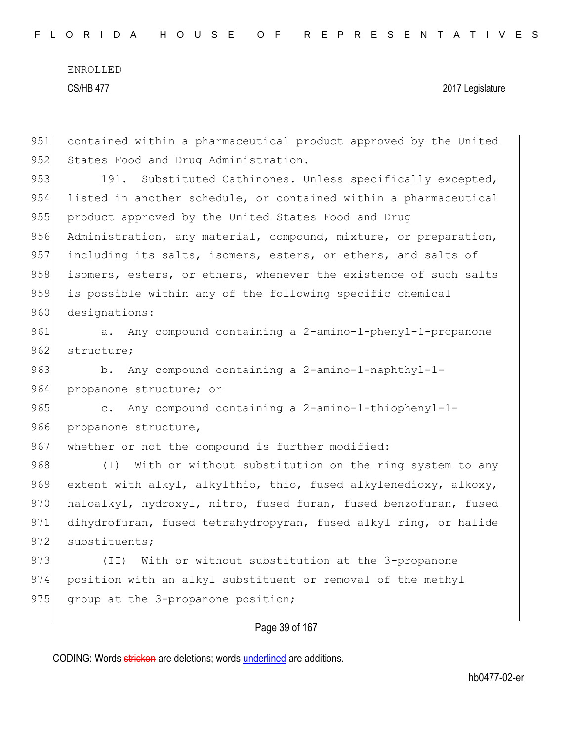| 951 | contained within a pharmaceutical product approved by the United    |
|-----|---------------------------------------------------------------------|
| 952 | States Food and Drug Administration.                                |
| 953 | Substituted Cathinones.-Unless specifically excepted,<br>191.       |
| 954 | listed in another schedule, or contained within a pharmaceutical    |
| 955 | product approved by the United States Food and Drug                 |
| 956 | Administration, any material, compound, mixture, or preparation,    |
| 957 | including its salts, isomers, esters, or ethers, and salts of       |
| 958 | isomers, esters, or ethers, whenever the existence of such salts    |
| 959 | is possible within any of the following specific chemical           |
| 960 | designations:                                                       |
| 961 | a. Any compound containing a 2-amino-1-phenyl-1-propanone           |
| 962 | structure;                                                          |
| 963 | b. Any compound containing a 2-amino-1-naphthyl-1-                  |
| 964 | propanone structure; or                                             |
| 965 | Any compound containing a 2-amino-1-thiophenyl-1-<br>$\mathbb{C}$ . |
| 966 | propanone structure,                                                |
| 967 | whether or not the compound is further modified:                    |
| 968 | With or without substitution on the ring system to any<br>$(\top)$  |
| 969 | extent with alkyl, alkylthio, thio, fused alkylenedioxy, alkoxy,    |
| 970 | haloalkyl, hydroxyl, nitro, fused furan, fused benzofuran, fused    |
| 971 | dihydrofuran, fused tetrahydropyran, fused alkyl ring, or halide    |
| 972 | substituents;                                                       |
| 973 | With or without substitution at the 3-propanone<br>(TI)             |
| 974 | position with an alkyl substituent or removal of the methyl         |
| 975 | group at the 3-propanone position;                                  |
|     |                                                                     |

## Page 39 of 167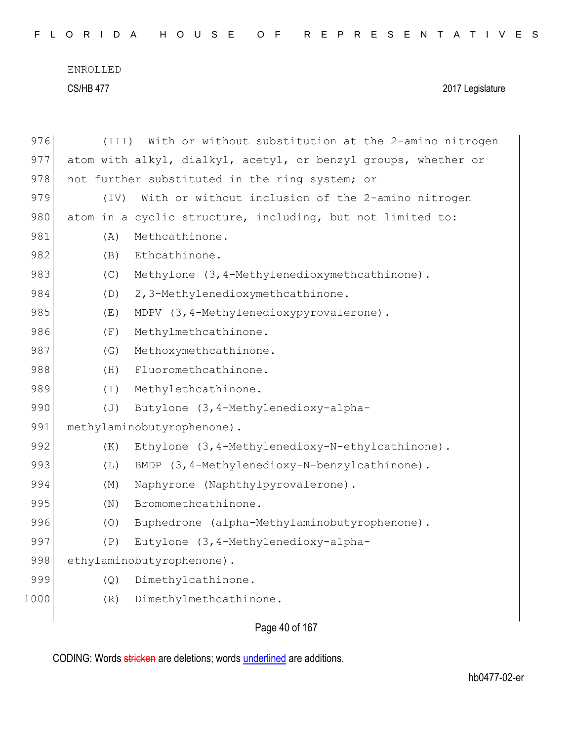CS/HB 477 2017 Legislature

| 976  | (III)    | With or without substitution at the 2-amino nitrogen           |
|------|----------|----------------------------------------------------------------|
| 977  |          | atom with alkyl, dialkyl, acetyl, or benzyl groups, whether or |
| 978  |          | not further substituted in the ring system; or                 |
| 979  | (TV)     | With or without inclusion of the 2-amino nitrogen              |
| 980  |          | atom in a cyclic structure, including, but not limited to:     |
| 981  | (A)      | Methcathinone.                                                 |
| 982  | (B)      | Ethcathinone.                                                  |
| 983  | (C)      | Methylone (3, 4-Methylenedioxymethcathinone).                  |
| 984  | (D)      | 2, 3-Methylenedioxymethcathinone.                              |
| 985  | (E)      | MDPV (3, 4-Methylenedioxypyrovalerone).                        |
| 986  | (F)      | Methylmethcathinone.                                           |
| 987  | (G)      | Methoxymethcathinone.                                          |
| 988  | (H)      | Fluoromethcathinone.                                           |
| 989  | $(\bot)$ | Methylethcathinone.                                            |
| 990  | (J)      | Butylone (3, 4-Methylenedioxy-alpha-                           |
| 991  |          | methylaminobutyrophenone).                                     |
| 992  | (K)      | Ethylone (3, 4-Methylenedioxy-N-ethylcathinone).               |
| 993  | (L)      | BMDP (3, 4-Methylenedioxy-N-benzylcathinone).                  |
| 994  | (M)      | Naphyrone (Naphthylpyrovalerone).                              |
| 995  | (N)      | Bromomethcathinone.                                            |
| 996  | (0)      | Buphedrone (alpha-Methylaminobutyrophenone).                   |
| 997  | (P)      | Eutylone (3, 4-Methylenedioxy-alpha-                           |
| 998  |          | ethylaminobutyrophenone).                                      |
| 999  | (Q)      | Dimethylcathinone.                                             |
| 1000 | (R)      | Dimethylmethcathinone.                                         |
|      |          |                                                                |

Page 40 of 167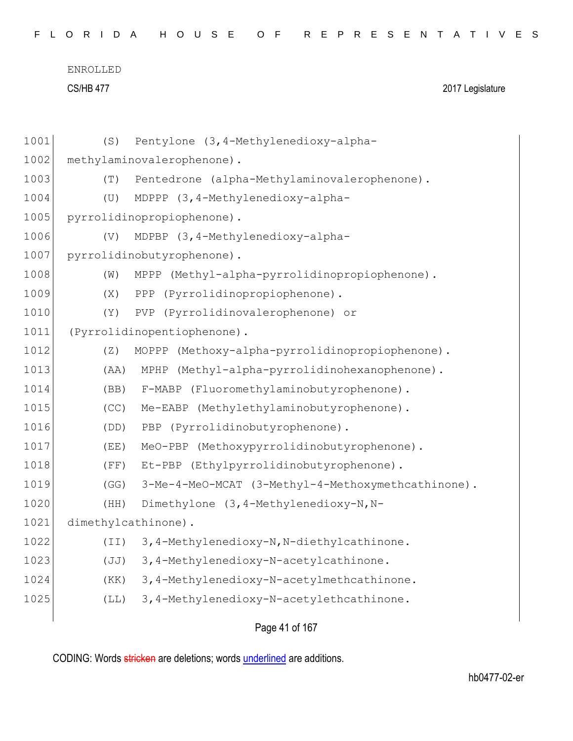```
ENROLLED
```
CS/HB 477 2017 Legislature

| 1001 | (S)                      | Pentylone (3, 4-Methylenedioxy-alpha-              |
|------|--------------------------|----------------------------------------------------|
| 1002 |                          | methylaminovalerophenone).                         |
| 1003 | (T)                      | Pentedrone (alpha-Methylaminovalerophenone).       |
| 1004 | (U)                      | MDPPP (3,4-Methylenedioxy-alpha-                   |
| 1005 |                          | pyrrolidinopropiophenone).                         |
| 1006 | (V)                      | MDPBP (3, 4-Methylenedioxy-alpha-                  |
| 1007 |                          | pyrrolidinobutyrophenone).                         |
| 1008 | (W)                      | MPPP (Methyl-alpha-pyrrolidinopropiophenone).      |
| 1009 | (X)                      | (Pyrrolidinopropiophenone).<br>PPP                 |
| 1010 | (Y)                      | PVP (Pyrrolidinovalerophenone) or                  |
| 1011 |                          | (Pyrrolidinopentiophenone).                        |
| 1012 | (Z)                      | MOPPP (Methoxy-alpha-pyrrolidinopropiophenone).    |
| 1013 | (AA)                     | (Methyl-alpha-pyrrolidinohexanophenone).<br>MPHP   |
| 1014 | (BB)                     | F-MABP (Fluoromethylaminobutyrophenone).           |
| 1015 | (CC)                     | Me-EABP (Methylethylaminobutyrophenone).           |
| 1016 | (DD)                     | (Pyrrolidinobutyrophenone).<br>PBP                 |
| 1017 | (EE)                     | MeO-PBP (Methoxypyrrolidinobutyrophenone).         |
| 1018 | (FF)                     | Et-PBP (Ethylpyrrolidinobutyrophenone).            |
| 1019 | (GG)                     | 3-Me-4-MeO-MCAT (3-Methyl-4-Methoxymethcathinone). |
| 1020 | (HH)                     | Dimethylone (3, 4-Methylenedioxy-N, N-             |
| 1021 |                          | dimethylcathinone).                                |
| 1022 | (TI)                     | 3, 4-Methylenedioxy-N, N-diethylcathinone.         |
| 1023 | (JJ)                     | 3, 4-Methylenedioxy-N-acetylcathinone.             |
| 1024 | (KK)                     | 3,4-Methylenedioxy-N-acetylmethcathinone.          |
| 1025 | $(\mathbb{L}\mathbb{L})$ | 3, 4-Methylenedioxy-N-acetylethcathinone.          |
|      |                          |                                                    |

Page 41 of 167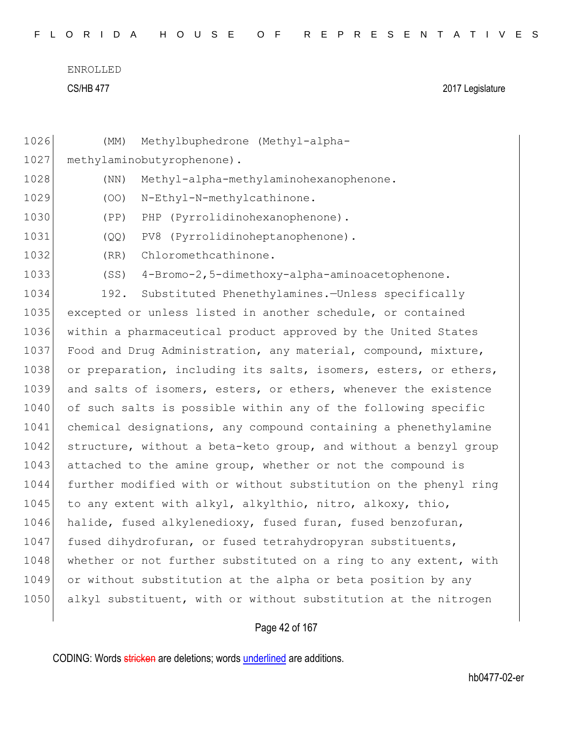|  |  |  |  |  |  | FLORIDA HOUSE OF REPRESENTATIVES |  |  |  |  |  |  |  |  |  |  |  |
|--|--|--|--|--|--|----------------------------------|--|--|--|--|--|--|--|--|--|--|--|
|  |  |  |  |  |  |                                  |  |  |  |  |  |  |  |  |  |  |  |

| 1026 | Methylbuphedrone (Methyl-alpha-<br>(MM)                          |
|------|------------------------------------------------------------------|
| 1027 | methylaminobutyrophenone).                                       |
| 1028 | Methyl-alpha-methylaminohexanophenone.<br>(NN)                   |
| 1029 | N-Ethyl-N-methylcathinone.<br>(OO)                               |
| 1030 | (Pyrrolidinohexanophenone).<br>(PP)<br>PHP                       |
| 1031 | (Pyrrolidinoheptanophenone).<br>(QQ)<br>PV8                      |
| 1032 | Chloromethcathinone.<br>(RR)                                     |
| 1033 | 4-Bromo-2,5-dimethoxy-alpha-aminoacetophenone.<br>(SS)           |
| 1034 | Substituted Phenethylamines.-Unless specifically<br>192.         |
| 1035 | excepted or unless listed in another schedule, or contained      |
| 1036 | within a pharmaceutical product approved by the United States    |
| 1037 | Food and Drug Administration, any material, compound, mixture,   |
| 1038 | or preparation, including its salts, isomers, esters, or ethers, |
| 1039 | and salts of isomers, esters, or ethers, whenever the existence  |
| 1040 | of such salts is possible within any of the following specific   |
| 1041 | chemical designations, any compound containing a phenethylamine  |
| 1042 | structure, without a beta-keto group, and without a benzyl group |
| 1043 | attached to the amine group, whether or not the compound is      |
| 1044 | further modified with or without substitution on the phenyl ring |
| 1045 | to any extent with alkyl, alkylthio, nitro, alkoxy, thio,        |
| 1046 | halide, fused alkylenedioxy, fused furan, fused benzofuran,      |
| 1047 | fused dihydrofuran, or fused tetrahydropyran substituents,       |
| 1048 | whether or not further substituted on a ring to any extent, with |
| 1049 | or without substitution at the alpha or beta position by any     |
| 1050 | alkyl substituent, with or without substitution at the nitrogen  |
|      |                                                                  |

# Page 42 of 167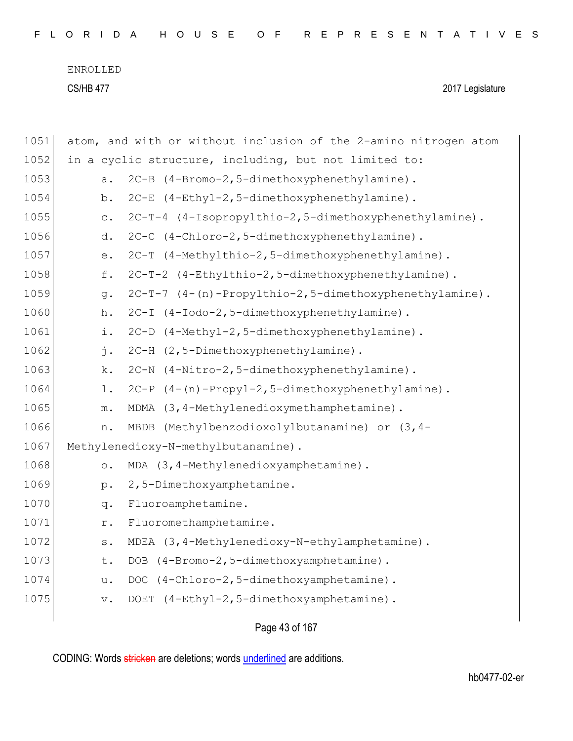| FLORIDA HOUSE OF REPRESENTATIVES |  |  |  |  |  |  |  |  |  |  |  |  |  |  |  |  |  |  |  |  |  |  |  |  |  |  |  |  |  |  |
|----------------------------------|--|--|--|--|--|--|--|--|--|--|--|--|--|--|--|--|--|--|--|--|--|--|--|--|--|--|--|--|--|--|
|----------------------------------|--|--|--|--|--|--|--|--|--|--|--|--|--|--|--|--|--|--|--|--|--|--|--|--|--|--|--|--|--|--|

| 1051 | atom, and with or without inclusion of the 2-amino nitrogen atom        |
|------|-------------------------------------------------------------------------|
| 1052 | in a cyclic structure, including, but not limited to:                   |
| 1053 | 2C-B (4-Bromo-2,5-dimethoxyphenethylamine).<br>a.                       |
| 1054 | 2C-E (4-Ethyl-2,5-dimethoxyphenethylamine).<br>b.                       |
| 1055 | 2C-T-4 (4-Isopropylthio-2,5-dimethoxyphenethylamine).<br>$\mathtt{C}$ . |
| 1056 | 2C-C (4-Chloro-2,5-dimethoxyphenethylamine).<br>d.                      |
| 1057 | 2C-T (4-Methylthio-2,5-dimethoxyphenethylamine).<br>$e$ .               |
| 1058 | 2C-T-2 (4-Ethylthio-2,5-dimethoxyphenethylamine).<br>f.                 |
| 1059 | 2C-T-7 (4-(n)-Propylthio-2,5-dimethoxyphenethylamine).<br>g.            |
| 1060 | 2C-I (4-Iodo-2,5-dimethoxyphenethylamine).<br>h.                        |
| 1061 | 2C-D (4-Methyl-2, 5-dimethoxyphenethylamine).<br>i.                     |
| 1062 | 2C-H (2,5-Dimethoxyphenethylamine).<br>j.                               |
| 1063 | 2C-N (4-Nitro-2,5-dimethoxyphenethylamine).<br>k.                       |
| 1064 | 2C-P (4-(n)-Propyl-2,5-dimethoxyphenethylamine).<br>$1$ .               |
| 1065 | MDMA (3,4-Methylenedioxymethamphetamine).<br>${\mathfrak m}$ .          |
| 1066 | MBDB (Methylbenzodioxolylbutanamine) or (3, 4-<br>n.                    |
| 1067 | Methylenedioxy-N-methylbutanamine).                                     |
| 1068 | MDA (3,4-Methylenedioxyamphetamine).<br>$\circ$ .                       |
| 1069 | 2,5-Dimethoxyamphetamine.<br>$p$ .                                      |
| 1070 | Fluoroamphetamine.<br>q.                                                |
| 1071 | Fluoromethamphetamine.<br>r.                                            |
| 1072 | MDEA (3, 4-Methylenedioxy-N-ethylamphetamine).<br>s.                    |
| 1073 | DOB (4-Bromo-2,5-dimethoxyamphetamine).<br>t.                           |
| 1074 | DOC (4-Chloro-2,5-dimethoxyamphetamine).<br>u.                          |
| 1075 | DOET (4-Ethyl-2,5-dimethoxyamphetamine).<br>$V$ .                       |
|      |                                                                         |

Page 43 of 167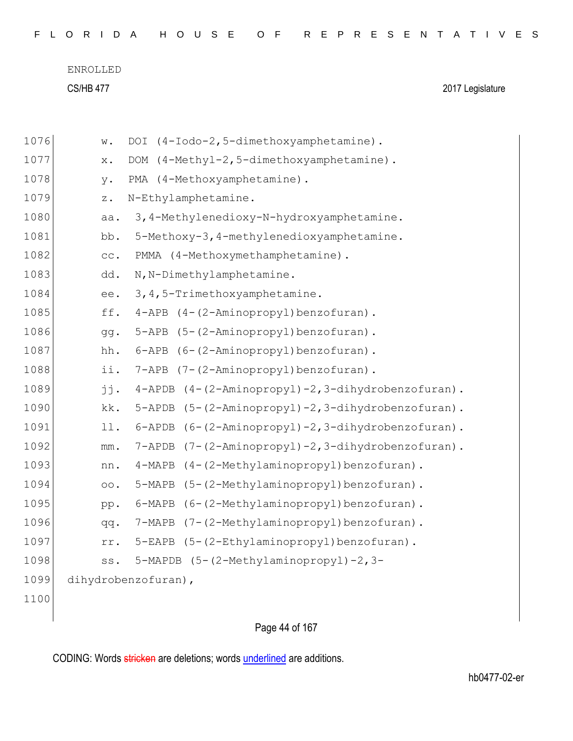|  |  |  |  |  |  |  |  |  |  |  |  |  | FLORIDA HOUSE OF REPRESENTATIVES |  |  |  |  |  |  |  |  |  |  |  |  |  |  |  |  |  |
|--|--|--|--|--|--|--|--|--|--|--|--|--|----------------------------------|--|--|--|--|--|--|--|--|--|--|--|--|--|--|--|--|--|
|--|--|--|--|--|--|--|--|--|--|--|--|--|----------------------------------|--|--|--|--|--|--|--|--|--|--|--|--|--|--|--|--|--|

| 1076 | w.              | DOI (4-Iodo-2,5-dimethoxyamphetamine).            |
|------|-----------------|---------------------------------------------------|
| 1077 | x.              | DOM (4-Methyl-2,5-dimethoxyamphetamine).          |
| 1078 | y.              | PMA (4-Methoxyamphetamine).                       |
| 1079 | $\mathbf{z}$ .  | N-Ethylamphetamine.                               |
| 1080 | aa.             | 3, 4-Methylenedioxy-N-hydroxyamphetamine.         |
| 1081 | bb.             | 5-Methoxy-3, 4-methylenedioxyamphetamine.         |
| 1082 | cc.             | PMMA (4-Methoxymethamphetamine).                  |
| 1083 | dd.             | N, N-Dimethylamphetamine.                         |
| 1084 | ee.             | 3, 4, 5-Trimethoxyamphetamine.                    |
| 1085 | ff.             | 4-APB (4-(2-Aminopropyl)benzofuran).              |
| 1086 | gg.             | 5-APB (5-(2-Aminopropyl)benzofuran).              |
| 1087 | hh.             | 6-APB (6-(2-Aminopropyl)benzofuran).              |
| 1088 | ii.             | 7-APB (7-(2-Aminopropyl)benzofuran).              |
| 1089 | jj.             | 4-APDB (4-(2-Aminopropyl)-2,3-dihydrobenzofuran). |
| 1090 | kk.             | 5-APDB (5-(2-Aminopropyl)-2,3-dihydrobenzofuran). |
| 1091 | 11.             | 6-APDB (6-(2-Aminopropyl)-2,3-dihydrobenzofuran). |
| 1092 | $\text{mm}$ .   | 7-APDB (7-(2-Aminopropyl)-2,3-dihydrobenzofuran). |
| 1093 | nn.             | 4-MAPB (4-(2-Methylaminopropyl)benzofuran).       |
| 1094 | $\circ \circ$ . | 5-MAPB (5-(2-Methylaminopropyl)benzofuran).       |
| 1095 | pp.             | 6-MAPB (6-(2-Methylaminopropyl)benzofuran).       |
| 1096 | qq.             | 7-MAPB (7-(2-Methylaminopropyl)benzofuran).       |
| 1097 | rr.             | 5-EAPB (5-(2-Ethylaminopropyl)benzofuran).        |
| 1098 | SS.             | 5-MAPDB (5-(2-Methylaminopropyl)-2,3-             |
| 1099 |                 | dihydrobenzofuran),                               |
| 1100 |                 |                                                   |
|      |                 |                                                   |

Page 44 of 167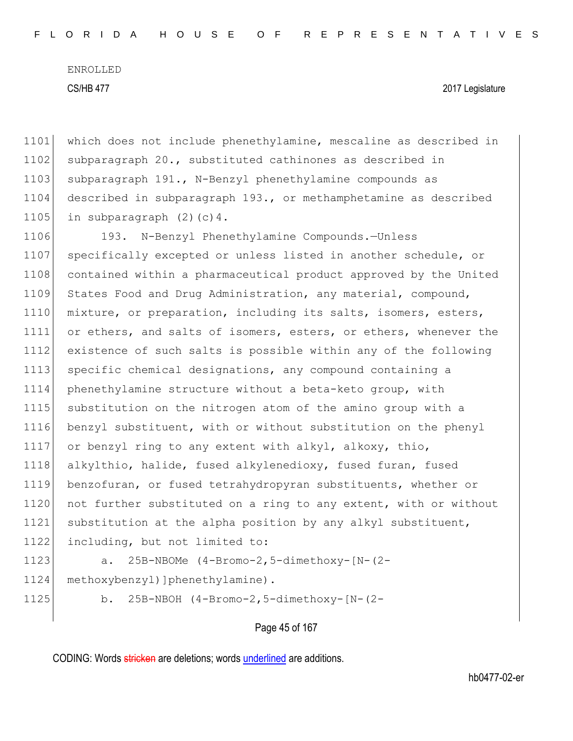CS/HB 477 2017 Legislature

| 1101 | which does not include phenethylamine, mescaline as described in |
|------|------------------------------------------------------------------|
| 1102 | subparagraph 20., substituted cathinones as described in         |
| 1103 | subparagraph 191., N-Benzyl phenethylamine compounds as          |
| 1104 | described in subparagraph 193., or methamphetamine as described  |
| 1105 | in subparagraph $(2)$ $(c)$ 4.                                   |
| 1106 | 193. N-Benzyl Phenethylamine Compounds.-Unless                   |
| 1107 | specifically excepted or unless listed in another schedule, or   |
| 1108 | contained within a pharmaceutical product approved by the United |
| 1109 | States Food and Drug Administration, any material, compound,     |
| 1110 | mixture, or preparation, including its salts, isomers, esters,   |
| 1111 | or ethers, and salts of isomers, esters, or ethers, whenever the |
| 1112 | existence of such salts is possible within any of the following  |
| 1113 | specific chemical designations, any compound containing a        |
| 1114 | phenethylamine structure without a beta-keto group, with         |
| 1115 | substitution on the nitrogen atom of the amino group with a      |
| 1116 | benzyl substituent, with or without substitution on the phenyl   |
| 1117 | or benzyl ring to any extent with alkyl, alkoxy, thio,           |
| 1118 | alkylthio, halide, fused alkylenedioxy, fused furan, fused       |
| 1119 | benzofuran, or fused tetrahydropyran substituents, whether or    |
| 1120 | not further substituted on a ring to any extent, with or without |
| 1121 | substitution at the alpha position by any alkyl substituent,     |
| 1122 | including, but not limited to:                                   |
| 1123 | 25B-NBOMe (4-Bromo-2,5-dimethoxy-[N-(2-<br>a.                    |
| 1124 | methoxybenzyl) ] phenethylamine) .                               |

b. 25B-NBOH (4-Bromo-2,5-dimethoxy-[N-(2-

Page 45 of 167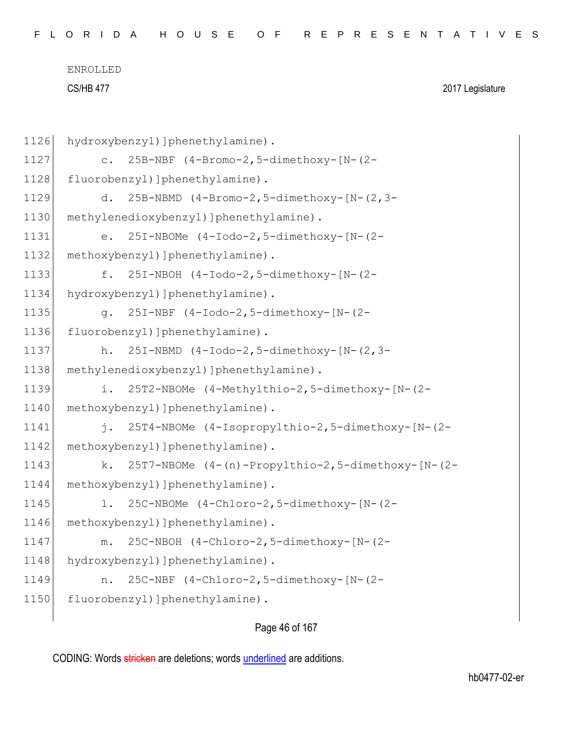| FLORIDA HOUSE OF REPRESENTATIVES |  |
|----------------------------------|--|
|----------------------------------|--|

```
1126 hydroxybenzyl) ]phenethylamine).
1127 c. 25B-NBF (4-Bromo-2,5-dimethoxy-[N-(2-
1128 fluorobenzyl) ]phenethylamine).
1129 d. 25B-NBMD (4-Bromo-2,5-dimethoxy-[N-(2,3-
1130 methylenedioxybenzyl) ]phenethylamine).
1131 e. 25I-NBOMe (4-Iodo-2,5-dimethoxy-[N-(2-
1132 methoxybenzyl) ]phenethylamine).
1133 f. 25I-NBOH (4-Iodo-2,5-dimethoxy-[N-(2-
1134 hydroxybenzyl) ]phenethylamine).
1135 g. 25I-NBF (4-Iodo-2,5-dimethoxy-[N-(2-
1136 fluorobenzyl) ]phenethylamine).
1137 h. 25I-NBMD (4-Iodo-2,5-dimethoxy-[N-(2,3-
1138 methylenedioxybenzyl) ]phenethylamine).
1139 i. 25T2-NBOMe (4-Methylthio-2,5-dimethoxy-[N-(2-
1140 methoxybenzyl) ]phenethylamine).
1141 j. 25T4-NBOMe (4-Isopropylthio-2,5-dimethoxy-[N-(2-
1142 methoxybenzyl) ]phenethylamine).
1143 k. 25T7-NBOMe (4-(n)-Propylthio-2,5-dimethoxy-[N-(2-
1144 methoxybenzyl) ]phenethylamine).
1145 l. 25C-NBOMe (4-Chloro-2,5-dimethoxy-[N-(2-
1146 methoxybenzyl) ]phenethylamine).
1147 m. 25C-NBOH (4-Chloro-2,5-dimethoxy-[N-(2-
1148 hydroxybenzyl) ]phenethylamine).
1149 n. 25C-NBF (4-Chloro-2,5-dimethoxy-[N-(2-
1150 fluorobenzyl) ]phenethylamine).
```
Page 46 of 167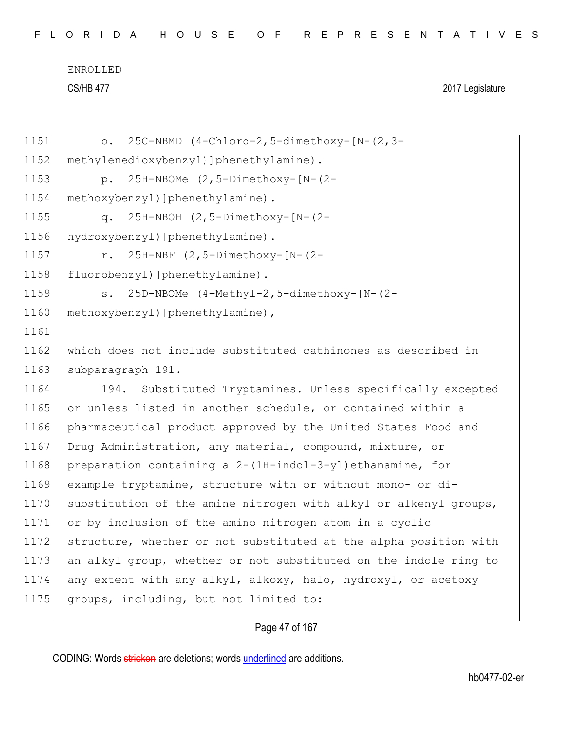| 1151 | 25C-NBMD (4-Chloro-2,5-dimethoxy-[N-(2,3-<br>$\circ$ .           |
|------|------------------------------------------------------------------|
| 1152 | methylenedioxybenzyl) ]phenethylamine).                          |
| 1153 | 25H-NBOMe (2,5-Dimethoxy-[N-(2-<br>$p$ .                         |
| 1154 | methoxybenzyl) ] phenethylamine) .                               |
| 1155 | 25H-NBOH (2,5-Dimethoxy-[N-(2-<br>$q$ .                          |
| 1156 | hydroxybenzyl) ] phenethylamine).                                |
| 1157 | 25H-NBF (2,5-Dimethoxy-[N-(2-<br>r.                              |
| 1158 | fluorobenzyl) ]phenethylamine).                                  |
| 1159 | 25D-NBOMe (4-Methyl-2,5-dimethoxy-[N-(2-<br>s.                   |
| 1160 | methoxybenzyl) ] phenethylamine),                                |
| 1161 |                                                                  |
| 1162 | which does not include substituted cathinones as described in    |
| 1163 | subparagraph 191.                                                |
| 1164 | Substituted Tryptamines.-Unless specifically excepted<br>194.    |
| 1165 | or unless listed in another schedule, or contained within a      |
| 1166 | pharmaceutical product approved by the United States Food and    |
| 1167 | Drug Administration, any material, compound, mixture, or         |
| 1168 | preparation containing a 2-(1H-indol-3-yl) ethanamine, for       |
| 1169 | example tryptamine, structure with or without mono- or di-       |
| 1170 | substitution of the amine nitrogen with alkyl or alkenyl groups, |
| 1171 | or by inclusion of the amino nitrogen atom in a cyclic           |
| 1172 | structure, whether or not substituted at the alpha position with |
| 1173 | an alkyl group, whether or not substituted on the indole ring to |
| 1174 | any extent with any alkyl, alkoxy, halo, hydroxyl, or acetoxy    |
| 1175 | groups, including, but not limited to:                           |
|      |                                                                  |

# Page 47 of 167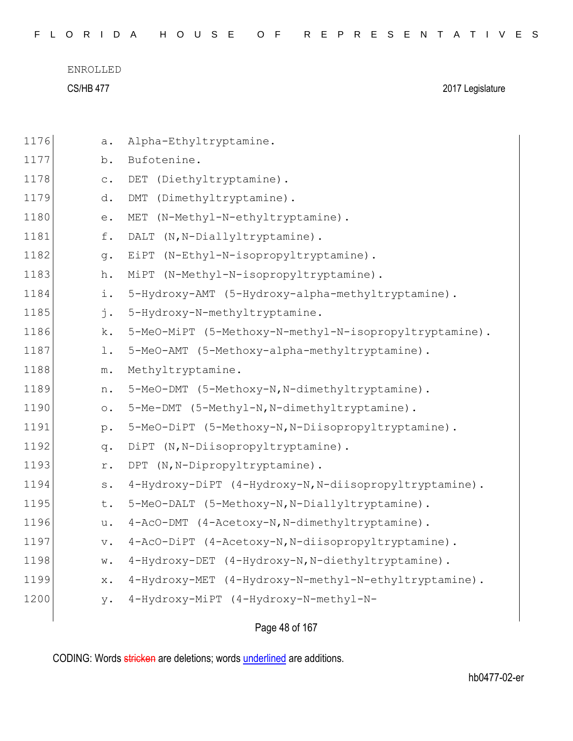|  |  |  |  |  |  |  |  | FLORIDA HOUSE OF REPRESENTATIVES |  |  |  |  |  |  |  |  |  |  |  |  |  |  |  |  |  |  |  |  |  |  |  |  |  |
|--|--|--|--|--|--|--|--|----------------------------------|--|--|--|--|--|--|--|--|--|--|--|--|--|--|--|--|--|--|--|--|--|--|--|--|--|
|--|--|--|--|--|--|--|--|----------------------------------|--|--|--|--|--|--|--|--|--|--|--|--|--|--|--|--|--|--|--|--|--|--|--|--|--|

CS/HB 477 2017 Legislature

| 1176 | а.             | Alpha-Ethyltryptamine.                                 |
|------|----------------|--------------------------------------------------------|
| 1177 | b.             | Bufotenine.                                            |
| 1178 | $\mathtt{C}$ . | DET<br>(Diethyltryptamine).                            |
| 1179 | d.             | $\mathop{\rm DMT}\nolimits$<br>(Dimethyltryptamine).   |
| 1180 | е.             | MET<br>(N-Methyl-N-ethyltryptamine).                   |
| 1181 | f.             | DALT<br>(N, N-Diallyltryptamine).                      |
| 1182 | q.             | EiPT<br>(N-Ethyl-N-isopropyltryptamine).               |
| 1183 | h.             | (N-Methyl-N-isopropyltryptamine).<br>MiPT              |
| 1184 | i.             | 5-Hydroxy-AMT (5-Hydroxy-alpha-methyltryptamine).      |
| 1185 | j.             | 5-Hydroxy-N-methyltryptamine.                          |
| 1186 | k.             | 5-MeO-MiPT (5-Methoxy-N-methyl-N-isopropyltryptamine). |
| 1187 | l.             | 5-MeO-AMT (5-Methoxy-alpha-methyltryptamine).          |
| 1188 | $m$ .          | Methyltryptamine.                                      |
| 1189 | n.             | 5-MeO-DMT (5-Methoxy-N, N-dimethyltryptamine).         |
| 1190 | $\circ$ .      | 5-Me-DMT (5-Methyl-N, N-dimethyltryptamine).           |
| 1191 | $p$ .          | 5-MeO-DiPT (5-Methoxy-N, N-Diisopropyltryptamine).     |
| 1192 | q.             | DiPT (N, N-Diisopropyltryptamine).                     |
| 1193 | r.             | (N, N-Dipropyltryptamine).<br>DPT                      |
| 1194 | $S$ .          | 4-Hydroxy-DiPT (4-Hydroxy-N, N-diisopropyltryptamine). |
| 1195 | t.             | 5-MeO-DALT (5-Methoxy-N, N-Diallyltryptamine).         |
| 1196 | u.             | 4-AcO-DMT (4-Acetoxy-N, N-dimethyltryptamine).         |
| 1197 | $V$ .          | 4-AcO-DiPT (4-Acetoxy-N, N-diisopropyltryptamine).     |
| 1198 | w.             | 4-Hydroxy-DET (4-Hydroxy-N, N-diethyltryptamine).      |
| 1199 | $X$ .          | 4-Hydroxy-MET (4-Hydroxy-N-methyl-N-ethyltryptamine).  |
| 1200 | у.             | 4-Hydroxy-MiPT (4-Hydroxy-N-methyl-N-                  |
|      |                |                                                        |

Page 48 of 167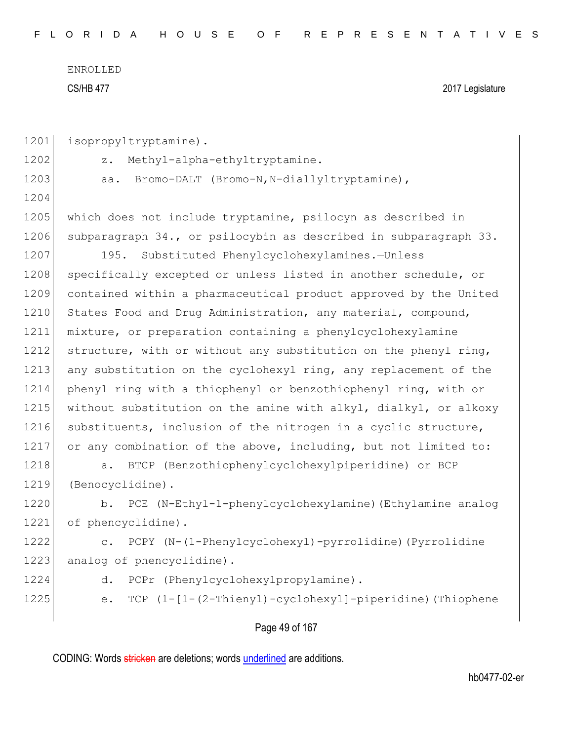F L O R I D A H O U S E O F R E P R E S E N T A T I V E S

ENROLLED CS/HB 477 2017 Legislature

| 1201 | isopropyltryptamine).                                                   |
|------|-------------------------------------------------------------------------|
| 1202 | Methyl-alpha-ethyltryptamine.<br>$z$ .                                  |
| 1203 | Bromo-DALT (Bromo-N, N-diallyltryptamine),<br>aa.                       |
| 1204 |                                                                         |
| 1205 | which does not include tryptamine, psilocyn as described in             |
| 1206 | subparagraph 34., or psilocybin as described in subparagraph 33.        |
| 1207 | 195. Substituted Phenylcyclohexylamines.-Unless                         |
| 1208 | specifically excepted or unless listed in another schedule, or          |
| 1209 | contained within a pharmaceutical product approved by the United        |
| 1210 | States Food and Drug Administration, any material, compound,            |
| 1211 | mixture, or preparation containing a phenylcyclohexylamine              |
| 1212 | structure, with or without any substitution on the phenyl ring,         |
| 1213 | any substitution on the cyclohexyl ring, any replacement of the         |
| 1214 | phenyl ring with a thiophenyl or benzothiophenyl ring, with or          |
| 1215 | without substitution on the amine with alkyl, dialkyl, or alkoxy        |
| 1216 | substituents, inclusion of the nitrogen in a cyclic structure,          |
| 1217 | or any combination of the above, including, but not limited to:         |
| 1218 | BTCP (Benzothiophenylcyclohexylpiperidine) or BCP<br>a.                 |
| 1219 | (Benocyclidine).                                                        |
| 1220 | PCE (N-Ethyl-1-phenylcyclohexylamine) (Ethylamine analog<br>b.          |
| 1221 | of phencyclidine).                                                      |
| 1222 | PCPY (N-(1-Phenylcyclohexyl)-pyrrolidine) (Pyrrolidine<br>$\mathbb C$ . |
| 1223 | analog of phencyclidine).                                               |
| 1224 | PCPr (Phenylcyclohexylpropylamine).<br>d.                               |
| 1225 | TCP (1-[1-(2-Thienyl)-cyclohexyl]-piperidine) (Thiophene<br>е.          |
|      |                                                                         |
|      | Page 49 of 167                                                          |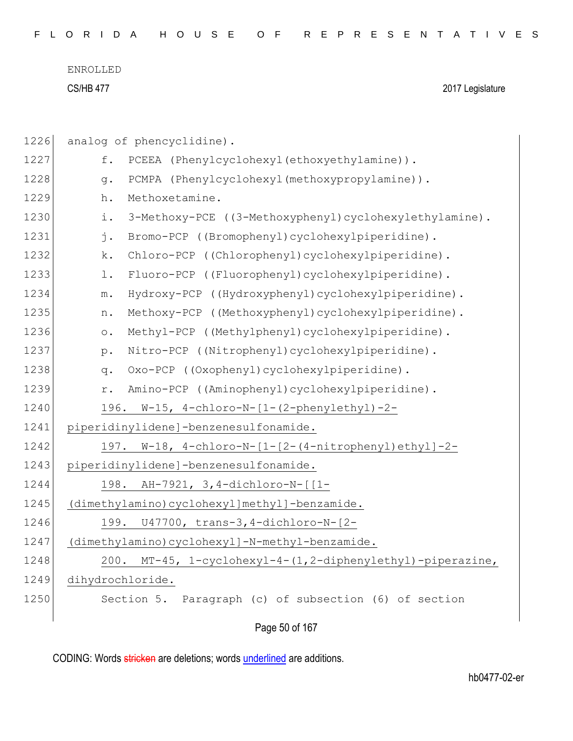|  |  |  |  |  |  |  |  | FLORIDA HOUSE OF REPRESENTATIVES |  |  |  |  |  |  |  |  |  |  |  |  |  |  |  |  |  |  |  |  |  |  |  |  |  |
|--|--|--|--|--|--|--|--|----------------------------------|--|--|--|--|--|--|--|--|--|--|--|--|--|--|--|--|--|--|--|--|--|--|--|--|--|
|--|--|--|--|--|--|--|--|----------------------------------|--|--|--|--|--|--|--|--|--|--|--|--|--|--|--|--|--|--|--|--|--|--|--|--|--|

CS/HB 477 2017 Legislature

| 1226 | analog of phencyclidine).                                               |
|------|-------------------------------------------------------------------------|
| 1227 | f.<br>PCEEA (Phenylcyclohexyl(ethoxyethylamine)).                       |
| 1228 | PCMPA (Phenylcyclohexyl(methoxypropylamine)).<br>q.                     |
| 1229 | Methoxetamine.<br>h.                                                    |
| 1230 | i.<br>3-Methoxy-PCE ((3-Methoxyphenyl)cyclohexylethylamine).            |
| 1231 | j.<br>Bromo-PCP ((Bromophenyl)cyclohexylpiperidine).                    |
| 1232 | k.<br>Chloro-PCP ((Chlorophenyl)cyclohexylpiperidine).                  |
| 1233 | Fluoro-PCP ((Fluorophenyl)cyclohexylpiperidine).<br>1.                  |
| 1234 | Hydroxy-PCP ((Hydroxyphenyl)cyclohexylpiperidine).<br>${\mathfrak m}$ . |
| 1235 | Methoxy-PCP ((Methoxyphenyl)cyclohexylpiperidine).<br>n.                |
| 1236 | Methyl-PCP ((Methylphenyl)cyclohexylpiperidine).<br>$\circ$ .           |
| 1237 | Nitro-PCP ((Nitrophenyl)cyclohexylpiperidine).<br>$p$ .                 |
| 1238 | Oxo-PCP ((Oxophenyl)cyclohexylpiperidine).<br>q.                        |
| 1239 | Amino-PCP ((Aminophenyl)cyclohexylpiperidine).<br>r.                    |
| 1240 | 196. W-15, 4-chloro-N-[1-(2-phenylethyl)-2-                             |
| 1241 | piperidinylidene]-benzenesulfonamide.                                   |
| 1242 | 197. W-18, 4-chloro-N-[1-[2-(4-nitrophenyl)ethyl]-2-                    |
| 1243 | piperidinylidene]-benzenesulfonamide.                                   |
| 1244 | AH-7921, 3,4-dichloro-N-[[1-<br>198.                                    |
| 1245 | (dimethylamino)cyclohexyl]methyl]-benzamide.                            |
| 1246 | 199. U47700, trans-3,4-dichloro-N-[2-                                   |
| 1247 | (dimethylamino)cyclohexyl]-N-methyl-benzamide.                          |
| 1248 | MT-45, 1-cyclohexyl-4-(1,2-diphenylethyl)-piperazine,<br>200.           |
| 1249 | dihydrochloride.                                                        |
| 1250 | Section 5. Paragraph (c) of subsection (6) of section                   |
|      | Page 50 of 167                                                          |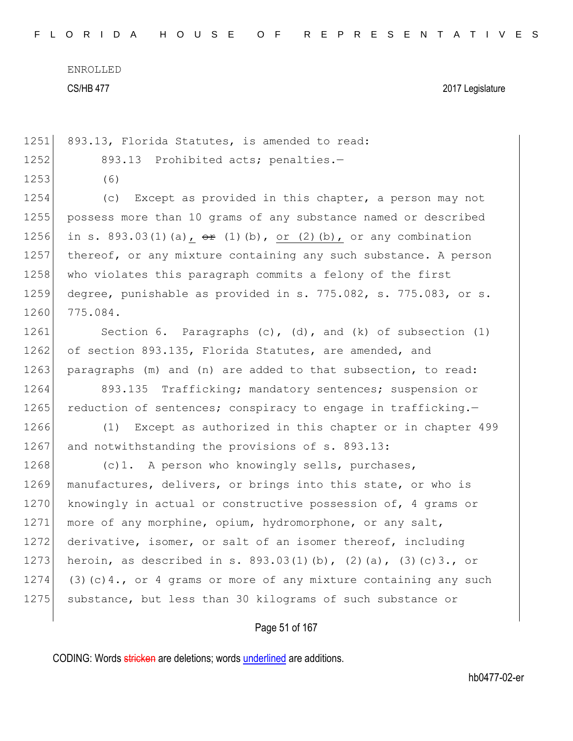1251 893.13, Florida Statutes, is amended to read: 1252 893.13 Prohibited acts; penalties.-1253 (6) 1254 (c) Except as provided in this chapter, a person may not 1255 possess more than 10 grams of any substance named or described 1256 in s. 893.03(1)(a),  $\theta$  (1)(b), or (2)(b), or any combination 1257 thereof, or any mixture containing any such substance. A person

1258 who violates this paragraph commits a felony of the first 1259 degree, punishable as provided in s. 775.082, s. 775.083, or s. 1260 775.084.

1261 Section 6. Paragraphs (c), (d), and (k) of subsection (1) 1262 of section 893.135, Florida Statutes, are amended, and 1263 paragraphs (m) and (n) are added to that subsection, to read:

1264 893.135 Trafficking; mandatory sentences; suspension or 1265 reduction of sentences; conspiracy to engage in trafficking.

1266 (1) Except as authorized in this chapter or in chapter 499 1267 and notwithstanding the provisions of s. 893.13:

1268 (c)1. A person who knowingly sells, purchases, 1269 manufactures, delivers, or brings into this state, or who is 1270 knowingly in actual or constructive possession of, 4 grams or 1271 more of any morphine, opium, hydromorphone, or any salt, 1272 derivative, isomer, or salt of an isomer thereof, including 1273 heroin, as described in s.  $893.03(1)(b)$ ,  $(2)(a)$ ,  $(3)(c)3$ ., or 1274 (3)(c)4., or 4 grams or more of any mixture containing any such 1275 substance, but less than 30 kilograms of such substance or

## Page 51 of 167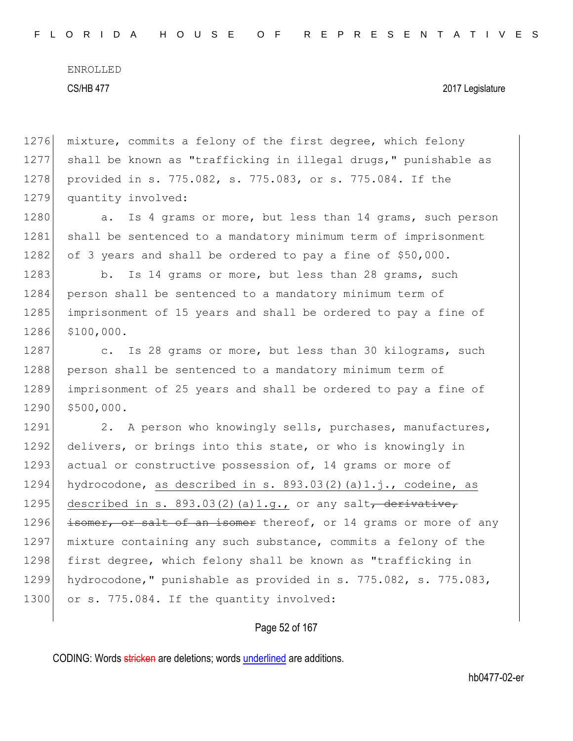#### CS/HB 477 2017 Legislature

1276 mixture, commits a felony of the first degree, which felony 1277 shall be known as "trafficking in illegal drugs," punishable as 1278 provided in s. 775.082, s. 775.083, or s. 775.084. If the 1279 quantity involved:

1280 a. Is 4 grams or more, but less than 14 grams, such person 1281 shall be sentenced to a mandatory minimum term of imprisonment 1282 of 3 years and shall be ordered to pay a fine of \$50,000.

1283 b. Is 14 grams or more, but less than 28 grams, such 1284 person shall be sentenced to a mandatory minimum term of 1285 imprisonment of 15 years and shall be ordered to pay a fine of 1286 \$100,000.

1287 c. Is 28 grams or more, but less than 30 kilograms, such 1288 person shall be sentenced to a mandatory minimum term of 1289 imprisonment of 25 years and shall be ordered to pay a fine of 1290 \$500,000.

1291 2. A person who knowingly sells, purchases, manufactures, 1292 delivers, or brings into this state, or who is knowingly in 1293 actual or constructive possession of, 14 grams or more of 1294 hydrocodone, as described in s. 893.03(2)(a)1.j., codeine, as 1295 described in s. 893.03(2)(a)1.g., or any salt, derivative, 1296  $\frac{1}{100}$  isomer, or salt of an isomer thereof, or 14 grams or more of any 1297 mixture containing any such substance, commits a felony of the 1298 first degree, which felony shall be known as "trafficking in 1299 hydrocodone," punishable as provided in s. 775.082, s. 775.083, 1300 or s. 775.084. If the quantity involved:

### Page 52 of 167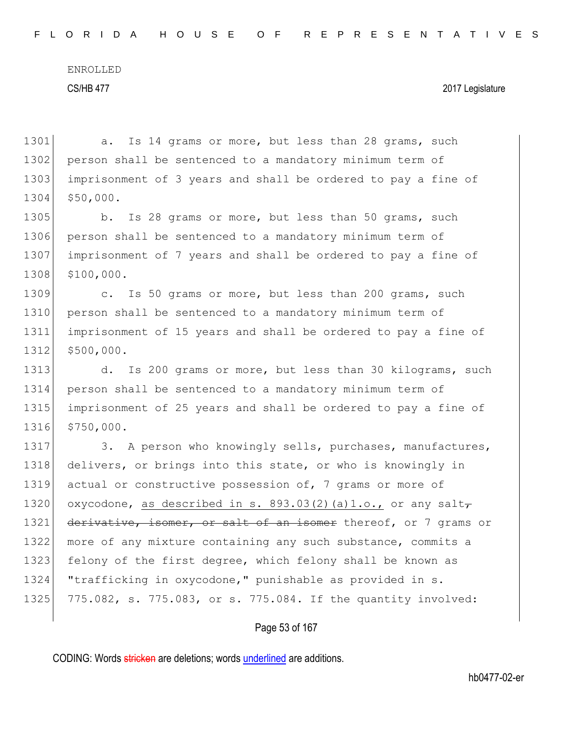F L O R I D A H O U S E O F R E P R E S E N T A T I V E S

ENROLLED

### CS/HB 477 2017 Legislature

1301 a. Is 14 grams or more, but less than 28 grams, such 1302 person shall be sentenced to a mandatory minimum term of 1303 imprisonment of 3 years and shall be ordered to pay a fine of 1304 \$50,000. 1305 b. Is 28 grams or more, but less than 50 grams, such 1306 person shall be sentenced to a mandatory minimum term of 1307 imprisonment of 7 years and shall be ordered to pay a fine of 1308 \$100,000. 1309 c. Is 50 grams or more, but less than 200 grams, such 1310 person shall be sentenced to a mandatory minimum term of 1311 imprisonment of 15 years and shall be ordered to pay a fine of 1312 \$500,000. 1313 d. Is 200 grams or more, but less than 30 kilograms, such 1314 person shall be sentenced to a mandatory minimum term of 1315 imprisonment of 25 years and shall be ordered to pay a fine of 1316 \$750,000. 1317 3. A person who knowingly sells, purchases, manufactures, 1318 delivers, or brings into this state, or who is knowingly in 1319 actual or constructive possession of, 7 grams or more of 1320 oxycodone, as described in s. 893.03(2)(a)1.o., or any salt $_{7}$ 1321 derivative, isomer, or salt of an isomer thereof, or 7 grams or 1322 more of any mixture containing any such substance, commits a 1323 felony of the first degree, which felony shall be known as 1324 "trafficking in oxycodone," punishable as provided in s. 1325 775.082, s. 775.083, or s. 775.084. If the quantity involved:

## Page 53 of 167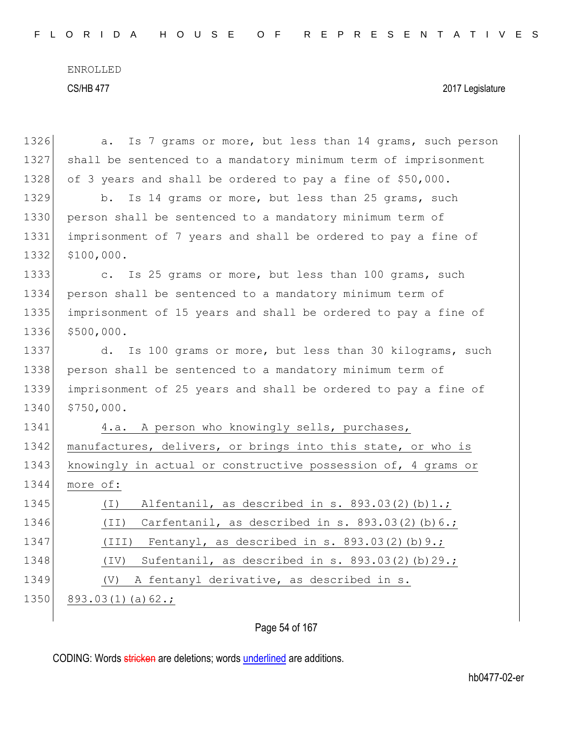| 1326 | Is 7 grams or more, but less than 14 grams, such person<br>a.        |
|------|----------------------------------------------------------------------|
| 1327 | shall be sentenced to a mandatory minimum term of imprisonment       |
| 1328 | of 3 years and shall be ordered to pay a fine of \$50,000.           |
| 1329 | Is 14 grams or more, but less than 25 grams, such<br>b.              |
| 1330 | person shall be sentenced to a mandatory minimum term of             |
| 1331 | imprisonment of 7 years and shall be ordered to pay a fine of        |
| 1332 | \$100,000.                                                           |
| 1333 | Is 25 grams or more, but less than 100 grams, such<br>$\mathbb{C}$ . |
| 1334 | person shall be sentenced to a mandatory minimum term of             |
| 1335 | imprisonment of 15 years and shall be ordered to pay a fine of       |
| 1336 | \$500,000.                                                           |
| 1337 | d.<br>Is 100 grams or more, but less than 30 kilograms, such         |
| 1338 | person shall be sentenced to a mandatory minimum term of             |
| 1339 | imprisonment of 25 years and shall be ordered to pay a fine of       |
| 1340 | \$750,000.                                                           |
| 1341 | 4.a. A person who knowingly sells, purchases,                        |
| 1342 | manufactures, delivers, or brings into this state, or who is         |
| 1343 | knowingly in actual or constructive possession of, 4 grams or        |
| 1344 | more of:                                                             |
| 1345 | Alfentanil, as described in s. 893.03(2)(b)1.;<br>( I )              |
| 1346 | Carfentanil, as described in s. $893.03(2)(b)6.$ ;<br>(TI)           |
| 1347 | (III) Fentanyl, as described in s. $893.03(2)(b)9.$ ;                |
| 1348 | Sufentanil, as described in s. 893.03(2)(b)29.;<br>$(\text{IV})$     |
| 1349 | A fentanyl derivative, as described in s.<br>(V)                     |
| 1350 | $893.03(1)(a)62.$ ;                                                  |
|      |                                                                      |

## Page 54 of 167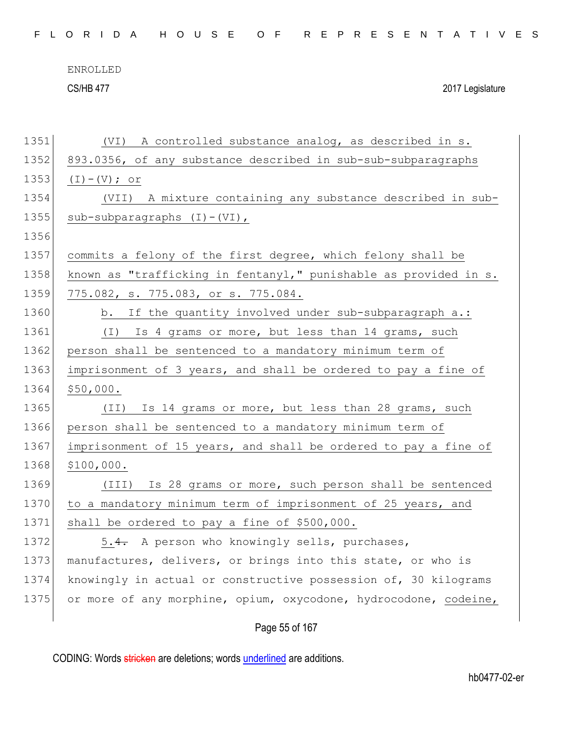|  |  |  |  |  |  | FLORIDA HOUSE OF REPRESENTATIVES |  |  |  |  |  |  |  |  |  |  |  |
|--|--|--|--|--|--|----------------------------------|--|--|--|--|--|--|--|--|--|--|--|
|  |  |  |  |  |  |                                  |  |  |  |  |  |  |  |  |  |  |  |

CS/HB 477 2017 Legislature

| 1351 | (VI) A controlled substance analog, as described in s.           |
|------|------------------------------------------------------------------|
| 1352 | 893.0356, of any substance described in sub-sub-subparagraphs    |
| 1353 | $(I) - (V)$ ; or                                                 |
| 1354 | (VII) A mixture containing any substance described in sub-       |
| 1355 | sub-subparagraphs $(I) - (VI)$ ,                                 |
| 1356 |                                                                  |
| 1357 | commits a felony of the first degree, which felony shall be      |
| 1358 | known as "trafficking in fentanyl," punishable as provided in s. |
| 1359 | 775.082, s. 775.083, or s. 775.084.                              |
| 1360 | If the quantity involved under sub-subparagraph a.:<br>b.        |
| 1361 | Is 4 grams or more, but less than 14 grams, such<br>$(\bot)$     |
| 1362 | person shall be sentenced to a mandatory minimum term of         |
| 1363 | imprisonment of 3 years, and shall be ordered to pay a fine of   |
| 1364 | \$50,000.                                                        |
| 1365 | Is 14 grams or more, but less than 28 grams, such<br>(TI)        |
| 1366 | person shall be sentenced to a mandatory minimum term of         |
| 1367 | imprisonment of 15 years, and shall be ordered to pay a fine of  |
| 1368 | \$100,000.                                                       |
| 1369 | (III) Is 28 grams or more, such person shall be sentenced        |
| 1370 | to a mandatory minimum term of imprisonment of 25 years, and     |
| 1371 | shall be ordered to pay a fine of \$500,000.                     |
| 1372 | 5.4. A person who knowingly sells, purchases,                    |
| 1373 | manufactures, delivers, or brings into this state, or who is     |
| 1374 | knowingly in actual or constructive possession of, 30 kilograms  |
| 1375 | or more of any morphine, opium, oxycodone, hydrocodone, codeine, |
|      |                                                                  |

Page 55 of 167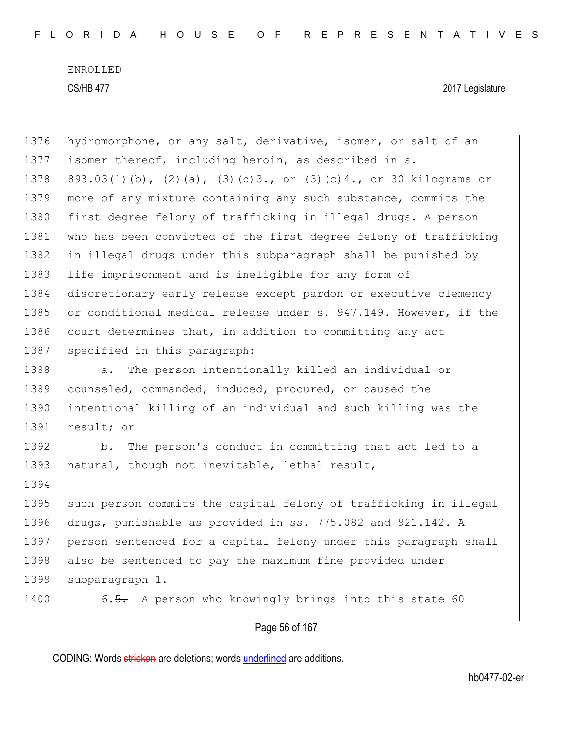Page 56 of 167 1376 hydromorphone, or any salt, derivative, isomer, or salt of an 1377 isomer thereof, including heroin, as described in s. 1378 893.03(1)(b), (2)(a), (3)(c)3., or (3)(c)4., or 30 kilograms or 1379 more of any mixture containing any such substance, commits the 1380 first degree felony of trafficking in illegal drugs. A person 1381 who has been convicted of the first degree felony of trafficking 1382 in illegal drugs under this subparagraph shall be punished by 1383 life imprisonment and is ineligible for any form of 1384 discretionary early release except pardon or executive clemency 1385 or conditional medical release under s. 947.149. However, if the 1386 court determines that, in addition to committing any act 1387 specified in this paragraph: 1388 a. The person intentionally killed an individual or 1389 counseled, commanded, induced, procured, or caused the 1390 intentional killing of an individual and such killing was the 1391 result; or 1392 b. The person's conduct in committing that act led to a 1393 natural, though not inevitable, lethal result, 1394 1395 such person commits the capital felony of trafficking in illegal 1396 drugs, punishable as provided in ss. 775.082 and 921.142. A 1397 person sentenced for a capital felony under this paragraph shall 1398 also be sentenced to pay the maximum fine provided under 1399 subparagraph 1. 1400 6.5. A person who knowingly brings into this state 60

CODING: Words stricken are deletions; words underlined are additions.

hb0477-02-er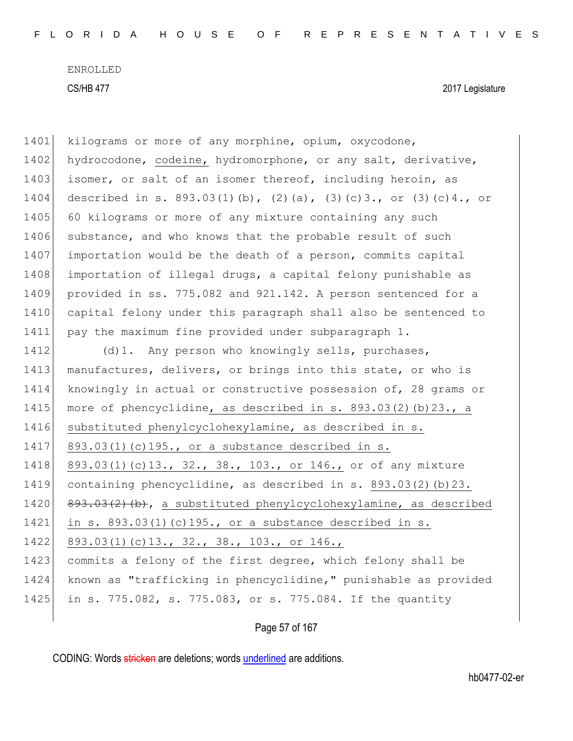CS/HB 477 2017 Legislature

1401 kilograms or more of any morphine, opium, oxycodone, 1402 hydrocodone, codeine, hydromorphone, or any salt, derivative, 1403 isomer, or salt of an isomer thereof, including heroin, as 1404 described in s. 893.03(1)(b), (2)(a), (3)(c)3., or (3)(c)4., or 1405 60 kilograms or more of any mixture containing any such 1406 substance, and who knows that the probable result of such 1407 importation would be the death of a person, commits capital 1408 importation of illegal drugs, a capital felony punishable as 1409 provided in ss. 775.082 and 921.142. A person sentenced for a 1410 capital felony under this paragraph shall also be sentenced to 1411 pay the maximum fine provided under subparagraph 1. 1412 (d)1. Any person who knowingly sells, purchases, 1413 manufactures, delivers, or brings into this state, or who is 1414 knowingly in actual or constructive possession of, 28 grams or 1415 more of phencyclidine, as described in s. 893.03(2)(b)23., a 1416 substituted phenylcyclohexylamine, as described in s. 1417 893.03(1)(c)195., or a substance described in s. 1418 893.03(1)(c)13., 32., 38., 103., or 146., or of any mixture 1419 containing phencyclidine, as described in s. 893.03(2)(b)23. 1420 893.03(2)(b), a substituted phenylcyclohexylamine, as described 1421 in s. 893.03(1)(c)195., or a substance described in s. 1422 893.03(1)(c)13., 32., 38., 103., or 146., 1423 commits a felony of the first degree, which felony shall be 1424 known as "trafficking in phencyclidine," punishable as provided 1425 in s. 775.082, s. 775.083, or s. 775.084. If the quantity

## Page 57 of 167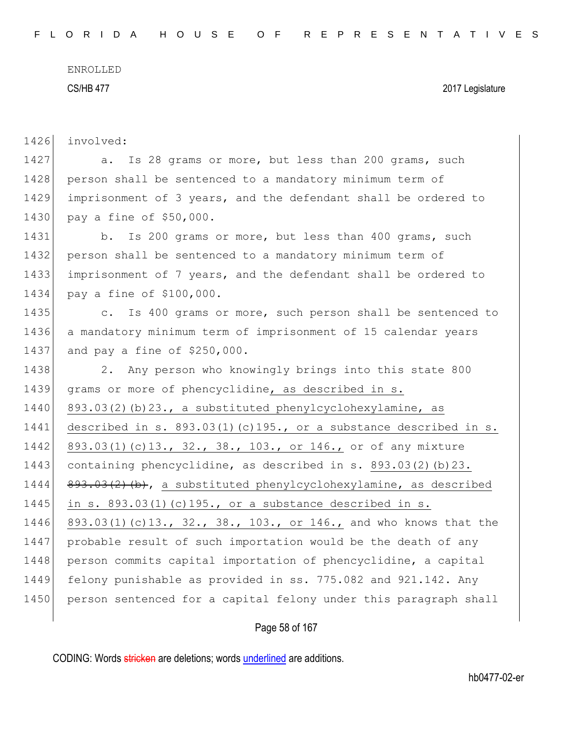| 1426 | involved:                                                                 |
|------|---------------------------------------------------------------------------|
| 1427 | Is 28 grams or more, but less than 200 grams, such<br>a.                  |
| 1428 | person shall be sentenced to a mandatory minimum term of                  |
| 1429 | imprisonment of 3 years, and the defendant shall be ordered to            |
| 1430 | pay a fine of \$50,000.                                                   |
| 1431 | Is 200 grams or more, but less than 400 grams, such<br>$b$ .              |
| 1432 | person shall be sentenced to a mandatory minimum term of                  |
| 1433 | imprisonment of 7 years, and the defendant shall be ordered to            |
| 1434 | pay a fine of \$100,000.                                                  |
| 1435 | Is 400 grams or more, such person shall be sentenced to<br>$\mathbb{C}$ . |
| 1436 | a mandatory minimum term of imprisonment of 15 calendar years             |
| 1437 | and pay a fine of \$250,000.                                              |
| 1438 | Any person who knowingly brings into this state 800<br>2.                 |
| 1439 | grams or more of phencyclidine, as described in s.                        |
| 1440 | 893.03(2)(b)23., a substituted phenylcyclohexylamine, as                  |
|      |                                                                           |
| 1441 | described in s. 893.03(1)(c)195., or a substance described in s.          |
| 1442 | 893.03(1)(c)13., 32., 38., 103., or 146., or of any mixture               |
| 1443 | containing phencyclidine, as described in s. 893.03(2)(b)23.              |
| 1444 | 893.03(2)(b), a substituted phenylcyclohexylamine, as described           |
| 1445 | in s. $893.03(1)$ (c) $195.$ , or a substance described in s.             |
| 1446 | 893.03(1)(c)13., 32., 38., 103., or 146., and who knows that the          |
| 1447 | probable result of such importation would be the death of any             |
| 1448 | person commits capital importation of phencyclidine, a capital            |
| 1449 | felony punishable as provided in ss. 775.082 and 921.142. Any             |
| 1450 | person sentenced for a capital felony under this paragraph shall          |

Page 58 of 167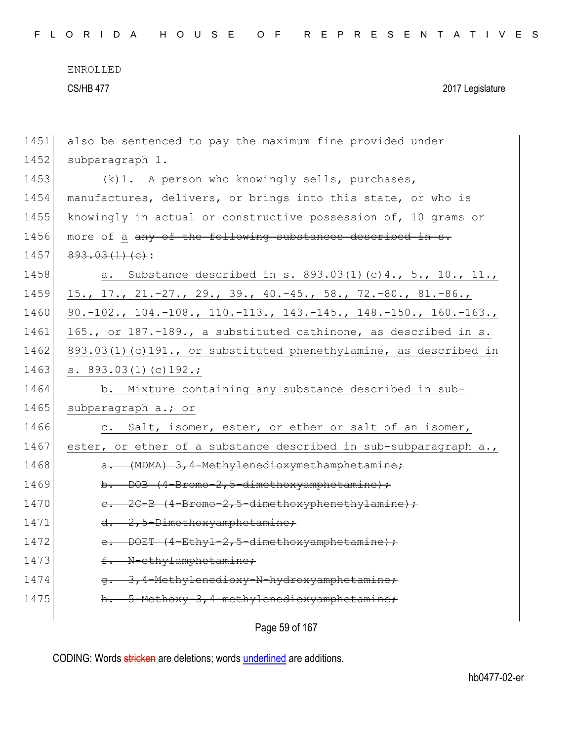| 1451 | also be sentenced to pay the maximum fine provided under         |
|------|------------------------------------------------------------------|
| 1452 | subparagraph 1.                                                  |
| 1453 | (k) 1. A person who knowingly sells, purchases,                  |
| 1454 | manufactures, delivers, or brings into this state, or who is     |
| 1455 | knowingly in actual or constructive possession of, 10 grams or   |
| 1456 | more of a any of the following substances described in s.        |
| 1457 | $893.03(1)(e)$ :                                                 |
| 1458 | a. Substance described in s. 893.03(1)(c)4., 5., 10., 11.,       |
| 1459 | $15., 17., 21.-27., 29., 39., 40.-45., 58., 72.-80., 81.-86.,$   |
| 1460 | 90.-102., 104.-108., 110.-113., 143.-145., 148.-150., 160.-163., |
| 1461 | 165., or 187.-189., a substituted cathinone, as described in s.  |
| 1462 | 893.03(1)(c)191., or substituted phenethylamine, as described in |
| 1463 | s. $893.03(1)(c)192.$ ;                                          |
|      |                                                                  |
| 1464 | b. Mixture containing any substance described in sub-            |
| 1465 | subparagraph a.; or                                              |
| 1466 | c. Salt, isomer, ester, or ether or salt of an isomer,           |
| 1467 | ester, or ether of a substance described in sub-subparagraph a., |
| 1468 | a. (MDMA) 3,4-Methylenedioxymethamphetamine;                     |
| 1469 | b. DOB $(4-Bromo-2, 5-dimethoxyamphetamine)$ ;                   |
| 1470 | e. 2C-B (4-Bromo-2,5-dimethoxyphenethylamine);                   |
| 1471 | d. 2,5-Dimethoxyamphetamine;                                     |
| 1472 | e. DOET $(4-Ethyl-2,5-dimethoxyamphetamine);$                    |
| 1473 | f. N-ethylamphetamine;                                           |
| 1474 | 3,4-Methylenedioxy-N-hydroxyamphetamine;                         |
| 1475 | 5-Methoxy-3,4-methylenedioxyamphetamine;                         |

Page 59 of 167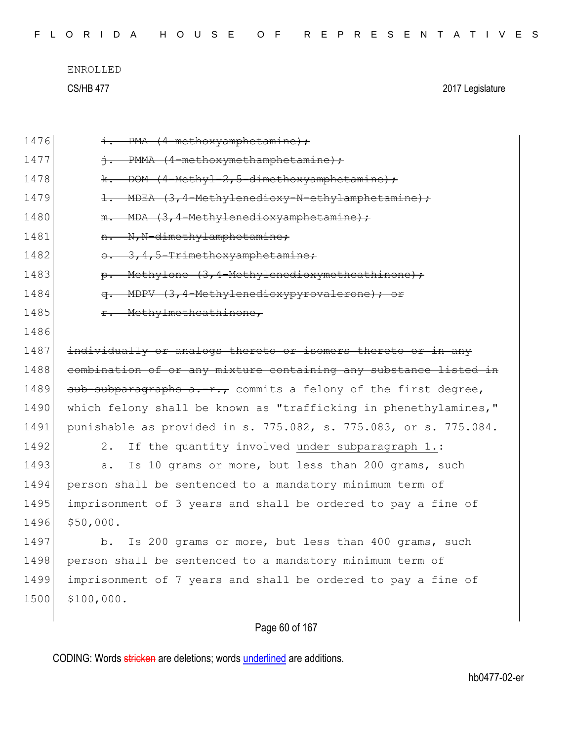| FLORIDA HOUSE OF REPRESENTATIVES |  |
|----------------------------------|--|
|----------------------------------|--|

| 1476 | i. PMA (4-methoxyamphetamine);                                   |
|------|------------------------------------------------------------------|
| 1477 | +: PMMA (4-methoxymethamphetamine);                              |
| 1478 | DOM (4-Methyl-2,5-dimethoxyamphetamine);<br><del>k.</del>        |
| 1479 | 1. MDEA (3,4-Methylenedioxy-N-ethylamphetamine);                 |
| 1480 | MDA (3,4-Methylenedioxyamphetamine);<br>$m -$                    |
| 1481 | N, N-dimethylamphetamine;<br>$H -$                               |
| 1482 | 3,4,5-Trimethoxyamphetamine;<br>$\theta$ .                       |
| 1483 | Methylone (3,4-Methylenedioxymethcathinone);<br>$\theta$ .       |
| 1484 | MDPV (3,4-Methylenedioxypyrovalerone); or<br>$\sigma$ .          |
| 1485 | r. Methylmethcathinone,                                          |
| 1486 |                                                                  |
| 1487 | individually or analogs thereto or isomers thereto or in any     |
| 1488 | combination of or any mixture containing any substance listed in |
| 1489 | $sub-subparagraphs$ a.-r., commits a felony of the first degree, |
| 1490 | which felony shall be known as "trafficking in phenethylamines," |
| 1491 | punishable as provided in s. 775.082, s. 775.083, or s. 775.084. |
| 1492 | If the quantity involved under subparagraph 1.:<br>2.            |
| 1493 | Is 10 grams or more, but less than 200 grams, such<br>a.         |
| 1494 | person shall be sentenced to a mandatory minimum term of         |
| 1495 | imprisonment of 3 years and shall be ordered to pay a fine of    |
| 1496 | \$50,000.                                                        |
| 1497 | Is 200 grams or more, but less than 400 grams, such<br>$b$ .     |
| 1498 | person shall be sentenced to a mandatory minimum term of         |
| 1499 | imprisonment of 7 years and shall be ordered to pay a fine of    |
| 1500 | \$100,000.                                                       |
|      |                                                                  |

# Page 60 of 167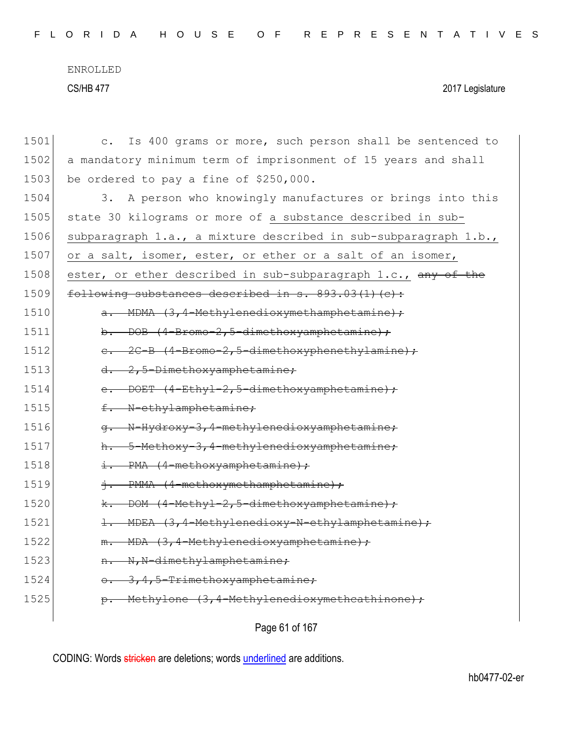| FLORIDA HOUSE OF REPRESENTATIVES |  |  |  |  |  |  |  |  |  |  |  |  |  |  |  |  |  |  |  |  |  |  |  |  |  |  |  |  |  |  |
|----------------------------------|--|--|--|--|--|--|--|--|--|--|--|--|--|--|--|--|--|--|--|--|--|--|--|--|--|--|--|--|--|--|
|----------------------------------|--|--|--|--|--|--|--|--|--|--|--|--|--|--|--|--|--|--|--|--|--|--|--|--|--|--|--|--|--|--|

| 1501 | Is 400 grams or more, such person shall be sentenced to<br>$\mathsf{C}$ . |
|------|---------------------------------------------------------------------------|
| 1502 | a mandatory minimum term of imprisonment of 15 years and shall            |
| 1503 | be ordered to pay a fine of \$250,000.                                    |
| 1504 | A person who knowingly manufactures or brings into this<br>3.             |
| 1505 | state 30 kilograms or more of a substance described in sub-               |
| 1506 | subparagraph 1.a., a mixture described in sub-subparagraph 1.b.,          |
| 1507 | or a salt, isomer, ester, or ether or a salt of an isomer,                |
| 1508 | ester, or ether described in sub-subparagraph 1.c., any of the            |
| 1509 | following substances described in s. 893.03(1)(c):                        |
| 1510 | a. MDMA (3,4-Methylenedioxymethamphetamine);                              |
| 1511 | b. DOB (4-Bromo-2,5-dimethoxyamphetamine);                                |
| 1512 | e. 2C-B (4-Bromo-2,5-dimethoxyphenethylamine);                            |
| 1513 | d. 2,5-Dimethoxyamphetamine;                                              |
| 1514 | e. DOET (4-Ethyl-2,5-dimethoxyamphetamine);                               |
| 1515 | f. N-ethylamphetamine;                                                    |
| 1516 | N-Hydroxy-3,4-methylenedioxyamphetamine;<br>$\sigma$ .                    |
| 1517 | h. 5-Methoxy-3,4-methylenedioxyamphetamine;                               |
| 1518 | i. PMA (4-methoxyamphetamine);                                            |
| 1519 | j. PMMA (4-methoxymethamphetamine);                                       |
| 1520 | k. DOM (4-Methyl-2,5-dimethoxyamphetamine);                               |
| 1521 | 1. MDEA (3,4-Methylenedioxy-N-ethylamphetamine);                          |
| 1522 | - MDA (3,4-Methylenedioxyamphetamine);<br>$m -$                           |
| 1523 | n. N, N-dimethylamphetamine;                                              |
| 1524 | 0. 3, 4, 5-Trimethoxyamphetamine;                                         |
| 1525 | p. Methylone (3,4-Methylenedioxymethcathinone);                           |
|      |                                                                           |

Page 61 of 167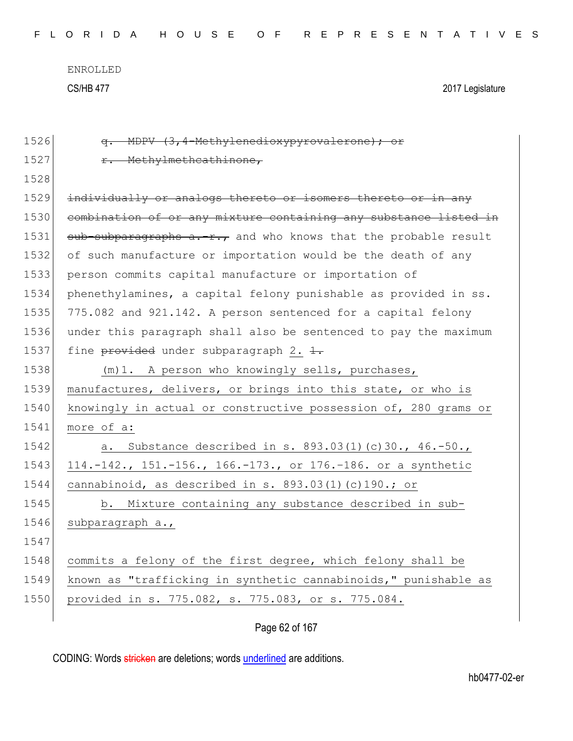| 1526 | q. MDPV (3,4-Methylenedioxypyrovalerone); or                     |
|------|------------------------------------------------------------------|
| 1527 | r. Methylmethcathinone,                                          |
| 1528 |                                                                  |
| 1529 | individually or analogs thereto or isomers thereto or in any     |
| 1530 | combination of or any mixture containing any substance listed in |
| 1531 | sub-subparagraphs a.-r., and who knows that the probable result  |
| 1532 | of such manufacture or importation would be the death of any     |
| 1533 | person commits capital manufacture or importation of             |
| 1534 | phenethylamines, a capital felony punishable as provided in ss.  |
| 1535 | 775.082 and 921.142. A person sentenced for a capital felony     |
| 1536 | under this paragraph shall also be sentenced to pay the maximum  |
| 1537 | fine provided under subparagraph 2. 1.                           |
| 1538 | (m) 1. A person who knowingly sells, purchases,                  |
| 1539 | manufactures, delivers, or brings into this state, or who is     |
| 1540 | knowingly in actual or constructive possession of, 280 grams or  |
| 1541 | more of a:                                                       |
| 1542 | Substance described in s. 893.03(1)(c)30., 46.-50.,<br>a.        |
| 1543 | 114.-142., 151.-156., 166.-173., or 176.-186. or a synthetic     |
| 1544 | cannabinoid, as described in s. 893.03(1)(c)190.; or             |
| 1545 | b. Mixture containing any substance described in sub-            |
| 1546 | subparagraph a.,                                                 |
| 1547 |                                                                  |
| 1548 | commits a felony of the first degree, which felony shall be      |
| 1549 | known as "trafficking in synthetic cannabinoids," punishable as  |
| 1550 | provided in s. 775.082, s. 775.083, or s. 775.084.               |
|      |                                                                  |

Page 62 of 167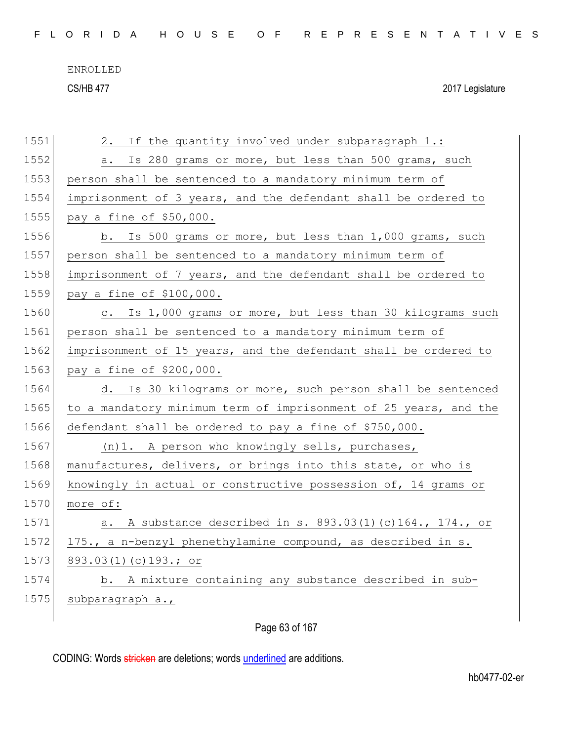F L O R I D A H O U S E O F R E P R E S E N T A T I V E S

ENROLLED

CS/HB 477 2017 Legislature

| 1551 | If the quantity involved under subparagraph 1.:<br>2.            |
|------|------------------------------------------------------------------|
| 1552 | Is 280 grams or more, but less than 500 grams, such<br>а.        |
| 1553 | person shall be sentenced to a mandatory minimum term of         |
| 1554 | imprisonment of 3 years, and the defendant shall be ordered to   |
| 1555 | pay a fine of \$50,000.                                          |
| 1556 | b. Is 500 grams or more, but less than 1,000 grams, such         |
| 1557 | person shall be sentenced to a mandatory minimum term of         |
| 1558 | imprisonment of 7 years, and the defendant shall be ordered to   |
| 1559 | pay a fine of \$100,000.                                         |
| 1560 | c. Is 1,000 grams or more, but less than 30 kilograms such       |
| 1561 | person shall be sentenced to a mandatory minimum term of         |
| 1562 | imprisonment of 15 years, and the defendant shall be ordered to  |
| 1563 | pay a fine of \$200,000.                                         |
| 1564 | d. Is 30 kilograms or more, such person shall be sentenced       |
| 1565 | to a mandatory minimum term of imprisonment of 25 years, and the |
| 1566 | defendant shall be ordered to pay a fine of \$750,000.           |
| 1567 | (n)1. A person who knowingly sells, purchases,                   |
| 1568 | manufactures, delivers, or brings into this state, or who is     |
| 1569 | knowingly in actual or constructive possession of, 14 grams or   |
| 1570 | more of:                                                         |
| 1571 | A substance described in s. 893.03(1)(c)164., 174., or<br>а.     |
| 1572 | 175., a n-benzyl phenethylamine compound, as described in s.     |
| 1573 | 893.03(1)(c)193.; or                                             |
| 1574 | b. A mixture containing any substance described in sub-          |
| 1575 | subparagraph a.,                                                 |
|      |                                                                  |

Page 63 of 167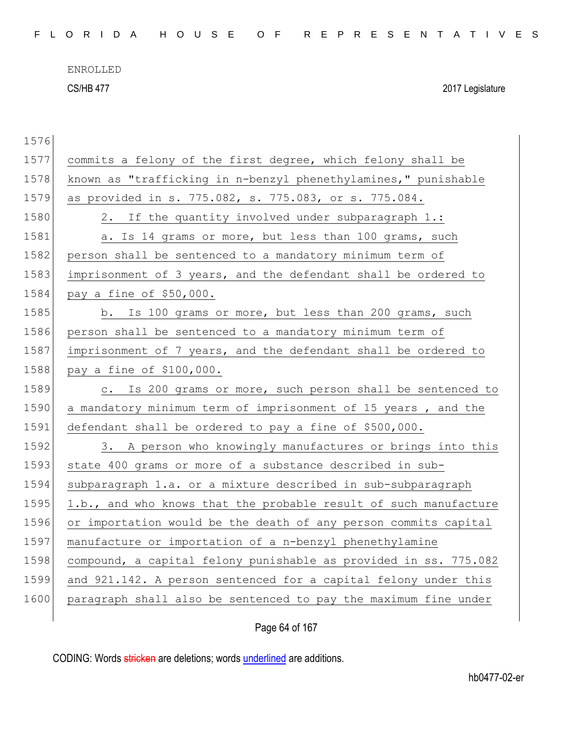| FLORIDA HOUSE OF REPRESENTATIVES |  |
|----------------------------------|--|
|----------------------------------|--|

CS/HB 477 2017 Legislature

| 1577 | commits a felony of the first degree, which felony shall be      |
|------|------------------------------------------------------------------|
| 1578 | known as "trafficking in n-benzyl phenethylamines," punishable   |
| 1579 | as provided in s. 775.082, s. 775.083, or s. 775.084.            |
| 1580 | 2. If the quantity involved under subparagraph 1.:               |
| 1581 | a. Is 14 grams or more, but less than 100 grams, such            |
| 1582 | person shall be sentenced to a mandatory minimum term of         |
| 1583 | imprisonment of 3 years, and the defendant shall be ordered to   |
| 1584 | pay a fine of \$50,000.                                          |
| 1585 | b. Is 100 grams or more, but less than 200 grams, such           |
| 1586 | person shall be sentenced to a mandatory minimum term of         |
| 1587 | imprisonment of 7 years, and the defendant shall be ordered to   |
| 1588 | pay a fine of \$100,000.                                         |
| 1589 | c. Is 200 grams or more, such person shall be sentenced to       |
| 1590 | a mandatory minimum term of imprisonment of 15 years, and the    |
| 1591 | defendant shall be ordered to pay a fine of \$500,000.           |
| 1592 | 3. A person who knowingly manufactures or brings into this       |
| 1593 | state 400 grams or more of a substance described in sub-         |
| 1594 | subparagraph 1.a. or a mixture described in sub-subparagraph     |
| 1595 | 1.b., and who knows that the probable result of such manufacture |
| 1596 | or importation would be the death of any person commits capital  |
| 1597 | manufacture or importation of a n-benzyl phenethylamine          |
| 1598 | compound, a capital felony punishable as provided in ss. 775.082 |
| 1599 | and 921.142. A person sentenced for a capital felony under this  |
| 1600 | paragraph shall also be sentenced to pay the maximum fine under  |
|      |                                                                  |

Page 64 of 167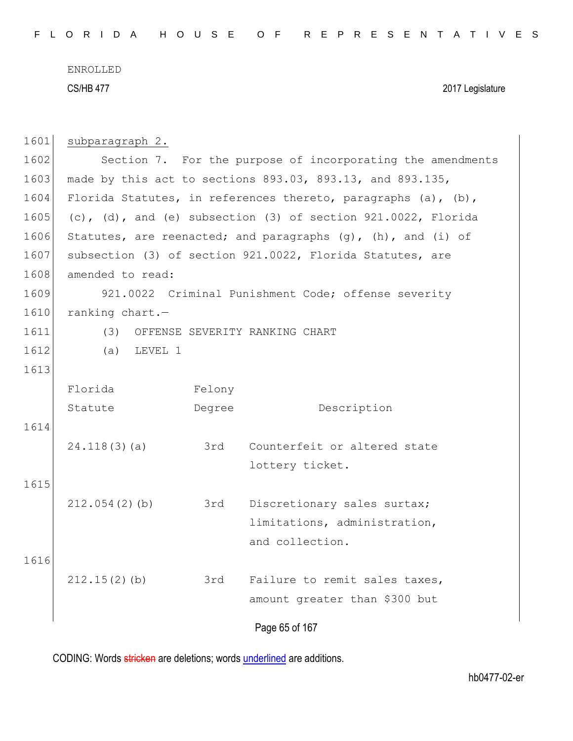| 1601 | subparagraph 2.                                            |        |                                                                      |  |  |  |  |  |  |  |  |  |
|------|------------------------------------------------------------|--------|----------------------------------------------------------------------|--|--|--|--|--|--|--|--|--|
| 1602 | Section 7. For the purpose of incorporating the amendments |        |                                                                      |  |  |  |  |  |  |  |  |  |
| 1603 | made by this act to sections 893.03, 893.13, and 893.135,  |        |                                                                      |  |  |  |  |  |  |  |  |  |
| 1604 |                                                            |        | Florida Statutes, in references thereto, paragraphs $(a)$ , $(b)$ ,  |  |  |  |  |  |  |  |  |  |
| 1605 |                                                            |        | (c), (d), and (e) subsection (3) of section $921.0022$ , Florida     |  |  |  |  |  |  |  |  |  |
| 1606 |                                                            |        | Statutes, are reenacted; and paragraphs $(g)$ , $(h)$ , and $(i)$ of |  |  |  |  |  |  |  |  |  |
| 1607 |                                                            |        | subsection (3) of section 921.0022, Florida Statutes, are            |  |  |  |  |  |  |  |  |  |
| 1608 | amended to read:                                           |        |                                                                      |  |  |  |  |  |  |  |  |  |
| 1609 | 921.0022 Criminal Punishment Code; offense severity        |        |                                                                      |  |  |  |  |  |  |  |  |  |
| 1610 | ranking chart.-                                            |        |                                                                      |  |  |  |  |  |  |  |  |  |
| 1611 |                                                            |        | (3) OFFENSE SEVERITY RANKING CHART                                   |  |  |  |  |  |  |  |  |  |
| 1612 | $(a)$ LEVEL 1                                              |        |                                                                      |  |  |  |  |  |  |  |  |  |
| 1613 |                                                            |        |                                                                      |  |  |  |  |  |  |  |  |  |
|      | Florida                                                    | Felony |                                                                      |  |  |  |  |  |  |  |  |  |
|      | Statute                                                    | Degree | Description                                                          |  |  |  |  |  |  |  |  |  |
| 1614 |                                                            |        |                                                                      |  |  |  |  |  |  |  |  |  |
|      | 24.118(3)(a)                                               | 3rd    | Counterfeit or altered state                                         |  |  |  |  |  |  |  |  |  |
|      |                                                            |        | lottery ticket.                                                      |  |  |  |  |  |  |  |  |  |
| 1615 |                                                            |        |                                                                      |  |  |  |  |  |  |  |  |  |
|      | 212.054(2)(b)                                              | 3rd    | Discretionary sales surtax;                                          |  |  |  |  |  |  |  |  |  |
|      |                                                            |        | limitations, administration,                                         |  |  |  |  |  |  |  |  |  |
|      |                                                            |        | and collection.                                                      |  |  |  |  |  |  |  |  |  |
| 1616 |                                                            |        |                                                                      |  |  |  |  |  |  |  |  |  |
|      | 212.15(2)(b)                                               | 3rd    | Failure to remit sales taxes,                                        |  |  |  |  |  |  |  |  |  |
|      |                                                            |        | amount greater than \$300 but                                        |  |  |  |  |  |  |  |  |  |
|      |                                                            |        |                                                                      |  |  |  |  |  |  |  |  |  |
|      |                                                            |        | Page 65 of 167                                                       |  |  |  |  |  |  |  |  |  |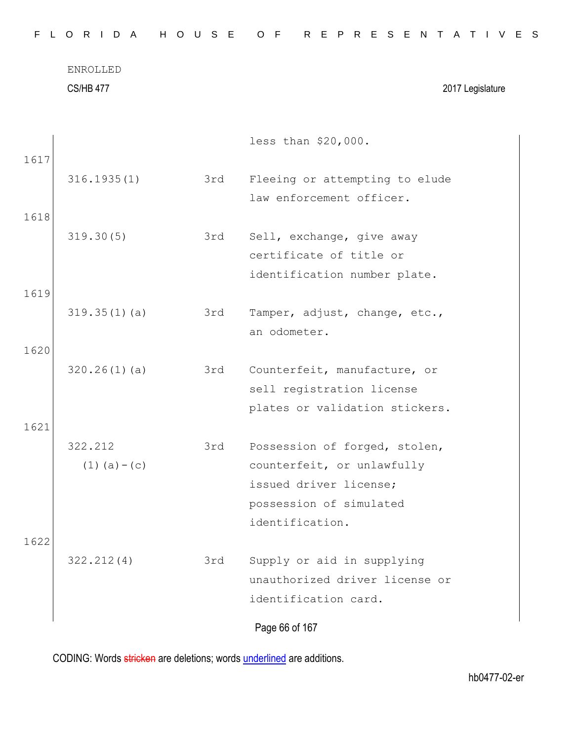| FLORIDA HOUSE OF REPRESENTATIVES |  |
|----------------------------------|--|
|----------------------------------|--|

|      |                   |     | less than \$20,000.            |
|------|-------------------|-----|--------------------------------|
| 1617 |                   |     |                                |
|      | 316.1935(1)       | 3rd | Fleeing or attempting to elude |
|      |                   |     | law enforcement officer.       |
| 1618 |                   |     |                                |
|      | 319.30(5)         | 3rd | Sell, exchange, give away      |
|      |                   |     | certificate of title or        |
|      |                   |     | identification number plate.   |
| 1619 |                   |     |                                |
|      | 319.35(1)(a)      | 3rd | Tamper, adjust, change, etc.,  |
|      |                   |     | an odometer.                   |
| 1620 |                   |     |                                |
|      | 320.26(1)(a)      | 3rd | Counterfeit, manufacture, or   |
|      |                   |     | sell registration license      |
|      |                   |     | plates or validation stickers. |
| 1621 |                   |     |                                |
|      | 322.212           | 3rd | Possession of forged, stolen,  |
|      | $(1)$ $(a) - (c)$ |     | counterfeit, or unlawfully     |
|      |                   |     | issued driver license;         |
|      |                   |     | possession of simulated        |
|      |                   |     | identification.                |
| 1622 |                   |     |                                |
|      | 322.212(4)        | 3rd | Supply or aid in supplying     |
|      |                   |     | unauthorized driver license or |
|      |                   |     | identification card.           |
|      |                   |     | Page 66 of 167                 |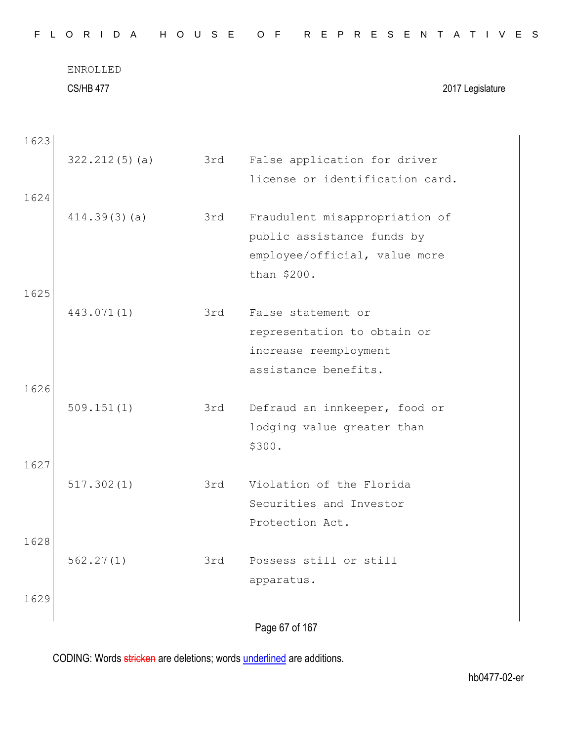| F.   | L O R I D A                         | H O U S E | O F<br>R E P R E S E N T A T I V E S |
|------|-------------------------------------|-----------|--------------------------------------|
|      | <b>ENROLLED</b><br><b>CS/HB 477</b> |           | 2017 Legislature                     |
| 1623 |                                     |           |                                      |
|      | 322.212(5)(a)                       | 3rd       | False application for driver         |
|      |                                     |           | license or identification card.      |
| 1624 |                                     |           |                                      |
|      | 414.39(3)(a)                        | 3rd       | Fraudulent misappropriation of       |
|      |                                     |           | public assistance funds by           |
|      |                                     |           | employee/official, value more        |
|      |                                     |           | than \$200.                          |
| 1625 |                                     |           |                                      |
|      | 443.071(1)                          | 3rd       | False statement or                   |
|      |                                     |           | representation to obtain or          |
|      |                                     |           | increase reemployment                |
|      |                                     |           | assistance benefits.                 |

| 509.151(1) | 3rd | Defraud an innkeeper, food or |
|------------|-----|-------------------------------|
|            |     | lodging value greater than    |
|            |     | \$300.                        |

|     | 517.302(1) | 3rd Violation of the Florida |
|-----|------------|------------------------------|
|     |            | Securities and Investor      |
|     |            | Protection Act.              |
| 162 |            |                              |

| 562.27(1) | 3rd | Possess still or still |  |  |
|-----------|-----|------------------------|--|--|
|           |     | apparatus.             |  |  |

1629

1626

1627

Page 67 of 167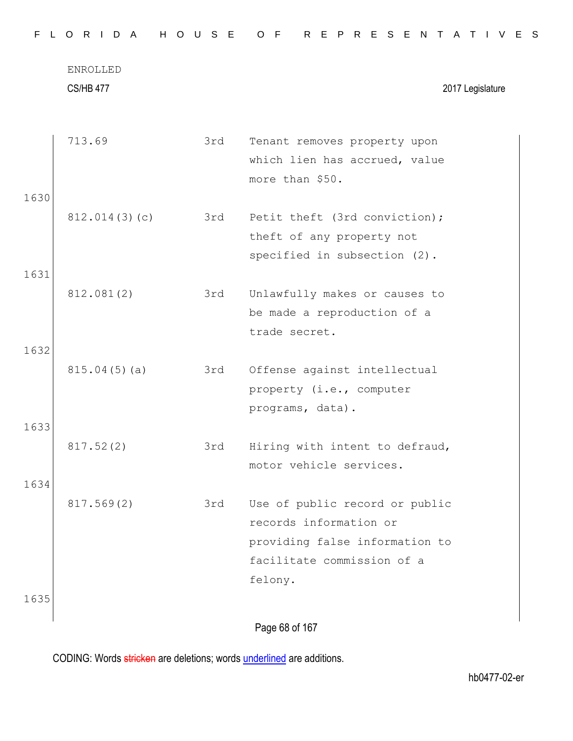|      | <b>CS/HB 477</b> |     | 2017 Legislature                                                                                                                    |
|------|------------------|-----|-------------------------------------------------------------------------------------------------------------------------------------|
| 1630 | 713.69           | 3rd | Tenant removes property upon<br>which lien has accrued, value<br>more than \$50.                                                    |
| 1631 | 812.014(3)(c)    | 3rd | Petit theft (3rd conviction);<br>theft of any property not<br>specified in subsection (2).                                          |
| 1632 | 812.081(2)       | 3rd | Unlawfully makes or causes to<br>be made a reproduction of a<br>trade secret.                                                       |
| 1633 | 815.04(5)(a)     | 3rd | Offense against intellectual<br>property (i.e., computer<br>programs, data).                                                        |
| 1634 | 817.52(2)        | 3rd | Hiring with intent to defraud,<br>motor vehicle services.                                                                           |
|      | 817.569(2)       | 3rd | Use of public record or public<br>records information or<br>providing false information to<br>facilitate commission of a<br>felony. |
| 1635 |                  |     |                                                                                                                                     |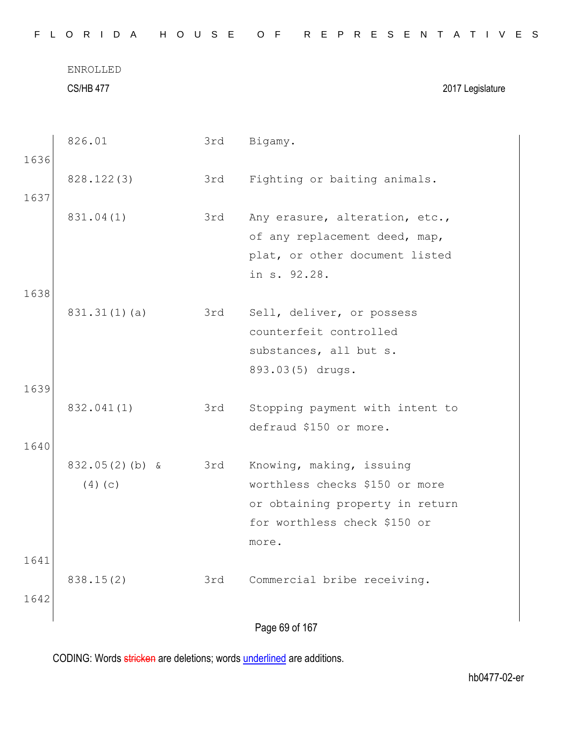|--|

CS/HB 477 2017 Legislature

|      | 826.01            | 3rd | Bigamy.                         |
|------|-------------------|-----|---------------------------------|
| 1636 |                   |     |                                 |
|      | 828.122(3)        | 3rd | Fighting or baiting animals.    |
| 1637 |                   |     |                                 |
|      | 831.04(1)         | 3rd | Any erasure, alteration, etc.,  |
|      |                   |     | of any replacement deed, map,   |
|      |                   |     | plat, or other document listed  |
|      |                   |     | in s. 92.28.                    |
| 1638 |                   |     |                                 |
|      | 831.31(1)(a)      | 3rd | Sell, deliver, or possess       |
|      |                   |     | counterfeit controlled          |
|      |                   |     | substances, all but s.          |
|      |                   |     | 893.03(5) drugs.                |
| 1639 |                   |     |                                 |
|      | 832.041(1)        | 3rd | Stopping payment with intent to |
|      |                   |     | defraud \$150 or more.          |
| 1640 |                   |     |                                 |
|      | $832.05(2)$ (b) & | 3rd | Knowing, making, issuing        |
|      | (4)(c)            |     | worthless checks \$150 or more  |
|      |                   |     | or obtaining property in return |
|      |                   |     | for worthless check \$150 or    |
|      |                   |     | more.                           |
| 1641 |                   |     |                                 |
|      | 838.15(2)         | 3rd | Commercial bribe receiving.     |
| 1642 |                   |     |                                 |
|      |                   |     | Page 69 of 167                  |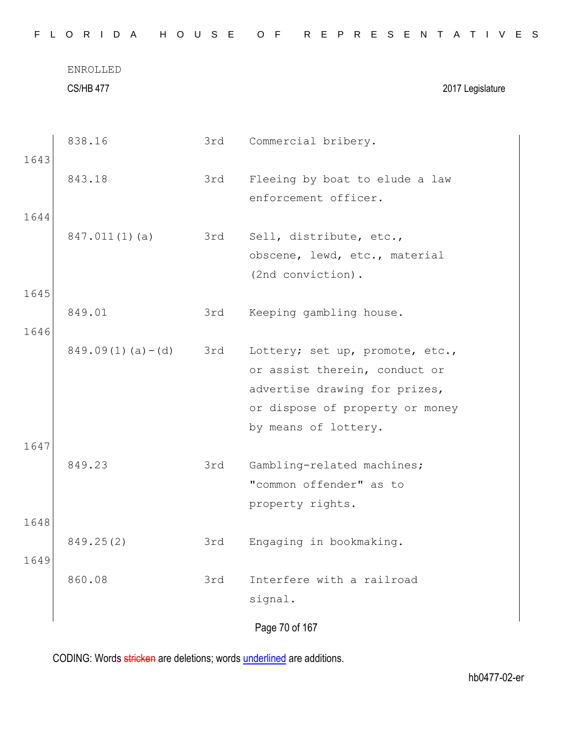|              | <b>CS/HB 477</b>       |     | 2017 Legislature                                                                                                                                             |
|--------------|------------------------|-----|--------------------------------------------------------------------------------------------------------------------------------------------------------------|
| 1643         | 838.16                 | 3rd | Commercial bribery.                                                                                                                                          |
|              | 843.18                 | 3rd | Fleeing by boat to elude a law<br>enforcement officer.                                                                                                       |
| 1644         | 847.011(1)(a)          | 3rd | Sell, distribute, etc.,<br>obscene, lewd, etc., material<br>(2nd conviction).                                                                                |
| 1645         | 849.01                 | 3rd | Keeping gambling house.                                                                                                                                      |
| 1646         | $849.09(1)$ (a) $-(d)$ | 3rd | Lottery; set up, promote, etc.,<br>or assist therein, conduct or<br>advertise drawing for prizes,<br>or dispose of property or money<br>by means of lottery. |
| 1647         | 849.23                 | 3rd | Gambling-related machines;<br>"common offender" as to<br>property rights.                                                                                    |
| 1648<br>1649 | 849.25(2)              | 3rd | Engaging in bookmaking.                                                                                                                                      |
|              | 860.08                 | 3rd | Interfere with a railroad<br>signal.                                                                                                                         |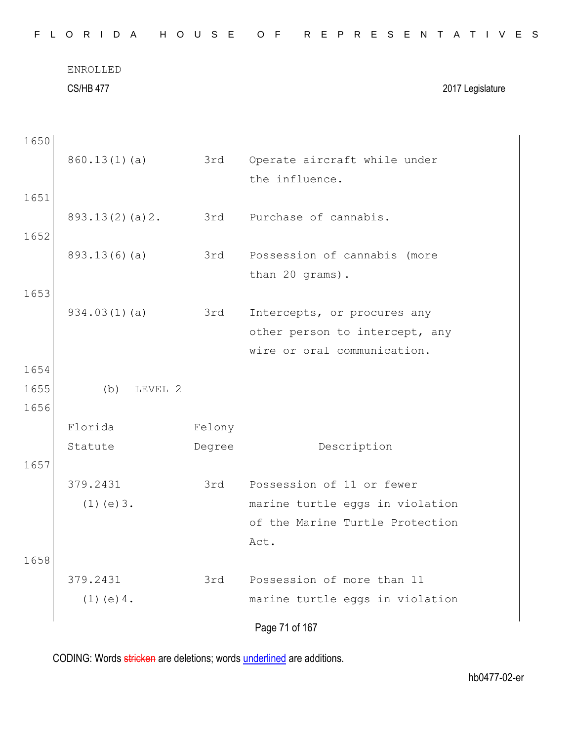|      | ENROLLED<br><b>CS/HB 477</b> |        | 2017 Legislature                                              |
|------|------------------------------|--------|---------------------------------------------------------------|
|      |                              |        |                                                               |
| 1650 |                              |        |                                                               |
|      | 860.13(1)(a)                 | 3rd    | Operate aircraft while under<br>the influence.                |
| 1651 |                              |        |                                                               |
|      | 893.13(2)(a)2.               | 3rd    | Purchase of cannabis.                                         |
| 1652 |                              |        |                                                               |
|      | 893.13(6)(a)                 | 3rd    | Possession of cannabis (more                                  |
|      |                              |        | than 20 grams).                                               |
| 1653 |                              |        |                                                               |
|      | 934.03(1)(a)                 | 3rd    | Intercepts, or procures any<br>other person to intercept, any |
|      |                              |        | wire or oral communication.                                   |
| 1654 |                              |        |                                                               |
| 1655 | (b)<br>LEVEL 2               |        |                                                               |
| 1656 |                              |        |                                                               |
|      | Florida                      | Felony |                                                               |
|      | Statute                      | Degree | Description                                                   |
| 1657 |                              |        |                                                               |
|      | 379.2431                     | 3rd    | Possession of 11 or fewer                                     |
|      | $(1)$ (e) $3$ .              |        | marine turtle eggs in violation                               |
|      |                              |        | of the Marine Turtle Protection                               |
|      |                              |        | Act.                                                          |
| 1658 |                              |        |                                                               |
|      | 379.2431                     | 3rd    | Possession of more than 11                                    |
|      | $(1)$ (e) 4.                 |        | marine turtle eggs in violation                               |
|      |                              |        | Page 71 of 167                                                |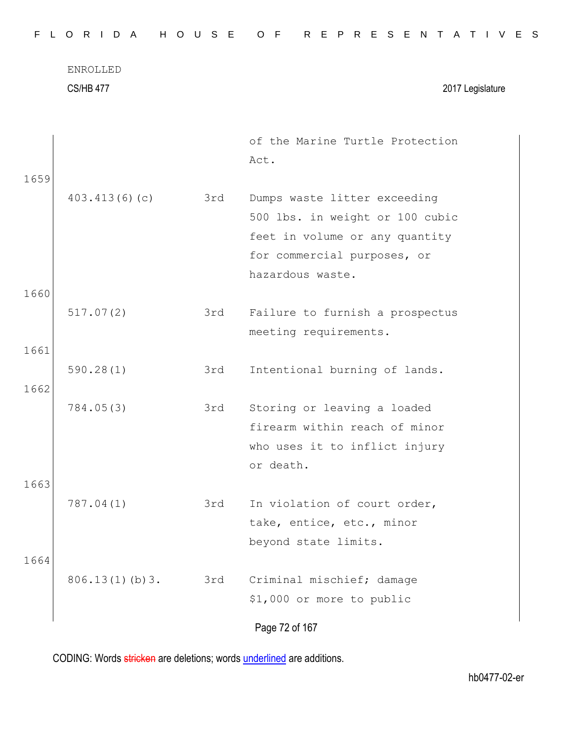| F.   | ORIDA                               | H O U S E | R E P R E S E N T<br>O F<br>$\mathsf{A}$<br>T I V E S                                                      |
|------|-------------------------------------|-----------|------------------------------------------------------------------------------------------------------------|
|      | <b>ENROLLED</b><br><b>CS/HB 477</b> |           | 2017 Legislature                                                                                           |
| 1659 |                                     |           | of the Marine Turtle Protection<br>Act.                                                                    |
|      | 403.413(6)(c)                       | 3rd       | Dumps waste litter exceeding<br>500 lbs. in weight or 100 cubic<br>feet in volume or any quantity          |
| 1660 |                                     |           | for commercial purposes, or<br>hazardous waste.                                                            |
| 1661 | 517.07(2)                           | 3rd       | Failure to furnish a prospectus<br>meeting requirements.                                                   |
| 1662 | 590.28(1)                           | 3rd       | Intentional burning of lands.                                                                              |
|      | 784.05(3)                           | 3rd       | Storing or leaving a loaded<br>firearm within reach of minor<br>who uses it to inflict injury<br>or death. |
| 1663 | 787.04(1)                           | 3rd       | In violation of court order,                                                                               |
|      |                                     |           | take, entice, etc., minor<br>beyond state limits.                                                          |
| 1664 | 806.13(1)(b)3.                      | 3rd       | Criminal mischief; damage<br>\$1,000 or more to public                                                     |
|      |                                     |           | Page 72 of 167                                                                                             |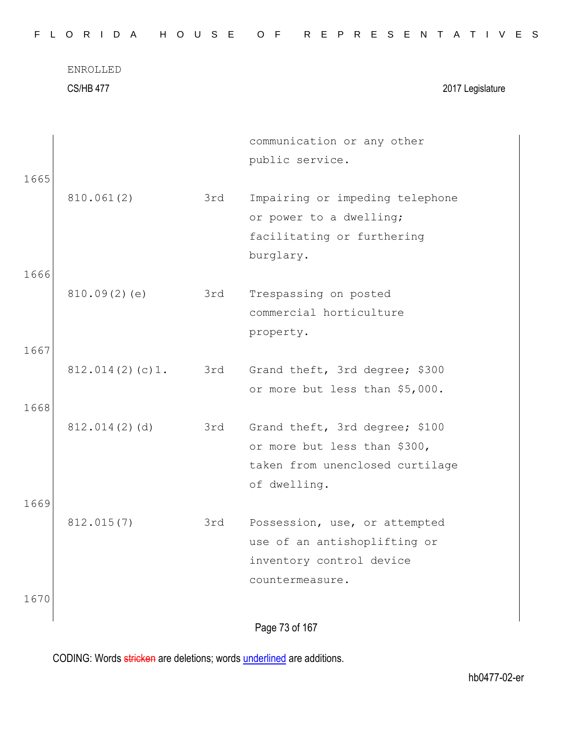|      | <b>ENROLLED</b>  |     |                                 |  |
|------|------------------|-----|---------------------------------|--|
|      | <b>CS/HB 477</b> |     | 2017 Legislature                |  |
|      |                  |     |                                 |  |
|      |                  |     | communication or any other      |  |
|      |                  |     | public service.                 |  |
| 1665 |                  |     |                                 |  |
|      | 810.061(2)       | 3rd | Impairing or impeding telephone |  |
|      |                  |     | or power to a dwelling;         |  |
|      |                  |     | facilitating or furthering      |  |
|      |                  |     | burglary.                       |  |
| 1666 |                  |     |                                 |  |
|      | 810.09(2)(e)     | 3rd | Trespassing on posted           |  |
|      |                  |     | commercial horticulture         |  |
|      |                  |     | property.                       |  |
| 1667 |                  |     |                                 |  |
|      | 812.014(2)(c)1.  | 3rd | Grand theft, 3rd degree; \$300  |  |
|      |                  |     | or more but less than \$5,000.  |  |
| 1668 |                  |     |                                 |  |
|      | 812.014(2)(d)    | 3rd | Grand theft, 3rd degree; \$100  |  |
|      |                  |     | or more but less than \$300,    |  |
|      |                  |     | taken from unenclosed curtilage |  |
|      |                  |     | of dwelling.                    |  |
| 1669 |                  |     |                                 |  |
|      | 812.015(7)       | 3rd | Possession, use, or attempted   |  |
|      |                  |     | use of an antishoplifting or    |  |
|      |                  |     | inventory control device        |  |
|      |                  |     | countermeasure.                 |  |
| 1670 |                  |     |                                 |  |

F L O R I D A H O U S E O F R E P R E S E N T A T I V E S

Page 73 of 167

CODING: Words stricken are deletions; words underlined are additions.

 $\overline{\phantom{a}}$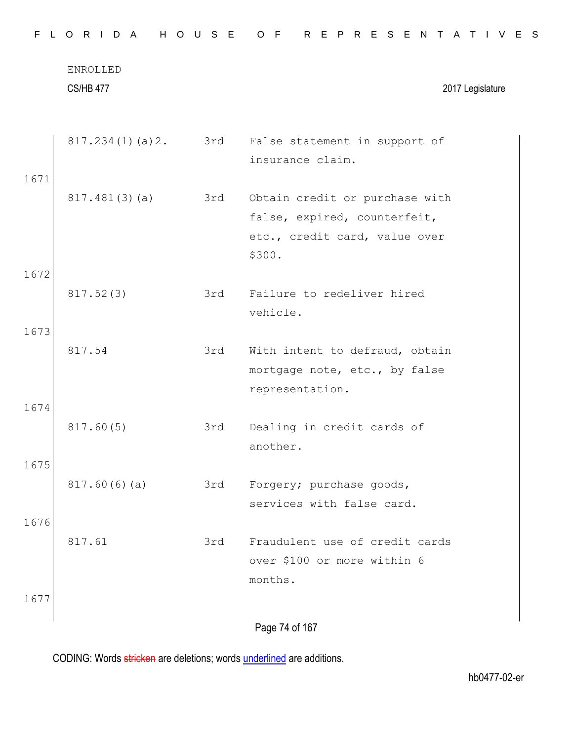|      | ENROLLED<br><b>CS/HB 477</b> |     | 2017 Legislature                                                                                          |
|------|------------------------------|-----|-----------------------------------------------------------------------------------------------------------|
|      |                              |     |                                                                                                           |
|      |                              |     | 817.234(1)(a)2. 3rd False statement in support of<br>insurance claim.                                     |
| 1671 |                              |     |                                                                                                           |
|      | 817.481(3)(a)                | 3rd | Obtain credit or purchase with<br>false, expired, counterfeit,<br>etc., credit card, value over<br>\$300. |
| 1672 |                              |     |                                                                                                           |
|      | 817.52(3)                    | 3rd | Failure to redeliver hired<br>vehicle.                                                                    |
| 1673 |                              |     |                                                                                                           |
|      | 817.54                       | 3rd | With intent to defraud, obtain<br>mortgage note, etc., by false<br>representation.                        |
| 1674 |                              |     |                                                                                                           |
|      | 817.60(5)                    | 3rd | Dealing in credit cards of<br>another.                                                                    |
| 1675 |                              |     |                                                                                                           |
|      | 817.60(6)(a)                 | 3rd | Forgery; purchase goods,<br>services with false card.                                                     |
| 1676 |                              |     |                                                                                                           |
|      | 817.61                       | 3rd | Fraudulent use of credit cards<br>over \$100 or more within 6<br>months.                                  |
| 1677 |                              |     |                                                                                                           |
|      |                              |     | Page 74 of 167                                                                                            |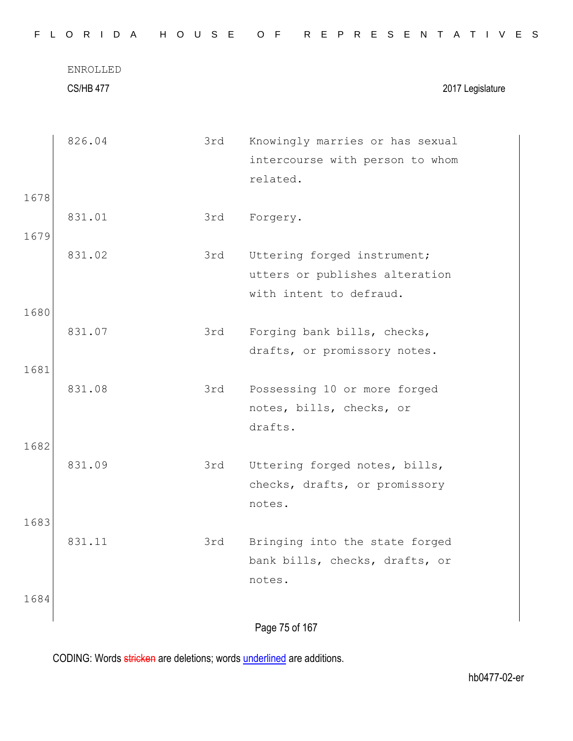|      | ENROLLED<br><b>CS/HB 477</b> |     | 2017 Legislature                                                           |
|------|------------------------------|-----|----------------------------------------------------------------------------|
|      | 826.04                       | 3rd | Knowingly marries or has sexual                                            |
|      |                              |     | intercourse with person to whom<br>related.                                |
| 1678 |                              |     |                                                                            |
| 1679 | 831.01                       | 3rd | Forgery.                                                                   |
|      | 831.02                       | 3rd | Uttering forged instrument;<br>utters or publishes alteration              |
|      |                              |     | with intent to defraud.                                                    |
| 1680 | 831.07                       | 3rd | Forging bank bills, checks,<br>drafts, or promissory notes.                |
| 1681 |                              |     |                                                                            |
|      | 831.08                       | 3rd | Possessing 10 or more forged<br>notes, bills, checks, or<br>drafts.        |
| 1682 |                              |     |                                                                            |
|      | 831.09                       | 3rd | Uttering forged notes, bills,<br>checks, drafts, or promissory<br>notes.   |
| 1683 |                              |     |                                                                            |
|      | 831.11                       | 3rd | Bringing into the state forged<br>bank bills, checks, drafts, or<br>notes. |
| 1684 |                              |     |                                                                            |
|      |                              |     | Page 75 of 167                                                             |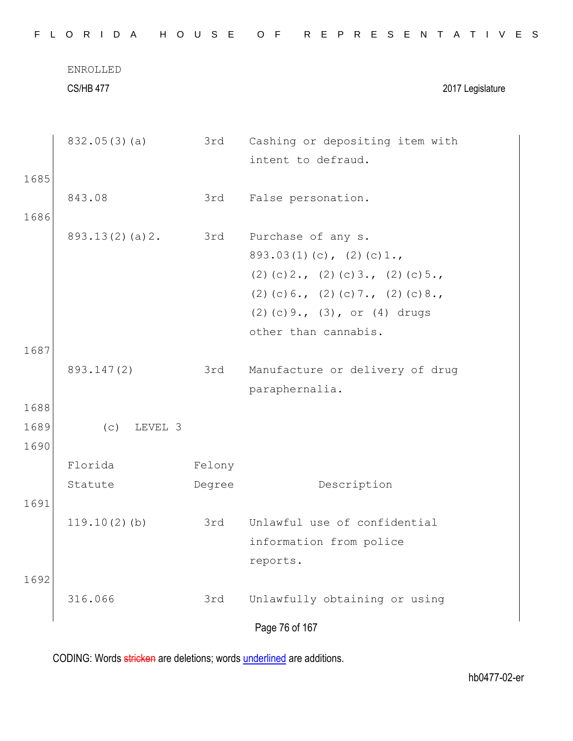| F.<br>a La   | ORIDA                        | H O U S E | R E P R E S E N T<br>O F<br>A T I V E S                                                                                                                                                             |
|--------------|------------------------------|-----------|-----------------------------------------------------------------------------------------------------------------------------------------------------------------------------------------------------|
|              | ENROLLED<br><b>CS/HB 477</b> |           | 2017 Legislature                                                                                                                                                                                    |
|              | 832.05(3)(a)                 | 3rd       | Cashing or depositing item with<br>intent to defraud.                                                                                                                                               |
| 1685<br>1686 | 843.08                       | 3rd       | False personation.                                                                                                                                                                                  |
|              | 893.13(2)(a)2.               | 3rd       | Purchase of any s.<br>$893.03(1)(c)$ , $(2)(c)1.$<br>$(2)$ (c) 2., (2) (c) 3., (2) (c) 5.,<br>$(2)$ (c) 6., (2) (c) 7., (2) (c) 8.,<br>$(2)$ (c) 9., $(3)$ , or $(4)$ drugs<br>other than cannabis. |
| 1687         |                              |           |                                                                                                                                                                                                     |
|              | 893.147(2)                   | 3rd       | Manufacture or delivery of drug<br>paraphernalia.                                                                                                                                                   |
| 1688         |                              |           |                                                                                                                                                                                                     |
| 1689<br>1690 | (c)<br>LEVEL 3               |           |                                                                                                                                                                                                     |
|              | Florida                      | Felony    |                                                                                                                                                                                                     |
| 1691         | Statute                      | Degree    | Description                                                                                                                                                                                         |
|              | $119.10(2)$ (b)              | 3rd       | Unlawful use of confidential<br>information from police<br>reports.                                                                                                                                 |
| 1692         | 316.066                      | 3rd       | Unlawfully obtaining or using                                                                                                                                                                       |
|              |                              |           | Page 76 of 167                                                                                                                                                                                      |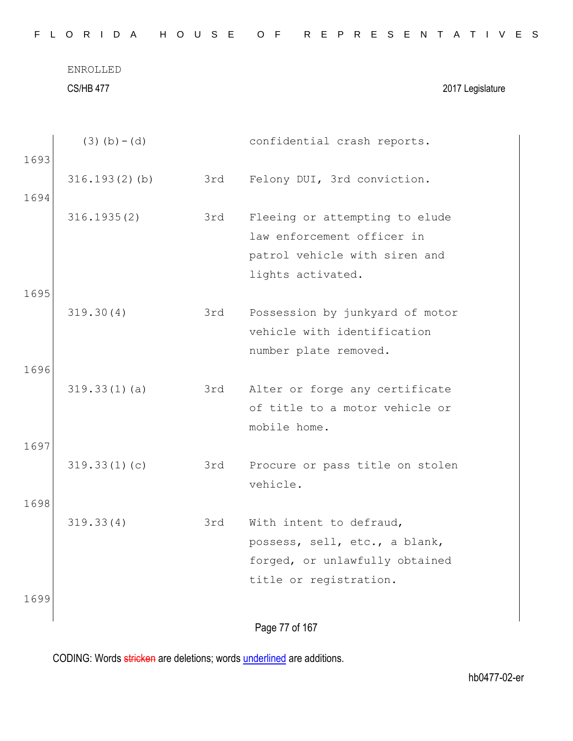ENROLLED CS/HB 477 2017 Legislature

|      | $(3)$ (b) – (d) |     | confidential crash reports.     |
|------|-----------------|-----|---------------------------------|
| 1693 |                 |     |                                 |
|      | 316.193(2)(b)   | 3rd | Felony DUI, 3rd conviction.     |
| 1694 |                 |     |                                 |
|      | 316.1935(2)     | 3rd | Fleeing or attempting to elude  |
|      |                 |     | law enforcement officer in      |
|      |                 |     | patrol vehicle with siren and   |
|      |                 |     | lights activated.               |
| 1695 | 319.30(4)       | 3rd | Possession by junkyard of motor |
|      |                 |     | vehicle with identification     |
|      |                 |     | number plate removed.           |
| 1696 |                 |     |                                 |
|      | 319.33(1)(a)    | 3rd | Alter or forge any certificate  |
|      |                 |     | of title to a motor vehicle or  |
|      |                 |     | mobile home.                    |
| 1697 |                 |     |                                 |
|      | 319.33(1)(c)    | 3rd | Procure or pass title on stolen |
|      |                 |     | vehicle.                        |
| 1698 |                 |     |                                 |
|      | 319.33(4)       | 3rd | With intent to defraud,         |
|      |                 |     | possess, sell, etc., a blank,   |
|      |                 |     | forged, or unlawfully obtained  |
|      |                 |     | title or registration.          |
| 1699 |                 |     |                                 |
|      |                 |     | Page 77 of 167                  |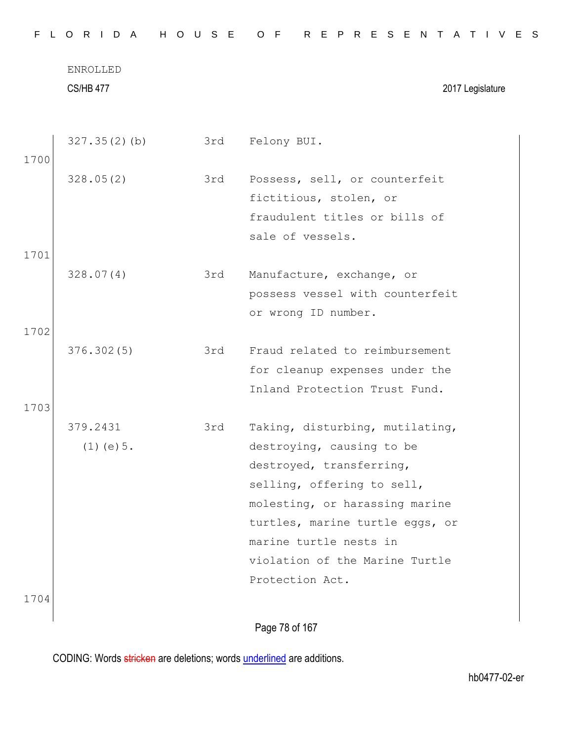|      | <b>CS/HB 477</b> |     | 2017 Legislature                                                |
|------|------------------|-----|-----------------------------------------------------------------|
|      | $327.35(2)$ (b)  | 3rd | Felony BUI.                                                     |
| 1700 | 328.05(2)        | 3rd | Possess, sell, or counterfeit                                   |
|      |                  |     | fictitious, stolen, or                                          |
|      |                  |     | fraudulent titles or bills of                                   |
|      |                  |     | sale of vessels.                                                |
| 1701 |                  |     |                                                                 |
|      | 328.07(4)        | 3rd | Manufacture, exchange, or                                       |
|      |                  |     | possess vessel with counterfeit                                 |
|      |                  |     | or wrong ID number.                                             |
| 1702 |                  |     |                                                                 |
|      | 376.302(5)       | 3rd | Fraud related to reimbursement                                  |
|      |                  |     | for cleanup expenses under the<br>Inland Protection Trust Fund. |
| 1703 |                  |     |                                                                 |
|      | 379.2431         | 3rd | Taking, disturbing, mutilating,                                 |
|      | $(1)$ (e) 5.     |     | destroying, causing to be                                       |
|      |                  |     | destroyed, transferring,                                        |
|      |                  |     | selling, offering to sell,                                      |
|      |                  |     | molesting, or harassing marine                                  |
|      |                  |     | turtles, marine turtle eggs, or                                 |
|      |                  |     | marine turtle nests in                                          |
|      |                  |     | violation of the Marine Turtle                                  |
|      |                  |     | Protection Act.                                                 |
| 1704 |                  |     |                                                                 |

Page 78 of 167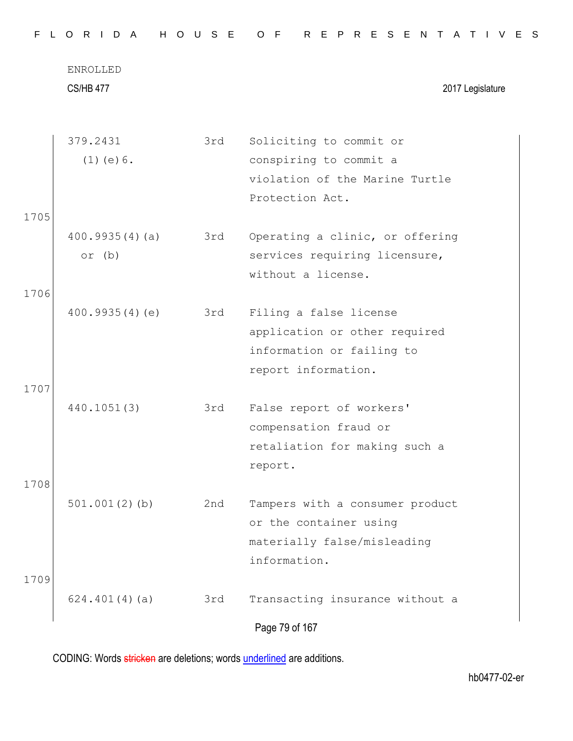|      | <b>ENROLLED</b><br><b>CS/HB 477</b> |     | 2017 Legislature                |
|------|-------------------------------------|-----|---------------------------------|
|      | 379.2431                            | 3rd | Soliciting to commit or         |
|      | $(1)$ (e) $6$ .                     |     | conspiring to commit a          |
|      |                                     |     | violation of the Marine Turtle  |
|      |                                     |     | Protection Act.                 |
| 1705 |                                     |     |                                 |
|      | 400.9935(4)(a)                      | 3rd | Operating a clinic, or offering |
|      | or $(b)$                            |     | services requiring licensure,   |
|      |                                     |     | without a license.              |
| 1706 |                                     |     |                                 |
|      | 400.9935(4)(e)                      | 3rd | Filing a false license          |
|      |                                     |     | application or other required   |
|      |                                     |     | information or failing to       |
|      |                                     |     | report information.             |
| 1707 |                                     |     |                                 |
|      | 440.1051(3)                         | 3rd | False report of workers'        |
|      |                                     |     | compensation fraud or           |
|      |                                     |     | retaliation for making such a   |
|      |                                     |     | report.                         |
| 1708 |                                     |     |                                 |
|      | $501.001(2)$ (b)                    | 2nd | Tampers with a consumer product |
|      |                                     |     | or the container using          |
|      |                                     |     | materially false/misleading     |
|      |                                     |     | information.                    |
| 1709 |                                     |     |                                 |
|      | 624.401(4)(a)                       | 3rd | Transacting insurance without a |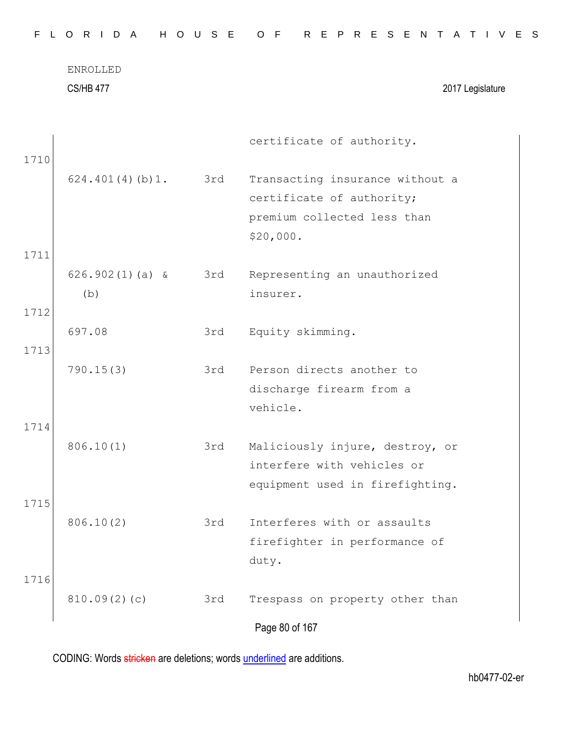|      | ENROLLED<br><b>CS/HB 477</b> |     | 2017 Legislature                |
|------|------------------------------|-----|---------------------------------|
| 1710 |                              |     | certificate of authority.       |
|      | 624.401(4)(b)1.              | 3rd | Transacting insurance without a |
|      |                              |     | certificate of authority;       |
|      |                              |     | premium collected less than     |
|      |                              |     | \$20,000.                       |
| 1711 |                              |     |                                 |
|      | $626.902(1)(a)$ &            | 3rd | Representing an unauthorized    |
|      | (b)                          |     | insurer.                        |
| 1712 |                              |     |                                 |
|      | 697.08                       | 3rd | Equity skimming.                |
| 1713 |                              |     |                                 |
|      | 790.15(3)                    | 3rd | Person directs another to       |
|      |                              |     | discharge firearm from a        |
|      |                              |     | vehicle.                        |
| 1714 |                              |     |                                 |
|      | 806.10(1)                    | 3rd | Maliciously injure, destroy, or |
|      |                              |     | interfere with vehicles or      |
|      |                              |     | equipment used in firefighting. |
| 1715 |                              |     |                                 |
|      | 806.10(2)                    | 3rd | Interferes with or assaults     |
|      |                              |     | firefighter in performance of   |
|      |                              |     | duty.                           |
| 1716 |                              |     |                                 |
|      | 810.09(2)(c)                 | 3rd | Trespass on property other than |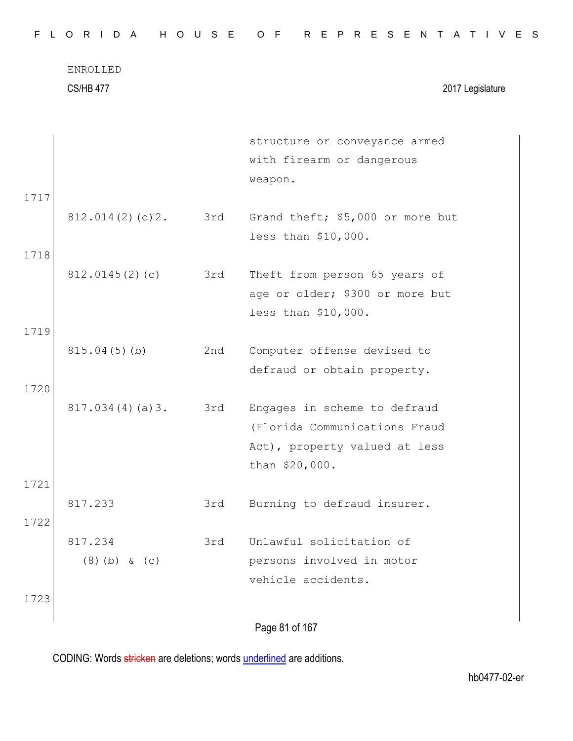| FLORIDA HOUSE OF REPRESENTATIVES |  |
|----------------------------------|--|
|----------------------------------|--|

CS/HB 477 2017 Legislature

|      |                 |     | structure or conveyance armed    |
|------|-----------------|-----|----------------------------------|
|      |                 |     | with firearm or dangerous        |
|      |                 |     | weapon.                          |
| 1717 |                 |     |                                  |
|      | 812.014(2)(c)2. | 3rd | Grand theft; \$5,000 or more but |
|      |                 |     | less than \$10,000.              |
| 1718 |                 |     |                                  |
|      | 812.0145(2)(c)  | 3rd | Theft from person 65 years of    |
|      |                 |     | age or older; \$300 or more but  |
|      |                 |     | less than \$10,000.              |
| 1719 |                 |     |                                  |
|      | 815.04(5)(b)    | 2nd | Computer offense devised to      |
|      |                 |     | defraud or obtain property.      |
| 1720 |                 |     |                                  |
|      | 817.034(4)(a)3. | 3rd | Engages in scheme to defraud     |
|      |                 |     | (Florida Communications Fraud    |
|      |                 |     | Act), property valued at less    |
|      |                 |     | than \$20,000.                   |
| 1721 |                 |     |                                  |
|      | 817.233         | 3rd | Burning to defraud insurer.      |
| 1722 |                 |     |                                  |
|      | 817.234         | 3rd | Unlawful solicitation of         |
|      | $(8)$ (b) & (c) |     | persons involved in motor        |
|      |                 |     | vehicle accidents.               |
| 1723 |                 |     |                                  |
|      |                 |     | Page 81 of 167                   |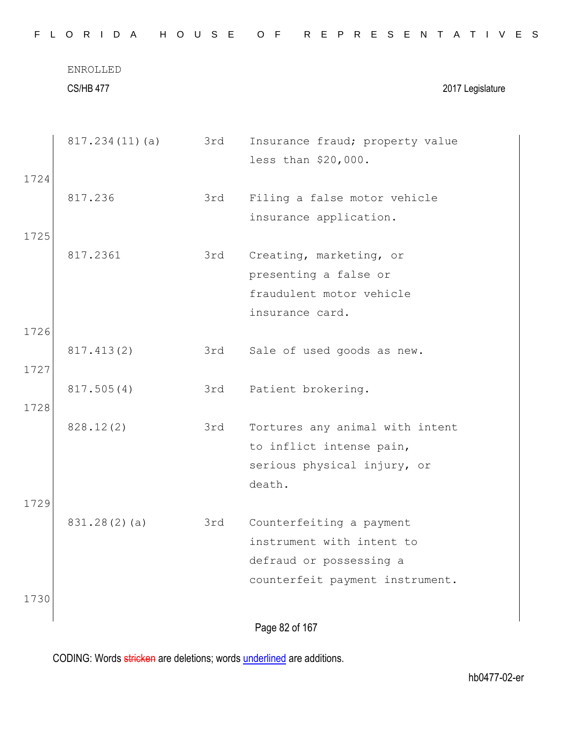|      | ENROLLED<br><b>CS/HB 477</b> |     | 2017 Legislature                |
|------|------------------------------|-----|---------------------------------|
|      | 817.234(11)(a)               | 3rd | Insurance fraud; property value |
|      |                              |     | less than \$20,000.             |
| 1724 |                              |     |                                 |
|      | 817.236                      | 3rd | Filing a false motor vehicle    |
|      |                              |     | insurance application.          |
| 1725 |                              |     |                                 |
|      | 817.2361                     | 3rd | Creating, marketing, or         |
|      |                              |     | presenting a false or           |
|      |                              |     | fraudulent motor vehicle        |
|      |                              |     | insurance card.                 |
| 1726 |                              |     |                                 |
|      | 817.413(2)                   | 3rd | Sale of used goods as new.      |
| 1727 |                              |     |                                 |
|      | 817.505(4)                   | 3rd | Patient brokering.              |
| 1728 |                              |     |                                 |
|      | 828.12(2)                    | 3rd | Tortures any animal with intent |
|      |                              |     | to inflict intense pain,        |
|      |                              |     | serious physical injury, or     |
|      |                              |     | death.                          |
| 1729 |                              |     |                                 |
|      | 831.28(2)(a)                 | 3rd | Counterfeiting a payment        |
|      |                              |     | instrument with intent to       |
|      |                              |     | defraud or possessing a         |
|      |                              |     | counterfeit payment instrument. |
| 1730 |                              |     |                                 |
|      |                              |     | Page 82 of 167                  |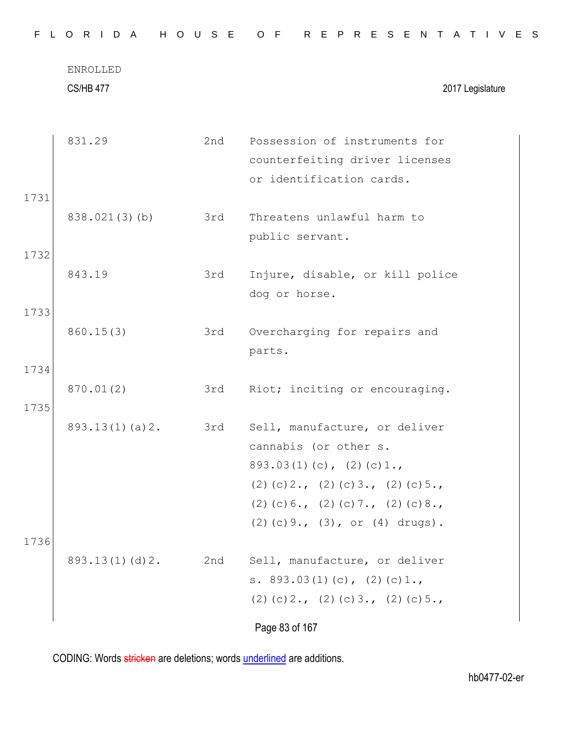CS/HB 477 2017 Legislature

|      | 831.29         | 2nd | Possession of instruments for         |
|------|----------------|-----|---------------------------------------|
|      |                |     | counterfeiting driver licenses        |
|      |                |     | or identification cards.              |
| 1731 |                |     |                                       |
|      | 838.021(3)(b)  | 3rd | Threatens unlawful harm to            |
|      |                |     | public servant.                       |
| 1732 |                |     |                                       |
|      | 843.19         | 3rd | Injure, disable, or kill police       |
|      |                |     | dog or horse.                         |
| 1733 |                |     |                                       |
|      | 860.15(3)      | 3rd | Overcharging for repairs and          |
|      |                |     | parts.                                |
| 1734 |                |     |                                       |
|      | 870.01(2)      | 3rd | Riot; inciting or encouraging.        |
| 1735 |                |     |                                       |
|      | 893.13(1)(a)2. | 3rd | Sell, manufacture, or deliver         |
|      |                |     | cannabis (or other s.                 |
|      |                |     | $893.03(1)(c)$ , $(2)(c)1.$           |
|      |                |     | $(2)$ (c) 2., (2) (c) 3., (2) (c) 5., |
|      |                |     | $(2)$ (c) 6., (2) (c) 7., (2) (c) 8., |
|      |                |     | $(2)$ (c) 9., (3), or (4) drugs).     |
| 1736 |                |     |                                       |
|      | 893.13(1)(d)2. | 2nd | Sell, manufacture, or deliver         |
|      |                |     | s. $893.03(1)(c)$ , $(2)(c)1.$        |
|      |                |     | $(2)$ (c) 2., (2) (c) 3., (2) (c) 5., |
|      |                |     | Page 83 of 167                        |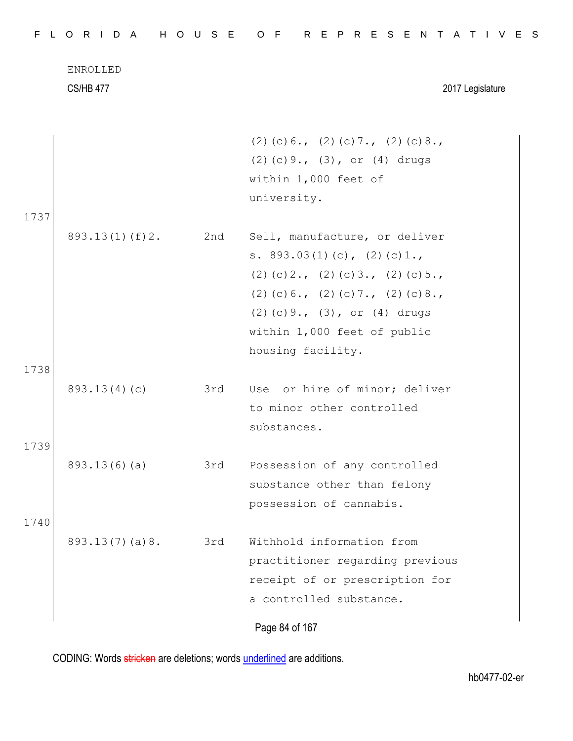|      | <b>ENROLLED</b><br><b>CS/HB 477</b> |     | 2017 Legislature                                                              |
|------|-------------------------------------|-----|-------------------------------------------------------------------------------|
|      |                                     |     | $(2)$ (c) 6., (2) (c) 7., (2) (c) 8.,<br>$(2)$ (c) 9., (3), or (4) drugs      |
|      |                                     |     | within 1,000 feet of                                                          |
|      |                                     |     | university.                                                                   |
| 1737 |                                     |     |                                                                               |
|      | $893.13(1)$ (f) 2.                  | 2nd | Sell, manufacture, or deliver                                                 |
|      |                                     |     | s. $893.03(1)(c)$ , $(2)(c)1.$                                                |
|      |                                     |     | $(2)$ (c) 2., (2) (c) 3., (2) (c) 5.,                                         |
|      |                                     |     | $(2)$ (c) 6., (2) (c) 7., (2) (c) 8.,<br>$(2)$ (c) 9., $(3)$ , or $(4)$ drugs |
|      |                                     |     | within 1,000 feet of public                                                   |
|      |                                     |     | housing facility.                                                             |
| 1738 |                                     |     |                                                                               |
|      | 893.13(4)(c)                        | 3rd | Use or hire of minor; deliver                                                 |
|      |                                     |     | to minor other controlled                                                     |
|      |                                     |     | substances.                                                                   |
| 1739 |                                     |     |                                                                               |
|      | 893.13(6)(a)                        | 3rd | Possession of any controlled                                                  |
|      |                                     |     | substance other than felony                                                   |
| 1740 |                                     |     | possession of cannabis.                                                       |
|      | 893.13(7)(a)8.                      | 3rd | Withhold information from                                                     |
|      |                                     |     | practitioner regarding previous                                               |
|      |                                     |     | receipt of or prescription for                                                |
|      |                                     |     | a controlled substance.                                                       |
|      |                                     |     | Page 84 of 167                                                                |
|      |                                     |     |                                                                               |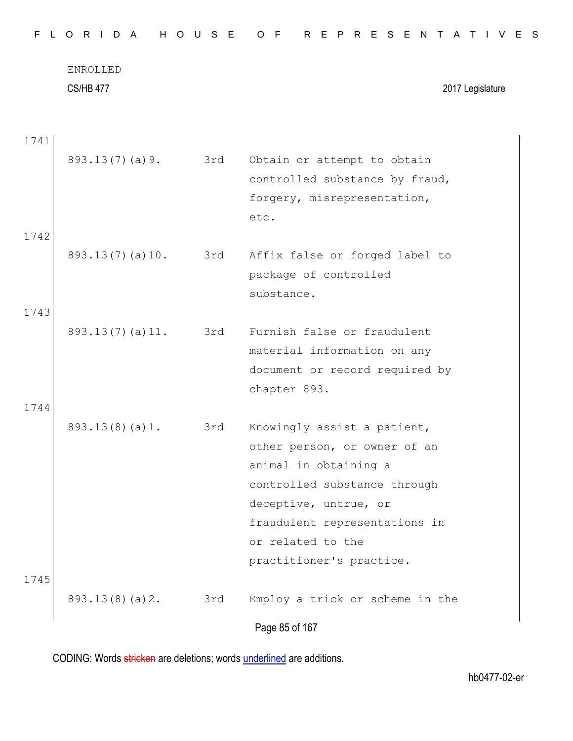| FLORIDA HOUSE OF REPRESENTATIVES |  |  |  |  |  |  |  |  |  |  |  |  |  |  |  |  |  |  |  |  |  |  |  |  |  |  |
|----------------------------------|--|--|--|--|--|--|--|--|--|--|--|--|--|--|--|--|--|--|--|--|--|--|--|--|--|--|
|----------------------------------|--|--|--|--|--|--|--|--|--|--|--|--|--|--|--|--|--|--|--|--|--|--|--|--|--|--|

ENROLLED CS/HB 477 2017 Legislature

| 1741 |                       |     |                                 |
|------|-----------------------|-----|---------------------------------|
|      | 893.13(7)(a)9.        | 3rd | Obtain or attempt to obtain     |
|      |                       |     | controlled substance by fraud,  |
|      |                       |     | forgery, misrepresentation,     |
|      |                       |     | etc.                            |
| 1742 |                       |     |                                 |
|      | 893.13(7)(a)10.       | 3rd | Affix false or forged label to  |
|      |                       |     | package of controlled           |
|      |                       |     | substance.                      |
| 1743 |                       |     |                                 |
|      | $893.13(7)$ (a) $11.$ | 3rd | Furnish false or fraudulent     |
|      |                       |     | material information on any     |
|      |                       |     | document or record required by  |
|      |                       |     | chapter 893.                    |
| 1744 |                       |     |                                 |
|      | 893.13(8)(a)1.        | 3rd | Knowingly assist a patient,     |
|      |                       |     | other person, or owner of an    |
|      |                       |     | animal in obtaining a           |
|      |                       |     | controlled substance through    |
|      |                       |     | deceptive, untrue, or           |
|      |                       |     | fraudulent representations in   |
|      |                       |     | or related to the               |
|      |                       |     | practitioner's practice.        |
| 1745 |                       |     |                                 |
|      | 893.13(8)(a)2.        | 3rd | Employ a trick or scheme in the |
|      |                       |     | Page 85 of 167                  |
|      |                       |     |                                 |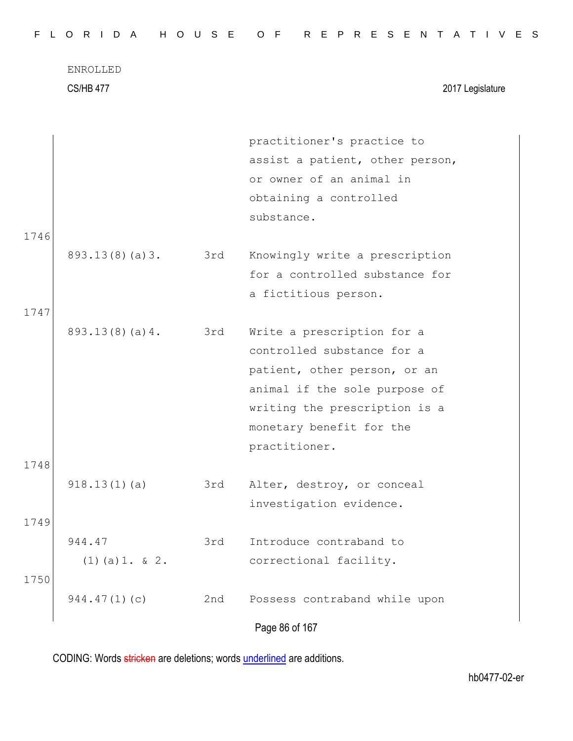|  |  |  |  |  |  |  |  | FLORIDA HOUSE OF REPRESENTATIVES |  |  |  |  |  |  |  |  |  |  |  |  |  |  |  |  |  |  |  |  |  |  |  |  |
|--|--|--|--|--|--|--|--|----------------------------------|--|--|--|--|--|--|--|--|--|--|--|--|--|--|--|--|--|--|--|--|--|--|--|--|
|--|--|--|--|--|--|--|--|----------------------------------|--|--|--|--|--|--|--|--|--|--|--|--|--|--|--|--|--|--|--|--|--|--|--|--|

ENROLLED CS/HB 477 2017 Legislature

Page 86 of 167 practitioner's practice to assist a patient, other person, or owner of an animal in obtaining a controlled substance. 1746 893.13(8)(a)3. 3rd Knowingly write a prescription for a controlled substance for a fictitious person. 1747 893.13(8)(a)4. 3rd Write a prescription for a controlled substance for a patient, other person, or an animal if the sole purpose of writing the prescription is a monetary benefit for the practitioner. 1748 918.13(1)(a) 3rd Alter, destroy, or conceal investigation evidence. 1749 944.47 (1)(a)1. & 2. 3rd Introduce contraband to correctional facility. 1750 944.47(1)(c) 2nd Possess contraband while upon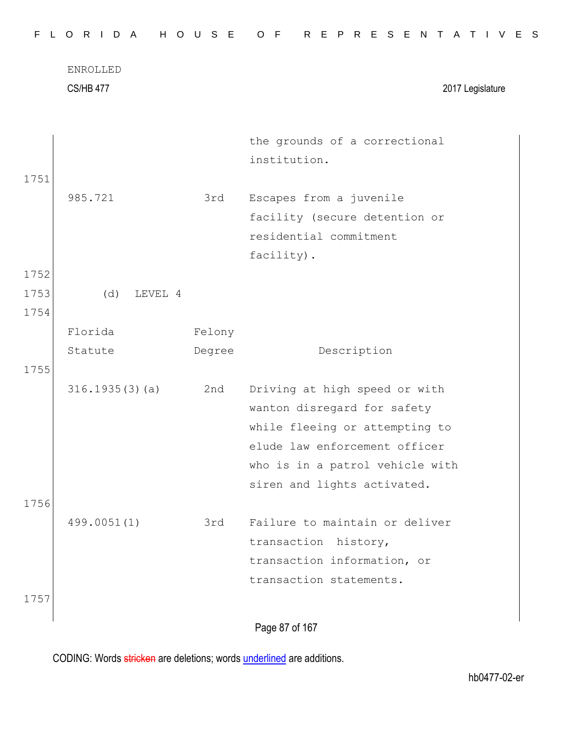|      | <b>CS/HB 477</b> |        | 2017 Legislature                              |
|------|------------------|--------|-----------------------------------------------|
|      |                  |        | the grounds of a correctional<br>institution. |
| 1751 |                  |        |                                               |
|      | 985.721          | 3rd    | Escapes from a juvenile                       |
|      |                  |        | facility (secure detention or                 |
|      |                  |        | residential commitment                        |
|      |                  |        | facility).                                    |
| 1752 |                  |        |                                               |
| 1753 | (d)<br>LEVEL 4   |        |                                               |
| 1754 |                  |        |                                               |
|      | Florida          | Felony |                                               |
|      | Statute          | Degree | Description                                   |
| 1755 |                  |        |                                               |
|      | 316.1935(3)(a)   | 2nd    | Driving at high speed or with                 |
|      |                  |        | wanton disregard for safety                   |
|      |                  |        | while fleeing or attempting to                |
|      |                  |        | elude law enforcement officer                 |
|      |                  |        | who is in a patrol vehicle with               |
|      |                  |        | siren and lights activated.                   |
| 1756 |                  |        |                                               |
|      | 499.0051(1)      | 3rd    | Failure to maintain or deliver                |
|      |                  |        | transaction history,                          |
|      |                  |        | transaction information, or                   |
|      |                  |        | transaction statements.                       |
| 1757 |                  |        |                                               |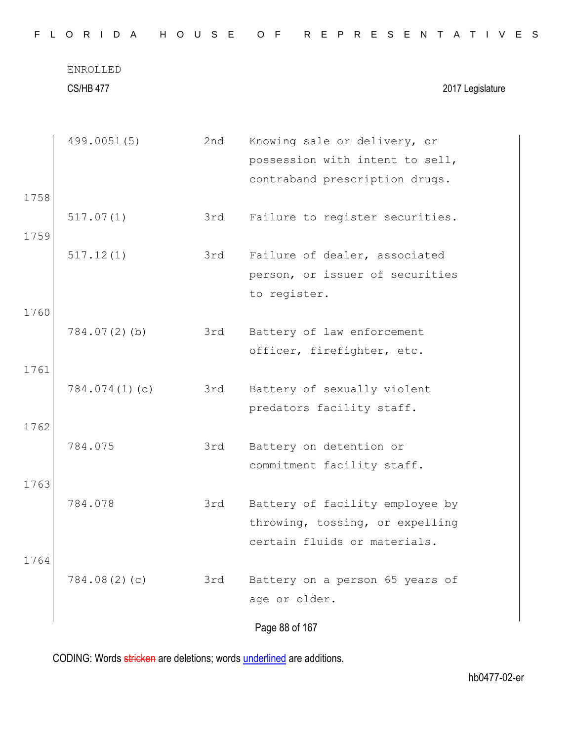CS/HB 477 2017 Legislature

|      | 499.0051(5)     | 2nd | Knowing sale or delivery, or    |
|------|-----------------|-----|---------------------------------|
|      |                 |     | possession with intent to sell, |
|      |                 |     | contraband prescription drugs.  |
| 1758 |                 |     |                                 |
|      | 517.07(1)       | 3rd | Failure to register securities. |
| 1759 |                 |     |                                 |
|      | 517.12(1)       | 3rd | Failure of dealer, associated   |
|      |                 |     | person, or issuer of securities |
|      |                 |     | to register.                    |
| 1760 |                 |     |                                 |
|      | $784.07(2)$ (b) | 3rd | Battery of law enforcement      |
|      |                 |     | officer, firefighter, etc.      |
| 1761 |                 |     |                                 |
|      | 784.074(1)(c)   | 3rd | Battery of sexually violent     |
|      |                 |     | predators facility staff.       |
| 1762 |                 |     |                                 |
|      | 784.075         | 3rd | Battery on detention or         |
|      |                 |     | commitment facility staff.      |
| 1763 |                 |     |                                 |
|      | 784.078         | 3rd | Battery of facility employee by |
|      |                 |     | throwing, tossing, or expelling |
|      |                 |     | certain fluids or materials.    |
| 1764 |                 |     |                                 |
|      | 784.08(2)(c)    | 3rd | Battery on a person 65 years of |
|      |                 |     | age or older.                   |
|      |                 |     | Page 88 of 167                  |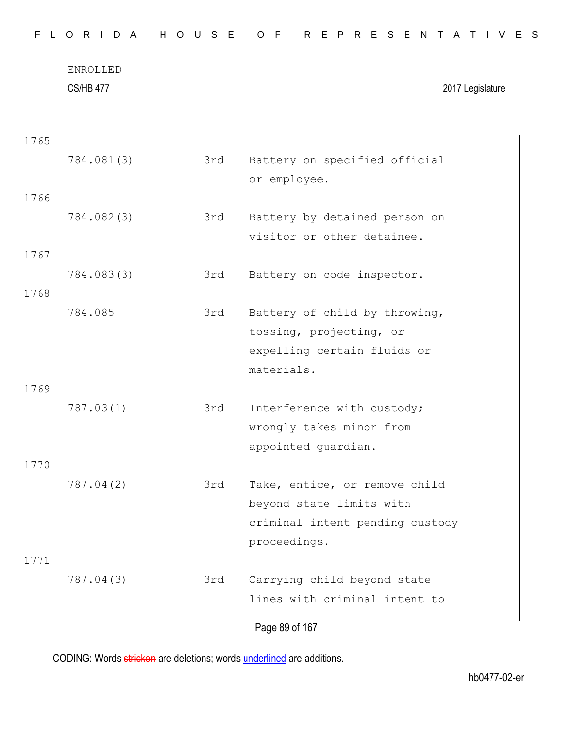| F.<br>$\mathsf{L}$ | 0 R I<br>D A                 | H O U S E | R E P R E S E N T<br>O F<br>A T I V E S                     |
|--------------------|------------------------------|-----------|-------------------------------------------------------------|
|                    | ENROLLED<br><b>CS/HB 477</b> |           | 2017 Legislature                                            |
| 1765               |                              |           |                                                             |
|                    | 784.081(3)                   | 3rd       | Battery on specified official<br>or employee.               |
| 1766               |                              |           |                                                             |
|                    | 784.082(3)                   | 3rd       | Battery by detained person on<br>visitor or other detainee. |
| 1767               |                              |           |                                                             |
| 1768               | 784.083(3)                   | 3rd       | Battery on code inspector.                                  |
|                    | 784.085                      | 3rd       | Battery of child by throwing,                               |
|                    |                              |           | tossing, projecting, or<br>expelling certain fluids or      |
|                    |                              |           | materials.                                                  |
| 1769               | 787.03(1)                    | 3rd       | Interference with custody;                                  |
|                    |                              |           | wrongly takes minor from<br>appointed guardian.             |
| 1770               |                              |           |                                                             |
|                    | 787.04(2)                    | 3rd       | Take, entice, or remove child<br>beyond state limits with   |
|                    |                              |           | criminal intent pending custody                             |
| 1771               |                              |           | proceedings.                                                |
|                    | 787.04(3)                    | 3rd       | Carrying child beyond state                                 |
|                    |                              |           | lines with criminal intent to                               |
|                    |                              |           | Page 89 of 167                                              |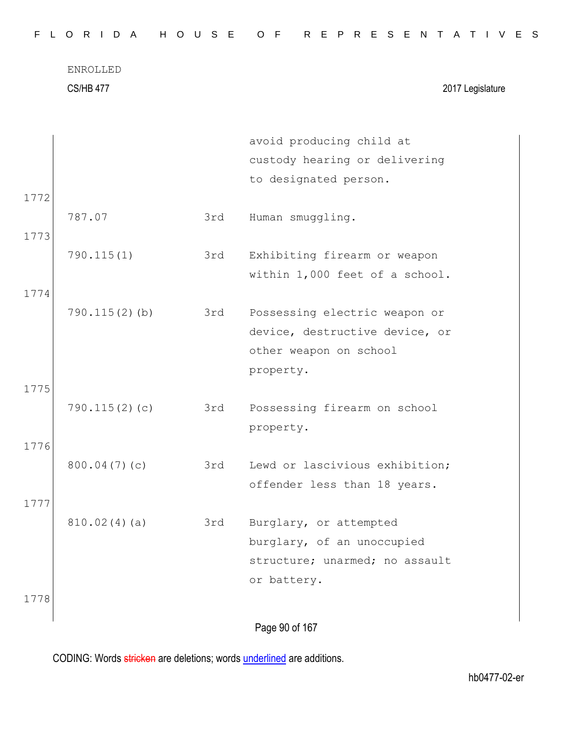CS/HB 477 2017 Legislature

|      |                  |     | avoid producing child at       |
|------|------------------|-----|--------------------------------|
|      |                  |     | custody hearing or delivering  |
|      |                  |     | to designated person.          |
| 1772 |                  |     |                                |
|      | 787.07           | 3rd | Human smuggling.               |
| 1773 |                  |     |                                |
|      | 790.115(1)       | 3rd | Exhibiting firearm or weapon   |
|      |                  |     | within 1,000 feet of a school. |
|      |                  |     |                                |
| 1774 |                  |     |                                |
|      | $790.115(2)$ (b) | 3rd | Possessing electric weapon or  |
|      |                  |     | device, destructive device, or |
|      |                  |     | other weapon on school         |
|      |                  |     | property.                      |
| 1775 |                  |     |                                |
|      | 790.115(2)(c)    | 3rd | Possessing firearm on school   |
|      |                  |     | property.                      |
| 1776 |                  |     |                                |
|      | 800.04(7)(c)     | 3rd | Lewd or lascivious exhibition; |
|      |                  |     | offender less than 18 years.   |
| 1777 |                  |     |                                |
|      | 810.02(4)(a)     | 3rd | Burglary, or attempted         |
|      |                  |     | burglary, of an unoccupied     |
|      |                  |     | structure; unarmed; no assault |
|      |                  |     | or battery.                    |
| 1778 |                  |     |                                |
|      |                  |     |                                |
|      |                  |     | Page 90 of 167                 |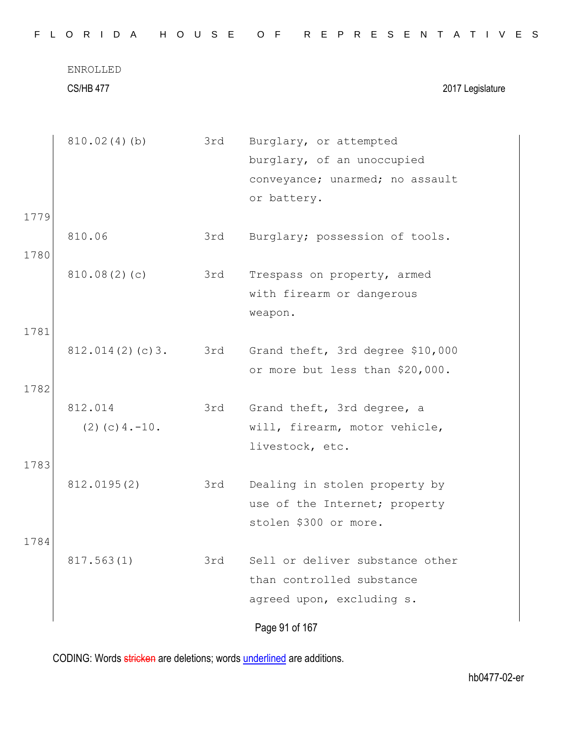| F.<br>$\mathbf{L}$ | ORIDA                           | H O U S E | R E P R E S E N T<br>O F<br>A T I V E S                                                                |
|--------------------|---------------------------------|-----------|--------------------------------------------------------------------------------------------------------|
|                    | ENROLLED<br><b>CS/HB 477</b>    |           | 2017 Legislature                                                                                       |
|                    | 810.02(4)(b)                    | 3rd       | Burglary, or attempted<br>burglary, of an unoccupied<br>conveyance; unarmed; no assault<br>or battery. |
| 1779<br>1780       | 810.06                          | 3rd       | Burglary; possession of tools.                                                                         |
|                    | 810.08(2)(c)                    | 3rd       | Trespass on property, armed<br>with firearm or dangerous<br>weapon.                                    |
| 1781<br>1782       | 812.014(2)(c)3.                 | 3rd       | Grand theft, 3rd degree \$10,000<br>or more but less than \$20,000.                                    |
|                    | 812.014<br>$(2)$ (c) $4. -10$ . | 3rd       | Grand theft, 3rd degree, a<br>will, firearm, motor vehicle,<br>livestock, etc.                         |
| 1783               | 812.0195(2)                     | 3rd       | Dealing in stolen property by<br>use of the Internet; property<br>stolen \$300 or more.                |
| 1784               | 817.563(1)                      | 3rd       | Sell or deliver substance other<br>than controlled substance<br>agreed upon, excluding s.              |
|                    |                                 |           | Page 91 of 167                                                                                         |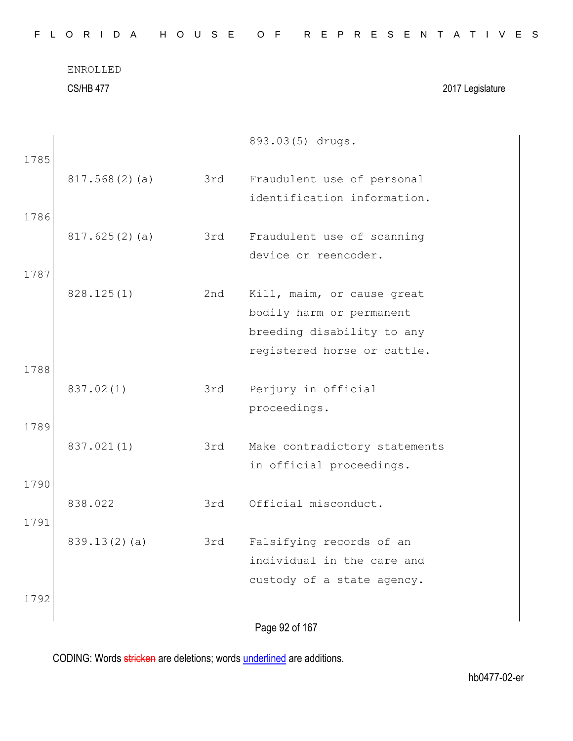|      | ENROLLED<br><b>CS/HB 477</b> |     | 2017 Legislature                                          |
|------|------------------------------|-----|-----------------------------------------------------------|
| 1785 |                              |     | 893.03(5) drugs.                                          |
|      | 817.568(2)(a)                | 3rd | Fraudulent use of personal                                |
|      |                              |     | identification information.                               |
| 1786 |                              |     |                                                           |
|      | 817.625(2)(a)                | 3rd | Fraudulent use of scanning                                |
|      |                              |     | device or reencoder.                                      |
| 1787 |                              |     |                                                           |
|      | 828.125(1)                   | 2nd | Kill, maim, or cause great                                |
|      |                              |     | bodily harm or permanent                                  |
|      |                              |     | breeding disability to any                                |
|      |                              |     | registered horse or cattle.                               |
| 1788 |                              |     |                                                           |
|      | 837.02(1)                    | 3rd | Perjury in official                                       |
|      |                              |     | proceedings.                                              |
| 1789 |                              |     |                                                           |
|      | 837.021(1)                   | 3rd | Make contradictory statements<br>in official proceedings. |
| 1790 |                              |     |                                                           |
|      | 838.022                      | 3rd | Official misconduct.                                      |
| 1791 |                              |     |                                                           |
|      | 839.13(2)(a)                 | 3rd | Falsifying records of an                                  |
|      |                              |     | individual in the care and                                |
|      |                              |     | custody of a state agency.                                |
| 1792 |                              |     |                                                           |
|      |                              |     |                                                           |
|      |                              |     | Page 92 of 167                                            |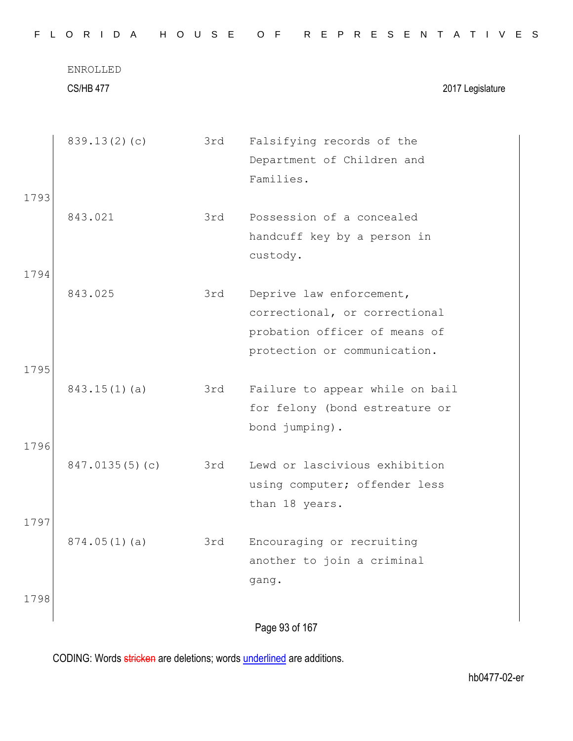|      | <b>CS/HB 477</b> |     | 2017 Legislature                                |
|------|------------------|-----|-------------------------------------------------|
|      | 839.13(2)(c)     | 3rd | Falsifying records of the                       |
|      |                  |     | Department of Children and                      |
|      |                  |     | Families.                                       |
| 1793 |                  |     |                                                 |
|      | 843.021          | 3rd | Possession of a concealed                       |
|      |                  |     | handcuff key by a person in                     |
|      |                  |     | custody.                                        |
| 1794 |                  |     |                                                 |
|      | 843.025          | 3rd | Deprive law enforcement,                        |
|      |                  |     | correctional, or correctional                   |
|      |                  |     | probation officer of means of                   |
|      |                  |     | protection or communication.                    |
| 1795 |                  |     |                                                 |
|      | $843.15(1)$ (a)  | 3rd | Failure to appear while on bail                 |
|      |                  |     | for felony (bond estreature or                  |
|      |                  |     | bond jumping).                                  |
| 1796 |                  |     |                                                 |
|      | 847.0135(5)(c)   | 3rd | Lewd or lascivious exhibition                   |
|      |                  |     | using computer; offender less<br>than 18 years. |
| 1797 |                  |     |                                                 |
|      | 874.05(1)(a)     | 3rd | Encouraging or recruiting                       |
|      |                  |     | another to join a criminal                      |
|      |                  |     | gang.                                           |
| 1798 |                  |     |                                                 |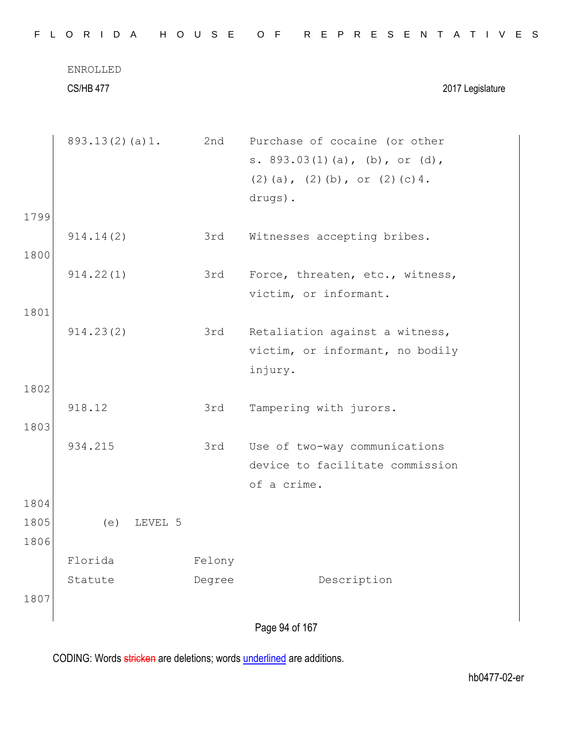|              | <b>CS/HB 477</b> |        | 2017 Legislature                                                                                                      |
|--------------|------------------|--------|-----------------------------------------------------------------------------------------------------------------------|
|              | 893.13(2)(a)1.   | 2nd    | Purchase of cocaine (or other<br>s. $893.03(1)(a)$ , (b), or (d),<br>$(2)$ (a), $(2)$ (b), or $(2)$ (c) 4.<br>drugs). |
| 1799         |                  |        |                                                                                                                       |
|              | 914.14(2)        | 3rd    | Witnesses accepting bribes.                                                                                           |
| 1800<br>1801 | 914.22(1)        | 3rd    | Force, threaten, etc., witness,<br>victim, or informant.                                                              |
| 1802         | 914.23(2)        | 3rd    | Retaliation against a witness,<br>victim, or informant, no bodily<br>injury.                                          |
| 1803         | 918.12           | 3rd    | Tampering with jurors.                                                                                                |
|              | 934.215          | 3rd    | Use of two-way communications<br>device to facilitate commission<br>of a crime.                                       |
| 1804         |                  |        |                                                                                                                       |
| 1805<br>1806 | LEVEL 5<br>(e)   |        |                                                                                                                       |
|              | Florida          | Felony |                                                                                                                       |
| 1807         | Statute          | Degree | Description                                                                                                           |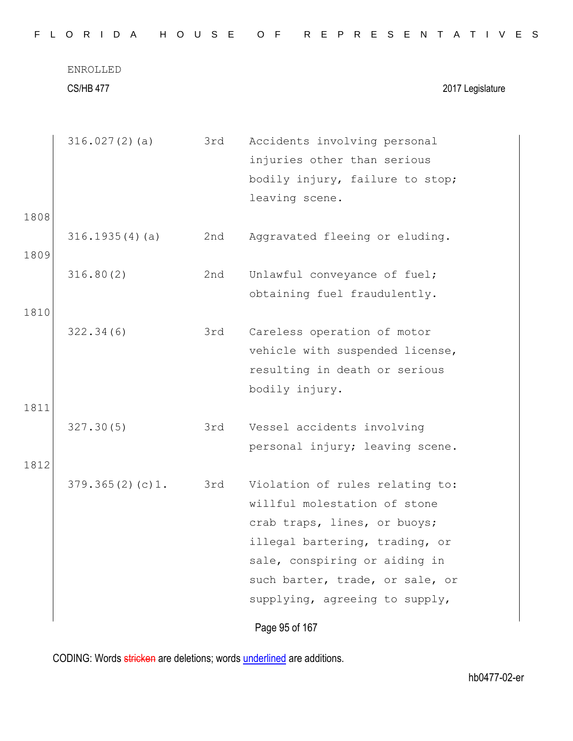| 316.027(2)(a)<br>316.1935(4)(a) | 3rd<br>2nd | Accidents involving personal<br>injuries other than serious<br>bodily injury, failure to stop;<br>leaving scene.                                                                                                                        |
|---------------------------------|------------|-----------------------------------------------------------------------------------------------------------------------------------------------------------------------------------------------------------------------------------------|
|                                 |            |                                                                                                                                                                                                                                         |
|                                 |            |                                                                                                                                                                                                                                         |
|                                 |            | Aggravated fleeing or eluding.                                                                                                                                                                                                          |
| 316.80(2)                       | 2nd        | Unlawful conveyance of fuel;<br>obtaining fuel fraudulently.                                                                                                                                                                            |
| 322.34(6)                       | 3rd        | Careless operation of motor<br>vehicle with suspended license,<br>resulting in death or serious<br>bodily injury.                                                                                                                       |
|                                 |            |                                                                                                                                                                                                                                         |
|                                 |            | Vessel accidents involving<br>personal injury; leaving scene.                                                                                                                                                                           |
|                                 |            |                                                                                                                                                                                                                                         |
| 379.365(2)(c)1.                 | 3rd        | Violation of rules relating to:<br>willful molestation of stone<br>crab traps, lines, or buoys;<br>illegal bartering, trading, or<br>sale, conspiring or aiding in<br>such barter, trade, or sale, or<br>supplying, agreeing to supply, |
|                                 | 327.30(5)  | 3rd                                                                                                                                                                                                                                     |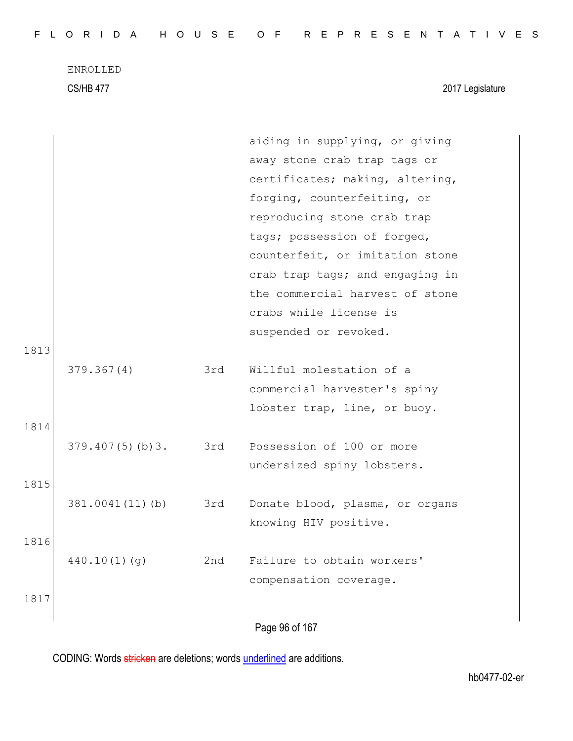ENROLLED CS/HB 477 2017 Legislature

|      |                     |     | aiding in supplying, or giving  |
|------|---------------------|-----|---------------------------------|
|      |                     |     | away stone crab trap tags or    |
|      |                     |     | certificates; making, altering, |
|      |                     |     | forging, counterfeiting, or     |
|      |                     |     | reproducing stone crab trap     |
|      |                     |     | tags; possession of forged,     |
|      |                     |     | counterfeit, or imitation stone |
|      |                     |     | crab trap tags; and engaging in |
|      |                     |     | the commercial harvest of stone |
|      |                     |     | crabs while license is          |
|      |                     |     | suspended or revoked.           |
| 1813 |                     |     |                                 |
|      | 379.367(4)          | 3rd | Willful molestation of a        |
|      |                     |     | commercial harvester's spiny    |
|      |                     |     | lobster trap, line, or buoy.    |
| 1814 |                     |     |                                 |
|      | 379.407(5)(b)3. 3rd |     | Possession of 100 or more       |
|      |                     |     | undersized spiny lobsters.      |
| 1815 |                     |     |                                 |
|      | 381.0041(11)(b)     | 3rd | Donate blood, plasma, or organs |
|      |                     |     | knowing HIV positive.           |
| 1816 |                     |     |                                 |
|      | 440.10(1)(q)        | 2nd | Failure to obtain workers'      |
|      |                     |     | compensation coverage.          |
| 1817 |                     |     |                                 |
|      |                     |     | Page 96 of 167                  |
|      |                     |     |                                 |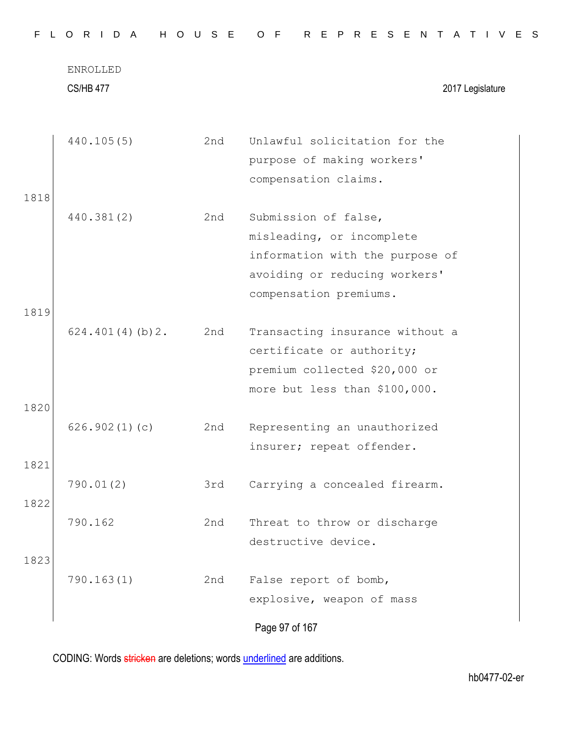|      | <b>CS/HB 477</b> |     | 2017 Legislature                                                                                                                                |
|------|------------------|-----|-------------------------------------------------------------------------------------------------------------------------------------------------|
| 1818 | 440.105(5)       | 2nd | Unlawful solicitation for the<br>purpose of making workers'<br>compensation claims.                                                             |
| 1819 | 440.381(2)       | 2nd | Submission of false,<br>misleading, or incomplete<br>information with the purpose of<br>avoiding or reducing workers'<br>compensation premiums. |
| 1820 | 624.401(4)(b)2.  | 2nd | Transacting insurance without a<br>certificate or authority;<br>premium collected \$20,000 or<br>more but less than \$100,000.                  |
| 1821 | 626.902(1)(c)    | 2nd | Representing an unauthorized<br>insurer; repeat offender.                                                                                       |
| 1822 | 790.01(2)        | 3rd | Carrying a concealed firearm.                                                                                                                   |
| 1823 | 790.162          | 2nd | Threat to throw or discharge<br>destructive device.                                                                                             |
|      | 790.163(1)       | 2nd | False report of bomb,<br>explosive, weapon of mass                                                                                              |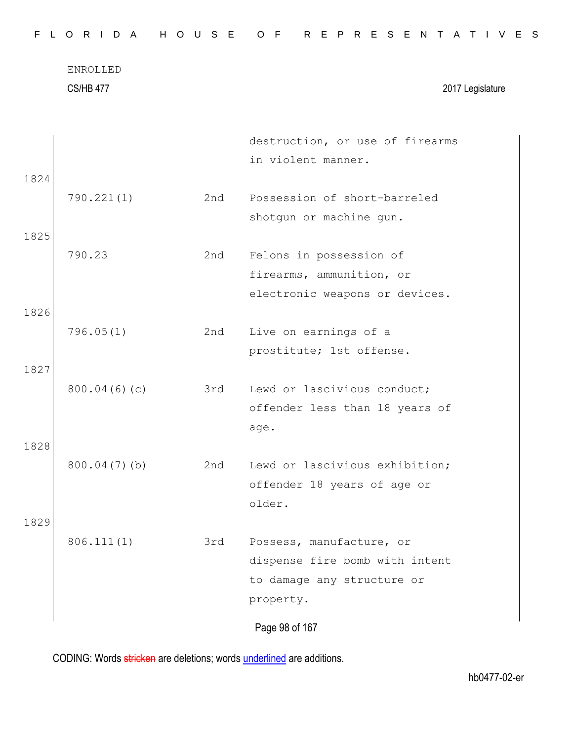CS/HB 477 2017 Legislature

|      |              |     | destruction, or use of firearms |
|------|--------------|-----|---------------------------------|
|      |              |     | in violent manner.              |
| 1824 |              |     |                                 |
|      | 790.221(1)   | 2nd | Possession of short-barreled    |
|      |              |     | shotgun or machine gun.         |
| 1825 |              |     |                                 |
|      | 790.23       | 2nd | Felons in possession of         |
|      |              |     | firearms, ammunition, or        |
|      |              |     | electronic weapons or devices.  |
| 1826 |              |     |                                 |
|      | 796.05(1)    | 2nd | Live on earnings of a           |
|      |              |     | prostitute; 1st offense.        |
| 1827 |              |     |                                 |
|      | 800.04(6)(c) | 3rd | Lewd or lascivious conduct;     |
|      |              |     | offender less than 18 years of  |
|      |              |     | age.                            |
| 1828 |              |     |                                 |
|      | 800.04(7)(b) | 2nd | Lewd or lascivious exhibition;  |
|      |              |     | offender 18 years of age or     |
|      |              |     | older.                          |
| 1829 |              |     |                                 |
|      | 806.111(1)   | 3rd | Possess, manufacture, or        |
|      |              |     | dispense fire bomb with intent  |
|      |              |     | to damage any structure or      |
|      |              |     | property.                       |
|      |              |     | Page 98 of 167                  |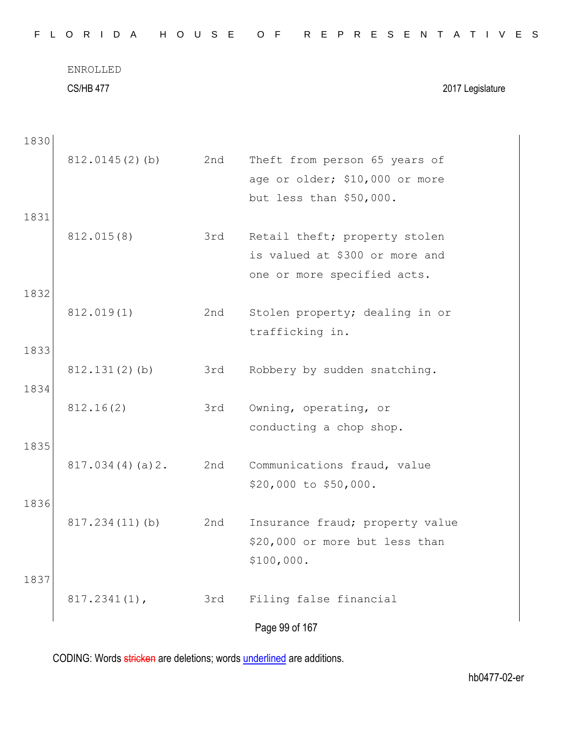|  |  |  |  |  |  |  |  |  |  |  |  |  | FLORIDA HOUSE OF REPRESENTATIVES |  |  |  |  |  |  |  |  |  |  |  |  |  |  |  |  |  |
|--|--|--|--|--|--|--|--|--|--|--|--|--|----------------------------------|--|--|--|--|--|--|--|--|--|--|--|--|--|--|--|--|--|
|--|--|--|--|--|--|--|--|--|--|--|--|--|----------------------------------|--|--|--|--|--|--|--|--|--|--|--|--|--|--|--|--|--|

ENROLLED CS/HB 477 2017 Legislature

| 1830 |                  |     |                                                                 |
|------|------------------|-----|-----------------------------------------------------------------|
|      | 812.0145(2)(b)   | 2nd | Theft from person 65 years of<br>age or older; \$10,000 or more |
|      |                  |     | but less than \$50,000.                                         |
| 1831 |                  |     |                                                                 |
|      | 812.015(8)       | 3rd | Retail theft; property stolen                                   |
|      |                  |     | is valued at \$300 or more and                                  |
| 1832 |                  |     | one or more specified acts.                                     |
|      | 812.019(1)       | 2nd | Stolen property; dealing in or                                  |
|      |                  |     | trafficking in.                                                 |
| 1833 |                  |     |                                                                 |
|      | $812.131(2)$ (b) | 3rd | Robbery by sudden snatching.                                    |
| 1834 |                  |     |                                                                 |
|      | 812.16(2)        | 3rd | Owning, operating, or                                           |
|      |                  |     | conducting a chop shop.                                         |
| 1835 |                  | 2nd |                                                                 |
|      | 817.034(4)(a)2.  |     | Communications fraud, value<br>\$20,000 to \$50,000.            |
| 1836 |                  |     |                                                                 |
|      | 817.234(11)(b)   | 2nd | Insurance fraud; property value                                 |
|      |                  |     | \$20,000 or more but less than                                  |
|      |                  |     | \$100,000.                                                      |
| 1837 |                  |     |                                                                 |
|      | $817.2341(1)$ ,  | 3rd | Filing false financial                                          |
|      |                  |     | Page 99 of 167                                                  |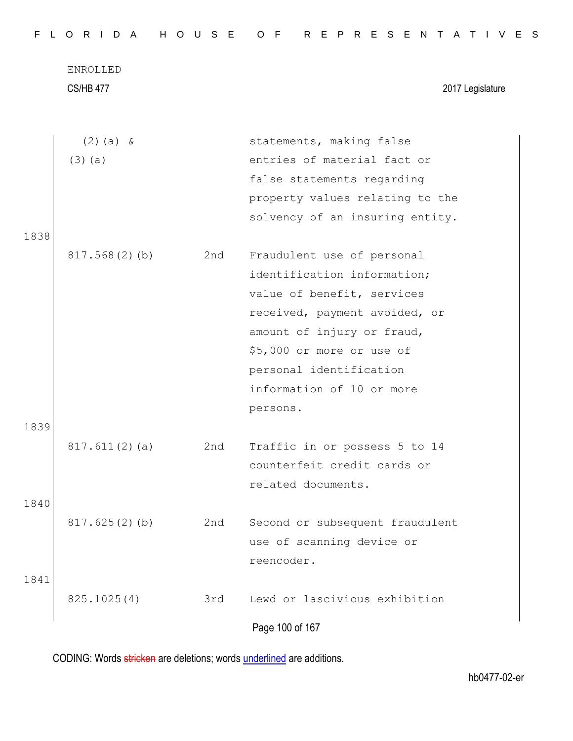CS/HB 477 2017 Legislature

| entries of material fact or<br>$(3)$ (a)<br>false statements regarding<br>property values relating to the<br>solvency of an insuring entity.<br>1838<br>Fraudulent use of personal<br>817.568(2)(b)<br>2nd<br>identification information;<br>value of benefit, services<br>received, payment avoided, or | $(2)$ (a) & | statements, making false   |  |
|----------------------------------------------------------------------------------------------------------------------------------------------------------------------------------------------------------------------------------------------------------------------------------------------------------|-------------|----------------------------|--|
|                                                                                                                                                                                                                                                                                                          |             |                            |  |
|                                                                                                                                                                                                                                                                                                          |             |                            |  |
|                                                                                                                                                                                                                                                                                                          |             |                            |  |
|                                                                                                                                                                                                                                                                                                          |             |                            |  |
|                                                                                                                                                                                                                                                                                                          |             |                            |  |
|                                                                                                                                                                                                                                                                                                          |             |                            |  |
|                                                                                                                                                                                                                                                                                                          |             |                            |  |
|                                                                                                                                                                                                                                                                                                          |             |                            |  |
|                                                                                                                                                                                                                                                                                                          |             |                            |  |
|                                                                                                                                                                                                                                                                                                          |             | amount of injury or fraud, |  |
| \$5,000 or more or use of                                                                                                                                                                                                                                                                                |             |                            |  |
| personal identification                                                                                                                                                                                                                                                                                  |             |                            |  |
| information of 10 or more                                                                                                                                                                                                                                                                                |             |                            |  |
| persons.                                                                                                                                                                                                                                                                                                 |             |                            |  |
| 1839                                                                                                                                                                                                                                                                                                     |             |                            |  |
| 817.611(2)(a)<br>Traffic in or possess 5 to 14<br>2nd                                                                                                                                                                                                                                                    |             |                            |  |
| counterfeit credit cards or                                                                                                                                                                                                                                                                              |             |                            |  |
| related documents.                                                                                                                                                                                                                                                                                       |             |                            |  |
| 1840                                                                                                                                                                                                                                                                                                     |             |                            |  |
| 817.625(2)(b)<br>Second or subsequent fraudulent<br>2nd                                                                                                                                                                                                                                                  |             |                            |  |
| use of scanning device or                                                                                                                                                                                                                                                                                |             |                            |  |
| reencoder.                                                                                                                                                                                                                                                                                               |             |                            |  |
| 1841                                                                                                                                                                                                                                                                                                     |             |                            |  |
| Lewd or lascivious exhibition<br>825.1025(4)<br>3rd                                                                                                                                                                                                                                                      |             |                            |  |
| Page 100 of 167                                                                                                                                                                                                                                                                                          |             |                            |  |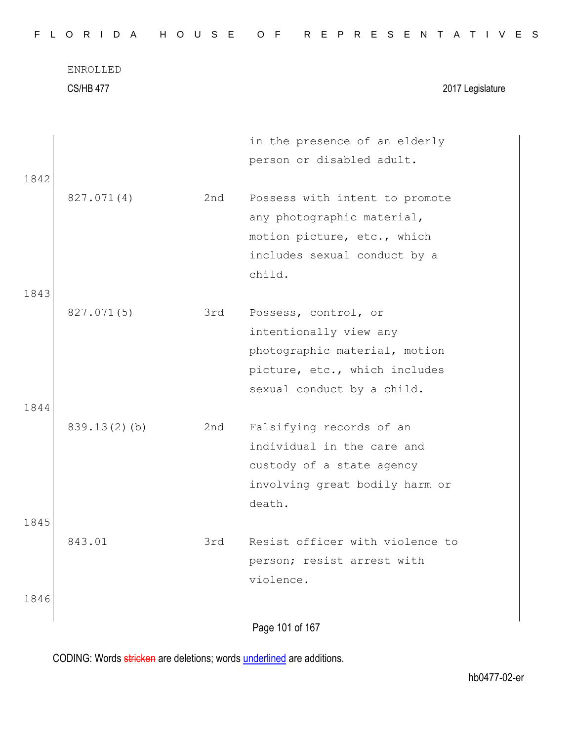CS/HB 477 2017 Legislature

|      |                 |     | in the presence of an elderly   |
|------|-----------------|-----|---------------------------------|
|      |                 |     | person or disabled adult.       |
| 1842 |                 |     |                                 |
|      | 827.071(4)      | 2nd | Possess with intent to promote  |
|      |                 |     | any photographic material,      |
|      |                 |     | motion picture, etc., which     |
|      |                 |     | includes sexual conduct by a    |
|      |                 |     | child.                          |
| 1843 |                 |     |                                 |
|      | 827.071(5)      | 3rd | Possess, control, or            |
|      |                 |     | intentionally view any          |
|      |                 |     | photographic material, motion   |
|      |                 |     | picture, etc., which includes   |
|      |                 |     | sexual conduct by a child.      |
| 1844 |                 |     |                                 |
|      | $839.13(2)$ (b) | 2nd | Falsifying records of an        |
|      |                 |     | individual in the care and      |
|      |                 |     | custody of a state agency       |
|      |                 |     | involving great bodily harm or  |
|      |                 |     | death.                          |
| 1845 |                 |     |                                 |
|      | 843.01          | 3rd | Resist officer with violence to |
|      |                 |     | person; resist arrest with      |
|      |                 |     | violence.                       |
| 1846 |                 |     |                                 |
|      |                 |     | Page 101 of 167                 |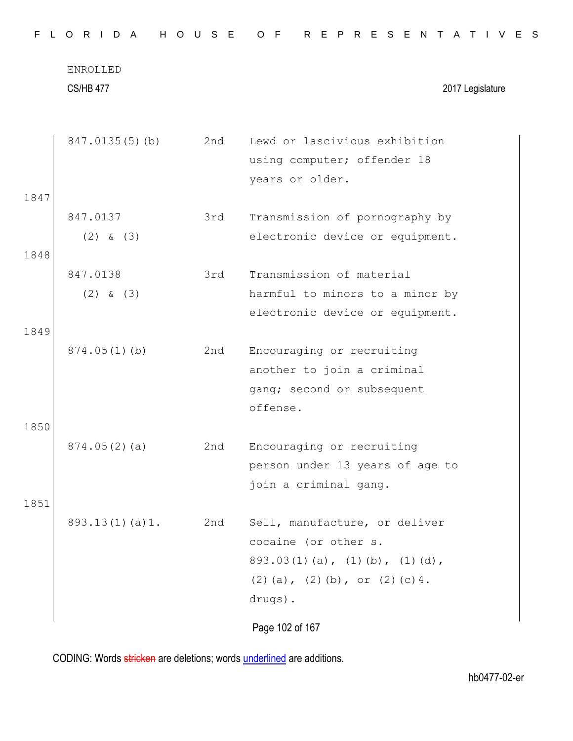|              | ENROLLED<br><b>CS/HB 477</b> |     | 2017 Legislature                                                                                                                                    |
|--------------|------------------------------|-----|-----------------------------------------------------------------------------------------------------------------------------------------------------|
|              | 847.0135(5)(b)               | 2nd | Lewd or lascivious exhibition<br>using computer; offender 18<br>years or older.                                                                     |
| 1847         |                              |     |                                                                                                                                                     |
|              | 847.0137<br>$(2)$ & $(3)$    | 3rd | Transmission of pornography by<br>electronic device or equipment.                                                                                   |
| 1848         |                              |     |                                                                                                                                                     |
|              | 847.0138                     | 3rd | Transmission of material                                                                                                                            |
|              | $(2)$ & $(3)$                |     | harmful to minors to a minor by                                                                                                                     |
|              |                              |     | electronic device or equipment.                                                                                                                     |
| 1849<br>1850 | $874.05(1)$ (b)              | 2nd | Encouraging or recruiting<br>another to join a criminal<br>gang; second or subsequent<br>offense.                                                   |
|              | 874.05(2)(a)                 | 2nd | Encouraging or recruiting<br>person under 13 years of age to<br>join a criminal gang.                                                               |
| 1851         |                              |     |                                                                                                                                                     |
|              | 893.13(1)(a)1.               | 2nd | Sell, manufacture, or deliver<br>cocaine (or other s.<br>$893.03(1)(a)$ , $(1)(b)$ , $(1)(d)$ ,<br>$(2)$ (a), $(2)$ (b), or $(2)$ (c) 4.<br>drugs). |
|              |                              |     | Page 102 of 167                                                                                                                                     |

F L O R I D A H O U S E O F R E P R E S E N T A T I V E S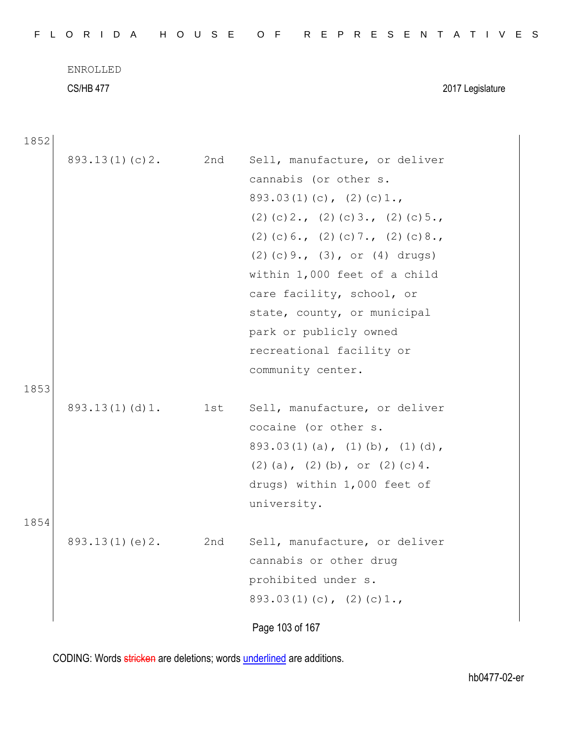| FLORIDA HOUSE OF REPRESENTATIVES |  |
|----------------------------------|--|
|----------------------------------|--|

CS/HB 477 2017 Legislature

1852

|      | 893.13(1)(c)2. | 2nd | Sell, manufacture, or deliver<br>cannabis (or other s.<br>$893.03(1)(c)$ , $(2)(c)1.$<br>$(2)$ (c) 2., (2) (c) 3., (2) (c) 5.,<br>$(2)$ (c) 6., (2) (c) 7., (2) (c) 8.,<br>$(2)$ (c) 9., (3), or (4) drugs)<br>within 1,000 feet of a child<br>care facility, school, or<br>state, county, or municipal |
|------|----------------|-----|---------------------------------------------------------------------------------------------------------------------------------------------------------------------------------------------------------------------------------------------------------------------------------------------------------|
| 1853 |                |     | park or publicly owned<br>recreational facility or<br>community center.                                                                                                                                                                                                                                 |
| 1854 | 893.13(1)(d)1. | 1st | Sell, manufacture, or deliver<br>cocaine (or other s.<br>$893.03(1)(a)$ , $(1)(b)$ , $(1)(d)$ ,<br>$(2)$ (a), $(2)$ (b), or $(2)$ (c) 4.<br>drugs) within 1,000 feet of<br>university.                                                                                                                  |
|      | 893.13(1)(e)2. | 2nd | Sell, manufacture, or deliver<br>cannabis or other drug<br>prohibited under s.<br>$893.03(1)(c)$ , $(2)(c)1.$<br>Page 103 of 167                                                                                                                                                                        |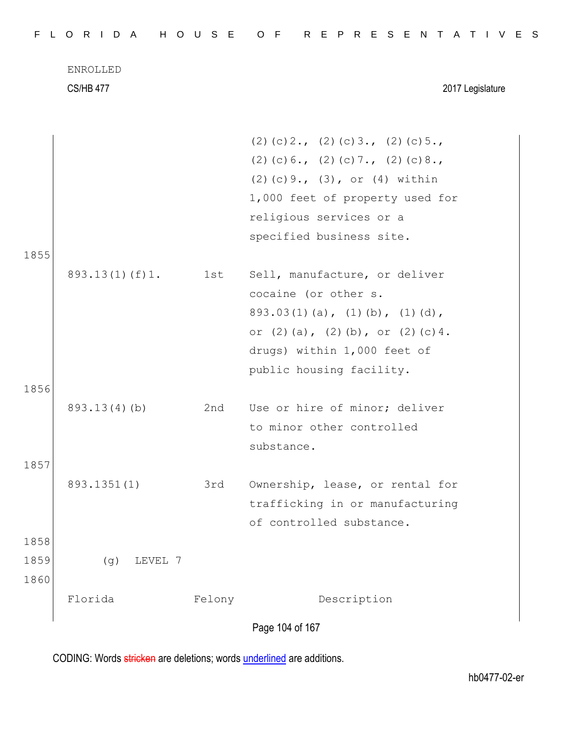|      | <b>ENROLLED</b>    |        |                                                       |
|------|--------------------|--------|-------------------------------------------------------|
|      | <b>CS/HB 477</b>   |        | 2017 Legislature                                      |
|      |                    |        | $(2)$ (c) 2., (2) (c) 3., (2) (c) 5.,                 |
|      |                    |        | $(2)$ (c) 6., (2) (c) 7., (2) (c) 8.,                 |
|      |                    |        | $(2)$ (c) 9., $(3)$ , or $(4)$ within                 |
|      |                    |        | 1,000 feet of property used for                       |
|      |                    |        | religious services or a                               |
|      |                    |        | specified business site.                              |
| 1855 |                    |        |                                                       |
|      | $893.13(1)$ (f) 1. | 1st    | Sell, manufacture, or deliver<br>cocaine (or other s. |
|      |                    |        | $893.03(1)(a)$ , $(1)(b)$ , $(1)(d)$ ,                |
|      |                    |        | or $(2)$ $(a)$ , $(2)$ $(b)$ , or $(2)$ $(c)$ 4.      |
|      |                    |        | drugs) within 1,000 feet of                           |
|      |                    |        | public housing facility.                              |
| 1856 |                    |        |                                                       |
|      | 893.13(4)(b)       | 2nd    | Use or hire of minor; deliver                         |
|      |                    |        | to minor other controlled                             |
|      |                    |        | substance.                                            |
| 1857 |                    |        |                                                       |
|      | 893.1351(1)        | 3rd    | Ownership, lease, or rental for                       |
|      |                    |        | trafficking in or manufacturing                       |
| 1858 |                    |        | of controlled substance.                              |
| 1859 | LEVEL 7<br>(g)     |        |                                                       |
| 1860 |                    |        |                                                       |
|      | Florida            | Felony | Description                                           |
|      |                    |        |                                                       |
|      |                    |        | Page 104 of 167                                       |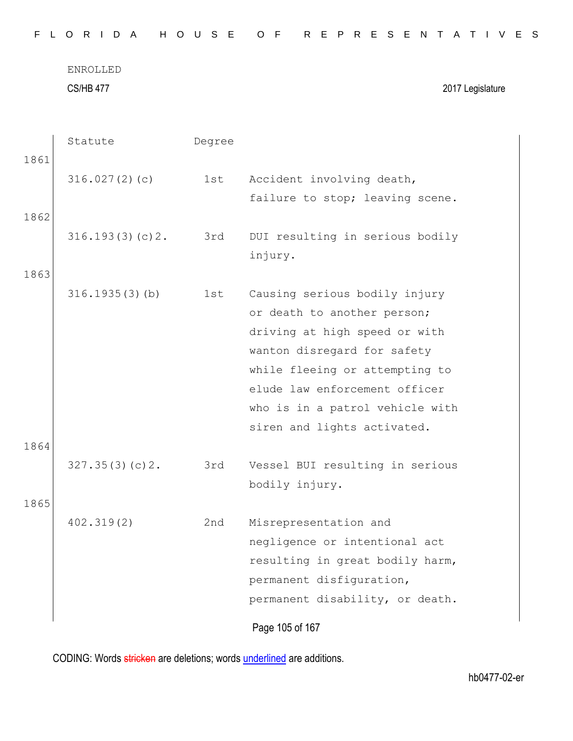CS/HB 477 2017 Legislature

|      | Statute           | Degree |                                                                                                                                                                                                                                                                   |
|------|-------------------|--------|-------------------------------------------------------------------------------------------------------------------------------------------------------------------------------------------------------------------------------------------------------------------|
| 1861 | 316.027(2)(c)     | 1st    | Accident involving death,                                                                                                                                                                                                                                         |
| 1862 |                   |        | failure to stop; leaving scene.                                                                                                                                                                                                                                   |
|      | 316.193(3)(c)2.   | 3rd    | DUI resulting in serious bodily<br>injury.                                                                                                                                                                                                                        |
| 1863 |                   |        |                                                                                                                                                                                                                                                                   |
|      | $316.1935(3)$ (b) | 1st    | Causing serious bodily injury<br>or death to another person;<br>driving at high speed or with<br>wanton disregard for safety<br>while fleeing or attempting to<br>elude law enforcement officer<br>who is in a patrol vehicle with<br>siren and lights activated. |
| 1864 | 327.35(3)(c)2.    | 3rd    | Vessel BUI resulting in serious                                                                                                                                                                                                                                   |
|      |                   |        | bodily injury.                                                                                                                                                                                                                                                    |
| 1865 | 402.319(2)        | 2nd    | Misrepresentation and<br>negligence or intentional act<br>resulting in great bodily harm,<br>permanent disfiguration,<br>permanent disability, or death.                                                                                                          |
|      |                   |        | Page 105 of 167                                                                                                                                                                                                                                                   |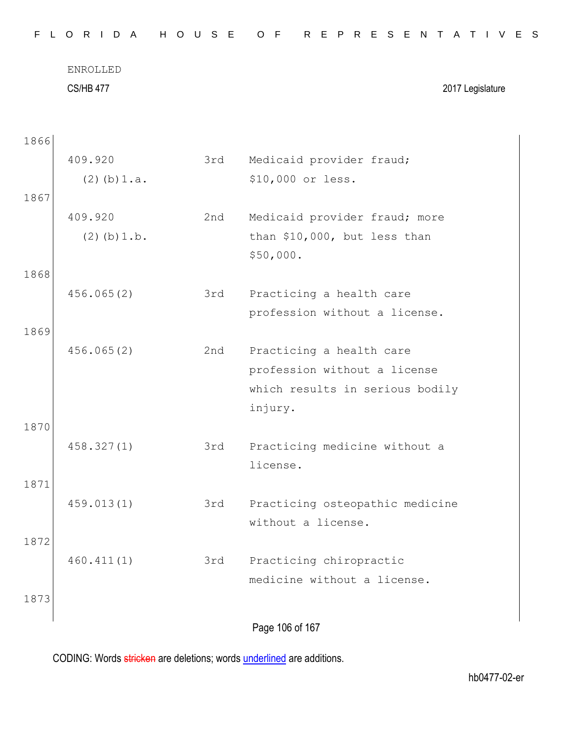| FLORIDA HOUSE OF REPRESENTATIVES |  |
|----------------------------------|--|
|----------------------------------|--|

CS/HB 477 2017 Legislature

| 1866 |                  |     |                                 |
|------|------------------|-----|---------------------------------|
|      | 409.920          | 3rd | Medicaid provider fraud;        |
|      | $(2)$ (b) $1.a.$ |     | \$10,000 or less.               |
| 1867 |                  |     |                                 |
|      | 409.920          | 2nd | Medicaid provider fraud; more   |
|      | $(2)$ (b) $1.b.$ |     | than \$10,000, but less than    |
|      |                  |     | \$50,000.                       |
| 1868 |                  |     |                                 |
|      | 456.065(2)       | 3rd | Practicing a health care        |
|      |                  |     | profession without a license.   |
| 1869 |                  |     |                                 |
|      | 456.065(2)       | 2nd | Practicing a health care        |
|      |                  |     | profession without a license    |
|      |                  |     | which results in serious bodily |
|      |                  |     | injury.                         |
| 1870 |                  |     |                                 |
|      | 458.327(1)       | 3rd | Practicing medicine without a   |
|      |                  |     | license.                        |
| 1871 |                  |     |                                 |
|      | 459.013(1)       | 3rd | Practicing osteopathic medicine |
|      |                  |     | without a license.              |
| 1872 |                  |     |                                 |
|      | 460.411(1)       | 3rd | Practicing chiropractic         |
|      |                  |     | medicine without a license.     |
| 1873 |                  |     |                                 |
|      |                  |     |                                 |
|      |                  |     | Page 106 of 167                 |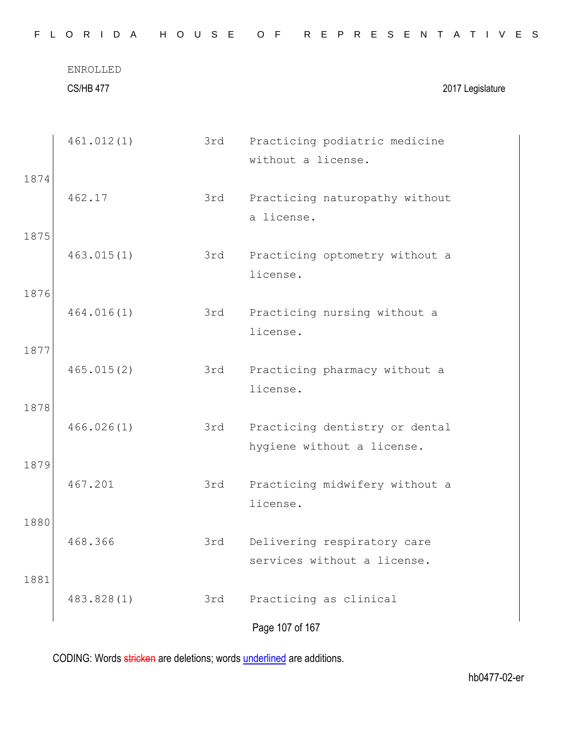|      | <b>ENROLLED</b><br><b>CS/HB 477</b> |     | 2017 Legislature                                             |
|------|-------------------------------------|-----|--------------------------------------------------------------|
|      | 461.012(1)                          | 3rd | Practicing podiatric medicine<br>without a license.          |
| 1874 | 462.17                              | 3rd | Practicing naturopathy without<br>a license.                 |
| 1875 | 463.015(1)                          | 3rd | Practicing optometry without a<br>license.                   |
| 1876 | 464.016(1)                          | 3rd | Practicing nursing without a<br>license.                     |
| 1877 | 465.015(2)                          | 3rd | Practicing pharmacy without a<br>license.                    |
| 1878 | 466.026(1)                          | 3rd | Practicing dentistry or dental<br>hygiene without a license. |
| 1879 | 467.201                             | 3rd | Practicing midwifery without a<br>license.                   |
| 1880 | 468.366                             | 3rd | Delivering respiratory care<br>services without a license.   |
| 1881 | 483.828(1)                          | 3rd | Practicing as clinical                                       |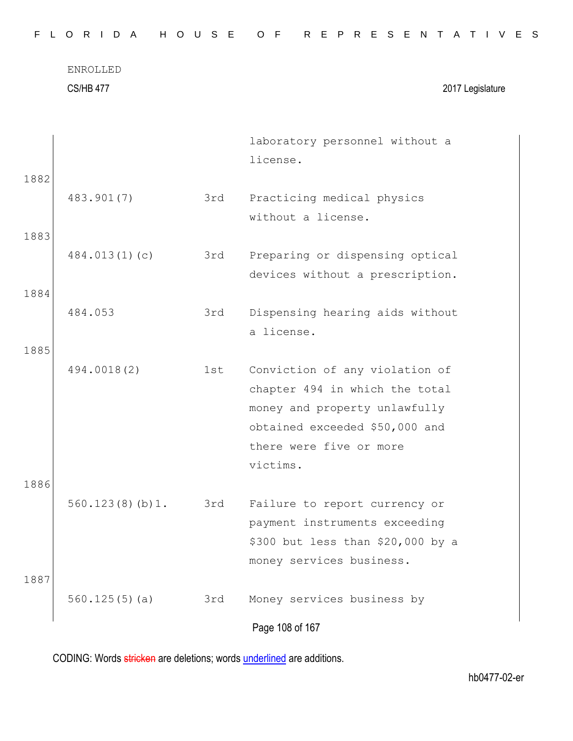|              | <b>ENROLLED</b><br><b>CS/HB 477</b> |     | 2017 Legislature                                                                                                                                                           |
|--------------|-------------------------------------|-----|----------------------------------------------------------------------------------------------------------------------------------------------------------------------------|
|              |                                     |     | laboratory personnel without a<br>license.                                                                                                                                 |
| 1882<br>1883 | 483.901(7)                          | 3rd | Practicing medical physics<br>without a license.                                                                                                                           |
| 1884         | 484.013(1)(c)                       | 3rd | Preparing or dispensing optical<br>devices without a prescription.                                                                                                         |
|              | 484.053                             | 3rd | Dispensing hearing aids without<br>a license.                                                                                                                              |
| 1885         | 494.0018(2)                         | 1st | Conviction of any violation of<br>chapter 494 in which the total<br>money and property unlawfully<br>obtained exceeded \$50,000 and<br>there were five or more<br>victims. |
| 1886         | 560.123(8)(b)1.                     | 3rd | Failure to report currency or<br>payment instruments exceeding<br>\$300 but less than \$20,000 by a<br>money services business.                                            |
| 1887         | 560.125(5)(a)                       | 3rd | Money services business by<br>Page 108 of 167                                                                                                                              |

F L O R I D A H O U S E O F R E P R E S E N T A T I V E S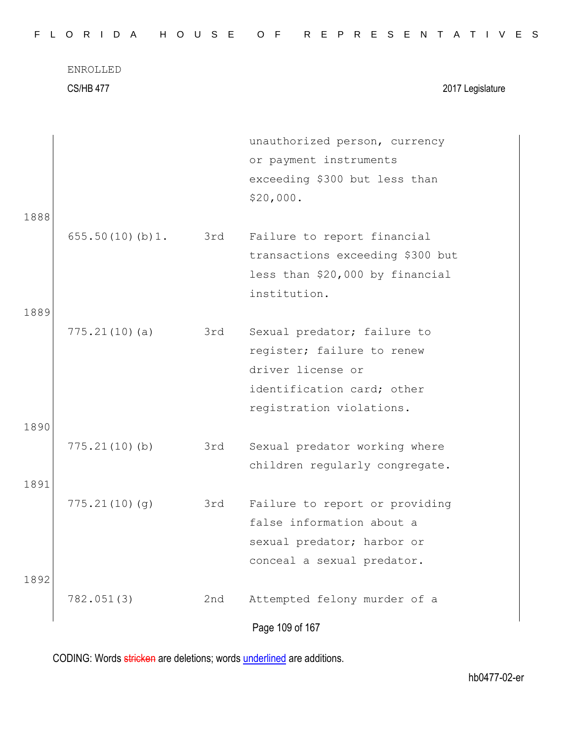|--|

CS/HB 477 2017 Legislature

| 1888 |                 |     | unauthorized person, currency<br>or payment instruments<br>exceeding \$300 but less than<br>\$20,000.                                    |
|------|-----------------|-----|------------------------------------------------------------------------------------------------------------------------------------------|
|      | 655.50(10)(b)1. | 3rd | Failure to report financial<br>transactions exceeding \$300 but<br>less than \$20,000 by financial<br>institution.                       |
| 1889 |                 |     |                                                                                                                                          |
| 1890 | 775.21(10)(a)   | 3rd | Sexual predator; failure to<br>register; failure to renew<br>driver license or<br>identification card; other<br>registration violations. |
|      |                 |     |                                                                                                                                          |
|      | 775.21(10)(b)   | 3rd | Sexual predator working where<br>children regularly congregate.                                                                          |
| 1891 |                 |     |                                                                                                                                          |
| 1892 | 775.21(10)(q)   | 3rd | Failure to report or providing<br>false information about a<br>sexual predator; harbor or<br>conceal a sexual predator.                  |
|      | 782.051(3)      | 2nd | Attempted felony murder of a                                                                                                             |
|      |                 |     | Page 109 of 167                                                                                                                          |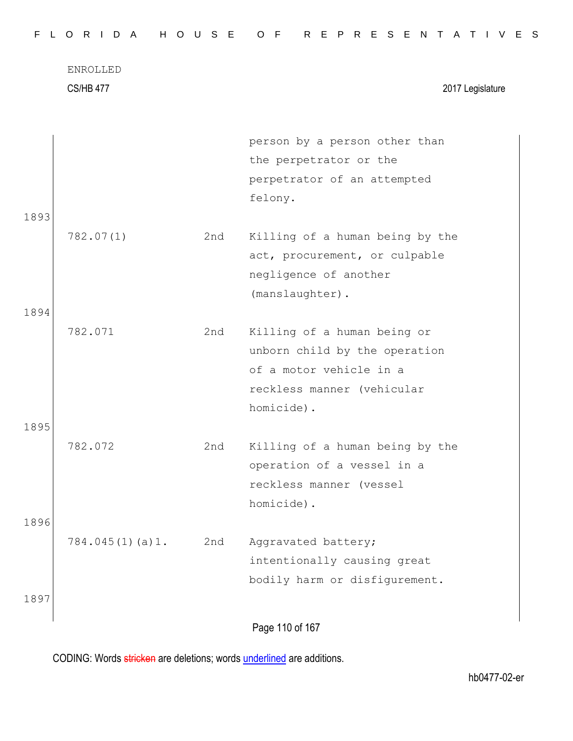ENROLLED CS/HB 477 2017 Legislature person by a person other than the perpetrator or the perpetrator of an attempted felony. 1893 782.07(1) 2nd Killing of a human being by the act, procurement, or culpable negligence of another (manslaughter). 1894 782.071 2nd Killing of a human being or unborn child by the operation of a motor vehicle in a reckless manner (vehicular homicide). 1895 782.072 2nd Killing of a human being by the operation of a vessel in a reckless manner (vessel homicide). 1896

784.045(1)(a)1. 2nd Aggravated battery; intentionally causing great bodily harm or disfigurement.

Page 110 of 167

CODING: Words stricken are deletions; words underlined are additions.

1897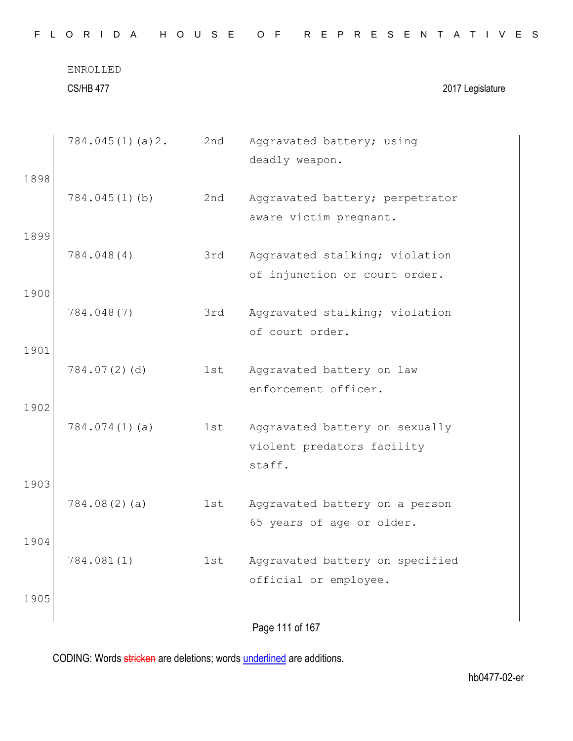|      | <b>CS/HB 477</b> |     | 2017 Legislature                                                       |
|------|------------------|-----|------------------------------------------------------------------------|
|      | 784.045(1)(a)2.  | 2nd | Aggravated battery; using<br>deadly weapon.                            |
| 1898 | $784.045(1)$ (b) | 2nd | Aggravated battery; perpetrator<br>aware victim pregnant.              |
| 1899 | 784.048(4)       | 3rd | Aggravated stalking; violation<br>of injunction or court order.        |
| 1900 | 784.048(7)       | 3rd | Aggravated stalking; violation<br>of court order.                      |
| 1901 | 784.07(2)(d)     | 1st | Aggravated battery on law<br>enforcement officer.                      |
| 1902 | 784.074(1)(a)    | 1st | Aggravated battery on sexually<br>violent predators facility<br>staff. |
| 1903 | 784.08(2)(a)     | 1st | Aggravated battery on a person<br>65 years of age or older.            |
| 1904 | 784.081(1)       | 1st | Aggravated battery on specified<br>official or employee.               |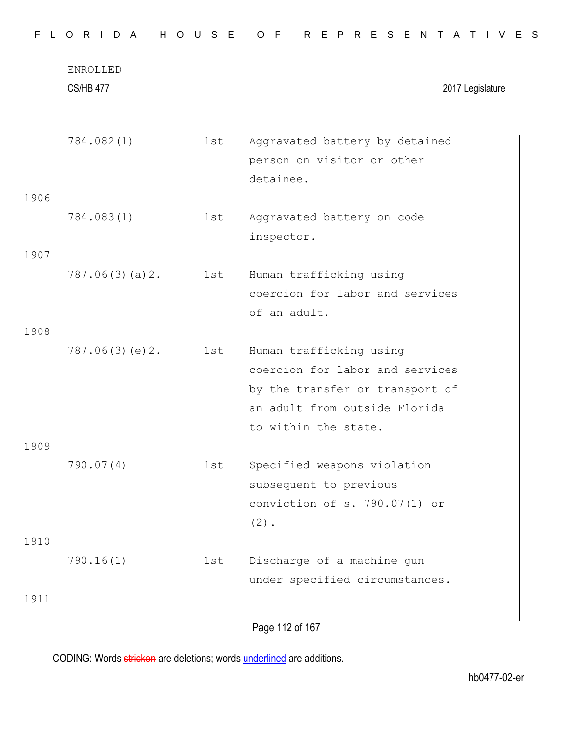|      | ENROLLED<br><b>CS/HB 477</b> |     | 2017 Legislature                                                                                                                                       |
|------|------------------------------|-----|--------------------------------------------------------------------------------------------------------------------------------------------------------|
|      | 784.082(1)                   | 1st | Aggravated battery by detained<br>person on visitor or other                                                                                           |
| 1906 |                              |     | detainee.                                                                                                                                              |
|      | 784.083(1)                   | 1st | Aggravated battery on code<br>inspector.                                                                                                               |
| 1907 |                              |     |                                                                                                                                                        |
|      | 787.06(3)(a)2.               | 1st | Human trafficking using<br>coercion for labor and services<br>of an adult.                                                                             |
| 1908 |                              |     |                                                                                                                                                        |
|      | 787.06(3)(e)2.               | 1st | Human trafficking using<br>coercion for labor and services<br>by the transfer or transport of<br>an adult from outside Florida<br>to within the state. |
| 1909 |                              |     |                                                                                                                                                        |
|      | 790.07(4)                    | 1st | Specified weapons violation<br>subsequent to previous<br>conviction of s. 790.07(1) or<br>$(2)$ .                                                      |
| 1910 | 790.16(1)                    | 1st | Discharge of a machine gun                                                                                                                             |
| 1911 |                              |     | under specified circumstances.                                                                                                                         |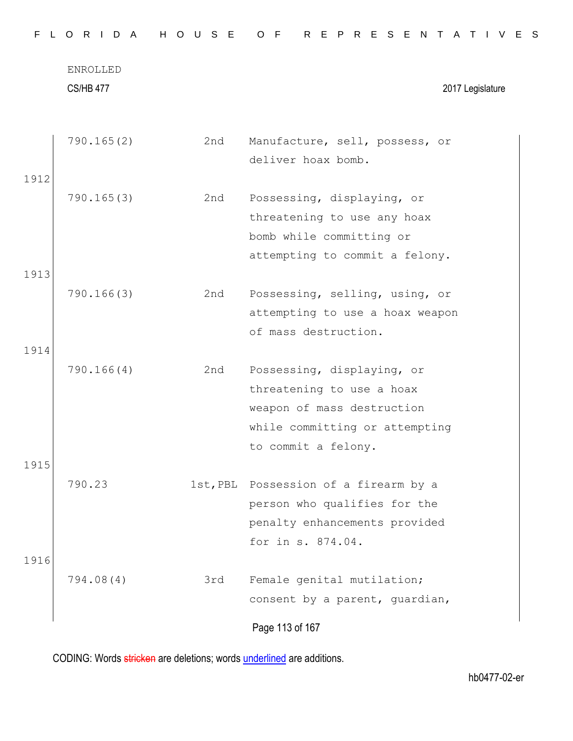| F.<br>$\mathsf{L}$ | ORIDA                        | H O U S E | R E P R E S E N T A T I V E S<br>O F                                                                                                           |
|--------------------|------------------------------|-----------|------------------------------------------------------------------------------------------------------------------------------------------------|
|                    | ENROLLED<br><b>CS/HB 477</b> |           | 2017 Legislature                                                                                                                               |
| 1912               | 790.165(2)                   | 2nd       | Manufacture, sell, possess, or<br>deliver hoax bomb.                                                                                           |
|                    | 790.165(3)                   | 2nd       | Possessing, displaying, or<br>threatening to use any hoax<br>bomb while committing or<br>attempting to commit a felony.                        |
| 1913               |                              |           |                                                                                                                                                |
|                    | 790.166(3)                   | 2nd       | Possessing, selling, using, or<br>attempting to use a hoax weapon<br>of mass destruction.                                                      |
| 1914               |                              |           |                                                                                                                                                |
|                    | 790.166(4)                   | 2nd       | Possessing, displaying, or<br>threatening to use a hoax<br>weapon of mass destruction<br>while committing or attempting<br>to commit a felony. |
| 1915               |                              |           |                                                                                                                                                |
|                    | 790.23                       |           | 1st, PBL Possession of a firearm by a<br>person who qualifies for the<br>penalty enhancements provided<br>for in s. 874.04.                    |
| 1916               |                              |           |                                                                                                                                                |
|                    | 794.08(4)                    | 3rd       | Female genital mutilation;<br>consent by a parent, guardian,                                                                                   |
|                    |                              |           | Page 113 of 167                                                                                                                                |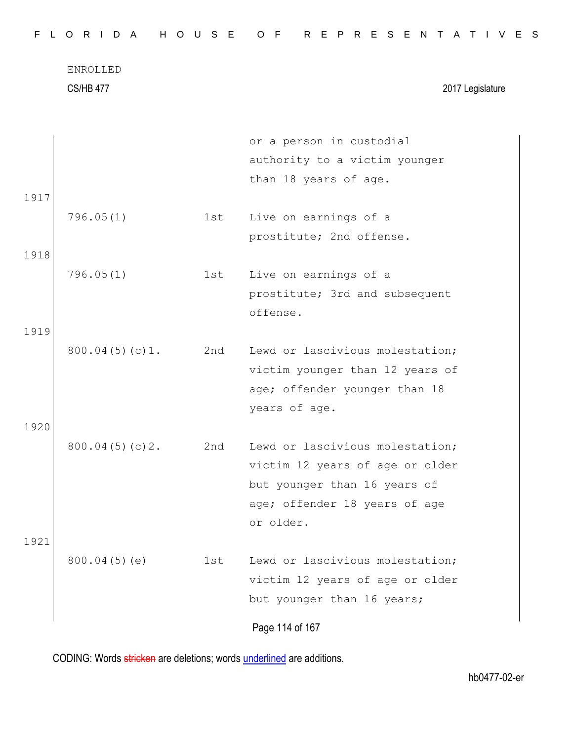|  |  |  |  |  |  |  |  |  |  |  |  | FLORIDA HOUSE OF REPRESENTATIVES |  |  |  |  |  |  |  |  |  |  |  |  |  |  |  |  |
|--|--|--|--|--|--|--|--|--|--|--|--|----------------------------------|--|--|--|--|--|--|--|--|--|--|--|--|--|--|--|--|
|--|--|--|--|--|--|--|--|--|--|--|--|----------------------------------|--|--|--|--|--|--|--|--|--|--|--|--|--|--|--|--|

CS/HB 477 2017 Legislature

|      |                |     | or a person in custodial        |
|------|----------------|-----|---------------------------------|
|      |                |     | authority to a victim younger   |
|      |                |     | than 18 years of age.           |
| 1917 |                |     |                                 |
|      | 796.05(1)      | 1st | Live on earnings of a           |
|      |                |     | prostitute; 2nd offense.        |
| 1918 |                |     |                                 |
|      | 796.05(1)      | 1st | Live on earnings of a           |
|      |                |     | prostitute; 3rd and subsequent  |
|      |                |     | offense.                        |
| 1919 |                |     |                                 |
|      | 800.04(5)(c)1. | 2nd | Lewd or lascivious molestation; |
|      |                |     | victim younger than 12 years of |
|      |                |     | age; offender younger than 18   |
|      |                |     | years of age.                   |
| 1920 |                |     |                                 |
|      | 800.04(5)(c)2. | 2nd | Lewd or lascivious molestation; |
|      |                |     | victim 12 years of age or older |
|      |                |     | but younger than 16 years of    |
|      |                |     | age; offender 18 years of age   |
|      |                |     | or older.                       |
| 1921 |                |     |                                 |
|      | 800.04(5)(e)   | 1st | Lewd or lascivious molestation; |
|      |                |     | victim 12 years of age or older |
|      |                |     | but younger than 16 years;      |
|      |                |     | Page 114 of 167                 |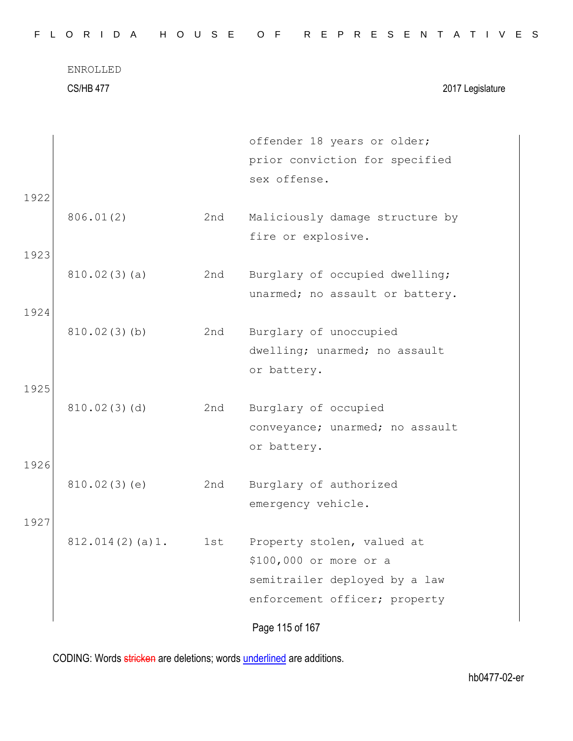CS/HB 477 2017 Legislature

|      |                 |     | offender 18 years or older;     |
|------|-----------------|-----|---------------------------------|
|      |                 |     | prior conviction for specified  |
|      |                 |     | sex offense.                    |
| 1922 |                 |     |                                 |
|      | 806.01(2)       | 2nd | Maliciously damage structure by |
|      |                 |     | fire or explosive.              |
| 1923 |                 |     |                                 |
|      | 810.02(3)(a)    | 2nd | Burglary of occupied dwelling;  |
|      |                 |     | unarmed; no assault or battery. |
| 1924 |                 |     |                                 |
|      | 810.02(3)(b)    | 2nd | Burglary of unoccupied          |
|      |                 |     | dwelling; unarmed; no assault   |
|      |                 |     | or battery.                     |
| 1925 |                 |     |                                 |
|      | 810.02(3)(d)    | 2nd | Burglary of occupied            |
|      |                 |     | conveyance; unarmed; no assault |
|      |                 |     | or battery.                     |
| 1926 |                 |     |                                 |
|      | 810.02(3)(e)    | 2nd | Burglary of authorized          |
|      |                 |     | emergency vehicle.              |
| 1927 |                 |     |                                 |
|      | 812.014(2)(a)1. | 1st | Property stolen, valued at      |
|      |                 |     | \$100,000 or more or a          |
|      |                 |     | semitrailer deployed by a law   |
|      |                 |     | enforcement officer; property   |
|      |                 |     |                                 |
|      |                 |     | Page 115 of 167                 |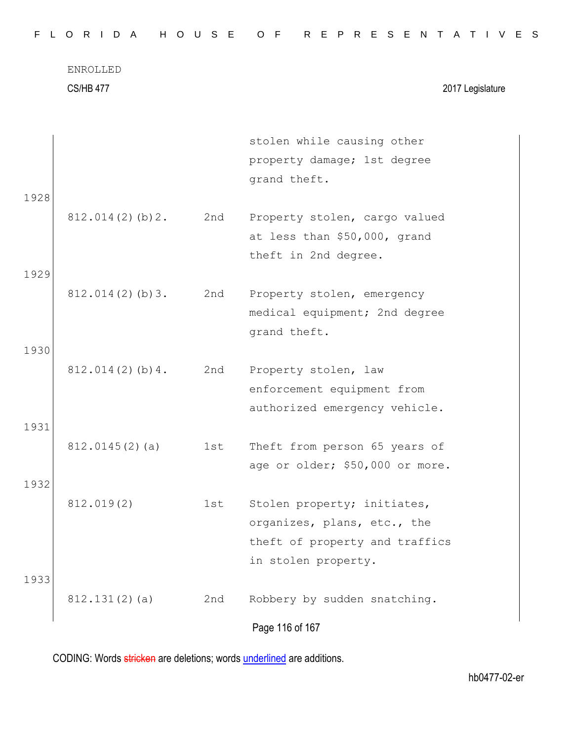CS/HB 477 2017 Legislature

|      |                 |     | stolen while causing other      |
|------|-----------------|-----|---------------------------------|
|      |                 |     | property damage; 1st degree     |
|      |                 |     | grand theft.                    |
| 1928 |                 |     |                                 |
|      | 812.014(2)(b)2. | 2nd | Property stolen, cargo valued   |
|      |                 |     | at less than \$50,000, grand    |
|      |                 |     | theft in 2nd degree.            |
| 1929 |                 |     |                                 |
|      | 812.014(2)(b)3. | 2nd | Property stolen, emergency      |
|      |                 |     | medical equipment; 2nd degree   |
|      |                 |     | grand theft.                    |
| 1930 |                 |     |                                 |
|      | 812.014(2)(b)4. | 2nd | Property stolen, law            |
|      |                 |     | enforcement equipment from      |
|      |                 |     | authorized emergency vehicle.   |
| 1931 |                 |     |                                 |
|      | 812.0145(2)(a)  | 1st | Theft from person 65 years of   |
|      |                 |     | age or older; \$50,000 or more. |
| 1932 |                 |     |                                 |
|      | 812.019(2)      | 1st | Stolen property; initiates,     |
|      |                 |     | organizes, plans, etc., the     |
|      |                 |     | theft of property and traffics  |
|      |                 |     | in stolen property.             |
| 1933 |                 |     |                                 |
|      | 812.131(2)(a)   | 2nd | Robbery by sudden snatching.    |
|      |                 |     | Page 116 of 167                 |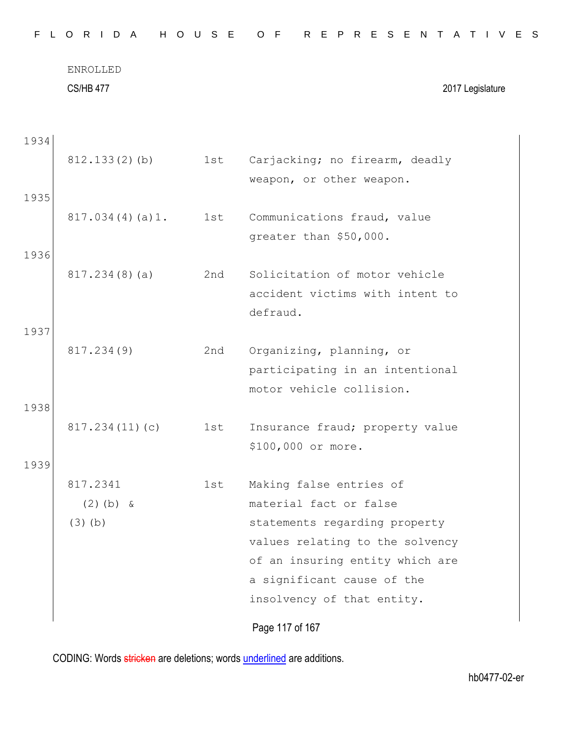CS/HB 477 2017 Legislature

| 1934 |                 |     |                                             |
|------|-----------------|-----|---------------------------------------------|
|      | 812.133(2)(b)   | 1st | Carjacking; no firearm, deadly              |
|      |                 |     | weapon, or other weapon.                    |
| 1935 |                 |     |                                             |
|      | 817.034(4)(a)1. | 1st | Communications fraud, value                 |
|      |                 |     | greater than \$50,000.                      |
| 1936 |                 |     |                                             |
|      | 817.234(8)(a)   | 2nd | Solicitation of motor vehicle               |
|      |                 |     | accident victims with intent to<br>defraud. |
| 1937 |                 |     |                                             |
|      | 817.234(9)      | 2nd | Organizing, planning, or                    |
|      |                 |     | participating in an intentional             |
|      |                 |     | motor vehicle collision.                    |
| 1938 |                 |     |                                             |
|      | 817.234(11)(c)  | 1st | Insurance fraud; property value             |
|      |                 |     | \$100,000 or more.                          |
| 1939 |                 |     |                                             |
|      | 817.2341        | 1st | Making false entries of                     |
|      | $(2)$ (b) &     |     | material fact or false                      |
|      | $(3)$ (b)       |     | statements regarding property               |
|      |                 |     | values relating to the solvency             |
|      |                 |     | of an insuring entity which are             |
|      |                 |     | a significant cause of the                  |
|      |                 |     | insolvency of that entity.                  |
|      |                 |     | Page 117 of 167                             |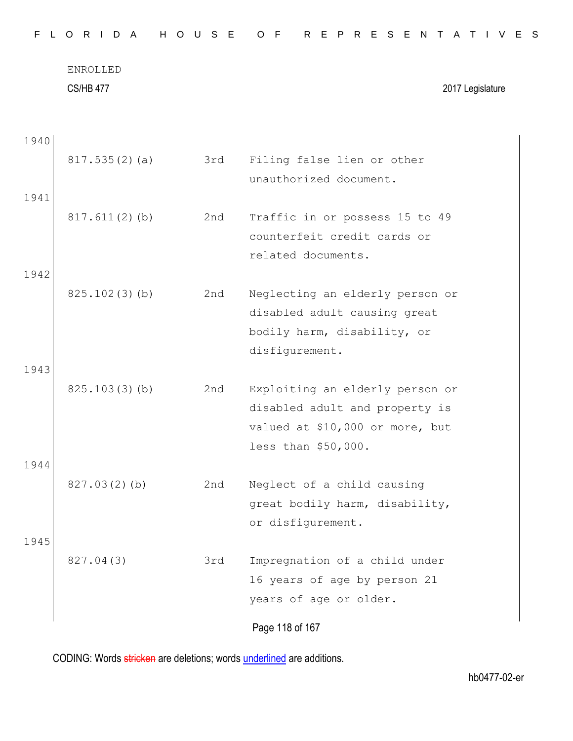|  |  |  |  |  |  |  |  |  |  |  |  |  | FLORIDA HOUSE OF REPRESENTATIVES |  |  |  |  |  |  |  |  |  |  |  |  |  |  |  |  |  |
|--|--|--|--|--|--|--|--|--|--|--|--|--|----------------------------------|--|--|--|--|--|--|--|--|--|--|--|--|--|--|--|--|--|
|--|--|--|--|--|--|--|--|--|--|--|--|--|----------------------------------|--|--|--|--|--|--|--|--|--|--|--|--|--|--|--|--|--|

CS/HB 477 2017 Legislature

| 817.535(2)(a)    | 3rd | Filing false lien or other<br>unauthorized document.                                                                        |
|------------------|-----|-----------------------------------------------------------------------------------------------------------------------------|
| $817.611(2)$ (b) | 2nd | Traffic in or possess 15 to 49<br>counterfeit credit cards or<br>related documents.                                         |
| 825.102(3)(b)    | 2nd | Neglecting an elderly person or<br>disabled adult causing great<br>bodily harm, disability, or<br>disfigurement.            |
| 825.103(3)(b)    | 2nd | Exploiting an elderly person or<br>disabled adult and property is<br>valued at \$10,000 or more, but<br>less than \$50,000. |
| 827.03(2)(b)     | 2nd | Neglect of a child causing<br>great bodily harm, disability,<br>or disfigurement.                                           |
| 827.04(3)        | 3rd | Impregnation of a child under<br>16 years of age by person 21<br>years of age or older.<br>Page 118 of 167                  |
|                  |     |                                                                                                                             |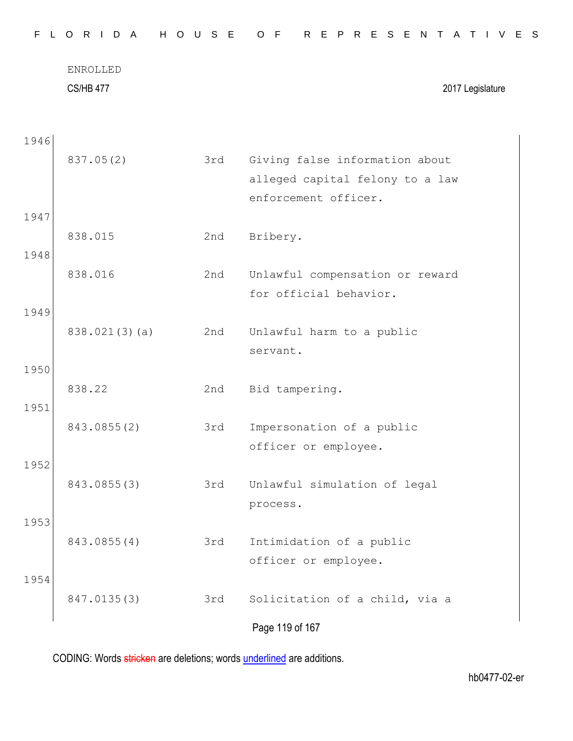| F.<br>L. | H<br>R I D<br>$\overline{A}$<br>$\circ$ | $O$ $U$<br>S E | R E P R E S E N<br>O F<br>A<br>IVES<br>$\top$                                             |
|----------|-----------------------------------------|----------------|-------------------------------------------------------------------------------------------|
|          | ENROLLED<br><b>CS/HB 477</b>            |                | 2017 Legislature                                                                          |
| 1946     |                                         |                |                                                                                           |
|          | 837.05(2)                               | 3rd            | Giving false information about<br>alleged capital felony to a law<br>enforcement officer. |
| 1947     |                                         |                |                                                                                           |
|          | 838.015                                 | 2nd            | Bribery.                                                                                  |
| 1948     | 838.016                                 | 2nd            | Unlawful compensation or reward                                                           |
|          |                                         |                | for official behavior.                                                                    |
| 1949     | 838.021(3)(a)                           | 2nd            | Unlawful harm to a public<br>servant.                                                     |
| 1950     |                                         |                |                                                                                           |
| 1951     | 838.22                                  | 2nd            | Bid tampering.                                                                            |
|          | 843.0855(2)                             | 3rd            | Impersonation of a public<br>officer or employee.                                         |
| 1952     |                                         |                |                                                                                           |
|          | 843.0855(3)                             | 3rd            | Unlawful simulation of legal<br>process.                                                  |
| 1953     |                                         |                |                                                                                           |
|          | 843.0855(4)                             | 3rd            | Intimidation of a public<br>officer or employee.                                          |
| 1954     |                                         |                |                                                                                           |
|          | 847.0135(3)                             | 3rd            | Solicitation of a child, via a                                                            |
|          |                                         |                | Page 119 of 167                                                                           |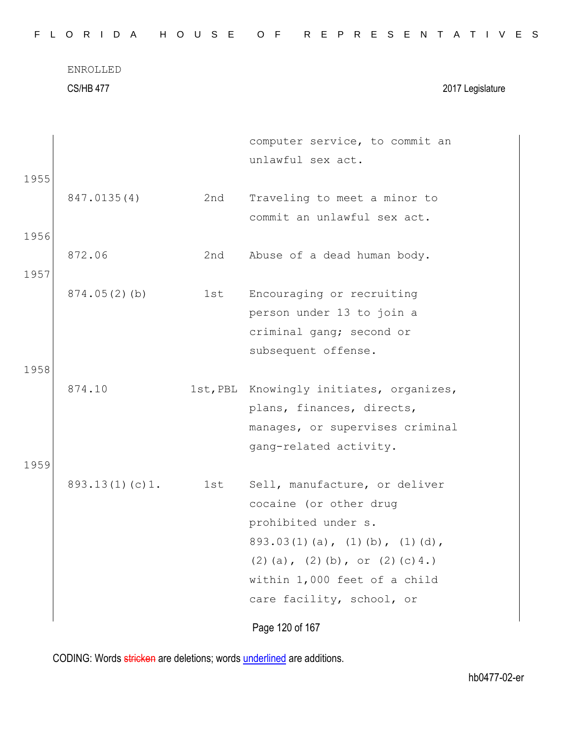CS/HB 477 2017 Legislature

|                |     | computer service, to commit an           |
|----------------|-----|------------------------------------------|
|                |     | unlawful sex act.                        |
| 1955           |     |                                          |
| 847.0135(4)    | 2nd | Traveling to meet a minor to             |
|                |     | commit an unlawful sex act.              |
| 1956           |     |                                          |
| 872.06         | 2nd | Abuse of a dead human body.              |
| 1957           |     |                                          |
| 874.05(2)(b)   | 1st | Encouraging or recruiting                |
|                |     | person under 13 to join a                |
|                |     | criminal gang; second or                 |
|                |     | subsequent offense.                      |
| 1958           |     |                                          |
| 874.10         |     | 1st, PBL Knowingly initiates, organizes, |
|                |     | plans, finances, directs,                |
|                |     | manages, or supervises criminal          |
|                |     | gang-related activity.                   |
| 1959           |     |                                          |
| 893.13(1)(c)1. | 1st | Sell, manufacture, or deliver            |
|                |     | cocaine (or other drug                   |
|                |     | prohibited under s.                      |
|                |     | $893.03(1)(a)$ , $(1)(b)$ , $(1)(d)$ ,   |
|                |     | $(2)$ (a), $(2)$ (b), or $(2)$ (c) 4.)   |
|                |     | within 1,000 feet of a child             |
|                |     | care facility, school, or                |
|                |     |                                          |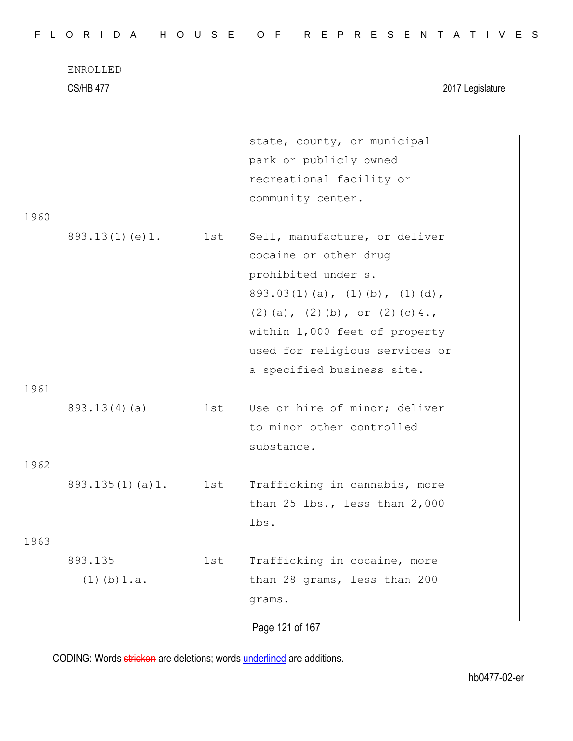CS/HB 477 2017 Legislature

|      |                     |     | state, county, or municipal            |
|------|---------------------|-----|----------------------------------------|
|      |                     |     | park or publicly owned                 |
|      |                     |     | recreational facility or               |
|      |                     |     | community center.                      |
| 1960 |                     |     |                                        |
|      | 893.13(1)(e)1.      | 1st | Sell, manufacture, or deliver          |
|      |                     |     | cocaine or other drug                  |
|      |                     |     | prohibited under s.                    |
|      |                     |     | $893.03(1)(a)$ , $(1)(b)$ , $(1)(d)$ , |
|      |                     |     | (2) (a), (2) (b), or (2) (c) $4.$ ,    |
|      |                     |     | within 1,000 feet of property          |
|      |                     |     | used for religious services or         |
|      |                     |     | a specified business site.             |
| 1961 |                     |     |                                        |
|      | 893.13(4)(a)        | 1st | Use or hire of minor; deliver          |
|      |                     |     | to minor other controlled              |
|      |                     |     | substance.                             |
| 1962 |                     |     |                                        |
|      | 893.135(1)(a)1. 1st |     | Trafficking in cannabis, more          |
|      |                     |     | than $25$ lbs., less than $2,000$      |
|      |                     |     | lbs.                                   |
| 1963 |                     |     |                                        |
|      | 893.135             | 1st | Trafficking in cocaine, more           |
|      | $(1)$ (b) $1.a.$    |     | than 28 grams, less than 200           |
|      |                     |     | grams.                                 |
|      |                     |     |                                        |
|      |                     |     | Page 121 of 167                        |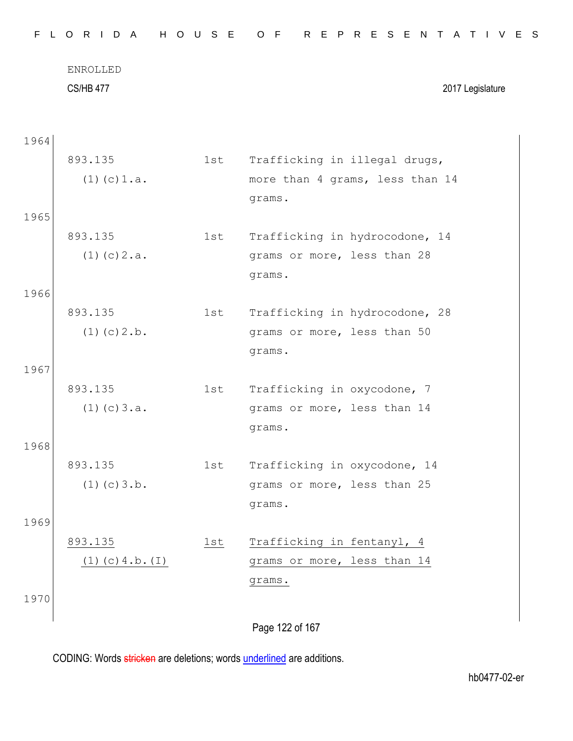| F.   | L O R I D A          | H O U S E | R E P R E S E N T A T I V E S<br>O F |
|------|----------------------|-----------|--------------------------------------|
|      | ENROLLED             |           |                                      |
|      | <b>CS/HB 477</b>     |           | 2017 Legislature                     |
| 1964 |                      |           |                                      |
|      | 893.135              | 1st       | Trafficking in illegal drugs,        |
|      | $(1)$ (c) $1.a.$     |           | more than 4 grams, less than 14      |
|      |                      |           | grams.                               |
| 1965 |                      |           |                                      |
|      | 893.135              | 1st       | Trafficking in hydrocodone, 14       |
|      | $(1)$ (c) $2.a.$     |           | grams or more, less than 28          |
|      |                      |           | grams.                               |
| 1966 |                      |           |                                      |
|      | 893.135              | 1st       | Trafficking in hydrocodone, 28       |
|      | $(1)$ (c) $2.b.$     |           | grams or more, less than 50          |
|      |                      |           | grams.                               |
| 1967 |                      |           |                                      |
|      | 893.135              | 1st       | Trafficking in oxycodone, 7          |
|      | $(1)$ (c) $3.a.$     |           | grams or more, less than 14          |
|      |                      |           | grams.                               |
| 1968 | 893.135              | 1st       | Trafficking in oxycodone, 14         |
|      | $(1)$ (c) $3.b.$     |           | grams or more, less than 25          |
|      |                      |           | grams.                               |
| 1969 |                      |           |                                      |
|      | 893.135              | 1st       | Trafficking in fentanyl, 4           |
|      | $(1)$ (c) 4.b. $(I)$ |           | grams or more, less than 14          |
|      |                      |           | grams.                               |
| 1970 |                      |           |                                      |
|      |                      |           |                                      |
|      |                      |           | Page 122 of 167                      |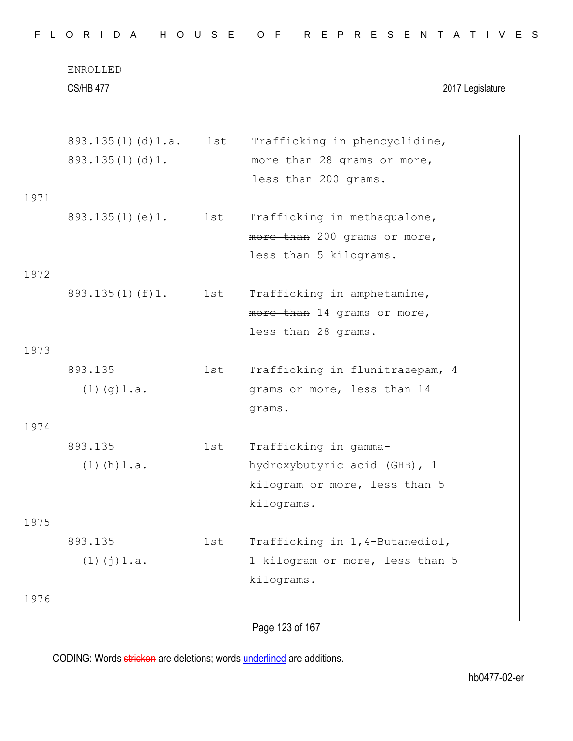|  |  |  | FLORIDA HOUSE OF REPRESENTATIVES |  |  |  |  |  |  |  |  |  |  |  |  |  |
|--|--|--|----------------------------------|--|--|--|--|--|--|--|--|--|--|--|--|--|
|  |  |  |                                  |  |  |  |  |  |  |  |  |  |  |  |  |  |

CS/HB 477 2017 Legislature

| 893.135(1)(d)1.<br>more than 28 grams or more,<br>less than 200 grams.<br>1971<br>893.135(1)(e)1.<br>1st<br>Trafficking in methaqualone,<br>more than 200 grams or more,<br>less than 5 kilograms.<br>1972<br>893.135(1)(f)1. 1st<br>Trafficking in amphetamine,<br>more than 14 grams or more,<br>less than 28 grams.<br>1973<br>893.135<br>Trafficking in flunitrazepam, 4<br>1st<br>$(1)$ $(g)$ $1.a.$<br>grams or more, less than 14<br>grams.<br>1974<br>893.135<br>Trafficking in gamma-<br>1st<br>$(1)$ (h) $1.a.$<br>hydroxybutyric acid (GHB), 1<br>kilogram or more, less than 5<br>kilograms.<br>1975<br>893.135<br>Trafficking in 1,4-Butanediol,<br>1st | 893.135(1)(d)1.a.  | 1st | Trafficking in phencyclidine,   |
|----------------------------------------------------------------------------------------------------------------------------------------------------------------------------------------------------------------------------------------------------------------------------------------------------------------------------------------------------------------------------------------------------------------------------------------------------------------------------------------------------------------------------------------------------------------------------------------------------------------------------------------------------------------------|--------------------|-----|---------------------------------|
|                                                                                                                                                                                                                                                                                                                                                                                                                                                                                                                                                                                                                                                                      |                    |     |                                 |
|                                                                                                                                                                                                                                                                                                                                                                                                                                                                                                                                                                                                                                                                      |                    |     |                                 |
|                                                                                                                                                                                                                                                                                                                                                                                                                                                                                                                                                                                                                                                                      |                    |     |                                 |
|                                                                                                                                                                                                                                                                                                                                                                                                                                                                                                                                                                                                                                                                      |                    |     |                                 |
|                                                                                                                                                                                                                                                                                                                                                                                                                                                                                                                                                                                                                                                                      |                    |     |                                 |
|                                                                                                                                                                                                                                                                                                                                                                                                                                                                                                                                                                                                                                                                      |                    |     |                                 |
|                                                                                                                                                                                                                                                                                                                                                                                                                                                                                                                                                                                                                                                                      |                    |     |                                 |
|                                                                                                                                                                                                                                                                                                                                                                                                                                                                                                                                                                                                                                                                      |                    |     |                                 |
|                                                                                                                                                                                                                                                                                                                                                                                                                                                                                                                                                                                                                                                                      |                    |     |                                 |
|                                                                                                                                                                                                                                                                                                                                                                                                                                                                                                                                                                                                                                                                      |                    |     |                                 |
|                                                                                                                                                                                                                                                                                                                                                                                                                                                                                                                                                                                                                                                                      |                    |     |                                 |
|                                                                                                                                                                                                                                                                                                                                                                                                                                                                                                                                                                                                                                                                      |                    |     |                                 |
|                                                                                                                                                                                                                                                                                                                                                                                                                                                                                                                                                                                                                                                                      |                    |     |                                 |
|                                                                                                                                                                                                                                                                                                                                                                                                                                                                                                                                                                                                                                                                      |                    |     |                                 |
|                                                                                                                                                                                                                                                                                                                                                                                                                                                                                                                                                                                                                                                                      |                    |     |                                 |
|                                                                                                                                                                                                                                                                                                                                                                                                                                                                                                                                                                                                                                                                      |                    |     |                                 |
|                                                                                                                                                                                                                                                                                                                                                                                                                                                                                                                                                                                                                                                                      |                    |     |                                 |
|                                                                                                                                                                                                                                                                                                                                                                                                                                                                                                                                                                                                                                                                      |                    |     |                                 |
|                                                                                                                                                                                                                                                                                                                                                                                                                                                                                                                                                                                                                                                                      |                    |     |                                 |
|                                                                                                                                                                                                                                                                                                                                                                                                                                                                                                                                                                                                                                                                      |                    |     |                                 |
|                                                                                                                                                                                                                                                                                                                                                                                                                                                                                                                                                                                                                                                                      |                    |     |                                 |
|                                                                                                                                                                                                                                                                                                                                                                                                                                                                                                                                                                                                                                                                      | $(1)$ $(j)$ $1.a.$ |     | 1 kilogram or more, less than 5 |
| kilograms.                                                                                                                                                                                                                                                                                                                                                                                                                                                                                                                                                                                                                                                           |                    |     |                                 |
| 1976                                                                                                                                                                                                                                                                                                                                                                                                                                                                                                                                                                                                                                                                 |                    |     |                                 |
| Page 123 of 167                                                                                                                                                                                                                                                                                                                                                                                                                                                                                                                                                                                                                                                      |                    |     |                                 |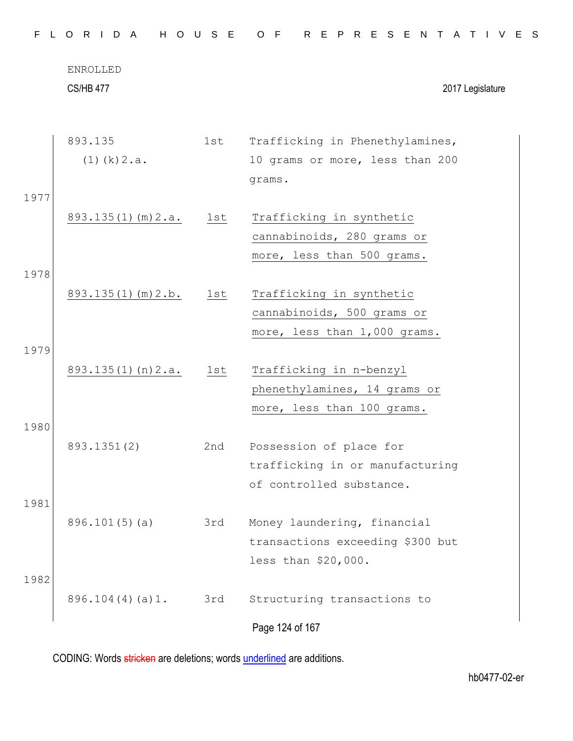|      | ENROLLED<br><b>CS/HB 477</b> |     |                                  |
|------|------------------------------|-----|----------------------------------|
|      |                              |     | 2017 Legislature                 |
|      | 893.135                      | 1st | Trafficking in Phenethylamines,  |
|      | $(1)$ (k) $2.a.$             |     | 10 grams or more, less than 200  |
|      |                              |     | grams.                           |
| 1977 |                              |     |                                  |
|      | $893.135(1)$ (m) $2.a.$      | 1st | Trafficking in synthetic         |
|      |                              |     | cannabinoids, 280 grams or       |
|      |                              |     | more, less than 500 grams.       |
| 1978 |                              |     |                                  |
|      | $893.135(1)$ (m) $2.b.$      | 1st | Trafficking in synthetic         |
|      |                              |     | cannabinoids, 500 grams or       |
|      |                              |     | more, less than 1,000 grams.     |
| 1979 |                              |     |                                  |
|      | 893.135(1)(n)2.a.            | 1st | Trafficking in n-benzyl          |
|      |                              |     | phenethylamines, 14 grams or     |
|      |                              |     | more, less than 100 grams.       |
| 1980 |                              |     |                                  |
|      | 893.1351(2)                  | 2nd | Possession of place for          |
|      |                              |     | trafficking in or manufacturing  |
|      |                              |     | of controlled substance.         |
| 1981 |                              |     |                                  |
|      | 896.101(5)(a)                | 3rd | Money laundering, financial      |
|      |                              |     | transactions exceeding \$300 but |
|      |                              |     | less than \$20,000.              |
| 1982 |                              |     |                                  |
|      | 896.104(4)(a)1.              | 3rd | Structuring transactions to      |
|      |                              |     | Page 124 of 167                  |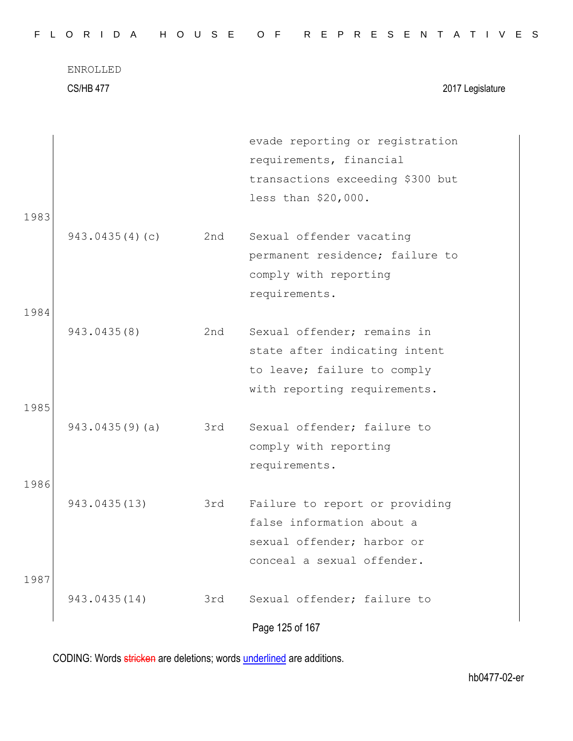CS/HB 477 2017 Legislature

|      |                |     | evade reporting or registration  |
|------|----------------|-----|----------------------------------|
|      |                |     | requirements, financial          |
|      |                |     | transactions exceeding \$300 but |
|      |                |     | less than \$20,000.              |
| 1983 |                |     |                                  |
|      | 943.0435(4)(c) | 2nd | Sexual offender vacating         |
|      |                |     | permanent residence; failure to  |
|      |                |     | comply with reporting            |
|      |                |     | requirements.                    |
| 1984 |                |     |                                  |
|      | 943.0435(8)    | 2nd | Sexual offender; remains in      |
|      |                |     | state after indicating intent    |
|      |                |     | to leave; failure to comply      |
|      |                |     | with reporting requirements.     |
| 1985 |                |     |                                  |
|      | 943.0435(9)(a) | 3rd | Sexual offender; failure to      |
|      |                |     | comply with reporting            |
|      |                |     | requirements.                    |
| 1986 |                |     |                                  |
|      | 943.0435(13)   | 3rd | Failure to report or providing   |
|      |                |     | false information about a        |
|      |                |     | sexual offender; harbor or       |
|      |                |     | conceal a sexual offender.       |
| 1987 |                |     |                                  |
|      | 943.0435(14)   | 3rd | Sexual offender; failure to      |
|      |                |     | Page 125 of 167                  |
|      |                |     |                                  |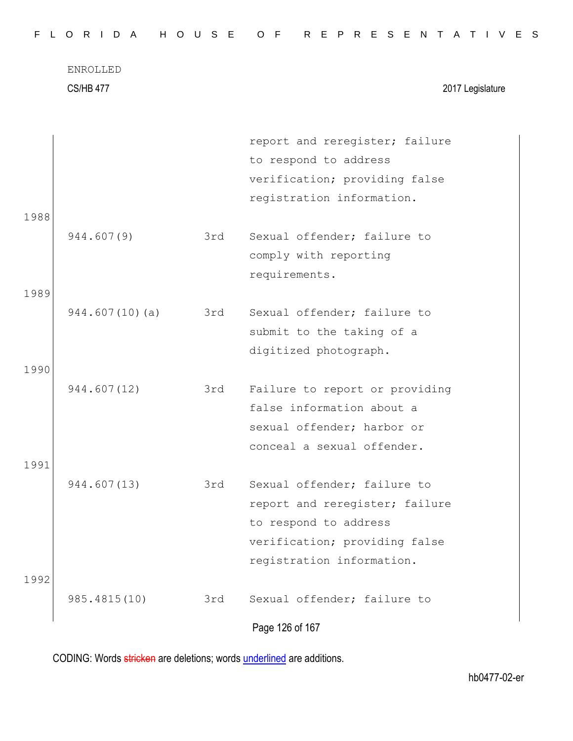CS/HB 477 2017 Legislature

|      |                |     | report and reregister; failure |
|------|----------------|-----|--------------------------------|
|      |                |     | to respond to address          |
|      |                |     | verification; providing false  |
|      |                |     | registration information.      |
| 1988 |                |     |                                |
|      | 944.607(9)     | 3rd | Sexual offender; failure to    |
|      |                |     | comply with reporting          |
|      |                |     | requirements.                  |
| 1989 |                |     |                                |
|      | 944.607(10)(a) | 3rd | Sexual offender; failure to    |
|      |                |     | submit to the taking of a      |
|      |                |     | digitized photograph.          |
| 1990 |                |     |                                |
|      | 944.607(12)    | 3rd | Failure to report or providing |
|      |                |     | false information about a      |
|      |                |     | sexual offender; harbor or     |
|      |                |     | conceal a sexual offender.     |
| 1991 |                |     |                                |
|      | 944.607(13)    | 3rd | Sexual offender; failure to    |
|      |                |     | report and reregister; failure |
|      |                |     | to respond to address          |
|      |                |     | verification; providing false  |
|      |                |     | registration information.      |
| 1992 |                |     |                                |
|      | 985.4815(10)   | 3rd | Sexual offender; failure to    |
|      |                |     | Page 126 of 167                |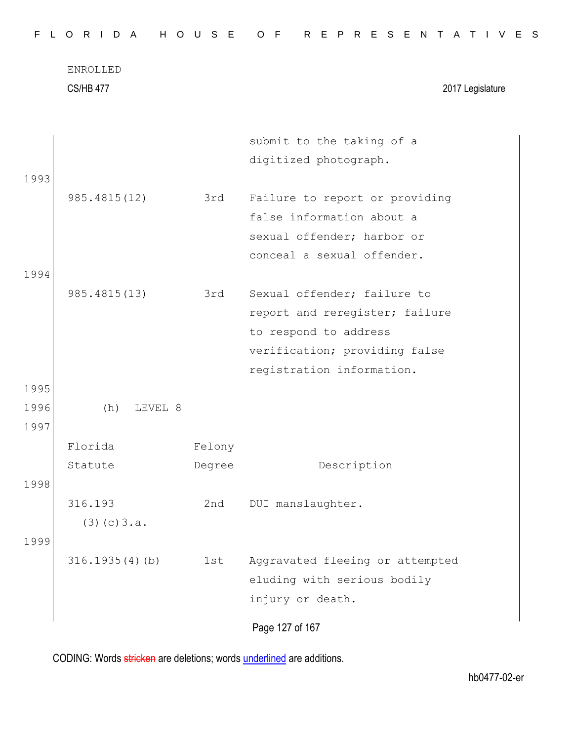CS/HB 477 2017 Legislature

|      |                   |        | submit to the taking of a       |
|------|-------------------|--------|---------------------------------|
|      |                   |        | digitized photograph.           |
| 1993 |                   |        |                                 |
|      | 985.4815(12)      | 3rd    | Failure to report or providing  |
|      |                   |        | false information about a       |
|      |                   |        | sexual offender; harbor or      |
|      |                   |        | conceal a sexual offender.      |
| 1994 |                   |        |                                 |
|      | 985.4815(13)      | 3rd    | Sexual offender; failure to     |
|      |                   |        | report and reregister; failure  |
|      |                   |        | to respond to address           |
|      |                   |        | verification; providing false   |
|      |                   |        | registration information.       |
| 1995 |                   |        |                                 |
| 1996 | LEVEL 8<br>(h)    |        |                                 |
| 1997 |                   |        |                                 |
|      | Florida           | Felony |                                 |
|      | Statute           | Degree | Description                     |
| 1998 |                   |        |                                 |
|      | 316.193           | 2nd    | DUI manslaughter.               |
|      | (3)(c)3.a.        |        |                                 |
| 1999 |                   |        |                                 |
|      | $316.1935(4)$ (b) | 1st    | Aggravated fleeing or attempted |
|      |                   |        | eluding with serious bodily     |
|      |                   |        | injury or death.                |
|      |                   |        |                                 |
|      |                   |        | Page 127 of 167                 |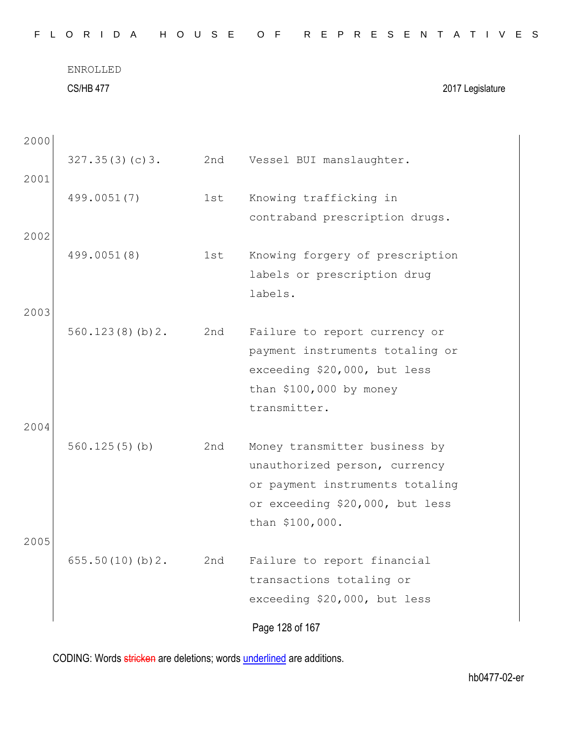|  |  |  |  |  |  |  |  |  |  |  |  |  | FLORIDA HOUSE OF REPRESENTATIVES |  |  |  |  |  |  |  |  |  |  |  |  |  |  |  |  |
|--|--|--|--|--|--|--|--|--|--|--|--|--|----------------------------------|--|--|--|--|--|--|--|--|--|--|--|--|--|--|--|--|
|--|--|--|--|--|--|--|--|--|--|--|--|--|----------------------------------|--|--|--|--|--|--|--|--|--|--|--|--|--|--|--|--|

| ENROLLED         |                  |
|------------------|------------------|
| <b>CS/HB 477</b> | 2017 Legislature |

| 2000         |                 |     |                                                                                                                                                         |
|--------------|-----------------|-----|---------------------------------------------------------------------------------------------------------------------------------------------------------|
| 2001         | 327.35(3)(c)3.  | 2nd | Vessel BUI manslaughter.                                                                                                                                |
|              | 499.0051(7)     | 1st | Knowing trafficking in<br>contraband prescription drugs.                                                                                                |
| 2002         | 499.0051(8)     | 1st | Knowing forgery of prescription<br>labels or prescription drug<br>labels.                                                                               |
| 2003         | 560.123(8)(b)2. | 2nd | Failure to report currency or<br>payment instruments totaling or<br>exceeding \$20,000, but less<br>than $$100,000$ by money<br>transmitter.            |
| 2004<br>2005 | 560.125(5)(b)   | 2nd | Money transmitter business by<br>unauthorized person, currency<br>or payment instruments totaling<br>or exceeding \$20,000, but less<br>than \$100,000. |
|              | 655.50(10)(b)2. | 2nd | Failure to report financial<br>transactions totaling or<br>exceeding \$20,000, but less                                                                 |
|              |                 |     | Page 128 of 167                                                                                                                                         |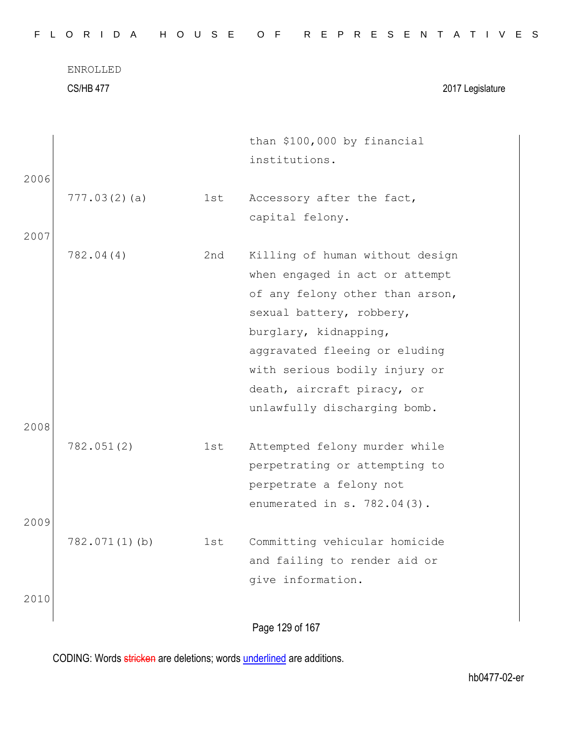CS/HB 477 2017 Legislature

|      |               |     | than \$100,000 by financial     |  |
|------|---------------|-----|---------------------------------|--|
| 2006 |               |     | institutions.                   |  |
|      | 777.03(2)(a)  | 1st | Accessory after the fact,       |  |
|      |               |     | capital felony.                 |  |
| 2007 |               |     |                                 |  |
|      | 782.04(4)     | 2nd | Killing of human without design |  |
|      |               |     | when engaged in act or attempt  |  |
|      |               |     | of any felony other than arson, |  |
|      |               |     | sexual battery, robbery,        |  |
|      |               |     | burglary, kidnapping,           |  |
|      |               |     | aggravated fleeing or eluding   |  |
|      |               |     | with serious bodily injury or   |  |
|      |               |     | death, aircraft piracy, or      |  |
|      |               |     | unlawfully discharging bomb.    |  |
| 2008 |               |     |                                 |  |
|      | 782.051(2)    | 1st | Attempted felony murder while   |  |
|      |               |     | perpetrating or attempting to   |  |
|      |               |     | perpetrate a felony not         |  |
|      |               |     | enumerated in $s. 782.04(3)$ .  |  |
| 2009 |               |     |                                 |  |
|      | 782.071(1)(b) | 1st | Committing vehicular homicide   |  |
|      |               |     | and failing to render aid or    |  |
|      |               |     | give information.               |  |
| 2010 |               |     |                                 |  |
|      |               |     | Page 129 of 167                 |  |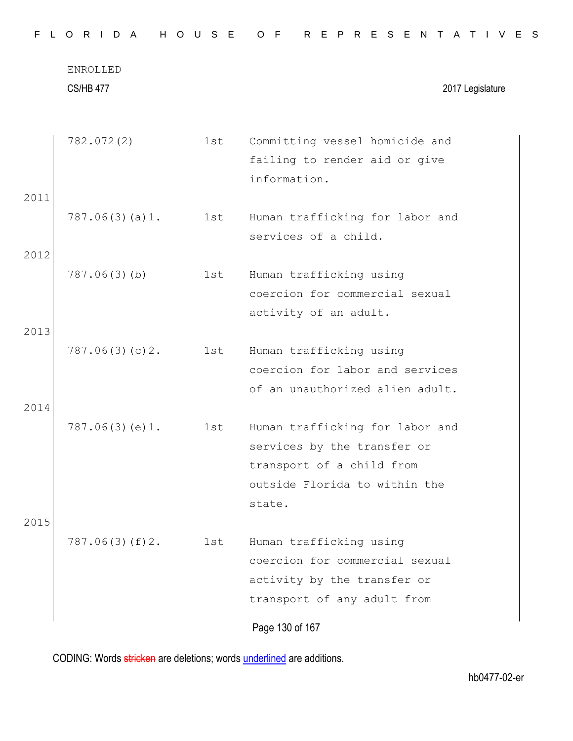|      | ENROLLED<br><b>CS/HB 477</b> |     | 2017 Legislature                |
|------|------------------------------|-----|---------------------------------|
|      | 782.072(2)                   | 1st | Committing vessel homicide and  |
|      |                              |     | failing to render aid or give   |
|      |                              |     | information.                    |
| 2011 |                              |     |                                 |
|      | 787.06(3)(a)1.               | 1st | Human trafficking for labor and |
|      |                              |     | services of a child.            |
| 2012 |                              |     |                                 |
|      | 787.06(3)(b)                 | 1st | Human trafficking using         |
|      |                              |     | coercion for commercial sexual  |
|      |                              |     | activity of an adult.           |
| 2013 |                              |     |                                 |
|      | 787.06(3)(c)2.               | 1st | Human trafficking using         |
|      |                              |     | coercion for labor and services |
|      |                              |     | of an unauthorized alien adult. |
| 2014 |                              |     |                                 |
|      | 787.06(3)(e)1.               | 1st | Human trafficking for labor and |
|      |                              |     | services by the transfer or     |
|      |                              |     | transport of a child from       |
|      |                              |     | outside Florida to within the   |
| 2015 |                              |     | state.                          |
|      | 787.06(3)(f)2.               | 1st | Human trafficking using         |
|      |                              |     | coercion for commercial sexual  |
|      |                              |     | activity by the transfer or     |
|      |                              |     | transport of any adult from     |
|      |                              |     | Page 130 of 167                 |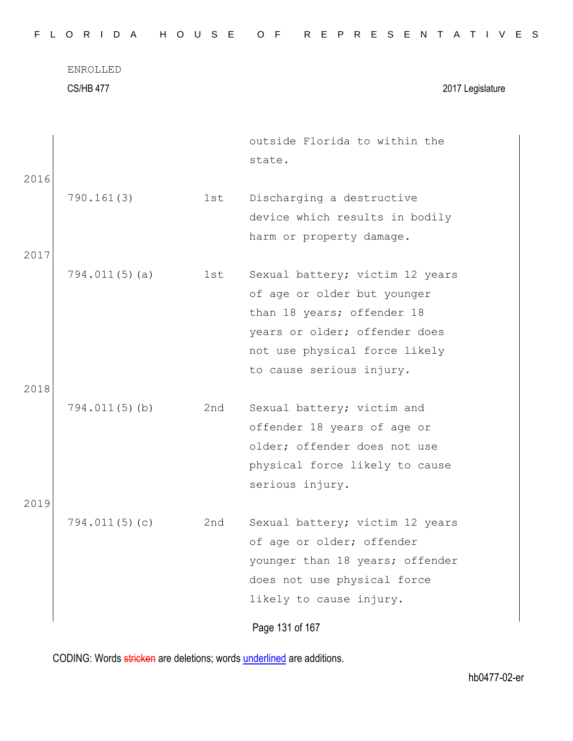| FLORIDA HOUSE OF REPRESENTATIVES |  |
|----------------------------------|--|
|----------------------------------|--|

CS/HB 477 2017 Legislature

|      |               |     | outside Florida to within the   |
|------|---------------|-----|---------------------------------|
|      |               |     | state.                          |
| 2016 |               |     |                                 |
|      | 790.161(3)    | 1st | Discharging a destructive       |
|      |               |     | device which results in bodily  |
|      |               |     | harm or property damage.        |
| 2017 |               |     |                                 |
|      | 794.011(5)(a) | 1st | Sexual battery; victim 12 years |
|      |               |     | of age or older but younger     |
|      |               |     | than 18 years; offender 18      |
|      |               |     | years or older; offender does   |
|      |               |     | not use physical force likely   |
|      |               |     | to cause serious injury.        |
| 2018 |               |     |                                 |
|      | 794.011(5)(b) | 2nd | Sexual battery; victim and      |
|      |               |     | offender 18 years of age or     |
|      |               |     | older; offender does not use    |
|      |               |     | physical force likely to cause  |
|      |               |     | serious injury.                 |
| 2019 |               |     |                                 |
|      | 794.011(5)(c) | 2nd | Sexual battery; victim 12 years |
|      |               |     | of age or older; offender       |
|      |               |     | younger than 18 years; offender |
|      |               |     | does not use physical force     |
|      |               |     | likely to cause injury.         |
|      |               |     | Page 131 of 167                 |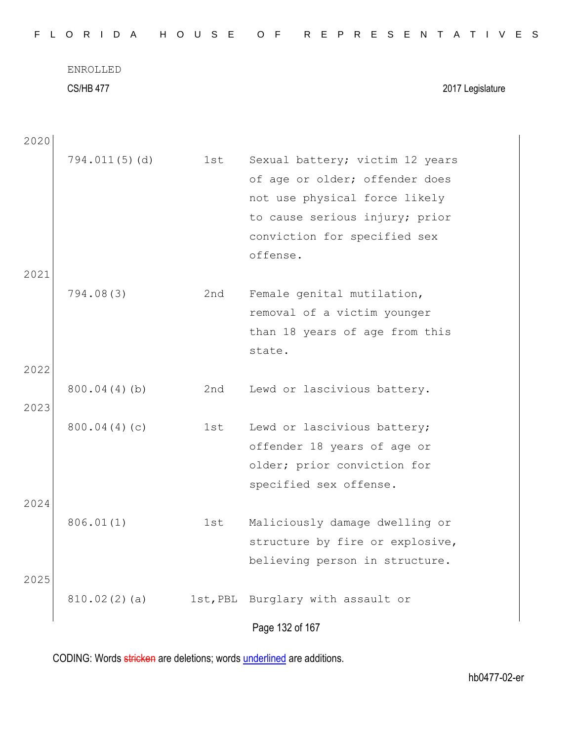|  |  |  |  |  |  |  |  |  |  |  |  |  | FLORIDA HOUSE OF REPRESENTATIVES |  |  |  |  |  |  |  |  |  |  |  |  |  |  |  |  |  |
|--|--|--|--|--|--|--|--|--|--|--|--|--|----------------------------------|--|--|--|--|--|--|--|--|--|--|--|--|--|--|--|--|--|
|--|--|--|--|--|--|--|--|--|--|--|--|--|----------------------------------|--|--|--|--|--|--|--|--|--|--|--|--|--|--|--|--|--|

CS/HB 477 2017 Legislature

| 2020 |               |          |                                 |
|------|---------------|----------|---------------------------------|
|      | 794.011(5)(d) | 1st      | Sexual battery; victim 12 years |
|      |               |          | of age or older; offender does  |
|      |               |          | not use physical force likely   |
|      |               |          | to cause serious injury; prior  |
|      |               |          | conviction for specified sex    |
|      |               |          | offense.                        |
| 2021 |               |          |                                 |
|      | 794.08(3)     | 2nd      | Female genital mutilation,      |
|      |               |          | removal of a victim younger     |
|      |               |          | than 18 years of age from this  |
|      |               |          | state.                          |
| 2022 |               |          |                                 |
|      | 800.04(4)(b)  | 2nd      | Lewd or lascivious battery.     |
| 2023 |               |          |                                 |
|      | 800.04(4)(c)  | 1st      | Lewd or lascivious battery;     |
|      |               |          | offender 18 years of age or     |
|      |               |          | older; prior conviction for     |
|      |               |          | specified sex offense.          |
| 2024 |               |          |                                 |
|      | 806.01(1)     | 1st      | Maliciously damage dwelling or  |
|      |               |          | structure by fire or explosive, |
|      |               |          | believing person in structure.  |
| 2025 |               |          |                                 |
|      | 810.02(2)(a)  | 1st, PBL | Burglary with assault or        |
|      |               |          |                                 |
|      |               |          | Page 132 of 167                 |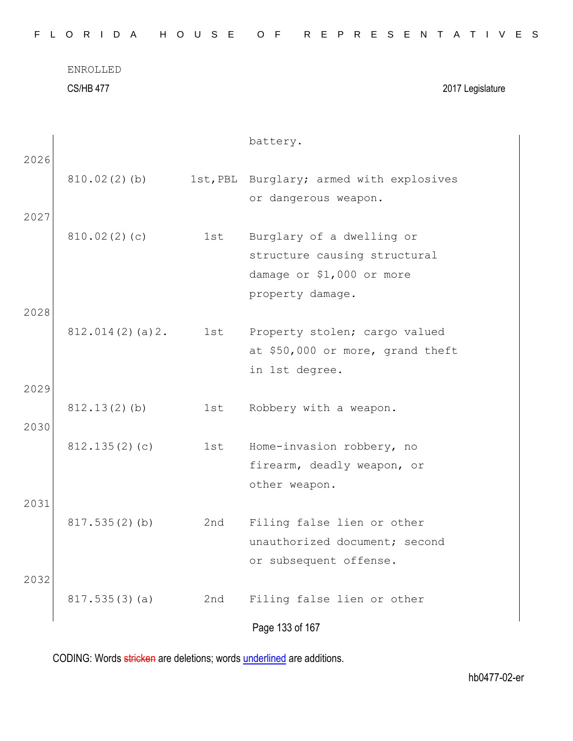| ENROLLED         |                  |
|------------------|------------------|
| <b>CS/HB 477</b> | 2017 Legislature |
|                  |                  |

|      |                 |     | battery.                                           |
|------|-----------------|-----|----------------------------------------------------|
| 2026 |                 |     |                                                    |
|      | 810.02(2)(b)    |     | 1st, PBL Burglary; armed with explosives           |
|      |                 |     | or dangerous weapon.                               |
| 2027 |                 |     |                                                    |
|      | 810.02(2)(c)    | 1st | Burglary of a dwelling or                          |
|      |                 |     | structure causing structural                       |
|      |                 |     | damage or \$1,000 or more                          |
|      |                 |     | property damage.                                   |
| 2028 |                 |     |                                                    |
|      | 812.014(2)(a)2. | 1st | Property stolen; cargo valued                      |
|      |                 |     | at \$50,000 or more, grand theft<br>in 1st degree. |
| 2029 |                 |     |                                                    |
|      | 812.13(2)(b)    | 1st | Robbery with a weapon.                             |
| 2030 |                 |     |                                                    |
|      | 812.135(2)(c)   | 1st | Home-invasion robbery, no                          |
|      |                 |     | firearm, deadly weapon, or                         |
|      |                 |     | other weapon.                                      |
| 2031 |                 |     |                                                    |
|      | 817.535(2)(b)   | 2nd | Filing false lien or other                         |
|      |                 |     | unauthorized document; second                      |
|      |                 |     | or subsequent offense.                             |
| 2032 |                 |     |                                                    |
|      | 817.535(3)(a)   | 2nd | Filing false lien or other                         |
|      |                 |     |                                                    |
|      |                 |     | Page 133 of 167                                    |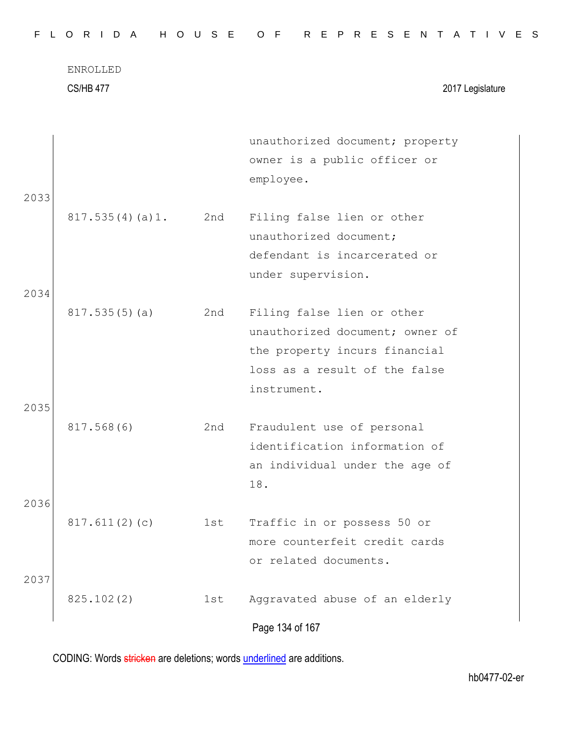| FLORIDA HOUSE OF REPRESENTATIVES |  |  |  |  |  |  |  |  |  |  |  |  |  |  |  |  |  |  |  |  |  |  |  |  |  |  |  |  |  |  |  |  |  |
|----------------------------------|--|--|--|--|--|--|--|--|--|--|--|--|--|--|--|--|--|--|--|--|--|--|--|--|--|--|--|--|--|--|--|--|--|
|----------------------------------|--|--|--|--|--|--|--|--|--|--|--|--|--|--|--|--|--|--|--|--|--|--|--|--|--|--|--|--|--|--|--|--|--|

CS/HB 477 2017 Legislature

|      |                 |     | unauthorized document; property |
|------|-----------------|-----|---------------------------------|
|      |                 |     | owner is a public officer or    |
|      |                 |     | employee.                       |
| 2033 |                 |     |                                 |
|      | 817.535(4)(a)1. | 2nd | Filing false lien or other      |
|      |                 |     | unauthorized document;          |
|      |                 |     | defendant is incarcerated or    |
|      |                 |     | under supervision.              |
| 2034 |                 |     |                                 |
|      | 817.535(5)(a)   | 2nd | Filing false lien or other      |
|      |                 |     | unauthorized document; owner of |
|      |                 |     | the property incurs financial   |
|      |                 |     | loss as a result of the false   |
|      |                 |     | instrument.                     |
| 2035 |                 |     |                                 |
|      | 817.568(6)      | 2nd | Fraudulent use of personal      |
|      |                 |     | identification information of   |
|      |                 |     | an individual under the age of  |
|      |                 |     | 18.                             |
| 2036 |                 |     |                                 |
|      | 817.611(2)(c)   | 1st | Traffic in or possess 50 or     |
|      |                 |     | more counterfeit credit cards   |
|      |                 |     | or related documents.           |
| 2037 |                 |     |                                 |
|      | 825.102(2)      | 1st | Aggravated abuse of an elderly  |
|      |                 |     |                                 |
|      |                 |     | Page 134 of 167                 |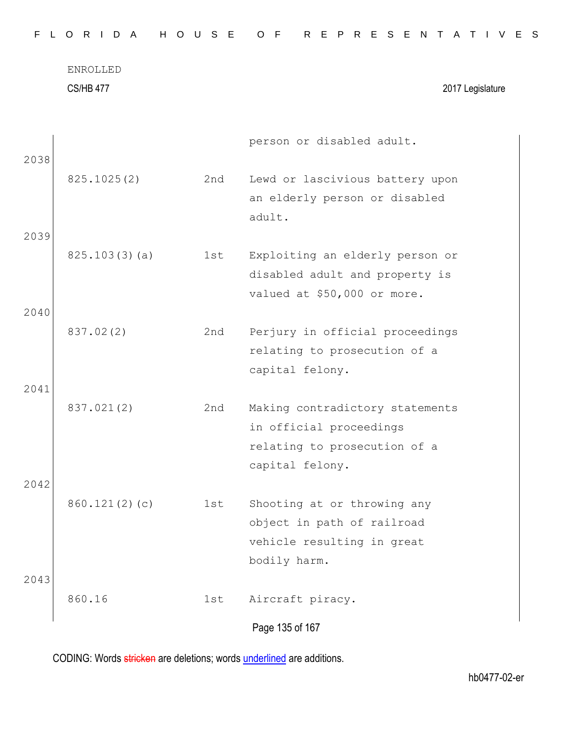ENROLLED CS/HB 477 2017 Legislature

| 2038 |               |     | person or disabled adult.                                                                                     |
|------|---------------|-----|---------------------------------------------------------------------------------------------------------------|
|      | 825.1025(2)   | 2nd | Lewd or lascivious battery upon<br>an elderly person or disabled<br>adult.                                    |
| 2039 |               |     |                                                                                                               |
|      | 825.103(3)(a) | 1st | Exploiting an elderly person or<br>disabled adult and property is<br>valued at \$50,000 or more.              |
| 2040 |               |     |                                                                                                               |
|      | 837.02(2)     | 2nd | Perjury in official proceedings<br>relating to prosecution of a<br>capital felony.                            |
| 2041 |               |     |                                                                                                               |
|      | 837.021(2)    | 2nd | Making contradictory statements<br>in official proceedings<br>relating to prosecution of a<br>capital felony. |
| 2042 |               |     |                                                                                                               |
|      | 860.121(2)(c) | 1st | Shooting at or throwing any<br>object in path of railroad<br>vehicle resulting in great<br>bodily harm.       |
| 2043 |               |     |                                                                                                               |
|      | 860.16        | 1st | Aircraft piracy.                                                                                              |
|      |               |     | Page 135 of 167                                                                                               |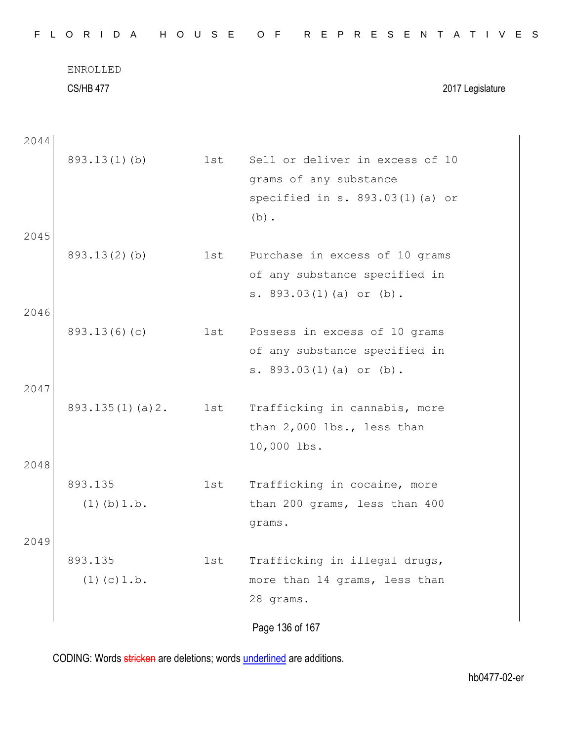CS/HB 477 2017 Legislature

| 2044 |                  |     |                                 |
|------|------------------|-----|---------------------------------|
|      | $893.13(1)$ (b)  | 1st | Sell or deliver in excess of 10 |
|      |                  |     | grams of any substance          |
|      |                  |     | specified in s. 893.03(1)(a) or |
|      |                  |     | $(b)$ .                         |
| 2045 |                  |     |                                 |
|      | $893.13(2)$ (b)  | 1st | Purchase in excess of 10 grams  |
|      |                  |     | of any substance specified in   |
|      |                  |     | s. $893.03(1)(a)$ or $(b)$ .    |
| 2046 |                  |     |                                 |
|      | 893.13(6)(c)     | 1st | Possess in excess of 10 grams   |
|      |                  |     | of any substance specified in   |
|      |                  |     | s. $893.03(1)(a)$ or $(b)$ .    |
| 2047 |                  |     |                                 |
|      | 893.135(1)(a)2.  | 1st | Trafficking in cannabis, more   |
|      |                  |     | than 2,000 lbs., less than      |
|      |                  |     | 10,000 lbs.                     |
| 2048 |                  |     |                                 |
|      | 893.135          | 1st | Trafficking in cocaine, more    |
|      | $(1)$ (b) $1.b.$ |     | than 200 grams, less than 400   |
|      |                  |     | grams.                          |
| 2049 |                  |     |                                 |
|      | 893.135          | 1st | Trafficking in illegal drugs,   |
|      | $(1)$ (c) $1.b.$ |     | more than 14 grams, less than   |
|      |                  |     | 28 grams.                       |
|      |                  |     |                                 |
|      |                  |     | Page 136 of 167                 |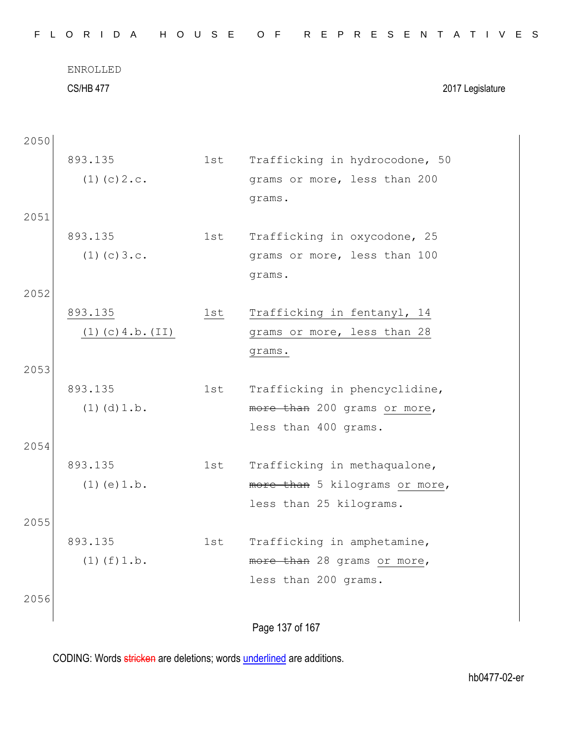| F L  | ORIDA               |       | HOUSE OF REPRESENTATIVES       |
|------|---------------------|-------|--------------------------------|
|      | <b>ENROLLED</b>     |       |                                |
|      | <b>CS/HB 477</b>    |       | 2017 Legislature               |
|      |                     |       |                                |
| 2050 |                     |       |                                |
|      | 893.135             | 1st i | Trafficking in hydrocodone, 50 |
|      | $(1)$ (c) $2.c.$    |       | grams or more, less than 200   |
|      |                     |       | grams.                         |
| 2051 |                     |       |                                |
|      | 893.135             | 1st   | Trafficking in oxycodone, 25   |
|      | $(1)$ (c) $3.c.$    |       | grams or more, less than 100   |
|      |                     |       | grams.                         |
| 2052 |                     |       |                                |
|      | 893.135             | 1st   | Trafficking in fentanyl, 14    |
|      | $(1)$ (c) 4.b. (II) |       | grams or more, less than 28    |
|      |                     |       | grams.                         |
| 2053 | 893.135             | 1st   | Trafficking in phencyclidine,  |
|      | $(1)$ $(d)$ $1.b.$  |       | more than 200 grams or more,   |
|      |                     |       | less than 400 grams.           |
| 2054 |                     |       |                                |
|      | 893.135             | 1st   | Trafficking in methaqualone,   |
|      | $(1)$ (e) $1.b.$    |       | more than 5 kilograms or more, |
|      |                     |       | less than 25 kilograms.        |
| 2055 |                     |       |                                |
|      | 893.135             | 1st   | Trafficking in amphetamine,    |
|      | $(1)$ $(f)$ $1.b.$  |       | more than 28 grams or more,    |
|      |                     |       | less than 200 grams.           |
| 2056 |                     |       |                                |
|      |                     |       | Page 137 of 167                |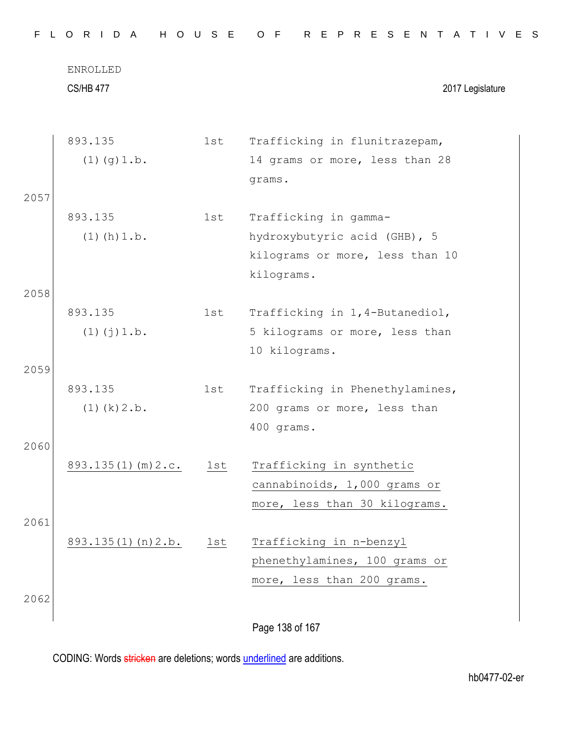|      | ENROLLED                       |     |                                                                                           |
|------|--------------------------------|-----|-------------------------------------------------------------------------------------------|
|      | <b>CS/HB 477</b>               |     | 2017 Legislature                                                                          |
|      | 893.135                        | 1st | Trafficking in flunitrazepam,                                                             |
|      | $(1)$ $(g)$ 1.b.               |     | 14 grams or more, less than 28<br>grams.                                                  |
| 2057 |                                |     |                                                                                           |
|      | 893.135                        | 1st | Trafficking in gamma-                                                                     |
|      | $(1)$ (h) $1.b.$               |     | hydroxybutyric acid (GHB), 5<br>kilograms or more, less than 10<br>kilograms.             |
| 2058 |                                |     |                                                                                           |
|      | 893.135<br>$(1)$ $(j)$ $1.b.$  | 1st | Trafficking in 1, 4-Butanediol,<br>5 kilograms or more, less than<br>10 kilograms.        |
| 2059 |                                |     |                                                                                           |
|      | 893.135<br>$(1)$ $(k)$ $2.b$ . | 1st | Trafficking in Phenethylamines,<br>200 grams or more, less than<br>400 grams.             |
| 2060 |                                |     |                                                                                           |
|      | $893.135(1)$ (m) $2.c.$ 1st    |     | Trafficking in synthetic<br>cannabinoids, 1,000 grams or<br>more, less than 30 kilograms. |
| 2061 |                                |     |                                                                                           |
|      | 893.135(1)(n)2.b.              | 1st | Trafficking in n-benzyl<br>phenethylamines, 100 grams or<br>more, less than 200 grams.    |
| 2062 |                                |     |                                                                                           |
|      |                                |     | Page 138 of 167                                                                           |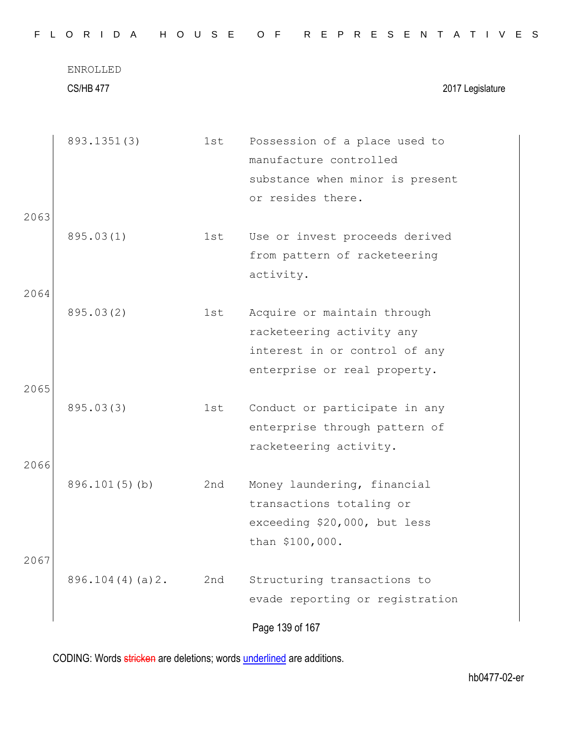|              | <b>CS/HB 477</b>   |     | 2017 Legislature                                                                                                          |
|--------------|--------------------|-----|---------------------------------------------------------------------------------------------------------------------------|
|              | 893.1351(3)        | 1st | Possession of a place used to<br>manufacture controlled<br>substance when minor is present<br>or resides there.           |
| 2063<br>2064 | 895.03(1)          | 1st | Use or invest proceeds derived<br>from pattern of racketeering<br>activity.                                               |
| 2065         | 895.03(2)          | 1st | Acquire or maintain through<br>racketeering activity any<br>interest in or control of any<br>enterprise or real property. |
|              | 895.03(3)          | 1st | Conduct or participate in any<br>enterprise through pattern of<br>racketeering activity.                                  |
| 2066         | $896.101(5)$ (b)   | 2nd | Money laundering, financial<br>transactions totaling or<br>exceeding \$20,000, but less<br>than \$100,000.                |
| 2067         | $896.104(4)(a)$ 2. | 2nd | Structuring transactions to<br>evade reporting or registration<br>Page 139 of 167                                         |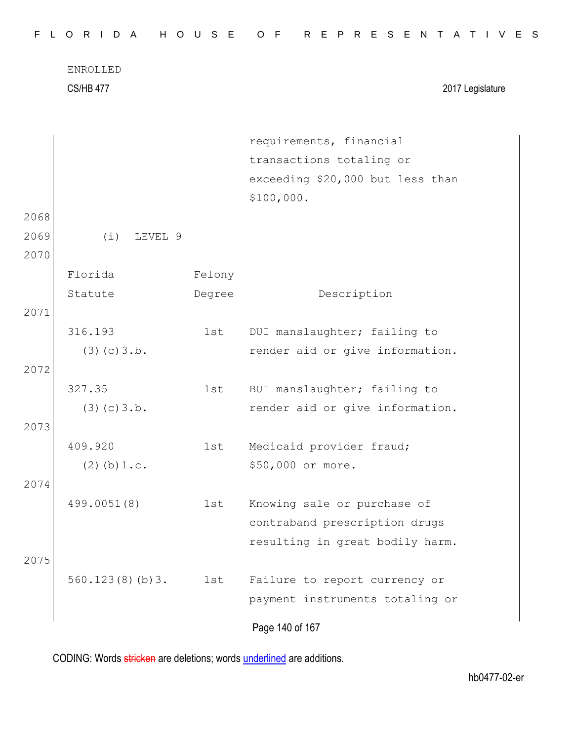|              | ENROLLED<br><b>CS/HB 477</b> |        | 2017 Legislature                 |
|--------------|------------------------------|--------|----------------------------------|
|              |                              |        | requirements, financial          |
|              |                              |        | transactions totaling or         |
|              |                              |        | exceeding \$20,000 but less than |
|              |                              |        | \$100,000.                       |
| 2068         |                              |        |                                  |
| 2069<br>2070 | (i)<br>LEVEL 9               |        |                                  |
|              | Florida                      | Felony |                                  |
|              | Statute                      | Degree | Description                      |
| 2071         |                              |        |                                  |
|              | 316.193                      | 1st    | DUI manslaughter; failing to     |
|              | (3)(c)3.b.                   |        | render aid or give information.  |
| 2072         |                              |        |                                  |
|              | 327.35                       | 1st    | BUI manslaughter; failing to     |
|              | (3)(c)3.b.                   |        | render aid or give information.  |
| 2073         |                              |        |                                  |
|              | 409.920                      | 1st    | Medicaid provider fraud;         |
|              | $(2)$ (b) $1.c.$             |        | \$50,000 or more.                |
| 2074         |                              |        |                                  |
|              | 499.0051(8)                  | 1st    | Knowing sale or purchase of      |
|              |                              |        | contraband prescription drugs    |
|              |                              |        | resulting in great bodily harm.  |
| 2075         |                              |        |                                  |
|              | 560.123(8)(b)3.              | 1st    | Failure to report currency or    |
|              |                              |        | payment instruments totaling or  |
|              |                              |        | Page 140 of 167                  |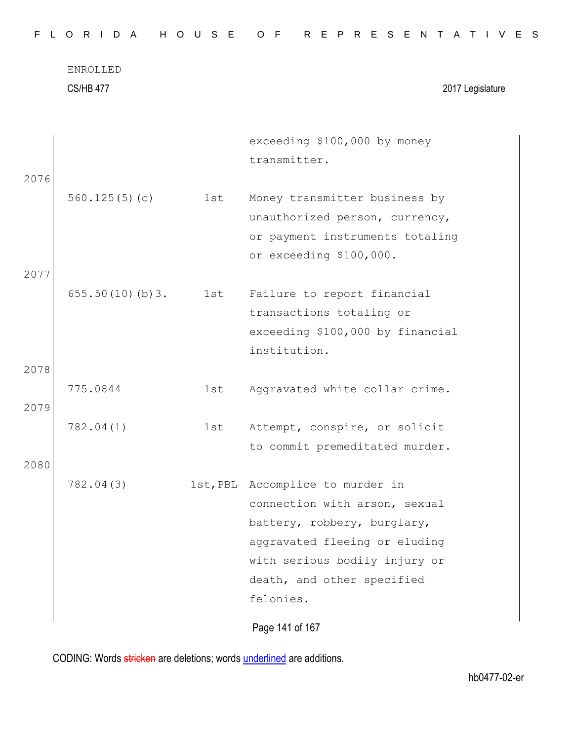CS/HB 477 2017 Legislature

| 2076         |                 |     | exceeding \$100,000 by money<br>transmitter.                                                                                                                                                                  |
|--------------|-----------------|-----|---------------------------------------------------------------------------------------------------------------------------------------------------------------------------------------------------------------|
|              | 560.125(5)(c)   | 1st | Money transmitter business by<br>unauthorized person, currency,<br>or payment instruments totaling<br>or exceeding \$100,000.                                                                                 |
| 2077         | 655.50(10)(b)3. | 1st | Failure to report financial<br>transactions totaling or<br>exceeding \$100,000 by financial<br>institution.                                                                                                   |
| 2078<br>2079 | 775.0844        | 1st | Aggravated white collar crime.                                                                                                                                                                                |
|              | 782.04(1)       | 1st | Attempt, conspire, or solicit<br>to commit premeditated murder.                                                                                                                                               |
| 2080         | 782.04(3)       |     | 1st, PBL Accomplice to murder in<br>connection with arson, sexual<br>battery, robbery, burglary,<br>aggravated fleeing or eluding<br>with serious bodily injury or<br>death, and other specified<br>felonies. |
|              |                 |     | Page 141 of 167                                                                                                                                                                                               |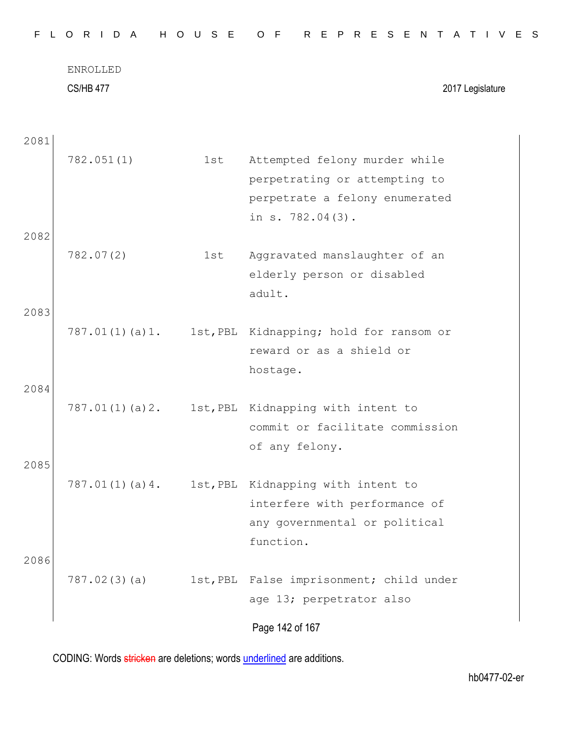ENROLLED CS/HB 477 2017 Legislature

| 2081 |                |          |                                                   |
|------|----------------|----------|---------------------------------------------------|
|      | 782.051(1)     | 1st      | Attempted felony murder while                     |
|      |                |          | perpetrating or attempting to                     |
|      |                |          | perpetrate a felony enumerated                    |
|      |                |          | in s. 782.04(3).                                  |
| 2082 |                |          |                                                   |
|      | 782.07(2)      | 1st      | Aggravated manslaughter of an                     |
|      |                |          | elderly person or disabled                        |
|      |                |          | adult.                                            |
| 2083 |                |          |                                                   |
|      | 787.01(1)(a)1. |          | 1st, PBL Kidnapping; hold for ransom or           |
|      |                |          | reward or as a shield or                          |
|      |                |          | hostage.                                          |
| 2084 |                |          |                                                   |
|      |                |          | 787.01(1)(a)2. 1st, PBL Kidnapping with intent to |
|      |                |          | commit or facilitate commission                   |
|      |                |          | of any felony.                                    |
| 2085 |                |          |                                                   |
|      | 787.01(1)(a)4. |          | 1st, PBL Kidnapping with intent to                |
|      |                |          | interfere with performance of                     |
|      |                |          | any governmental or political                     |
|      |                |          | function.                                         |
| 2086 |                |          |                                                   |
|      | 787.02(3)(a)   | 1st, PBL | False imprisonment; child under                   |
|      |                |          | age 13; perpetrator also                          |
|      |                |          |                                                   |
|      |                |          | Page 142 of 167                                   |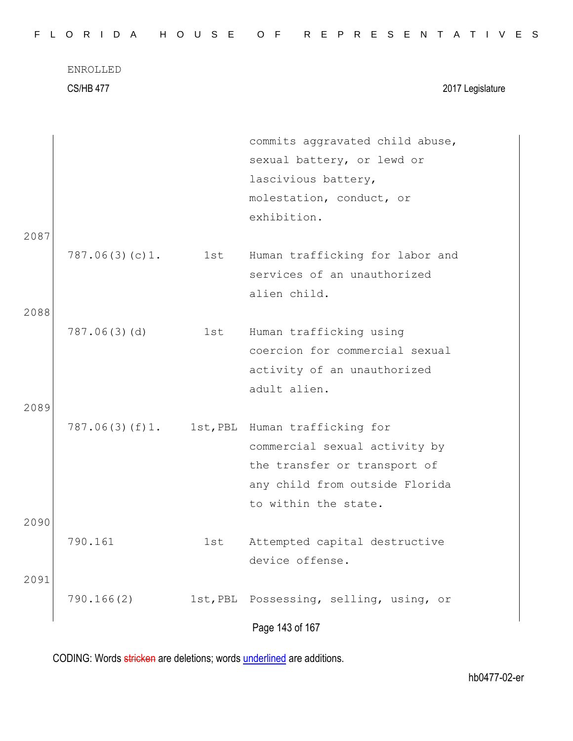CS/HB 477 2017 Legislature

|      |                |     | commits aggravated child abuse,         |
|------|----------------|-----|-----------------------------------------|
|      |                |     | sexual battery, or lewd or              |
|      |                |     | lascivious battery,                     |
|      |                |     | molestation, conduct, or                |
|      |                |     | exhibition.                             |
| 2087 |                |     |                                         |
|      | 787.06(3)(c)1. | 1st | Human trafficking for labor and         |
|      |                |     | services of an unauthorized             |
|      |                |     | alien child.                            |
| 2088 |                |     |                                         |
|      | 787.06(3)(d)   | 1st | Human trafficking using                 |
|      |                |     | coercion for commercial sexual          |
|      |                |     | activity of an unauthorized             |
|      |                |     | adult alien.                            |
| 2089 |                |     |                                         |
|      | 787.06(3)(f)1. |     | 1st, PBL Human trafficking for          |
|      |                |     | commercial sexual activity by           |
|      |                |     | the transfer or transport of            |
|      |                |     | any child from outside Florida          |
|      |                |     | to within the state.                    |
| 2090 |                |     |                                         |
|      | 790.161        | 1st | Attempted capital destructive           |
|      |                |     | device offense.                         |
| 2091 |                |     |                                         |
|      | 790.166(2)     |     | 1st, PBL Possessing, selling, using, or |
|      |                |     |                                         |
|      |                |     | Page 143 of 167                         |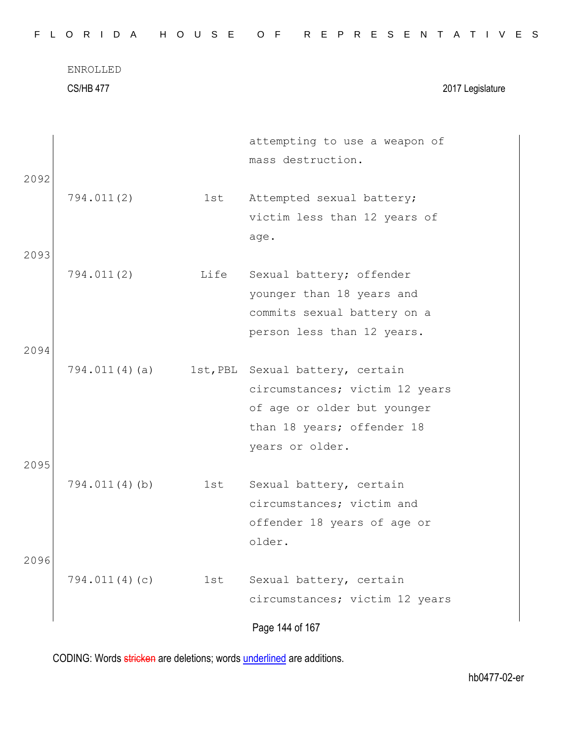|      | ENROLLED<br><b>CS/HB 477</b> |     | 2017 Legislature                                                                                                                                   |  |
|------|------------------------------|-----|----------------------------------------------------------------------------------------------------------------------------------------------------|--|
| 2092 |                              |     | attempting to use a weapon of<br>mass destruction.                                                                                                 |  |
|      | 794.011(2)                   | 1st | Attempted sexual battery;<br>victim less than 12 years of<br>age.                                                                                  |  |
| 2093 |                              |     |                                                                                                                                                    |  |
| 2094 | 794.011(2)                   |     | Life Sexual battery; offender<br>younger than 18 years and<br>commits sexual battery on a<br>person less than 12 years.                            |  |
|      | 794.011(4)(a)                |     | 1st, PBL Sexual battery, certain<br>circumstances; victim 12 years<br>of age or older but younger<br>than 18 years; offender 18<br>years or older. |  |
| 2095 | $794.011(4)$ (b)             | 1st | Sexual battery, certain<br>circumstances; victim and<br>offender 18 years of age or<br>older.                                                      |  |
| 2096 | 794.011(4)(c)                | 1st | Sexual battery, certain<br>circumstances; victim 12 years<br>Page 144 of 167                                                                       |  |

F L O R I D A H O U S E O F R E P R E S E N T A T I V E S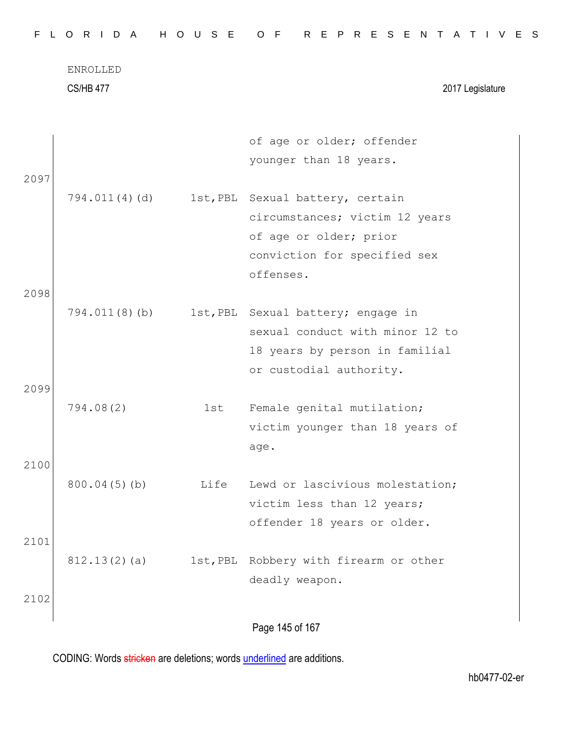CS/HB 477 2017 Legislature

|      |                 |          | of age or older; offender<br>younger than 18 years. |  |
|------|-----------------|----------|-----------------------------------------------------|--|
| 2097 |                 |          |                                                     |  |
|      | 794.011(4)(d)   |          | 1st, PBL Sexual battery, certain                    |  |
|      |                 |          | circumstances; victim 12 years                      |  |
|      |                 |          | of age or older; prior                              |  |
|      |                 |          | conviction for specified sex                        |  |
|      |                 |          | offenses.                                           |  |
| 2098 |                 |          |                                                     |  |
|      | 794.011(8)(b)   |          | 1st, PBL Sexual battery; engage in                  |  |
|      |                 |          | sexual conduct with minor 12 to                     |  |
|      |                 |          | 18 years by person in familial                      |  |
|      |                 |          | or custodial authority.                             |  |
| 2099 |                 |          |                                                     |  |
|      | 794.08(2)       | 1st      | Female genital mutilation;                          |  |
|      |                 |          | victim younger than 18 years of                     |  |
|      |                 |          | age.                                                |  |
| 2100 |                 |          |                                                     |  |
|      | $800.04(5)$ (b) | Life     | Lewd or lascivious molestation;                     |  |
|      |                 |          | victim less than 12 years;                          |  |
|      |                 |          | offender 18 years or older.                         |  |
| 2101 |                 |          |                                                     |  |
|      | 812.13(2)(a)    | 1st, PBL | Robbery with firearm or other                       |  |
|      |                 |          | deadly weapon.                                      |  |
| 2102 |                 |          |                                                     |  |
|      |                 |          | Page 145 of 167                                     |  |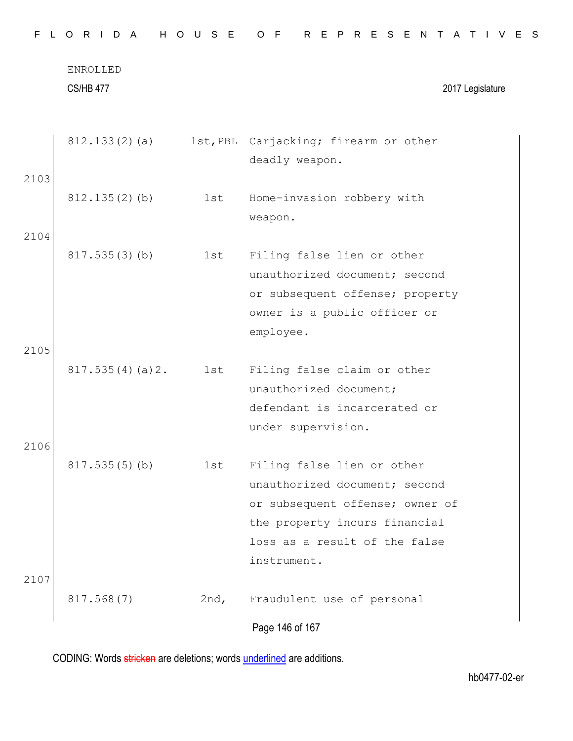|      | ENROLLED         |      |                                       |
|------|------------------|------|---------------------------------------|
|      | <b>CS/HB 477</b> |      | 2017 Legislature                      |
|      | 812.133(2)(a)    |      | 1st, PBL Carjacking; firearm or other |
|      |                  |      | deadly weapon.                        |
| 2103 |                  |      |                                       |
|      | $812.135(2)$ (b) | 1st  | Home-invasion robbery with            |
|      |                  |      | weapon.                               |
| 2104 |                  |      |                                       |
|      | 817.535(3)(b)    | 1st  | Filing false lien or other            |
|      |                  |      | unauthorized document; second         |
|      |                  |      | or subsequent offense; property       |
|      |                  |      | owner is a public officer or          |
|      |                  |      | employee.                             |
| 2105 |                  |      |                                       |
|      | 817.535(4)(a)2.  | 1st  | Filing false claim or other           |
|      |                  |      | unauthorized document;                |
|      |                  |      | defendant is incarcerated or          |
| 2106 |                  |      | under supervision.                    |
|      | 817.535(5)(b)    | 1st  | Filing false lien or other            |
|      |                  |      | unauthorized document; second         |
|      |                  |      | or subsequent offense; owner of       |
|      |                  |      | the property incurs financial         |
|      |                  |      | loss as a result of the false         |
|      |                  |      | instrument.                           |
| 2107 |                  |      |                                       |
|      | 817.568(7)       | 2nd, | Fraudulent use of personal            |
|      |                  |      | Page 146 of 167                       |
|      |                  |      |                                       |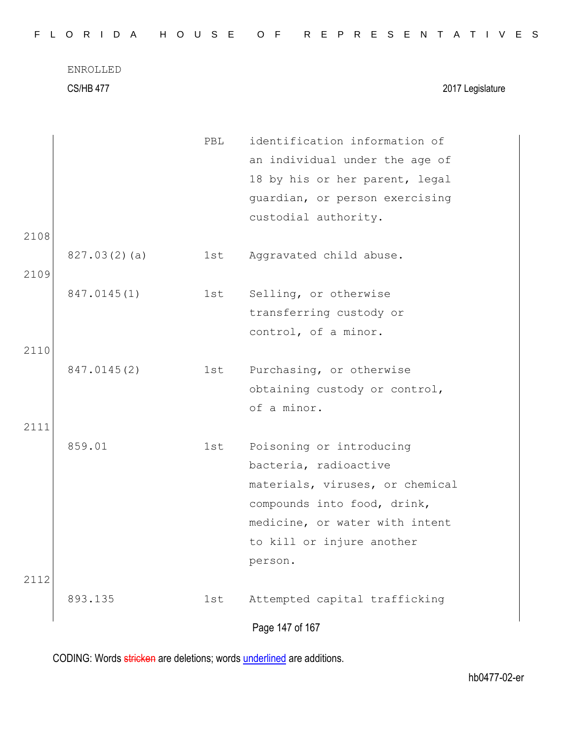| FLORIDA HOUSE OF REPRESENTATIVES |  |  |  |  |  |  |  |  |  |  |  |  |  |  |  |  |  |  |  |  |  |  |  |  |  |  |  |
|----------------------------------|--|--|--|--|--|--|--|--|--|--|--|--|--|--|--|--|--|--|--|--|--|--|--|--|--|--|--|
|----------------------------------|--|--|--|--|--|--|--|--|--|--|--|--|--|--|--|--|--|--|--|--|--|--|--|--|--|--|--|

CS/HB 477 2017 Legislature

|      |              |     | Page 147 of 167                 |
|------|--------------|-----|---------------------------------|
| 2112 | 893.135      | 1st | Attempted capital trafficking   |
|      |              |     | person.                         |
|      |              |     | to kill or injure another       |
|      |              |     | medicine, or water with intent  |
|      |              |     | compounds into food, drink,     |
|      |              |     | materials, viruses, or chemical |
|      |              |     | bacteria, radioactive           |
|      | 859.01       | 1st | Poisoning or introducing        |
| 2111 |              |     |                                 |
|      |              |     | of a minor.                     |
|      |              |     | obtaining custody or control,   |
|      | 847.0145(2)  | 1st | Purchasing, or otherwise        |
| 2110 |              |     |                                 |
|      |              |     | control, of a minor.            |
|      |              |     | transferring custody or         |
|      | 847.0145(1)  | 1st | Selling, or otherwise           |
| 2109 |              | 1st | Aggravated child abuse.         |
| 2108 | 827.03(2)(a) |     |                                 |
|      |              |     | custodial authority.            |
|      |              |     | guardian, or person exercising  |
|      |              |     | 18 by his or her parent, legal  |
|      |              |     | an individual under the age of  |
|      |              | PBL | identification information of   |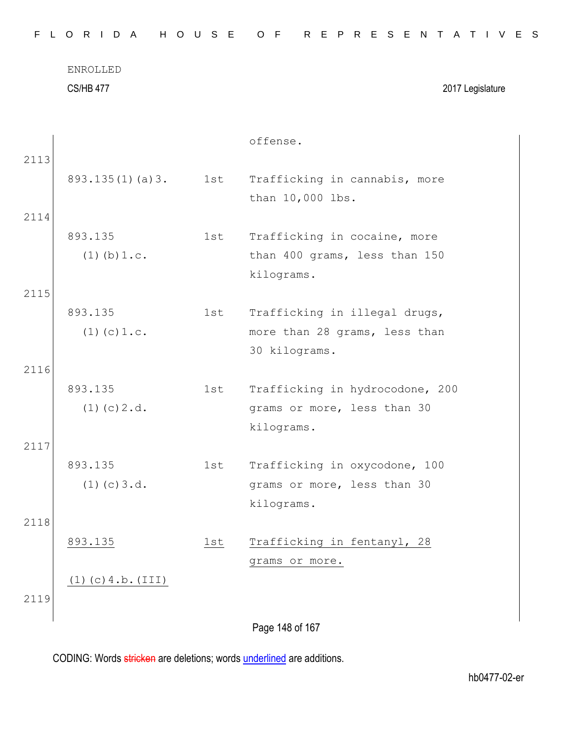| FLORIDA HOUSE OF REPRESENTATIVES |                  |          |  |  |  |  |          |  |  |  |  |                  |  |  |  |
|----------------------------------|------------------|----------|--|--|--|--|----------|--|--|--|--|------------------|--|--|--|
|                                  |                  | ENROLLED |  |  |  |  |          |  |  |  |  |                  |  |  |  |
|                                  | <b>CS/HB 477</b> |          |  |  |  |  |          |  |  |  |  | 2017 Legislature |  |  |  |
|                                  |                  |          |  |  |  |  |          |  |  |  |  |                  |  |  |  |
|                                  |                  |          |  |  |  |  | offense. |  |  |  |  |                  |  |  |  |

| 2113 |                          |     |                                 |
|------|--------------------------|-----|---------------------------------|
|      | 893.135(1)(a)3.          | 1st | Trafficking in cannabis, more   |
|      |                          |     | than 10,000 lbs.                |
|      |                          |     |                                 |
| 2114 |                          |     |                                 |
|      | 893.135                  | 1st | Trafficking in cocaine, more    |
|      | $(1)$ (b) $1.c.$         |     | than 400 grams, less than 150   |
|      |                          |     | kilograms.                      |
| 2115 |                          |     |                                 |
|      |                          |     |                                 |
|      | 893.135                  | 1st | Trafficking in illegal drugs,   |
|      | $(1)$ (c) $1.c.$         |     | more than 28 grams, less than   |
|      |                          |     | 30 kilograms.                   |
| 2116 |                          |     |                                 |
|      | 893.135                  | 1st | Trafficking in hydrocodone, 200 |
|      | $(1)$ (c) $2.d.$         |     | grams or more, less than 30     |
|      |                          |     | kilograms.                      |
|      |                          |     |                                 |
| 2117 |                          |     |                                 |
|      | 893.135                  | 1st | Trafficking in oxycodone, 100   |
|      | $(1)$ (c) 3.d.           |     | grams or more, less than 30     |
|      |                          |     | kilograms.                      |
| 2118 |                          |     |                                 |
|      | 893.135                  | 1st | Trafficking in fentanyl, 28     |
|      |                          |     |                                 |
|      |                          |     | grams or more.                  |
|      | $(1)$ $(c)$ 4.b. $(III)$ |     |                                 |

2119

Page 148 of 167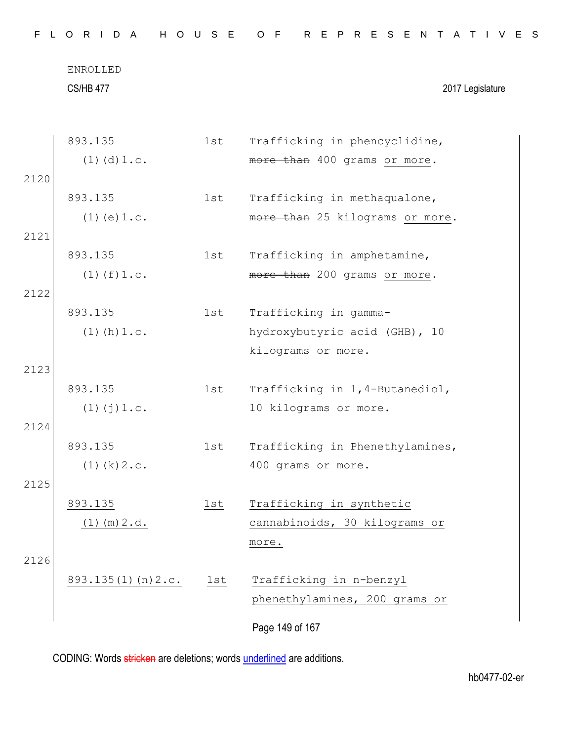CS/HB 477 2017 Legislature

| 893.135                   | 1st | Trafficking in phencyclidine,   |
|---------------------------|-----|---------------------------------|
| $(1)$ $(d)$ $1.c.$        |     | more than 400 grams or more.    |
|                           |     |                                 |
| 893.135                   | 1st | Trafficking in methaqualone,    |
| $(1)$ (e) $1.c.$          |     | more than 25 kilograms or more. |
|                           |     |                                 |
| 893.135                   | 1st | Trafficking in amphetamine,     |
| $(1)$ $(f)$ $1.c.$        |     | more than 200 grams or more.    |
|                           |     |                                 |
| 893.135                   | 1st | Trafficking in gamma-           |
| $(1)$ (h) $1.c.$          |     | hydroxybutyric acid (GHB), 10   |
|                           |     | kilograms or more.              |
|                           |     |                                 |
| 893.135                   | 1st | Trafficking in 1,4-Butanediol,  |
| $(1)$ $(j)$ $1.c.$        |     | 10 kilograms or more.           |
|                           |     |                                 |
| 893.135                   | 1st | Trafficking in Phenethylamines, |
| $(1)$ $(k)$ $2 \cdot c$ . |     | 400 grams or more.              |
|                           |     |                                 |
| 893.135                   | 1st | Trafficking in synthetic        |
| $(1)$ (m) $2.d.$          |     | cannabinoids, 30 kilograms or   |
|                           |     | more.                           |
|                           |     |                                 |
|                           |     |                                 |
| 893.135(1)(n)2.c.         | 1st | Trafficking in n-benzyl         |
|                           |     | phenethylamines, 200 grams or   |
|                           |     |                                 |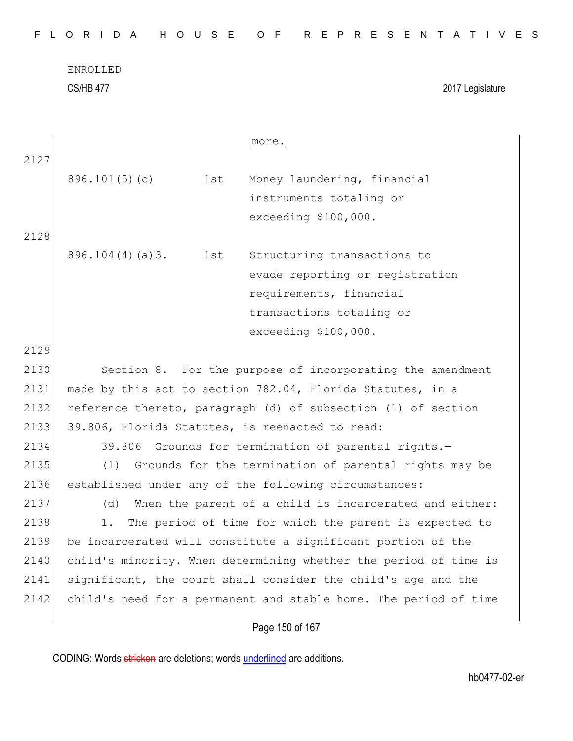| FLORIDA HOUSE OF REPRESENTATIVES |  |
|----------------------------------|--|
|----------------------------------|--|

| 2127<br>896.101(5)(c)<br>1st<br>Money laundering, financial<br>instruments totaling or<br>exceeding \$100,000.<br>2128<br>896.104(4)(a)3.<br>Structuring transactions to<br>1st<br>evade reporting or registration<br>requirements, financial<br>transactions totaling or<br>exceeding \$100,000.<br>2129<br>2130<br>Section 8. For the purpose of incorporating the amendment<br>2131<br>made by this act to section 782.04, Florida Statutes, in a<br>2132<br>reference thereto, paragraph (d) of subsection (1) of section<br>2133<br>39.806, Florida Statutes, is reenacted to read:<br>2134 |                                                     |  |  |  |  |  |  |  |  |
|--------------------------------------------------------------------------------------------------------------------------------------------------------------------------------------------------------------------------------------------------------------------------------------------------------------------------------------------------------------------------------------------------------------------------------------------------------------------------------------------------------------------------------------------------------------------------------------------------|-----------------------------------------------------|--|--|--|--|--|--|--|--|
|                                                                                                                                                                                                                                                                                                                                                                                                                                                                                                                                                                                                  |                                                     |  |  |  |  |  |  |  |  |
|                                                                                                                                                                                                                                                                                                                                                                                                                                                                                                                                                                                                  |                                                     |  |  |  |  |  |  |  |  |
|                                                                                                                                                                                                                                                                                                                                                                                                                                                                                                                                                                                                  |                                                     |  |  |  |  |  |  |  |  |
|                                                                                                                                                                                                                                                                                                                                                                                                                                                                                                                                                                                                  |                                                     |  |  |  |  |  |  |  |  |
|                                                                                                                                                                                                                                                                                                                                                                                                                                                                                                                                                                                                  |                                                     |  |  |  |  |  |  |  |  |
|                                                                                                                                                                                                                                                                                                                                                                                                                                                                                                                                                                                                  |                                                     |  |  |  |  |  |  |  |  |
|                                                                                                                                                                                                                                                                                                                                                                                                                                                                                                                                                                                                  |                                                     |  |  |  |  |  |  |  |  |
|                                                                                                                                                                                                                                                                                                                                                                                                                                                                                                                                                                                                  |                                                     |  |  |  |  |  |  |  |  |
|                                                                                                                                                                                                                                                                                                                                                                                                                                                                                                                                                                                                  |                                                     |  |  |  |  |  |  |  |  |
|                                                                                                                                                                                                                                                                                                                                                                                                                                                                                                                                                                                                  |                                                     |  |  |  |  |  |  |  |  |
|                                                                                                                                                                                                                                                                                                                                                                                                                                                                                                                                                                                                  |                                                     |  |  |  |  |  |  |  |  |
|                                                                                                                                                                                                                                                                                                                                                                                                                                                                                                                                                                                                  |                                                     |  |  |  |  |  |  |  |  |
|                                                                                                                                                                                                                                                                                                                                                                                                                                                                                                                                                                                                  |                                                     |  |  |  |  |  |  |  |  |
|                                                                                                                                                                                                                                                                                                                                                                                                                                                                                                                                                                                                  |                                                     |  |  |  |  |  |  |  |  |
|                                                                                                                                                                                                                                                                                                                                                                                                                                                                                                                                                                                                  |                                                     |  |  |  |  |  |  |  |  |
|                                                                                                                                                                                                                                                                                                                                                                                                                                                                                                                                                                                                  | 39.806 Grounds for termination of parental rights.- |  |  |  |  |  |  |  |  |
| 2135<br>(1)<br>Grounds for the termination of parental rights may be                                                                                                                                                                                                                                                                                                                                                                                                                                                                                                                             |                                                     |  |  |  |  |  |  |  |  |
| 2136<br>established under any of the following circumstances:                                                                                                                                                                                                                                                                                                                                                                                                                                                                                                                                    |                                                     |  |  |  |  |  |  |  |  |
| 2137<br>When the parent of a child is incarcerated and either:<br>(d)                                                                                                                                                                                                                                                                                                                                                                                                                                                                                                                            |                                                     |  |  |  |  |  |  |  |  |
| 2138<br>The period of time for which the parent is expected to<br>1.                                                                                                                                                                                                                                                                                                                                                                                                                                                                                                                             |                                                     |  |  |  |  |  |  |  |  |
| 2139<br>be incarcerated will constitute a significant portion of the                                                                                                                                                                                                                                                                                                                                                                                                                                                                                                                             |                                                     |  |  |  |  |  |  |  |  |
| 2140<br>child's minority. When determining whether the period of time is                                                                                                                                                                                                                                                                                                                                                                                                                                                                                                                         |                                                     |  |  |  |  |  |  |  |  |
| significant, the court shall consider the child's age and the<br>2141                                                                                                                                                                                                                                                                                                                                                                                                                                                                                                                            |                                                     |  |  |  |  |  |  |  |  |
| child's need for a permanent and stable home. The period of time<br>2142                                                                                                                                                                                                                                                                                                                                                                                                                                                                                                                         |                                                     |  |  |  |  |  |  |  |  |
| Page 150 of 167                                                                                                                                                                                                                                                                                                                                                                                                                                                                                                                                                                                  |                                                     |  |  |  |  |  |  |  |  |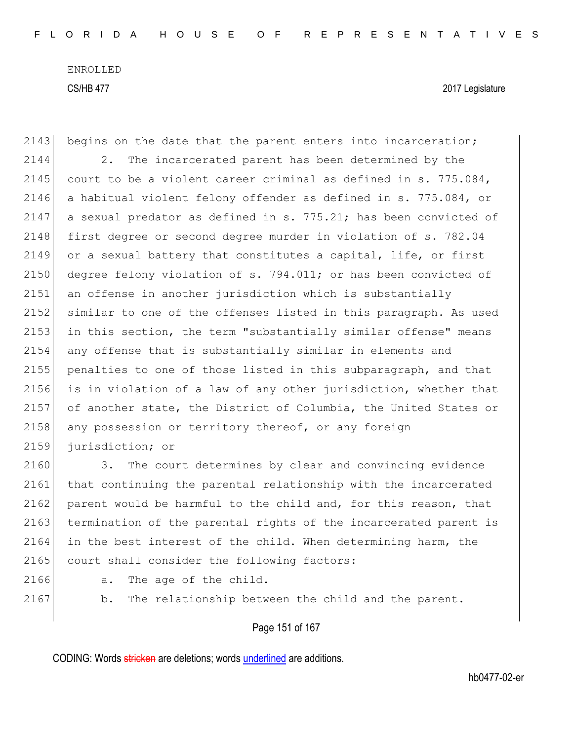2143 begins on the date that the parent enters into incarceration; 2144 2. The incarcerated parent has been determined by the 2145 court to be a violent career criminal as defined in  $s. 775.084$ , 2146 a habitual violent felony offender as defined in s. 775.084, or 2147 a sexual predator as defined in s. 775.21; has been convicted of 2148 first degree or second degree murder in violation of s. 782.04 2149 or a sexual battery that constitutes a capital, life, or first 2150 degree felony violation of s. 794.011; or has been convicted of 2151 an offense in another jurisdiction which is substantially 2152 similar to one of the offenses listed in this paragraph. As used 2153 in this section, the term "substantially similar offense" means 2154 any offense that is substantially similar in elements and 2155 penalties to one of those listed in this subparagraph, and that 2156 is in violation of a law of any other jurisdiction, whether that 2157 of another state, the District of Columbia, the United States or 2158 any possession or territory thereof, or any foreign 2159 jurisdiction; or

2160 3. The court determines by clear and convincing evidence 2161 that continuing the parental relationship with the incarcerated 2162 parent would be harmful to the child and, for this reason, that 2163 termination of the parental rights of the incarcerated parent is 2164 in the best interest of the child. When determining harm, the 2165 court shall consider the following factors:

- 
- 
- 2166 a. The age of the child.
	-

2167 b. The relationship between the child and the parent.

Page 151 of 167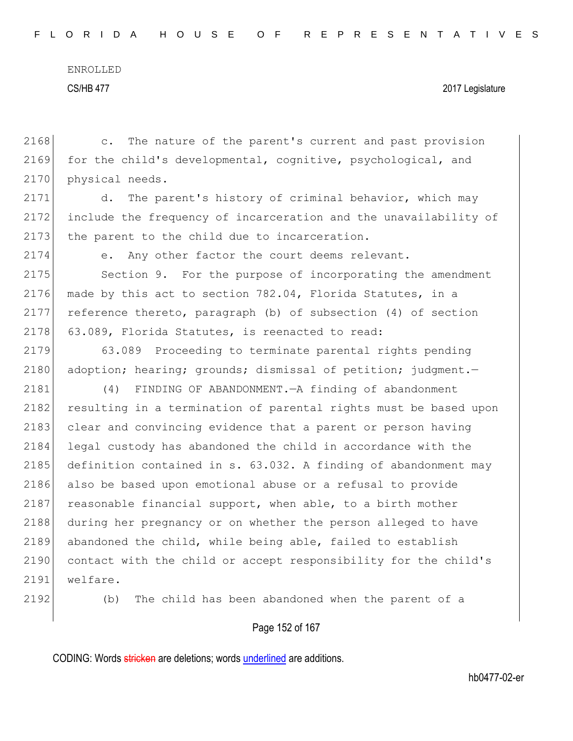#### CS/HB 477 2017 Legislature

2168 c. The nature of the parent's current and past provision 2169 for the child's developmental, cognitive, psychological, and 2170 physical needs.

2171 d. The parent's history of criminal behavior, which may 2172 include the frequency of incarceration and the unavailability of 2173 the parent to the child due to incarceration.

2174 e. Any other factor the court deems relevant.

2175 Section 9. For the purpose of incorporating the amendment 2176 made by this act to section  $782.04$ , Florida Statutes, in a 2177 reference thereto, paragraph (b) of subsection (4) of section 2178 63.089, Florida Statutes, is reenacted to read:

2179 63.089 Proceeding to terminate parental rights pending 2180 adoption; hearing; grounds; dismissal of petition; judgment.-

2181 (4) FINDING OF ABANDONMENT.—A finding of abandonment 2182 resulting in a termination of parental rights must be based upon 2183 clear and convincing evidence that a parent or person having 2184 legal custody has abandoned the child in accordance with the 2185 definition contained in s. 63.032. A finding of abandonment may 2186 also be based upon emotional abuse or a refusal to provide 2187 reasonable financial support, when able, to a birth mother 2188 during her pregnancy or on whether the person alleged to have 2189 abandoned the child, while being able, failed to establish 2190 contact with the child or accept responsibility for the child's 2191 welfare.

2192 (b) The child has been abandoned when the parent of a

### Page 152 of 167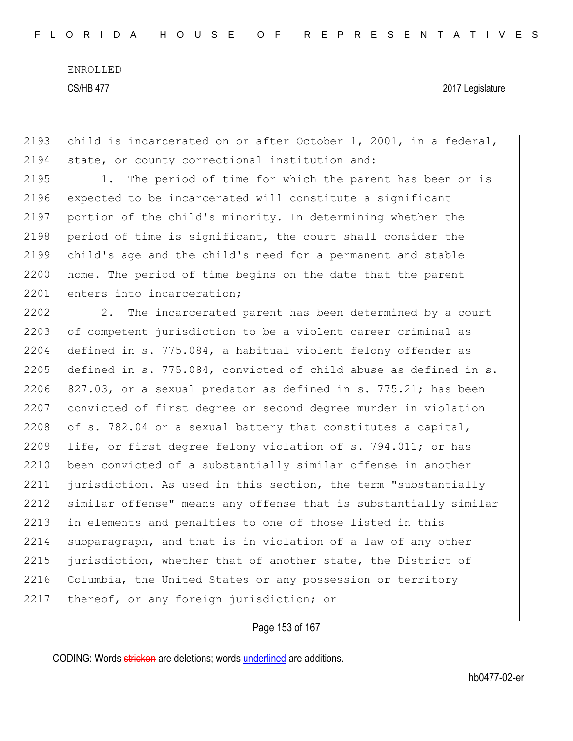CS/HB 477 2017 Legislature

2193 child is incarcerated on or after October 1, 2001, in a federal, 2194 state, or county correctional institution and:

2195 1. The period of time for which the parent has been or is 2196 expected to be incarcerated will constitute a significant 2197 portion of the child's minority. In determining whether the 2198 period of time is significant, the court shall consider the 2199 child's age and the child's need for a permanent and stable 2200 home. The period of time begins on the date that the parent 2201 enters into incarceration;

2202 2. The incarcerated parent has been determined by a court 2203 of competent jurisdiction to be a violent career criminal as 2204 defined in s. 775.084, a habitual violent felony offender as 2205 defined in s. 775.084, convicted of child abuse as defined in s. 2206 827.03, or a sexual predator as defined in s. 775.21; has been 2207 convicted of first degree or second degree murder in violation 2208 of s. 782.04 or a sexual battery that constitutes a capital, 2209 life, or first degree felony violation of s. 794.011; or has 2210 been convicted of a substantially similar offense in another 2211 jurisdiction. As used in this section, the term "substantially 2212 similar offense" means any offense that is substantially similar 2213 in elements and penalties to one of those listed in this 2214 subparagraph, and that is in violation of a law of any other 2215 jurisdiction, whether that of another state, the District of 2216 Columbia, the United States or any possession or territory 2217 thereof, or any foreign jurisdiction; or

#### Page 153 of 167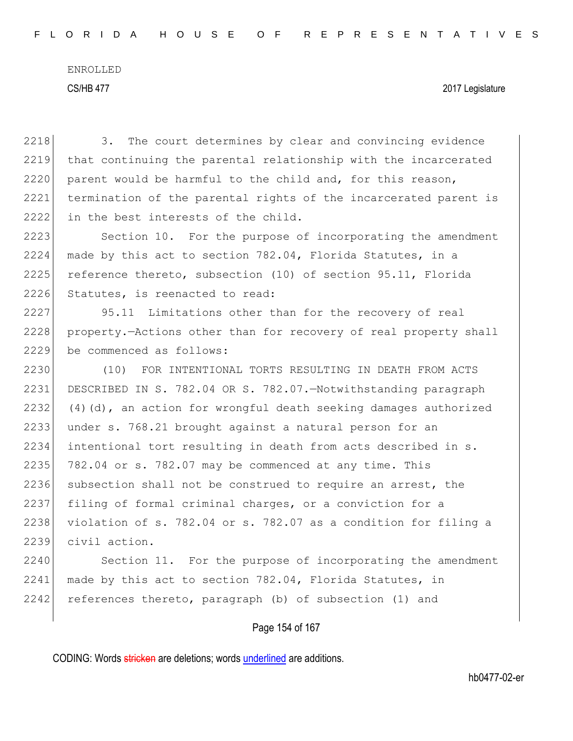2218 3. The court determines by clear and convincing evidence 2219 that continuing the parental relationship with the incarcerated 2220 parent would be harmful to the child and, for this reason, 2221 termination of the parental rights of the incarcerated parent is 2222 in the best interests of the child. 2223 Section 10. For the purpose of incorporating the amendment 2224 made by this act to section 782.04, Florida Statutes, in a 2225 reference thereto, subsection (10) of section 95.11, Florida 2226 Statutes, is reenacted to read: 2227 95.11 Limitations other than for the recovery of real 2228 property.—Actions other than for recovery of real property shall 2229 be commenced as follows: 2230 (10) FOR INTENTIONAL TORTS RESULTING IN DEATH FROM ACTS 2231 DESCRIBED IN S. 782.04 OR S. 782.07.—Notwithstanding paragraph 2232 (4)(d), an action for wrongful death seeking damages authorized 2233 under s. 768.21 brought against a natural person for an 2234 intentional tort resulting in death from acts described in s.  $2235$  782.04 or s. 782.07 may be commenced at any time. This 2236 subsection shall not be construed to require an arrest, the 2237 filing of formal criminal charges, or a conviction for a 2238 violation of s. 782.04 or s. 782.07 as a condition for filing a 2239 civil action. 2240 Section 11. For the purpose of incorporating the amendment 2241 made by this act to section 782.04, Florida Statutes, in 2242 references thereto, paragraph (b) of subsection (1) and

#### Page 154 of 167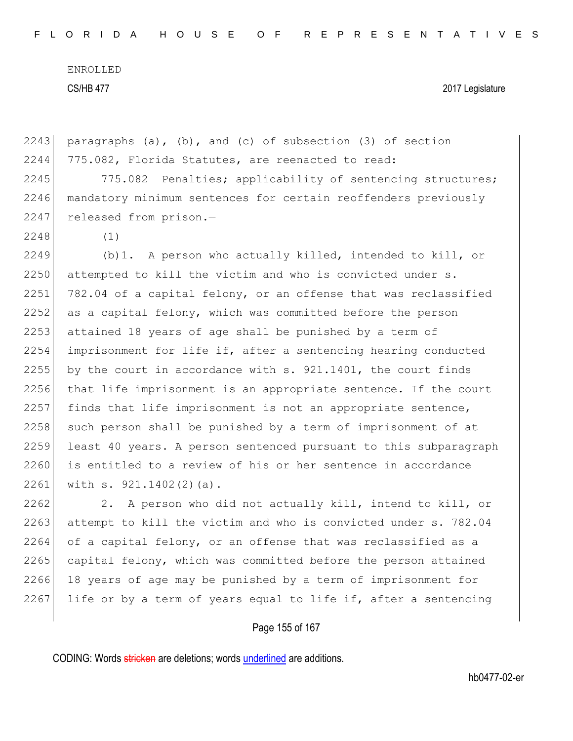CS/HB 477 2017 Legislature

2243 paragraphs  $(a)$ ,  $(b)$ , and  $(c)$  of subsection  $(3)$  of section 2244 775.082, Florida Statutes, are reenacted to read: 2245 775.082 Penalties; applicability of sentencing structures; 2246 mandatory minimum sentences for certain reoffenders previously 2247 released from prison.-2248 (1) 2249 (b)1. A person who actually killed, intended to kill, or 2250 attempted to kill the victim and who is convicted under s. 2251 782.04 of a capital felony, or an offense that was reclassified 2252 as a capital felony, which was committed before the person 2253 attained 18 years of age shall be punished by a term of 2254 imprisonment for life if, after a sentencing hearing conducted 2255 by the court in accordance with  $s. 921.1401$ , the court finds 2256 that life imprisonment is an appropriate sentence. If the court  $2257$  finds that life imprisonment is not an appropriate sentence,  $2258$  such person shall be punished by a term of imprisonment of at 2259 least 40 years. A person sentenced pursuant to this subparagraph 2260 is entitled to a review of his or her sentence in accordance 2261 with s.  $921.1402(2)(a)$ . 2262 2. A person who did not actually kill, intend to kill, or

2263 attempt to kill the victim and who is convicted under s. 782.04  $2264$  of a capital felony, or an offense that was reclassified as a 2265 capital felony, which was committed before the person attained 2266 18 years of age may be punished by a term of imprisonment for 2267 life or by a term of years equal to life if, after a sentencing

#### Page 155 of 167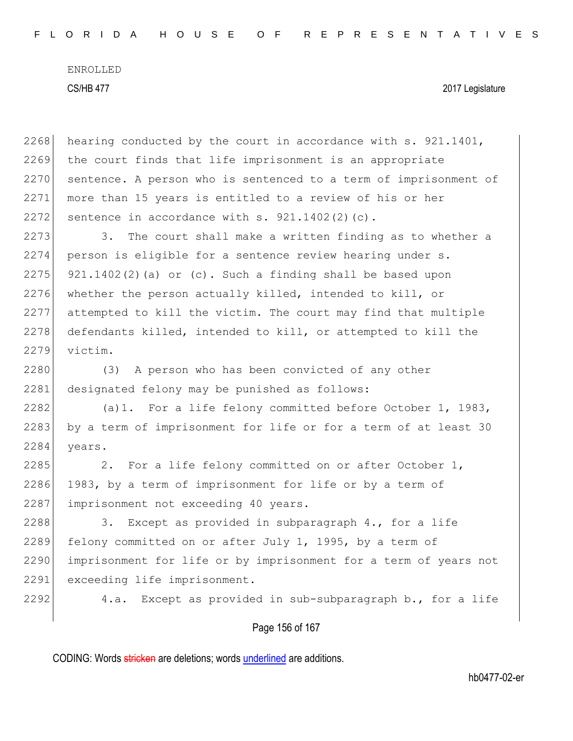| 2268 | hearing conducted by the court in accordance with s. 921.1401,   |
|------|------------------------------------------------------------------|
| 2269 | the court finds that life imprisonment is an appropriate         |
| 2270 | sentence. A person who is sentenced to a term of imprisonment of |
| 2271 | more than 15 years is entitled to a review of his or her         |
| 2272 | sentence in accordance with s. 921.1402(2)(c).                   |
| 2273 | The court shall make a written finding as to whether a<br>3.     |
| 2274 | person is eligible for a sentence review hearing under s.        |
| 2275 | $921.1402(2)$ (a) or (c). Such a finding shall be based upon     |
| 2276 | whether the person actually killed, intended to kill, or         |
| 2277 | attempted to kill the victim. The court may find that multiple   |
| 2278 | defendants killed, intended to kill, or attempted to kill the    |
| 2279 | victim.                                                          |
| 2280 | A person who has been convicted of any other<br>(3)              |
| 2281 | designated felony may be punished as follows:                    |
| 2282 | (a) 1. For a life felony committed before October 1, 1983,       |
| 2283 | by a term of imprisonment for life or for a term of at least 30  |
| 2284 | years.                                                           |
| 2285 | For a life felony committed on or after October 1,<br>2.         |
| 2286 | 1983, by a term of imprisonment for life or by a term of         |
| 2287 | imprisonment not exceeding 40 years.                             |
| 2288 | Except as provided in subparagraph 4., for a life<br>3.          |
| 2289 | felony committed on or after July 1, 1995, by a term of          |
| 2290 | imprisonment for life or by imprisonment for a term of years not |
| 2291 | exceeding life imprisonment.                                     |
| 2292 | Except as provided in sub-subparagraph b., for a life<br>4.a.    |
|      |                                                                  |

# Page 156 of 167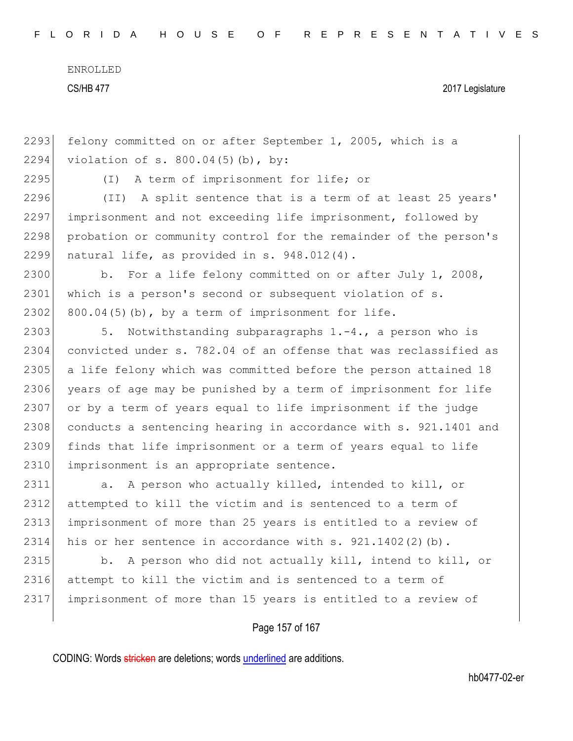CS/HB 477 2017 Legislature

2293 felony committed on or after September 1, 2005, which is a 2294 violation of s. 800.04(5)(b), by:

2295 (I) A term of imprisonment for life; or

2296 (II) A split sentence that is a term of at least 25 years' 2297 imprisonment and not exceeding life imprisonment, followed by 2298 probation or community control for the remainder of the person's 2299 natural life, as provided in s.  $948.012(4)$ .

2300 b. For a life felony committed on or after July 1, 2008, 2301 which is a person's second or subsequent violation of s. 2302 800.04(5)(b), by a term of imprisonment for life.

2303 5. Notwithstanding subparagraphs 1.-4., a person who is 2304 convicted under s. 782.04 of an offense that was reclassified as 2305 a life felony which was committed before the person attained 18 2306 years of age may be punished by a term of imprisonment for life 2307 or by a term of years equal to life imprisonment if the judge 2308 conducts a sentencing hearing in accordance with s. 921.1401 and 2309 finds that life imprisonment or a term of years equal to life 2310 imprisonment is an appropriate sentence.

2311 a. A person who actually killed, intended to kill, or 2312 attempted to kill the victim and is sentenced to a term of 2313 imprisonment of more than 25 years is entitled to a review of 2314 his or her sentence in accordance with s. 921.1402(2)(b).

2315 b. A person who did not actually kill, intend to kill, or 2316 attempt to kill the victim and is sentenced to a term of 2317 imprisonment of more than 15 years is entitled to a review of

Page 157 of 167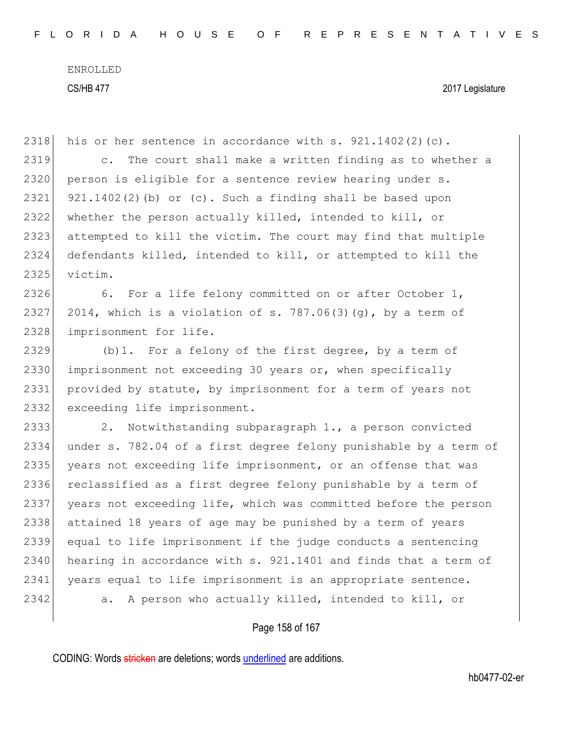2318 his or her sentence in accordance with s.  $921.1402(2)(c)$ . 2319 c. The court shall make a written finding as to whether a 2320 person is eligible for a sentence review hearing under s. 2321 921.1402(2)(b) or (c). Such a finding shall be based upon 2322 whether the person actually killed, intended to kill, or 2323 attempted to kill the victim. The court may find that multiple 2324 defendants killed, intended to kill, or attempted to kill the 2325 victim. 2326 6. For a life felony committed on or after October 1, 2327 2014, which is a violation of s. 787.06(3)(q), by a term of 2328 imprisonment for life. 2329 (b)1. For a felony of the first degree, by a term of 2330 imprisonment not exceeding 30 years or, when specifically 2331 provided by statute, by imprisonment for a term of years not 2332 exceeding life imprisonment. 2333 2. Notwithstanding subparagraph 1., a person convicted 2334 under s. 782.04 of a first degree felony punishable by a term of 2335 years not exceeding life imprisonment, or an offense that was 2336 reclassified as a first degree felony punishable by a term of 2337 years not exceeding life, which was committed before the person 2338 attained 18 years of age may be punished by a term of years 2339 equal to life imprisonment if the judge conducts a sentencing  $2340$  hearing in accordance with s. 921.1401 and finds that a term of 2341 years equal to life imprisonment is an appropriate sentence. 2342 a. A person who actually killed, intended to kill, or

Page 158 of 167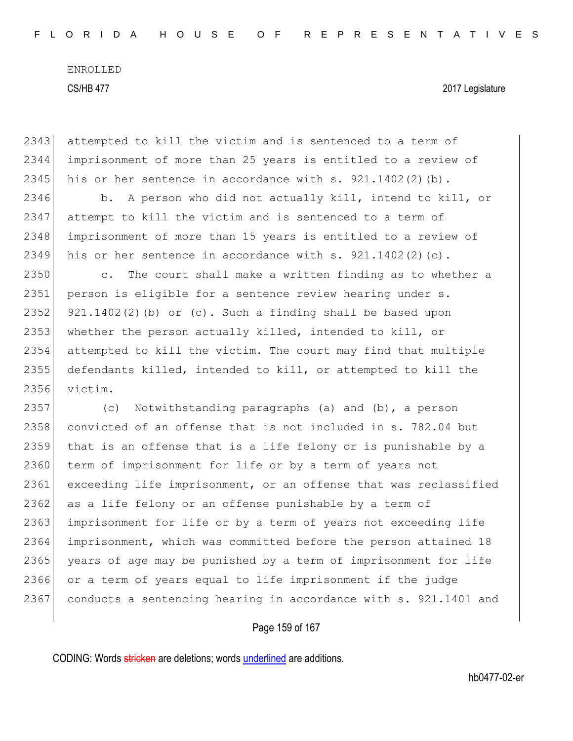2343 attempted to kill the victim and is sentenced to a term of 2344 imprisonment of more than 25 years is entitled to a review of 2345 his or her sentence in accordance with s.  $921.1402(2)(b)$ . 2346 b. A person who did not actually kill, intend to kill, or 2347 attempt to kill the victim and is sentenced to a term of 2348 imprisonment of more than 15 years is entitled to a review of 2349 his or her sentence in accordance with s.  $921.1402(2)(c)$ . 2350 c. The court shall make a written finding as to whether a 2351 person is eligible for a sentence review hearing under s. 2352 921.1402(2)(b) or (c). Such a finding shall be based upon 2353 whether the person actually killed, intended to kill, or 2354 attempted to kill the victim. The court may find that multiple 2355 defendants killed, intended to kill, or attempted to kill the 2356 victim. 2357 (c) Notwithstanding paragraphs (a) and (b), a person 2358 convicted of an offense that is not included in s. 782.04 but 2359 that is an offense that is a life felony or is punishable by a 2360 term of imprisonment for life or by a term of years not 2361 exceeding life imprisonment, or an offense that was reclassified 2362 as a life felony or an offense punishable by a term of 2363 imprisonment for life or by a term of years not exceeding life 2364 imprisonment, which was committed before the person attained 18 2365 years of age may be punished by a term of imprisonment for life 2366 or a term of years equal to life imprisonment if the judge 2367 conducts a sentencing hearing in accordance with s. 921.1401 and

#### Page 159 of 167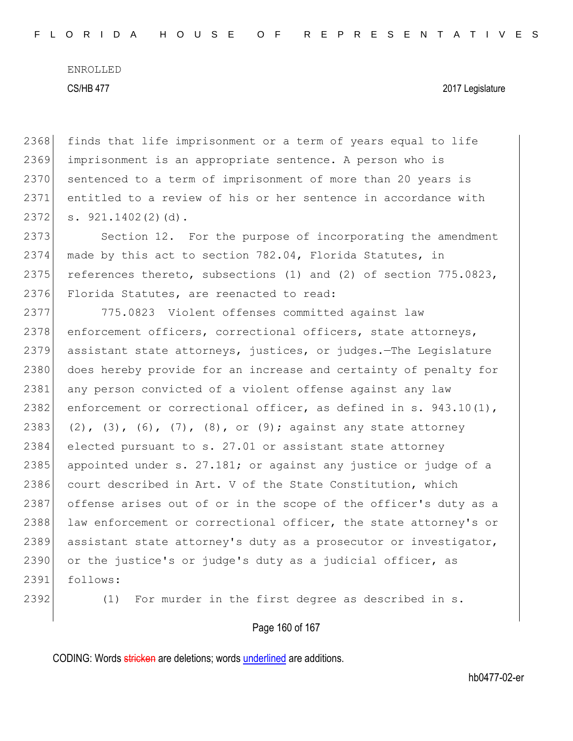#### CS/HB 477 2017 Legislature

2368 finds that life imprisonment or a term of years equal to life 2369 imprisonment is an appropriate sentence. A person who is 2370 sentenced to a term of imprisonment of more than 20 years is 2371 entitled to a review of his or her sentence in accordance with  $2372$  s.  $921.1402(2)(d)$ .

2373 Section 12. For the purpose of incorporating the amendment 2374 made by this act to section 782.04, Florida Statutes, in 2375 references thereto, subsections (1) and (2) of section 775.0823, 2376 Florida Statutes, are reenacted to read:

2377 775.0823 Violent offenses committed against law 2378 enforcement officers, correctional officers, state attorneys, 2379 assistant state attorneys, justices, or judges.—The Legislature 2380 does hereby provide for an increase and certainty of penalty for 2381 any person convicted of a violent offense against any law 2382 enforcement or correctional officer, as defined in s.  $943.10(1)$ , 2383 (2), (3), (6), (7), (8), or (9); against any state attorney 2384 elected pursuant to s. 27.01 or assistant state attorney 2385 appointed under s. 27.181; or against any justice or judge of a 2386 court described in Art. V of the State Constitution, which 2387 offense arises out of or in the scope of the officer's duty as a 2388 law enforcement or correctional officer, the state attorney's or 2389 assistant state attorney's duty as a prosecutor or investigator, 2390 or the justice's or judge's duty as a judicial officer, as 2391 follows:

2392 (1) For murder in the first degree as described in s.

#### Page 160 of 167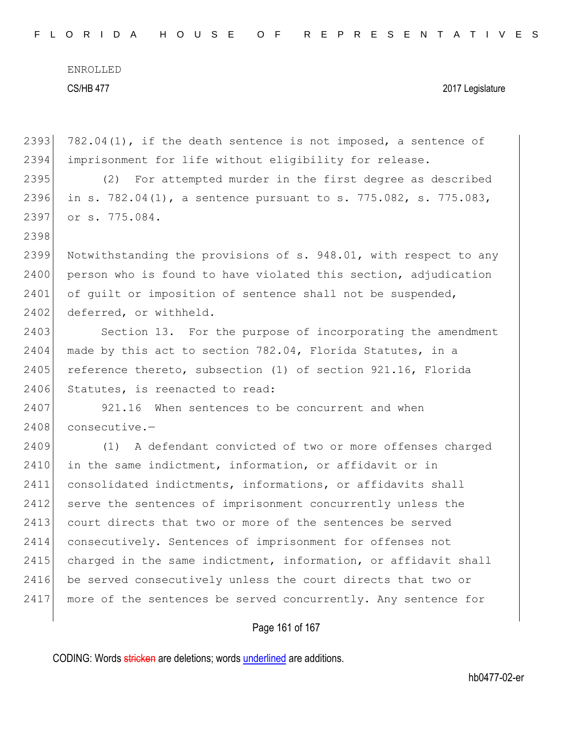| FLORIDA HOUSE OF REPRESENTATIVES |  |  |  |  |  |  |  |  |  |  |  |  |  |  |  |  |  |  |  |  |  |  |  |  |  |  |  |  |  |  |  |  |
|----------------------------------|--|--|--|--|--|--|--|--|--|--|--|--|--|--|--|--|--|--|--|--|--|--|--|--|--|--|--|--|--|--|--|--|
|----------------------------------|--|--|--|--|--|--|--|--|--|--|--|--|--|--|--|--|--|--|--|--|--|--|--|--|--|--|--|--|--|--|--|--|

| 2393 | $782.04(1)$ , if the death sentence is not imposed, a sentence of        |
|------|--------------------------------------------------------------------------|
| 2394 | imprisonment for life without eligibility for release.                   |
| 2395 | (2) For attempted murder in the first degree as described                |
| 2396 | in s. $782.04(1)$ , a sentence pursuant to s. $775.082$ , s. $775.083$ , |
| 2397 | or s. 775.084.                                                           |
| 2398 |                                                                          |
| 2399 | Notwithstanding the provisions of s. 948.01, with respect to any         |
| 2400 | person who is found to have violated this section, adjudication          |
| 2401 | of quilt or imposition of sentence shall not be suspended,               |
| 2402 | deferred, or withheld.                                                   |
| 2403 | Section 13. For the purpose of incorporating the amendment               |
| 2404 | made by this act to section 782.04, Florida Statutes, in a               |
| 2405 | reference thereto, subsection (1) of section 921.16, Florida             |
| 2406 | Statutes, is reenacted to read:                                          |
| 2407 | 921.16 When sentences to be concurrent and when                          |
| 2408 | consecutive.-                                                            |
| 2409 | (1) A defendant convicted of two or more offenses charged                |
| 2410 | in the same indictment, information, or affidavit or in                  |
| 2411 | consolidated indictments, informations, or affidavits shall              |
| 2412 | serve the sentences of imprisonment concurrently unless the              |
| 2413 | court directs that two or more of the sentences be served                |
| 2414 | consecutively. Sentences of imprisonment for offenses not                |
| 2415 | charged in the same indictment, information, or affidavit shall          |
| 2416 | be served consecutively unless the court directs that two or             |
| 2417 | more of the sentences be served concurrently. Any sentence for           |
|      |                                                                          |

# Page 161 of 167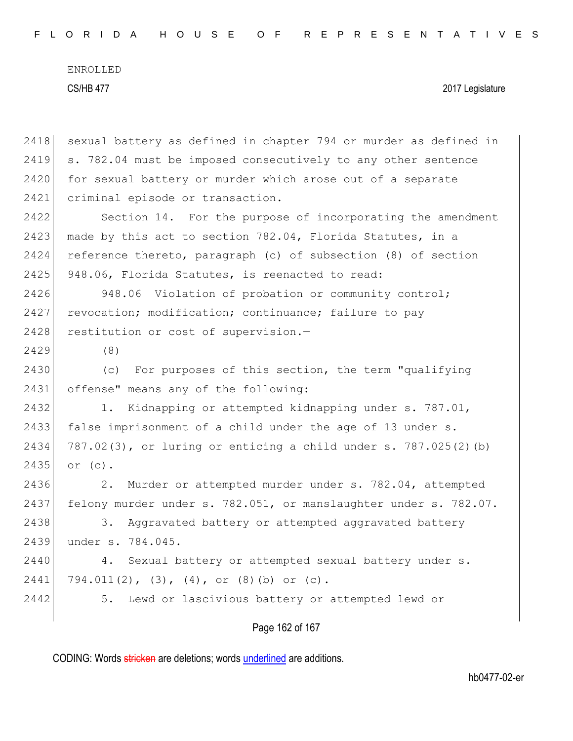| 2418 | sexual battery as defined in chapter 794 or murder as defined in |
|------|------------------------------------------------------------------|
| 2419 | s. 782.04 must be imposed consecutively to any other sentence    |
| 2420 | for sexual battery or murder which arose out of a separate       |
| 2421 | criminal episode or transaction.                                 |
| 2422 | Section 14. For the purpose of incorporating the amendment       |
| 2423 | made by this act to section 782.04, Florida Statutes, in a       |
| 2424 | reference thereto, paragraph (c) of subsection (8) of section    |
| 2425 | 948.06, Florida Statutes, is reenacted to read:                  |
| 2426 | Violation of probation or community control;<br>948.06           |
| 2427 | revocation; modification; continuance; failure to pay            |
| 2428 | restitution or cost of supervision.-                             |
| 2429 | (8)                                                              |
| 2430 | For purposes of this section, the term "qualifying<br>(C)        |
| 2431 | offense" means any of the following:                             |
| 2432 | Kidnapping or attempted kidnapping under s. 787.01,<br>1.        |
| 2433 | false imprisonment of a child under the age of 13 under s.       |
| 2434 | 787.02(3), or luring or enticing a child under s. 787.025(2) (b) |
| 2435 | or $(c)$ .                                                       |
| 2436 | Murder or attempted murder under s. 782.04, attempted<br>2.      |
| 2437 | felony murder under s. 782.051, or manslaughter under s. 782.07. |
| 2438 | 3.<br>Aggravated battery or attempted aggravated battery         |
| 2439 | under s. 784.045.                                                |
| 2440 | Sexual battery or attempted sexual battery under s.<br>4.        |
| 2441 | 794.011(2), (3), (4), or (8)(b) or (c).                          |
| 2442 | Lewd or lascivious battery or attempted lewd or<br>5.            |
|      |                                                                  |

Page 162 of 167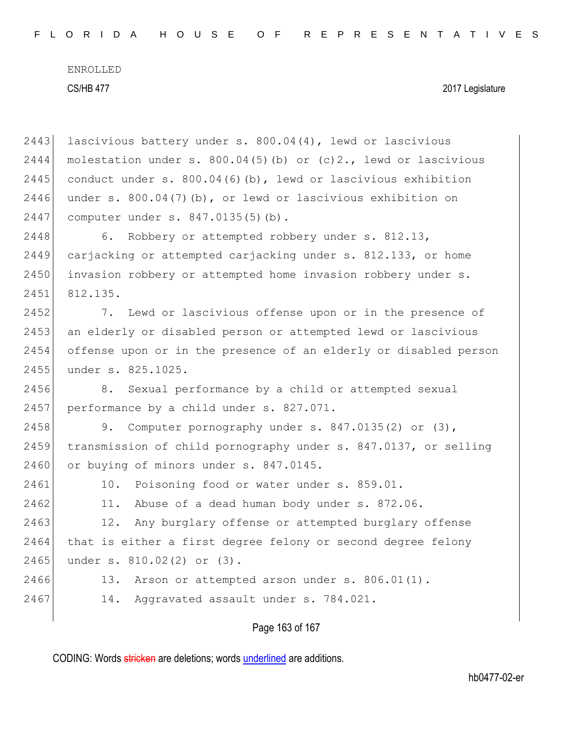#### CS/HB 477 2017 Legislature

2443 lascivious battery under s. 800.04(4), lewd or lascivious 2444 molestation under s.  $800.04(5)$  (b) or (c)2., lewd or lascivious 2445 conduct under s.  $800.04(6)(b)$ , lewd or lascivious exhibition 2446 under s.  $800.04(7)(b)$ , or lewd or lascivious exhibition on 2447 computer under s. 847.0135(5)(b). 2448 6. Robbery or attempted robbery under s. 812.13, 2449 carjacking or attempted carjacking under s. 812.133, or home 2450 invasion robbery or attempted home invasion robbery under s. 2451 812.135. 2452 7. Lewd or lascivious offense upon or in the presence of 2453 an elderly or disabled person or attempted lewd or lascivious 2454 offense upon or in the presence of an elderly or disabled person 2455 under s. 825.1025. 2456 8. Sexual performance by a child or attempted sexual 2457 performance by a child under s. 827.071. 2458 9. Computer pornography under s. 847.0135(2) or (3), 2459 transmission of child pornography under s. 847.0137, or selling 2460 or buying of minors under s. 847.0145. 2461 10. Poisoning food or water under s. 859.01. 2462 11. Abuse of a dead human body under s. 872.06. 2463 12. Any burglary offense or attempted burglary offense 2464 that is either a first degree felony or second degree felony 2465 under s. 810.02(2) or (3). 2466 13. Arson or attempted arson under s. 806.01(1). 2467 14. Aggravated assault under s. 784.021.

Page 163 of 167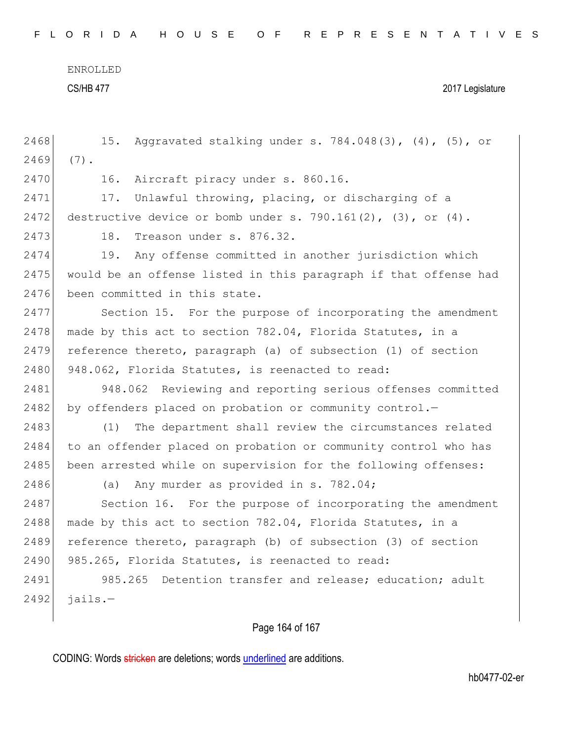F L O R I D A H O U S E O F R E P R E S E N T A T I V E S

ENROLLED

CS/HB 477 2017 Legislature

| 2468 | Aggravated stalking under s. 784.048(3), (4), (5), or<br>15.     |
|------|------------------------------------------------------------------|
| 2469 | $(7)$ .                                                          |
| 2470 | 16.<br>Aircraft piracy under s. 860.16.                          |
| 2471 | Unlawful throwing, placing, or discharging of a<br>17.           |
| 2472 | destructive device or bomb under s. 790.161(2), (3), or (4).     |
| 2473 | Treason under s. 876.32.<br>18.                                  |
| 2474 | Any offense committed in another jurisdiction which<br>19.       |
| 2475 | would be an offense listed in this paragraph if that offense had |
| 2476 | been committed in this state.                                    |
| 2477 | Section 15. For the purpose of incorporating the amendment       |
| 2478 | made by this act to section 782.04, Florida Statutes, in a       |
| 2479 | reference thereto, paragraph (a) of subsection (1) of section    |
| 2480 | 948.062, Florida Statutes, is reenacted to read:                 |
| 2481 | 948.062 Reviewing and reporting serious offenses committed       |
| 2482 | by offenders placed on probation or community control.-          |
| 2483 | (1)<br>The department shall review the circumstances related     |
| 2484 | to an offender placed on probation or community control who has  |
| 2485 | been arrested while on supervision for the following offenses:   |
| 2486 | Any murder as provided in s. 782.04;<br>(a)                      |
| 2487 | Section 16. For the purpose of incorporating the amendment       |
| 2488 | made by this act to section 782.04, Florida Statutes, in a       |
| 2489 | reference thereto, paragraph (b) of subsection (3) of section    |
| 2490 | 985.265, Florida Statutes, is reenacted to read:                 |
| 2491 | Detention transfer and release; education; adult<br>985.265      |
| 2492 | $jails. -$                                                       |
|      |                                                                  |

Page 164 of 167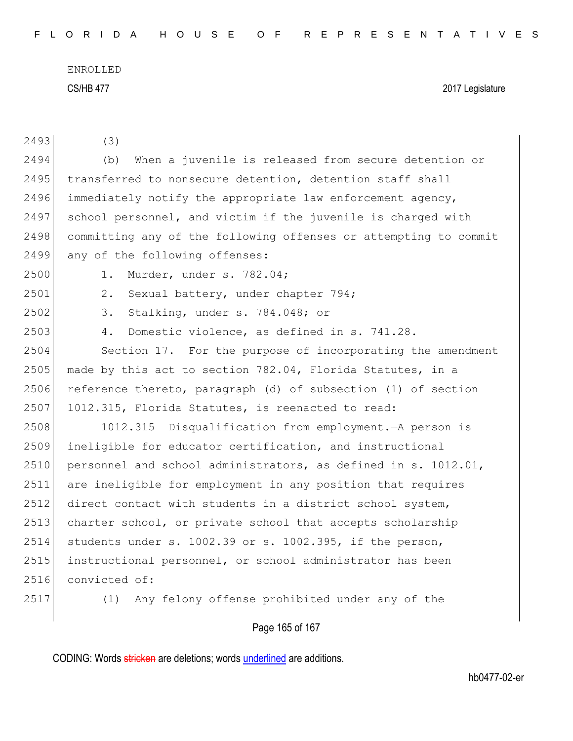| 2493 | (3)                                                              |
|------|------------------------------------------------------------------|
| 2494 | When a juvenile is released from secure detention or<br>(b)      |
| 2495 | transferred to nonsecure detention, detention staff shall        |
| 2496 | immediately notify the appropriate law enforcement agency,       |
| 2497 | school personnel, and victim if the juvenile is charged with     |
| 2498 | committing any of the following offenses or attempting to commit |
| 2499 | any of the following offenses:                                   |
| 2500 | Murder, under s. 782.04;<br>1.                                   |
| 2501 | 2.<br>Sexual battery, under chapter 794;                         |
| 2502 | Stalking, under s. 784.048; or<br>3.                             |
| 2503 | 4.<br>Domestic violence, as defined in s. 741.28.                |
| 2504 | Section 17. For the purpose of incorporating the amendment       |
| 2505 | made by this act to section 782.04, Florida Statutes, in a       |
| 2506 | reference thereto, paragraph (d) of subsection (1) of section    |
| 2507 | 1012.315, Florida Statutes, is reenacted to read:                |
| 2508 | Disqualification from employment. - A person is<br>1012.315      |
| 2509 | ineligible for educator certification, and instructional         |
| 2510 | personnel and school administrators, as defined in s. 1012.01,   |
| 2511 | are ineligible for employment in any position that requires      |
| 2512 | direct contact with students in a district school system,        |
| 2513 | charter school, or private school that accepts scholarship       |
| 2514 | students under s. 1002.39 or s. 1002.395, if the person,         |
| 2515 | instructional personnel, or school administrator has been        |
| 2516 | convicted of:                                                    |
| 2517 | Any felony offense prohibited under any of the<br>(1)            |
|      | Page 165 of 167                                                  |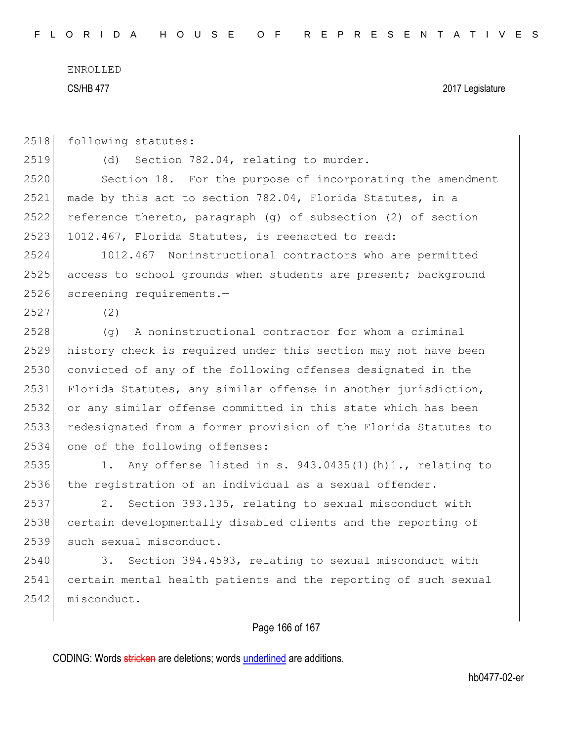CS/HB 477 2017 Legislature

2518 following statutes:

2519 (d) Section 782.04, relating to murder.

2520 Section 18. For the purpose of incorporating the amendment 2521 made by this act to section 782.04, Florida Statutes, in a 2522 reference thereto, paragraph (g) of subsection (2) of section 2523 1012.467, Florida Statutes, is reenacted to read:

2524 1012.467 Noninstructional contractors who are permitted 2525 access to school grounds when students are present; background 2526 screening requirements.-

2527 (2)

 (g) A noninstructional contractor for whom a criminal history check is required under this section may not have been convicted of any of the following offenses designated in the Florida Statutes, any similar offense in another jurisdiction, or any similar offense committed in this state which has been redesignated from a former provision of the Florida Statutes to 2534 one of the following offenses:

2535 1. Any offense listed in s.  $943.0435(1)(h)1$ ., relating to 2536 the registration of an individual as a sexual offender.

2537 2. Section 393.135, relating to sexual misconduct with 2538 certain developmentally disabled clients and the reporting of 2539 such sexual misconduct.

2540 3. Section 394.4593, relating to sexual misconduct with 2541 certain mental health patients and the reporting of such sexual 2542 misconduct.

## Page 166 of 167